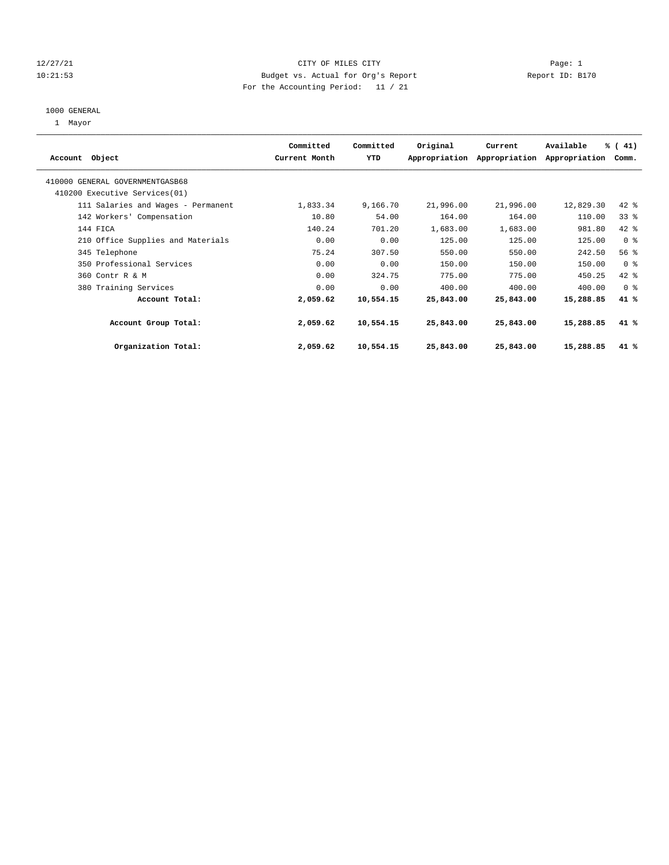# 12/27/21 CITY OF MILES CITY Page: 1 10:21:53 Budget vs. Actual for Org's Report Report ID: B170 For the Accounting Period: 11 / 21

#### 1000 GENERAL

1 Mayor

| Account Object                                                    | Committed<br>Current Month | Committed<br>YTD | Original  | Current<br>Appropriation Appropriation | Available<br>Appropriation | % (41)<br>Comm. |  |
|-------------------------------------------------------------------|----------------------------|------------------|-----------|----------------------------------------|----------------------------|-----------------|--|
| 410000 GENERAL GOVERNMENTGASB68<br>410200 Executive Services (01) |                            |                  |           |                                        |                            |                 |  |
| 111 Salaries and Wages - Permanent                                | 1,833.34                   | 9,166.70         | 21,996.00 | 21,996.00                              | 12,829.30                  | $42$ $%$        |  |
| 142 Workers' Compensation                                         | 10.80                      | 54.00            | 164.00    | 164.00                                 | 110.00                     | 33 <sup>8</sup> |  |
| 144 FICA                                                          | 140.24                     | 701.20           | 1,683.00  | 1,683.00                               | 981.80                     | 42 %            |  |
| 210 Office Supplies and Materials                                 | 0.00                       | 0.00             | 125.00    | 125.00                                 | 125.00                     | 0 <sup>8</sup>  |  |
| 345 Telephone                                                     | 75.24                      | 307.50           | 550.00    | 550.00                                 | 242.50                     | 56%             |  |
| 350 Professional Services                                         | 0.00                       | 0.00             | 150.00    | 150.00                                 | 150.00                     | 0 <sup>8</sup>  |  |
| 360 Contr R & M                                                   | 0.00                       | 324.75           | 775.00    | 775.00                                 | 450.25                     | 42 %            |  |
| 380 Training Services                                             | 0.00                       | 0.00             | 400.00    | 400.00                                 | 400.00                     | 0 <sup>8</sup>  |  |
| Account Total:                                                    | 2,059.62                   | 10,554.15        | 25,843.00 | 25,843.00                              | 15,288.85                  | 41 %            |  |
| Account Group Total:                                              | 2,059.62                   | 10,554.15        | 25,843.00 | 25,843.00                              | 15,288.85                  | 41 %            |  |
| Organization Total:                                               | 2,059.62                   | 10,554.15        | 25,843.00 | 25,843.00                              | 15,288.85                  | 41 %            |  |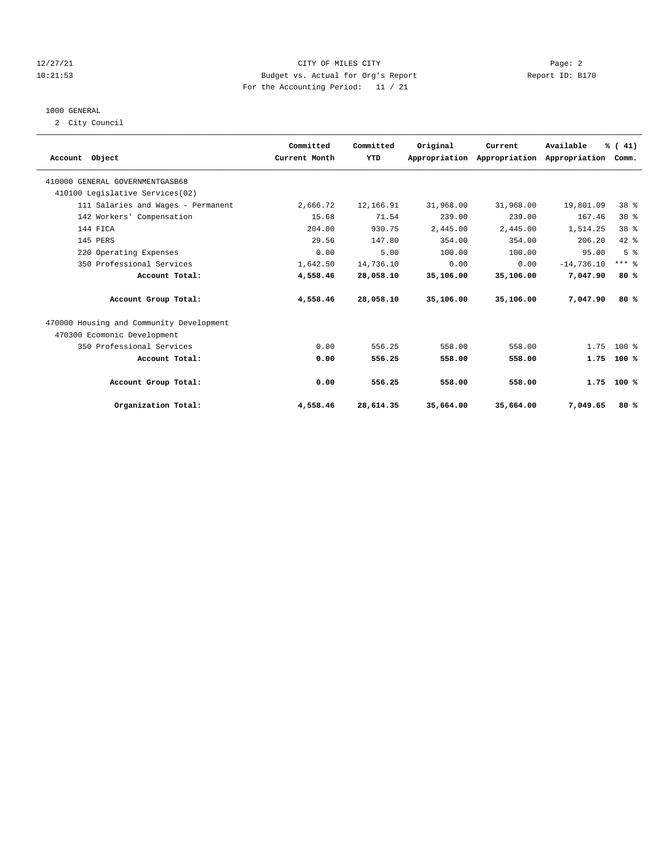# 12/27/21 CITY OF MILES CITY Page: 2 10:21:53 Budget vs. Actual for Org's Report Report ID: B170 For the Accounting Period: 11 / 21

# 1000 GENERAL

2 City Council

| Account Object                           | Committed<br>Current Month | Committed<br>YTD | Original  | Current<br>Appropriation Appropriation Appropriation | Available    | % (41)<br>Comm. |  |
|------------------------------------------|----------------------------|------------------|-----------|------------------------------------------------------|--------------|-----------------|--|
| 410000 GENERAL GOVERNMENTGASB68          |                            |                  |           |                                                      |              |                 |  |
| 410100 Legislative Services(02)          |                            |                  |           |                                                      |              |                 |  |
| 111 Salaries and Wages - Permanent       | 2,666.72                   | 12,166.91        | 31,968.00 | 31,968.00                                            | 19,801.09    | 38 %            |  |
| 142 Workers' Compensation                | 15.68                      | 71.54            | 239.00    | 239.00                                               | 167.46       | $30*$           |  |
| 144 FICA                                 | 204.00                     | 930.75           | 2,445.00  | 2,445.00                                             | 1,514.25     | 38 <sup>8</sup> |  |
| 145 PERS                                 | 29.56                      | 147.80           | 354.00    | 354.00                                               | 206.20       | $42$ $%$        |  |
| 220 Operating Expenses                   | 0.00                       | 5.00             | 100.00    | 100.00                                               | 95.00        | 5 <sup>8</sup>  |  |
| 350 Professional Services                | 1,642.50                   | 14,736.10        | 0.00      | 0.00                                                 | $-14,736.10$ | $***$ $8$       |  |
| Account Total:                           | 4,558.46                   | 28,058.10        | 35,106.00 | 35,106.00                                            | 7,047.90     | 80%             |  |
| Account Group Total:                     | 4,558.46                   | 28,058.10        | 35,106.00 | 35,106.00                                            | 7,047.90     | 80%             |  |
| 470000 Housing and Community Development |                            |                  |           |                                                      |              |                 |  |
| 470300 Ecomonic Development              |                            |                  |           |                                                      |              |                 |  |
| 350 Professional Services                | 0.00                       | 556.25           | 558.00    | 558.00                                               | 1.75         | $100*$          |  |
| Account Total:                           | 0.00                       | 556.25           | 558.00    | 558.00                                               | 1.75         | $100*$          |  |
| Account Group Total:                     | 0.00                       | 556.25           | 558.00    | 558.00                                               |              | $1.75$ 100 %    |  |
| Organization Total:                      | 4,558.46                   | 28,614.35        | 35,664.00 | 35,664.00                                            | 7,049.65     | 80%             |  |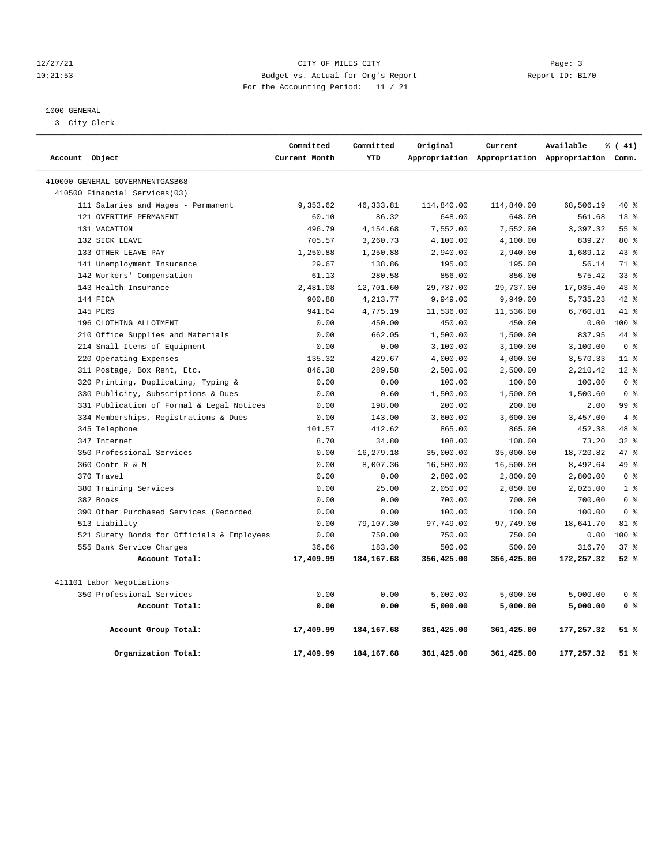# 12/27/21 Page: 3 Page: 3 10:21:53 Budget vs. Actual for Org's Report Report ID: B170 For the Accounting Period: 11 / 21

# 1000 GENERAL

3 City Clerk

| Account Object |                                            | Committed<br>Current Month | Committed<br>YTD | Original   | Current    | Available<br>Appropriation Appropriation Appropriation Comm. | % (41)          |  |
|----------------|--------------------------------------------|----------------------------|------------------|------------|------------|--------------------------------------------------------------|-----------------|--|
|                |                                            |                            |                  |            |            |                                                              |                 |  |
|                | 410000 GENERAL GOVERNMENTGASB68            |                            |                  |            |            |                                                              |                 |  |
|                | 410500 Financial Services(03)              |                            |                  |            |            |                                                              |                 |  |
|                | 111 Salaries and Wages - Permanent         | 9,353.62                   | 46, 333.81       | 114,840.00 | 114,840.00 | 68,506.19                                                    | 40 %            |  |
|                | 121 OVERTIME-PERMANENT                     | 60.10                      | 86.32            | 648.00     | 648.00     | 561.68                                                       | $13*$           |  |
|                | 131 VACATION                               | 496.79                     | 4,154.68         | 7,552.00   | 7,552.00   | 3,397.32                                                     | 55 <sup>8</sup> |  |
|                | 132 SICK LEAVE                             | 705.57                     | 3,260.73         | 4,100.00   | 4,100.00   | 839.27                                                       | 80 %            |  |
|                | 133 OTHER LEAVE PAY                        | 1,250.88                   | 1,250.88         | 2,940.00   | 2,940.00   | 1,689.12                                                     | 43%             |  |
|                | 141 Unemployment Insurance                 | 29.67                      | 138.86           | 195.00     | 195.00     | 56.14                                                        | 71 %            |  |
|                | 142 Workers' Compensation                  | 61.13                      | 280.58           | 856.00     | 856.00     | 575.42                                                       | 33 <sup>8</sup> |  |
|                | 143 Health Insurance                       | 2,481.08                   | 12,701.60        | 29,737.00  | 29,737.00  | 17,035.40                                                    | 43%             |  |
|                | 144 FICA                                   | 900.88                     | 4,213.77         | 9,949.00   | 9,949.00   | 5,735.23                                                     | 42 %            |  |
|                | 145 PERS                                   | 941.64                     | 4,775.19         | 11,536.00  | 11,536.00  | 6,760.81                                                     | 41 %            |  |
|                | 196 CLOTHING ALLOTMENT                     | 0.00                       | 450.00           | 450.00     | 450.00     | 0.00                                                         | 100 %           |  |
|                | 210 Office Supplies and Materials          | 0.00                       | 662.05           | 1,500.00   | 1,500.00   | 837.95                                                       | 44 %            |  |
|                | 214 Small Items of Equipment               | 0.00                       | 0.00             | 3,100.00   | 3,100.00   | 3,100.00                                                     | 0 <sup>8</sup>  |  |
|                | 220 Operating Expenses                     | 135.32                     | 429.67           | 4,000.00   | 4,000.00   | 3,570.33                                                     | 11 <sup>8</sup> |  |
|                | 311 Postage, Box Rent, Etc.                | 846.38                     | 289.58           | 2,500.00   | 2,500.00   | 2,210.42                                                     | $12*$           |  |
|                | 320 Printing, Duplicating, Typing &        | 0.00                       | 0.00             | 100.00     | 100.00     | 100.00                                                       | 0 <sup>8</sup>  |  |
|                | 330 Publicity, Subscriptions & Dues        | 0.00                       | $-0.60$          | 1,500.00   | 1,500.00   | 1,500.60                                                     | 0 <sup>8</sup>  |  |
|                | 331 Publication of Formal & Legal Notices  | 0.00                       | 198.00           | 200.00     | 200.00     | 2.00                                                         | 99 <sup>8</sup> |  |
|                | 334 Memberships, Registrations & Dues      | 0.00                       | 143.00           | 3,600.00   | 3,600.00   | 3,457.00                                                     | 4%              |  |
|                | 345 Telephone                              | 101.57                     | 412.62           | 865.00     | 865.00     | 452.38                                                       | 48 %            |  |
|                | 347 Internet                               | 8.70                       | 34.80            | 108.00     | 108.00     | 73.20                                                        | 328             |  |
|                | 350 Professional Services                  | 0.00                       | 16,279.18        | 35,000.00  | 35,000.00  | 18,720.82                                                    | 47%             |  |
|                | 360 Contr R & M                            | 0.00                       | 8,007.36         | 16,500.00  | 16,500.00  | 8,492.64                                                     | 49 %            |  |
|                | 370 Travel                                 | 0.00                       | 0.00             | 2,800.00   | 2,800.00   | 2,800.00                                                     | 0 <sup>8</sup>  |  |
|                | 380 Training Services                      | 0.00                       | 25.00            | 2,050.00   | 2,050.00   | 2,025.00                                                     | 1 <sup>8</sup>  |  |
|                | 382 Books                                  | 0.00                       | 0.00             | 700.00     | 700.00     | 700.00                                                       | 0 <sup>8</sup>  |  |
|                | 390 Other Purchased Services (Recorded     | 0.00                       | 0.00             | 100.00     | 100.00     | 100.00                                                       | 0 <sup>8</sup>  |  |
|                | 513 Liability                              | 0.00                       | 79,107.30        | 97,749.00  | 97,749.00  | 18,641.70                                                    | 81 %            |  |
|                | 521 Surety Bonds for Officials & Employees | 0.00                       | 750.00           | 750.00     | 750.00     | 0.00                                                         | $100*$          |  |
|                | 555 Bank Service Charges                   | 36.66                      | 183.30           | 500.00     | 500.00     | 316.70                                                       | 37%             |  |
|                | Account Total:                             | 17,409.99                  | 184, 167. 68     | 356,425.00 | 356,425.00 | 172,257.32                                                   | 52%             |  |
|                | 411101 Labor Negotiations                  |                            |                  |            |            |                                                              |                 |  |
|                | 350 Professional Services                  | 0.00                       | 0.00             | 5,000.00   | 5,000.00   | 5,000.00                                                     | 0 <sup>8</sup>  |  |
|                | Account Total:                             | 0.00                       | 0.00             | 5,000.00   | 5,000.00   | 5,000.00                                                     | 0 <sup>8</sup>  |  |
|                | Account Group Total:                       | 17,409.99                  | 184,167.68       | 361,425.00 | 361,425.00 | 177,257.32                                                   | 51 %            |  |
|                | Organization Total:                        | 17,409.99                  | 184,167.68       | 361,425.00 | 361,425.00 | 177,257.32                                                   | 51 %            |  |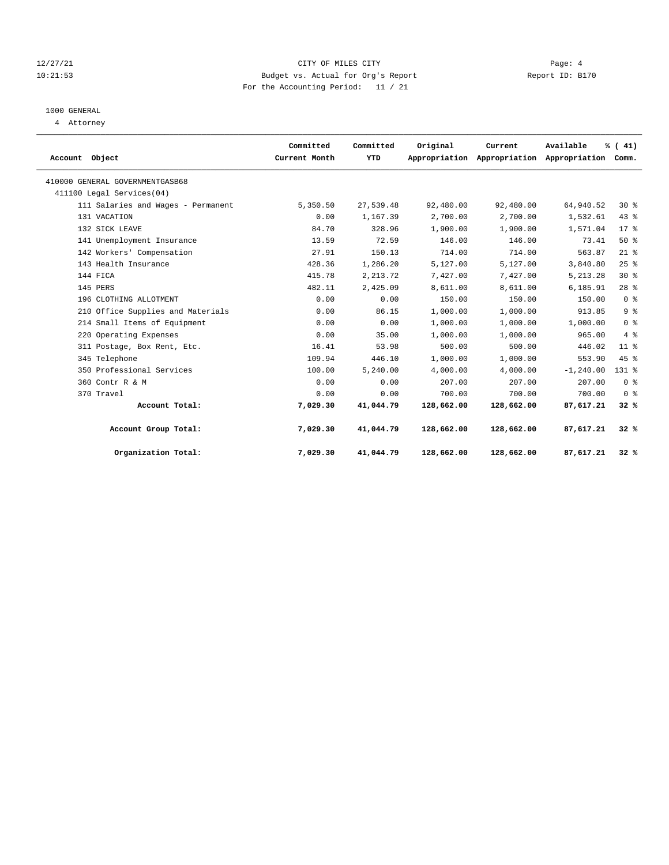# 12/27/21 CITY OF MILES CITY Page: 4 10:21:53 Budget vs. Actual for Org's Report Report ID: B170 For the Accounting Period: 11 / 21

# 1000 GENERAL

4 Attorney

| Account Object                     | Committed<br>Current Month | Committed<br>YTD | Original   | Current    | Available<br>Appropriation Appropriation Appropriation | % (41)<br>Comm. |  |
|------------------------------------|----------------------------|------------------|------------|------------|--------------------------------------------------------|-----------------|--|
| 410000 GENERAL GOVERNMENTGASB68    |                            |                  |            |            |                                                        |                 |  |
| 411100 Legal Services (04)         |                            |                  |            |            |                                                        |                 |  |
| 111 Salaries and Wages - Permanent | 5,350.50                   | 27,539.48        | 92,480.00  | 92,480.00  | 64,940.52                                              | $30*$           |  |
| 131 VACATION                       | 0.00                       | 1,167.39         | 2,700.00   | 2,700.00   | 1,532.61                                               | 43%             |  |
| 132 SICK LEAVE                     | 84.70                      | 328.96           | 1,900.00   | 1,900.00   | 1,571.04                                               | $17*$           |  |
| 141 Unemployment Insurance         | 13.59                      | 72.59            | 146.00     | 146.00     | 73.41                                                  | 50%             |  |
| 142 Workers' Compensation          | 27.91                      | 150.13           | 714.00     | 714.00     | 563.87                                                 | $21$ %          |  |
| 143 Health Insurance               | 428.36                     | 1,286.20         | 5,127.00   | 5,127.00   | 3,840.80                                               | 25%             |  |
| 144 FICA                           | 415.78                     | 2, 213.72        | 7,427.00   | 7,427.00   | 5, 213.28                                              | $30*$           |  |
| 145 PERS                           | 482.11                     | 2,425.09         | 8,611.00   | 8,611.00   | 6,185.91                                               | 28 <sup>8</sup> |  |
| 196 CLOTHING ALLOTMENT             | 0.00                       | 0.00             | 150.00     | 150.00     | 150.00                                                 | 0 <sup>8</sup>  |  |
| 210 Office Supplies and Materials  | 0.00                       | 86.15            | 1,000.00   | 1,000.00   | 913.85                                                 | 9 <sup>8</sup>  |  |
| 214 Small Items of Equipment       | 0.00                       | 0.00             | 1,000.00   | 1,000.00   | 1,000.00                                               | 0 <sup>8</sup>  |  |
| 220 Operating Expenses             | 0.00                       | 35.00            | 1,000.00   | 1,000.00   | 965.00                                                 | $4\degree$      |  |
| 311 Postage, Box Rent, Etc.        | 16.41                      | 53.98            | 500.00     | 500.00     | 446.02                                                 | 11 <sup>8</sup> |  |
| 345 Telephone                      | 109.94                     | 446.10           | 1,000.00   | 1,000.00   | 553.90                                                 | 45 %            |  |
| 350 Professional Services          | 100.00                     | 5,240.00         | 4,000.00   | 4,000.00   | $-1, 240.00$                                           | 131 %           |  |
| 360 Contr R & M                    | 0.00                       | 0.00             | 207.00     | 207.00     | 207.00                                                 | 0 <sup>8</sup>  |  |
| 370 Travel                         | 0.00                       | 0.00             | 700.00     | 700.00     | 700.00                                                 | 0 <sup>8</sup>  |  |
| Account Total:                     | 7,029.30                   | 41,044.79        | 128,662.00 | 128,662.00 | 87,617.21                                              | 32%             |  |
| Account Group Total:               | 7,029.30                   | 41,044.79        | 128,662.00 | 128,662.00 | 87,617.21                                              | 32%             |  |
| Organization Total:                | 7,029.30                   | 41,044.79        | 128,662.00 | 128,662.00 | 87,617.21                                              | 32%             |  |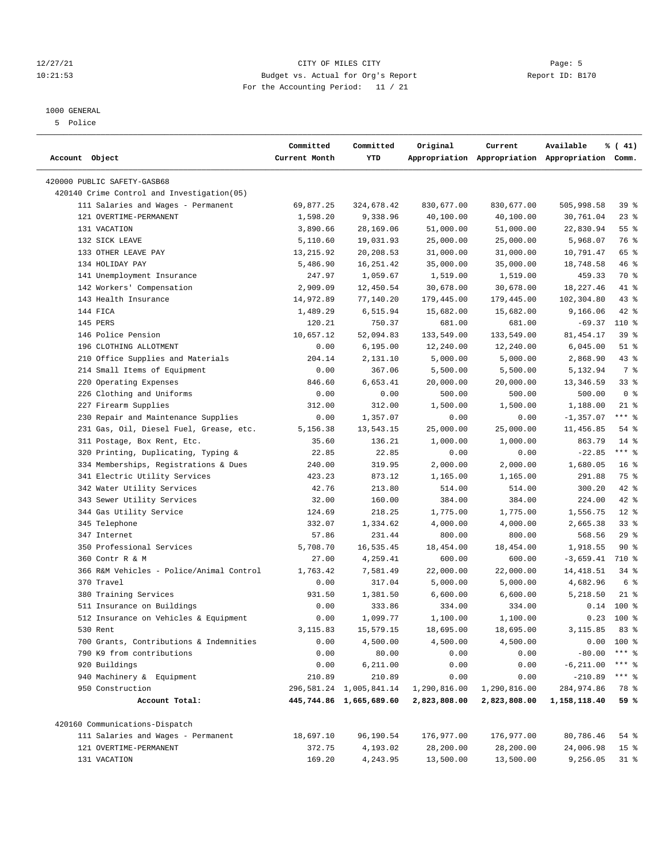# 12/27/21 Page: 5 10:21:53 Budget vs. Actual for Org's Report Report ID: B170 For the Accounting Period: 11 / 21

————————————————————————————————————————————————————————————————————————————————————————————————————————————————————————————————————

#### 1000 GENERAL

5 Police

| Account Object<br>Current Month<br>YTD<br>Appropriation Appropriation Appropriation Comm.<br>420000 PUBLIC SAFETY-GASB68<br>420140 Crime Control and Investigation(05)<br>111 Salaries and Wages - Permanent<br>69,877.25<br>324,678.42<br>830,677.00<br>830,677.00<br>505,998.58<br>39 %<br>121 OVERTIME-PERMANENT<br>1,598.20<br>9,338.96<br>40,100.00<br>40,100.00<br>30,761.04<br>$23$ $%$<br>131 VACATION<br>3,890.66<br>28,169.06<br>51,000.00<br>51,000.00<br>22,830.94<br>55%<br>132 SICK LEAVE<br>19,031.93<br>25,000.00<br>25,000.00<br>5,968.07<br>76 %<br>5,110.60<br>133 OTHER LEAVE PAY<br>13, 215.92<br>20,208.53<br>65 %<br>31,000.00<br>31,000.00<br>10,791.47<br>134 HOLIDAY PAY<br>46 %<br>5,486.90<br>16,251.42<br>35,000.00<br>35,000.00<br>18,748.58<br>141 Unemployment Insurance<br>1,059.67<br>459.33<br>70 %<br>247.97<br>1,519.00<br>1,519.00<br>41 %<br>142 Workers' Compensation<br>2,909.09<br>12,450.54<br>30,678.00<br>30,678.00<br>18,227.46<br>143 Health Insurance<br>14,972.89<br>77,140.20<br>179,445.00<br>102,304.80<br>43%<br>179,445.00<br>144 FICA<br>$42$ %<br>1,489.29<br>6,515.94<br>15,682.00<br>15,682.00<br>9,166.06<br>145 PERS<br>110 %<br>120.21<br>750.37<br>681.00<br>681.00<br>$-69.37$<br>146 Police Pension<br>81, 454.17<br>39%<br>10,657.12<br>52,094.83<br>133,549.00<br>133,549.00<br>196 CLOTHING ALLOTMENT<br>6, 195.00<br>12,240.00<br>12,240.00<br>6,045.00<br>$51$ %<br>0.00<br>210 Office Supplies and Materials<br>5,000.00<br>5,000.00<br>2,868.90<br>43%<br>204.14<br>2,131.10<br>214 Small Items of Equipment<br>367.06<br>7 %<br>0.00<br>5,500.00<br>5,500.00<br>5,132.94<br>220 Operating Expenses<br>33%<br>846.60<br>6,653.41<br>20,000.00<br>20,000.00<br>13,346.59<br>226 Clothing and Uniforms<br>0.00<br>500.00<br>0 <sup>8</sup><br>0.00<br>500.00<br>500.00<br>$21$ %<br>227 Firearm Supplies<br>312.00<br>1,188.00<br>312.00<br>1,500.00<br>1,500.00<br>$***$ $-$<br>230 Repair and Maintenance Supplies<br>1,357.07<br>$-1, 357.07$<br>0.00<br>0.00<br>0.00<br>231 Gas, Oil, Diesel Fuel, Grease, etc.<br>25,000.00<br>11,456.85<br>$54$ %<br>5,156.38<br>13,543.15<br>25,000.00<br>$14*$<br>311 Postage, Box Rent, Etc.<br>35.60<br>136.21<br>1,000.00<br>1,000.00<br>863.79<br>$***$ $-$<br>320 Printing, Duplicating, Typing &<br>$-22.85$<br>22.85<br>22.85<br>0.00<br>0.00<br>334 Memberships, Registrations & Dues<br>2,000.00<br>1,680.05<br>16 <sup>8</sup><br>240.00<br>319.95<br>2,000.00<br>341 Electric Utility Services<br>873.12<br>291.88<br>75 %<br>423.23<br>1,165.00<br>1,165.00<br>42.76<br>300.20<br>$42$ %<br>342 Water Utility Services<br>213.80<br>514.00<br>514.00<br>224.00<br>42 %<br>343 Sewer Utility Services<br>32.00<br>160.00<br>384.00<br>384.00<br>344 Gas Utility Service<br>1,556.75<br>$12*$<br>124.69<br>218.25<br>1,775.00<br>1,775.00<br>345 Telephone<br>332.07<br>1,334.62<br>4,000.00<br>4,000.00<br>2,665.38<br>33%<br>347 Internet<br>57.86<br>231.44<br>800.00<br>568.56<br>29%<br>800.00<br>350 Professional Services<br>16,535.45<br>90%<br>5,708.70<br>18,454.00<br>18,454.00<br>1,918.55<br>710 %<br>360 Contr R & M<br>27.00<br>4,259.41<br>600.00<br>600.00<br>$-3,659.41$<br>366 R&M Vehicles - Police/Animal Control<br>1,763.42<br>7,581.49<br>22,000.00<br>22,000.00<br>14,418.51<br>34 %<br>370 Travel<br>5,000.00<br>4,682.96<br>6 %<br>0.00<br>317.04<br>5,000.00<br>380 Training Services<br>1,381.50<br>5,218.50<br>$21$ %<br>931.50<br>6,600.00<br>6,600.00<br>$0.14$ 100 %<br>511 Insurance on Buildings<br>0.00<br>333.86<br>334.00<br>334.00<br>$0.23$ 100 %<br>512 Insurance on Vehicles & Equipment<br>0.00<br>1,099.77<br>1,100.00<br>1,100.00<br>3, 115.85 83 %<br>530 Rent<br>3,115.83<br>15,579.15<br>18,695.00<br>18,695.00<br>700 Grants, Contributions & Indemnities<br>4,500.00<br>4,500.00<br>4,500.00<br>$0.00$ 100 %<br>0.00<br>0.00<br>$-80.00$<br>$***$ $-$<br>790 K9 from contributions<br>80.00<br>0.00<br>0.00<br>920 Buildings<br>0.00<br>6,211.00<br>0.00<br>0.00<br>$-6, 211.00$<br>*** 응<br>$***$ $_{8}$<br>940 Machinery & Equipment<br>210.89<br>210.89<br>0.00<br>$-210.89$<br>0.00<br>950 Construction<br>284,974.86<br>78 %<br>296, 581. 24 1, 005, 841. 14<br>1,290,816.00<br>1,290,816.00<br>Account Total:<br>445,744.86 1,665,689.60<br>2,823,808.00<br>2,823,808.00<br>1,158,118.40<br>59 %<br>420160 Communications-Dispatch<br>111 Salaries and Wages - Permanent<br>18,697.10<br>96,190.54<br>176,977.00<br>176,977.00<br>80,786.46<br>54 %<br>372.75<br>4,193.02<br>28,200.00<br>121 OVERTIME-PERMANENT<br>28,200.00<br>24,006.98<br>15 <sup>8</sup> |              | Committed | Committed | Original  | Current   | Available | % (41) |
|----------------------------------------------------------------------------------------------------------------------------------------------------------------------------------------------------------------------------------------------------------------------------------------------------------------------------------------------------------------------------------------------------------------------------------------------------------------------------------------------------------------------------------------------------------------------------------------------------------------------------------------------------------------------------------------------------------------------------------------------------------------------------------------------------------------------------------------------------------------------------------------------------------------------------------------------------------------------------------------------------------------------------------------------------------------------------------------------------------------------------------------------------------------------------------------------------------------------------------------------------------------------------------------------------------------------------------------------------------------------------------------------------------------------------------------------------------------------------------------------------------------------------------------------------------------------------------------------------------------------------------------------------------------------------------------------------------------------------------------------------------------------------------------------------------------------------------------------------------------------------------------------------------------------------------------------------------------------------------------------------------------------------------------------------------------------------------------------------------------------------------------------------------------------------------------------------------------------------------------------------------------------------------------------------------------------------------------------------------------------------------------------------------------------------------------------------------------------------------------------------------------------------------------------------------------------------------------------------------------------------------------------------------------------------------------------------------------------------------------------------------------------------------------------------------------------------------------------------------------------------------------------------------------------------------------------------------------------------------------------------------------------------------------------------------------------------------------------------------------------------------------------------------------------------------------------------------------------------------------------------------------------------------------------------------------------------------------------------------------------------------------------------------------------------------------------------------------------------------------------------------------------------------------------------------------------------------------------------------------------------------------------------------------------------------------------------------------------------------------------------------------------------------------------------------------------------------------------------------------------------------------------------------------------------------------------------------------------------------------------------------------------------------------------------------------------------------------------------------------------------------------------------------------------------------------------------------------------------------------------------------------------------------------------------------------------------------------------------------------------------------------------------------------------------------------------------------------------------------------------------------------------------------------------------------------------------------------------------------------------------------------------|--------------|-----------|-----------|-----------|-----------|-----------|--------|
|                                                                                                                                                                                                                                                                                                                                                                                                                                                                                                                                                                                                                                                                                                                                                                                                                                                                                                                                                                                                                                                                                                                                                                                                                                                                                                                                                                                                                                                                                                                                                                                                                                                                                                                                                                                                                                                                                                                                                                                                                                                                                                                                                                                                                                                                                                                                                                                                                                                                                                                                                                                                                                                                                                                                                                                                                                                                                                                                                                                                                                                                                                                                                                                                                                                                                                                                                                                                                                                                                                                                                                                                                                                                                                                                                                                                                                                                                                                                                                                                                                                                                                                                                                                                                                                                                                                                                                                                                                                                                                                                                                                                                                              |              |           |           |           |           |           |        |
|                                                                                                                                                                                                                                                                                                                                                                                                                                                                                                                                                                                                                                                                                                                                                                                                                                                                                                                                                                                                                                                                                                                                                                                                                                                                                                                                                                                                                                                                                                                                                                                                                                                                                                                                                                                                                                                                                                                                                                                                                                                                                                                                                                                                                                                                                                                                                                                                                                                                                                                                                                                                                                                                                                                                                                                                                                                                                                                                                                                                                                                                                                                                                                                                                                                                                                                                                                                                                                                                                                                                                                                                                                                                                                                                                                                                                                                                                                                                                                                                                                                                                                                                                                                                                                                                                                                                                                                                                                                                                                                                                                                                                                              |              |           |           |           |           |           |        |
|                                                                                                                                                                                                                                                                                                                                                                                                                                                                                                                                                                                                                                                                                                                                                                                                                                                                                                                                                                                                                                                                                                                                                                                                                                                                                                                                                                                                                                                                                                                                                                                                                                                                                                                                                                                                                                                                                                                                                                                                                                                                                                                                                                                                                                                                                                                                                                                                                                                                                                                                                                                                                                                                                                                                                                                                                                                                                                                                                                                                                                                                                                                                                                                                                                                                                                                                                                                                                                                                                                                                                                                                                                                                                                                                                                                                                                                                                                                                                                                                                                                                                                                                                                                                                                                                                                                                                                                                                                                                                                                                                                                                                                              |              |           |           |           |           |           |        |
|                                                                                                                                                                                                                                                                                                                                                                                                                                                                                                                                                                                                                                                                                                                                                                                                                                                                                                                                                                                                                                                                                                                                                                                                                                                                                                                                                                                                                                                                                                                                                                                                                                                                                                                                                                                                                                                                                                                                                                                                                                                                                                                                                                                                                                                                                                                                                                                                                                                                                                                                                                                                                                                                                                                                                                                                                                                                                                                                                                                                                                                                                                                                                                                                                                                                                                                                                                                                                                                                                                                                                                                                                                                                                                                                                                                                                                                                                                                                                                                                                                                                                                                                                                                                                                                                                                                                                                                                                                                                                                                                                                                                                                              |              |           |           |           |           |           |        |
|                                                                                                                                                                                                                                                                                                                                                                                                                                                                                                                                                                                                                                                                                                                                                                                                                                                                                                                                                                                                                                                                                                                                                                                                                                                                                                                                                                                                                                                                                                                                                                                                                                                                                                                                                                                                                                                                                                                                                                                                                                                                                                                                                                                                                                                                                                                                                                                                                                                                                                                                                                                                                                                                                                                                                                                                                                                                                                                                                                                                                                                                                                                                                                                                                                                                                                                                                                                                                                                                                                                                                                                                                                                                                                                                                                                                                                                                                                                                                                                                                                                                                                                                                                                                                                                                                                                                                                                                                                                                                                                                                                                                                                              |              |           |           |           |           |           |        |
|                                                                                                                                                                                                                                                                                                                                                                                                                                                                                                                                                                                                                                                                                                                                                                                                                                                                                                                                                                                                                                                                                                                                                                                                                                                                                                                                                                                                                                                                                                                                                                                                                                                                                                                                                                                                                                                                                                                                                                                                                                                                                                                                                                                                                                                                                                                                                                                                                                                                                                                                                                                                                                                                                                                                                                                                                                                                                                                                                                                                                                                                                                                                                                                                                                                                                                                                                                                                                                                                                                                                                                                                                                                                                                                                                                                                                                                                                                                                                                                                                                                                                                                                                                                                                                                                                                                                                                                                                                                                                                                                                                                                                                              |              |           |           |           |           |           |        |
|                                                                                                                                                                                                                                                                                                                                                                                                                                                                                                                                                                                                                                                                                                                                                                                                                                                                                                                                                                                                                                                                                                                                                                                                                                                                                                                                                                                                                                                                                                                                                                                                                                                                                                                                                                                                                                                                                                                                                                                                                                                                                                                                                                                                                                                                                                                                                                                                                                                                                                                                                                                                                                                                                                                                                                                                                                                                                                                                                                                                                                                                                                                                                                                                                                                                                                                                                                                                                                                                                                                                                                                                                                                                                                                                                                                                                                                                                                                                                                                                                                                                                                                                                                                                                                                                                                                                                                                                                                                                                                                                                                                                                                              |              |           |           |           |           |           |        |
|                                                                                                                                                                                                                                                                                                                                                                                                                                                                                                                                                                                                                                                                                                                                                                                                                                                                                                                                                                                                                                                                                                                                                                                                                                                                                                                                                                                                                                                                                                                                                                                                                                                                                                                                                                                                                                                                                                                                                                                                                                                                                                                                                                                                                                                                                                                                                                                                                                                                                                                                                                                                                                                                                                                                                                                                                                                                                                                                                                                                                                                                                                                                                                                                                                                                                                                                                                                                                                                                                                                                                                                                                                                                                                                                                                                                                                                                                                                                                                                                                                                                                                                                                                                                                                                                                                                                                                                                                                                                                                                                                                                                                                              |              |           |           |           |           |           |        |
|                                                                                                                                                                                                                                                                                                                                                                                                                                                                                                                                                                                                                                                                                                                                                                                                                                                                                                                                                                                                                                                                                                                                                                                                                                                                                                                                                                                                                                                                                                                                                                                                                                                                                                                                                                                                                                                                                                                                                                                                                                                                                                                                                                                                                                                                                                                                                                                                                                                                                                                                                                                                                                                                                                                                                                                                                                                                                                                                                                                                                                                                                                                                                                                                                                                                                                                                                                                                                                                                                                                                                                                                                                                                                                                                                                                                                                                                                                                                                                                                                                                                                                                                                                                                                                                                                                                                                                                                                                                                                                                                                                                                                                              |              |           |           |           |           |           |        |
|                                                                                                                                                                                                                                                                                                                                                                                                                                                                                                                                                                                                                                                                                                                                                                                                                                                                                                                                                                                                                                                                                                                                                                                                                                                                                                                                                                                                                                                                                                                                                                                                                                                                                                                                                                                                                                                                                                                                                                                                                                                                                                                                                                                                                                                                                                                                                                                                                                                                                                                                                                                                                                                                                                                                                                                                                                                                                                                                                                                                                                                                                                                                                                                                                                                                                                                                                                                                                                                                                                                                                                                                                                                                                                                                                                                                                                                                                                                                                                                                                                                                                                                                                                                                                                                                                                                                                                                                                                                                                                                                                                                                                                              |              |           |           |           |           |           |        |
|                                                                                                                                                                                                                                                                                                                                                                                                                                                                                                                                                                                                                                                                                                                                                                                                                                                                                                                                                                                                                                                                                                                                                                                                                                                                                                                                                                                                                                                                                                                                                                                                                                                                                                                                                                                                                                                                                                                                                                                                                                                                                                                                                                                                                                                                                                                                                                                                                                                                                                                                                                                                                                                                                                                                                                                                                                                                                                                                                                                                                                                                                                                                                                                                                                                                                                                                                                                                                                                                                                                                                                                                                                                                                                                                                                                                                                                                                                                                                                                                                                                                                                                                                                                                                                                                                                                                                                                                                                                                                                                                                                                                                                              |              |           |           |           |           |           |        |
|                                                                                                                                                                                                                                                                                                                                                                                                                                                                                                                                                                                                                                                                                                                                                                                                                                                                                                                                                                                                                                                                                                                                                                                                                                                                                                                                                                                                                                                                                                                                                                                                                                                                                                                                                                                                                                                                                                                                                                                                                                                                                                                                                                                                                                                                                                                                                                                                                                                                                                                                                                                                                                                                                                                                                                                                                                                                                                                                                                                                                                                                                                                                                                                                                                                                                                                                                                                                                                                                                                                                                                                                                                                                                                                                                                                                                                                                                                                                                                                                                                                                                                                                                                                                                                                                                                                                                                                                                                                                                                                                                                                                                                              |              |           |           |           |           |           |        |
|                                                                                                                                                                                                                                                                                                                                                                                                                                                                                                                                                                                                                                                                                                                                                                                                                                                                                                                                                                                                                                                                                                                                                                                                                                                                                                                                                                                                                                                                                                                                                                                                                                                                                                                                                                                                                                                                                                                                                                                                                                                                                                                                                                                                                                                                                                                                                                                                                                                                                                                                                                                                                                                                                                                                                                                                                                                                                                                                                                                                                                                                                                                                                                                                                                                                                                                                                                                                                                                                                                                                                                                                                                                                                                                                                                                                                                                                                                                                                                                                                                                                                                                                                                                                                                                                                                                                                                                                                                                                                                                                                                                                                                              |              |           |           |           |           |           |        |
|                                                                                                                                                                                                                                                                                                                                                                                                                                                                                                                                                                                                                                                                                                                                                                                                                                                                                                                                                                                                                                                                                                                                                                                                                                                                                                                                                                                                                                                                                                                                                                                                                                                                                                                                                                                                                                                                                                                                                                                                                                                                                                                                                                                                                                                                                                                                                                                                                                                                                                                                                                                                                                                                                                                                                                                                                                                                                                                                                                                                                                                                                                                                                                                                                                                                                                                                                                                                                                                                                                                                                                                                                                                                                                                                                                                                                                                                                                                                                                                                                                                                                                                                                                                                                                                                                                                                                                                                                                                                                                                                                                                                                                              |              |           |           |           |           |           |        |
|                                                                                                                                                                                                                                                                                                                                                                                                                                                                                                                                                                                                                                                                                                                                                                                                                                                                                                                                                                                                                                                                                                                                                                                                                                                                                                                                                                                                                                                                                                                                                                                                                                                                                                                                                                                                                                                                                                                                                                                                                                                                                                                                                                                                                                                                                                                                                                                                                                                                                                                                                                                                                                                                                                                                                                                                                                                                                                                                                                                                                                                                                                                                                                                                                                                                                                                                                                                                                                                                                                                                                                                                                                                                                                                                                                                                                                                                                                                                                                                                                                                                                                                                                                                                                                                                                                                                                                                                                                                                                                                                                                                                                                              |              |           |           |           |           |           |        |
|                                                                                                                                                                                                                                                                                                                                                                                                                                                                                                                                                                                                                                                                                                                                                                                                                                                                                                                                                                                                                                                                                                                                                                                                                                                                                                                                                                                                                                                                                                                                                                                                                                                                                                                                                                                                                                                                                                                                                                                                                                                                                                                                                                                                                                                                                                                                                                                                                                                                                                                                                                                                                                                                                                                                                                                                                                                                                                                                                                                                                                                                                                                                                                                                                                                                                                                                                                                                                                                                                                                                                                                                                                                                                                                                                                                                                                                                                                                                                                                                                                                                                                                                                                                                                                                                                                                                                                                                                                                                                                                                                                                                                                              |              |           |           |           |           |           |        |
|                                                                                                                                                                                                                                                                                                                                                                                                                                                                                                                                                                                                                                                                                                                                                                                                                                                                                                                                                                                                                                                                                                                                                                                                                                                                                                                                                                                                                                                                                                                                                                                                                                                                                                                                                                                                                                                                                                                                                                                                                                                                                                                                                                                                                                                                                                                                                                                                                                                                                                                                                                                                                                                                                                                                                                                                                                                                                                                                                                                                                                                                                                                                                                                                                                                                                                                                                                                                                                                                                                                                                                                                                                                                                                                                                                                                                                                                                                                                                                                                                                                                                                                                                                                                                                                                                                                                                                                                                                                                                                                                                                                                                                              |              |           |           |           |           |           |        |
|                                                                                                                                                                                                                                                                                                                                                                                                                                                                                                                                                                                                                                                                                                                                                                                                                                                                                                                                                                                                                                                                                                                                                                                                                                                                                                                                                                                                                                                                                                                                                                                                                                                                                                                                                                                                                                                                                                                                                                                                                                                                                                                                                                                                                                                                                                                                                                                                                                                                                                                                                                                                                                                                                                                                                                                                                                                                                                                                                                                                                                                                                                                                                                                                                                                                                                                                                                                                                                                                                                                                                                                                                                                                                                                                                                                                                                                                                                                                                                                                                                                                                                                                                                                                                                                                                                                                                                                                                                                                                                                                                                                                                                              |              |           |           |           |           |           |        |
|                                                                                                                                                                                                                                                                                                                                                                                                                                                                                                                                                                                                                                                                                                                                                                                                                                                                                                                                                                                                                                                                                                                                                                                                                                                                                                                                                                                                                                                                                                                                                                                                                                                                                                                                                                                                                                                                                                                                                                                                                                                                                                                                                                                                                                                                                                                                                                                                                                                                                                                                                                                                                                                                                                                                                                                                                                                                                                                                                                                                                                                                                                                                                                                                                                                                                                                                                                                                                                                                                                                                                                                                                                                                                                                                                                                                                                                                                                                                                                                                                                                                                                                                                                                                                                                                                                                                                                                                                                                                                                                                                                                                                                              |              |           |           |           |           |           |        |
|                                                                                                                                                                                                                                                                                                                                                                                                                                                                                                                                                                                                                                                                                                                                                                                                                                                                                                                                                                                                                                                                                                                                                                                                                                                                                                                                                                                                                                                                                                                                                                                                                                                                                                                                                                                                                                                                                                                                                                                                                                                                                                                                                                                                                                                                                                                                                                                                                                                                                                                                                                                                                                                                                                                                                                                                                                                                                                                                                                                                                                                                                                                                                                                                                                                                                                                                                                                                                                                                                                                                                                                                                                                                                                                                                                                                                                                                                                                                                                                                                                                                                                                                                                                                                                                                                                                                                                                                                                                                                                                                                                                                                                              |              |           |           |           |           |           |        |
|                                                                                                                                                                                                                                                                                                                                                                                                                                                                                                                                                                                                                                                                                                                                                                                                                                                                                                                                                                                                                                                                                                                                                                                                                                                                                                                                                                                                                                                                                                                                                                                                                                                                                                                                                                                                                                                                                                                                                                                                                                                                                                                                                                                                                                                                                                                                                                                                                                                                                                                                                                                                                                                                                                                                                                                                                                                                                                                                                                                                                                                                                                                                                                                                                                                                                                                                                                                                                                                                                                                                                                                                                                                                                                                                                                                                                                                                                                                                                                                                                                                                                                                                                                                                                                                                                                                                                                                                                                                                                                                                                                                                                                              |              |           |           |           |           |           |        |
|                                                                                                                                                                                                                                                                                                                                                                                                                                                                                                                                                                                                                                                                                                                                                                                                                                                                                                                                                                                                                                                                                                                                                                                                                                                                                                                                                                                                                                                                                                                                                                                                                                                                                                                                                                                                                                                                                                                                                                                                                                                                                                                                                                                                                                                                                                                                                                                                                                                                                                                                                                                                                                                                                                                                                                                                                                                                                                                                                                                                                                                                                                                                                                                                                                                                                                                                                                                                                                                                                                                                                                                                                                                                                                                                                                                                                                                                                                                                                                                                                                                                                                                                                                                                                                                                                                                                                                                                                                                                                                                                                                                                                                              |              |           |           |           |           |           |        |
|                                                                                                                                                                                                                                                                                                                                                                                                                                                                                                                                                                                                                                                                                                                                                                                                                                                                                                                                                                                                                                                                                                                                                                                                                                                                                                                                                                                                                                                                                                                                                                                                                                                                                                                                                                                                                                                                                                                                                                                                                                                                                                                                                                                                                                                                                                                                                                                                                                                                                                                                                                                                                                                                                                                                                                                                                                                                                                                                                                                                                                                                                                                                                                                                                                                                                                                                                                                                                                                                                                                                                                                                                                                                                                                                                                                                                                                                                                                                                                                                                                                                                                                                                                                                                                                                                                                                                                                                                                                                                                                                                                                                                                              |              |           |           |           |           |           |        |
|                                                                                                                                                                                                                                                                                                                                                                                                                                                                                                                                                                                                                                                                                                                                                                                                                                                                                                                                                                                                                                                                                                                                                                                                                                                                                                                                                                                                                                                                                                                                                                                                                                                                                                                                                                                                                                                                                                                                                                                                                                                                                                                                                                                                                                                                                                                                                                                                                                                                                                                                                                                                                                                                                                                                                                                                                                                                                                                                                                                                                                                                                                                                                                                                                                                                                                                                                                                                                                                                                                                                                                                                                                                                                                                                                                                                                                                                                                                                                                                                                                                                                                                                                                                                                                                                                                                                                                                                                                                                                                                                                                                                                                              |              |           |           |           |           |           |        |
|                                                                                                                                                                                                                                                                                                                                                                                                                                                                                                                                                                                                                                                                                                                                                                                                                                                                                                                                                                                                                                                                                                                                                                                                                                                                                                                                                                                                                                                                                                                                                                                                                                                                                                                                                                                                                                                                                                                                                                                                                                                                                                                                                                                                                                                                                                                                                                                                                                                                                                                                                                                                                                                                                                                                                                                                                                                                                                                                                                                                                                                                                                                                                                                                                                                                                                                                                                                                                                                                                                                                                                                                                                                                                                                                                                                                                                                                                                                                                                                                                                                                                                                                                                                                                                                                                                                                                                                                                                                                                                                                                                                                                                              |              |           |           |           |           |           |        |
|                                                                                                                                                                                                                                                                                                                                                                                                                                                                                                                                                                                                                                                                                                                                                                                                                                                                                                                                                                                                                                                                                                                                                                                                                                                                                                                                                                                                                                                                                                                                                                                                                                                                                                                                                                                                                                                                                                                                                                                                                                                                                                                                                                                                                                                                                                                                                                                                                                                                                                                                                                                                                                                                                                                                                                                                                                                                                                                                                                                                                                                                                                                                                                                                                                                                                                                                                                                                                                                                                                                                                                                                                                                                                                                                                                                                                                                                                                                                                                                                                                                                                                                                                                                                                                                                                                                                                                                                                                                                                                                                                                                                                                              |              |           |           |           |           |           |        |
|                                                                                                                                                                                                                                                                                                                                                                                                                                                                                                                                                                                                                                                                                                                                                                                                                                                                                                                                                                                                                                                                                                                                                                                                                                                                                                                                                                                                                                                                                                                                                                                                                                                                                                                                                                                                                                                                                                                                                                                                                                                                                                                                                                                                                                                                                                                                                                                                                                                                                                                                                                                                                                                                                                                                                                                                                                                                                                                                                                                                                                                                                                                                                                                                                                                                                                                                                                                                                                                                                                                                                                                                                                                                                                                                                                                                                                                                                                                                                                                                                                                                                                                                                                                                                                                                                                                                                                                                                                                                                                                                                                                                                                              |              |           |           |           |           |           |        |
|                                                                                                                                                                                                                                                                                                                                                                                                                                                                                                                                                                                                                                                                                                                                                                                                                                                                                                                                                                                                                                                                                                                                                                                                                                                                                                                                                                                                                                                                                                                                                                                                                                                                                                                                                                                                                                                                                                                                                                                                                                                                                                                                                                                                                                                                                                                                                                                                                                                                                                                                                                                                                                                                                                                                                                                                                                                                                                                                                                                                                                                                                                                                                                                                                                                                                                                                                                                                                                                                                                                                                                                                                                                                                                                                                                                                                                                                                                                                                                                                                                                                                                                                                                                                                                                                                                                                                                                                                                                                                                                                                                                                                                              |              |           |           |           |           |           |        |
|                                                                                                                                                                                                                                                                                                                                                                                                                                                                                                                                                                                                                                                                                                                                                                                                                                                                                                                                                                                                                                                                                                                                                                                                                                                                                                                                                                                                                                                                                                                                                                                                                                                                                                                                                                                                                                                                                                                                                                                                                                                                                                                                                                                                                                                                                                                                                                                                                                                                                                                                                                                                                                                                                                                                                                                                                                                                                                                                                                                                                                                                                                                                                                                                                                                                                                                                                                                                                                                                                                                                                                                                                                                                                                                                                                                                                                                                                                                                                                                                                                                                                                                                                                                                                                                                                                                                                                                                                                                                                                                                                                                                                                              |              |           |           |           |           |           |        |
|                                                                                                                                                                                                                                                                                                                                                                                                                                                                                                                                                                                                                                                                                                                                                                                                                                                                                                                                                                                                                                                                                                                                                                                                                                                                                                                                                                                                                                                                                                                                                                                                                                                                                                                                                                                                                                                                                                                                                                                                                                                                                                                                                                                                                                                                                                                                                                                                                                                                                                                                                                                                                                                                                                                                                                                                                                                                                                                                                                                                                                                                                                                                                                                                                                                                                                                                                                                                                                                                                                                                                                                                                                                                                                                                                                                                                                                                                                                                                                                                                                                                                                                                                                                                                                                                                                                                                                                                                                                                                                                                                                                                                                              |              |           |           |           |           |           |        |
|                                                                                                                                                                                                                                                                                                                                                                                                                                                                                                                                                                                                                                                                                                                                                                                                                                                                                                                                                                                                                                                                                                                                                                                                                                                                                                                                                                                                                                                                                                                                                                                                                                                                                                                                                                                                                                                                                                                                                                                                                                                                                                                                                                                                                                                                                                                                                                                                                                                                                                                                                                                                                                                                                                                                                                                                                                                                                                                                                                                                                                                                                                                                                                                                                                                                                                                                                                                                                                                                                                                                                                                                                                                                                                                                                                                                                                                                                                                                                                                                                                                                                                                                                                                                                                                                                                                                                                                                                                                                                                                                                                                                                                              |              |           |           |           |           |           |        |
|                                                                                                                                                                                                                                                                                                                                                                                                                                                                                                                                                                                                                                                                                                                                                                                                                                                                                                                                                                                                                                                                                                                                                                                                                                                                                                                                                                                                                                                                                                                                                                                                                                                                                                                                                                                                                                                                                                                                                                                                                                                                                                                                                                                                                                                                                                                                                                                                                                                                                                                                                                                                                                                                                                                                                                                                                                                                                                                                                                                                                                                                                                                                                                                                                                                                                                                                                                                                                                                                                                                                                                                                                                                                                                                                                                                                                                                                                                                                                                                                                                                                                                                                                                                                                                                                                                                                                                                                                                                                                                                                                                                                                                              |              |           |           |           |           |           |        |
|                                                                                                                                                                                                                                                                                                                                                                                                                                                                                                                                                                                                                                                                                                                                                                                                                                                                                                                                                                                                                                                                                                                                                                                                                                                                                                                                                                                                                                                                                                                                                                                                                                                                                                                                                                                                                                                                                                                                                                                                                                                                                                                                                                                                                                                                                                                                                                                                                                                                                                                                                                                                                                                                                                                                                                                                                                                                                                                                                                                                                                                                                                                                                                                                                                                                                                                                                                                                                                                                                                                                                                                                                                                                                                                                                                                                                                                                                                                                                                                                                                                                                                                                                                                                                                                                                                                                                                                                                                                                                                                                                                                                                                              |              |           |           |           |           |           |        |
|                                                                                                                                                                                                                                                                                                                                                                                                                                                                                                                                                                                                                                                                                                                                                                                                                                                                                                                                                                                                                                                                                                                                                                                                                                                                                                                                                                                                                                                                                                                                                                                                                                                                                                                                                                                                                                                                                                                                                                                                                                                                                                                                                                                                                                                                                                                                                                                                                                                                                                                                                                                                                                                                                                                                                                                                                                                                                                                                                                                                                                                                                                                                                                                                                                                                                                                                                                                                                                                                                                                                                                                                                                                                                                                                                                                                                                                                                                                                                                                                                                                                                                                                                                                                                                                                                                                                                                                                                                                                                                                                                                                                                                              |              |           |           |           |           |           |        |
|                                                                                                                                                                                                                                                                                                                                                                                                                                                                                                                                                                                                                                                                                                                                                                                                                                                                                                                                                                                                                                                                                                                                                                                                                                                                                                                                                                                                                                                                                                                                                                                                                                                                                                                                                                                                                                                                                                                                                                                                                                                                                                                                                                                                                                                                                                                                                                                                                                                                                                                                                                                                                                                                                                                                                                                                                                                                                                                                                                                                                                                                                                                                                                                                                                                                                                                                                                                                                                                                                                                                                                                                                                                                                                                                                                                                                                                                                                                                                                                                                                                                                                                                                                                                                                                                                                                                                                                                                                                                                                                                                                                                                                              |              |           |           |           |           |           |        |
|                                                                                                                                                                                                                                                                                                                                                                                                                                                                                                                                                                                                                                                                                                                                                                                                                                                                                                                                                                                                                                                                                                                                                                                                                                                                                                                                                                                                                                                                                                                                                                                                                                                                                                                                                                                                                                                                                                                                                                                                                                                                                                                                                                                                                                                                                                                                                                                                                                                                                                                                                                                                                                                                                                                                                                                                                                                                                                                                                                                                                                                                                                                                                                                                                                                                                                                                                                                                                                                                                                                                                                                                                                                                                                                                                                                                                                                                                                                                                                                                                                                                                                                                                                                                                                                                                                                                                                                                                                                                                                                                                                                                                                              |              |           |           |           |           |           |        |
|                                                                                                                                                                                                                                                                                                                                                                                                                                                                                                                                                                                                                                                                                                                                                                                                                                                                                                                                                                                                                                                                                                                                                                                                                                                                                                                                                                                                                                                                                                                                                                                                                                                                                                                                                                                                                                                                                                                                                                                                                                                                                                                                                                                                                                                                                                                                                                                                                                                                                                                                                                                                                                                                                                                                                                                                                                                                                                                                                                                                                                                                                                                                                                                                                                                                                                                                                                                                                                                                                                                                                                                                                                                                                                                                                                                                                                                                                                                                                                                                                                                                                                                                                                                                                                                                                                                                                                                                                                                                                                                                                                                                                                              |              |           |           |           |           |           |        |
|                                                                                                                                                                                                                                                                                                                                                                                                                                                                                                                                                                                                                                                                                                                                                                                                                                                                                                                                                                                                                                                                                                                                                                                                                                                                                                                                                                                                                                                                                                                                                                                                                                                                                                                                                                                                                                                                                                                                                                                                                                                                                                                                                                                                                                                                                                                                                                                                                                                                                                                                                                                                                                                                                                                                                                                                                                                                                                                                                                                                                                                                                                                                                                                                                                                                                                                                                                                                                                                                                                                                                                                                                                                                                                                                                                                                                                                                                                                                                                                                                                                                                                                                                                                                                                                                                                                                                                                                                                                                                                                                                                                                                                              |              |           |           |           |           |           |        |
|                                                                                                                                                                                                                                                                                                                                                                                                                                                                                                                                                                                                                                                                                                                                                                                                                                                                                                                                                                                                                                                                                                                                                                                                                                                                                                                                                                                                                                                                                                                                                                                                                                                                                                                                                                                                                                                                                                                                                                                                                                                                                                                                                                                                                                                                                                                                                                                                                                                                                                                                                                                                                                                                                                                                                                                                                                                                                                                                                                                                                                                                                                                                                                                                                                                                                                                                                                                                                                                                                                                                                                                                                                                                                                                                                                                                                                                                                                                                                                                                                                                                                                                                                                                                                                                                                                                                                                                                                                                                                                                                                                                                                                              |              |           |           |           |           |           |        |
|                                                                                                                                                                                                                                                                                                                                                                                                                                                                                                                                                                                                                                                                                                                                                                                                                                                                                                                                                                                                                                                                                                                                                                                                                                                                                                                                                                                                                                                                                                                                                                                                                                                                                                                                                                                                                                                                                                                                                                                                                                                                                                                                                                                                                                                                                                                                                                                                                                                                                                                                                                                                                                                                                                                                                                                                                                                                                                                                                                                                                                                                                                                                                                                                                                                                                                                                                                                                                                                                                                                                                                                                                                                                                                                                                                                                                                                                                                                                                                                                                                                                                                                                                                                                                                                                                                                                                                                                                                                                                                                                                                                                                                              |              |           |           |           |           |           |        |
|                                                                                                                                                                                                                                                                                                                                                                                                                                                                                                                                                                                                                                                                                                                                                                                                                                                                                                                                                                                                                                                                                                                                                                                                                                                                                                                                                                                                                                                                                                                                                                                                                                                                                                                                                                                                                                                                                                                                                                                                                                                                                                                                                                                                                                                                                                                                                                                                                                                                                                                                                                                                                                                                                                                                                                                                                                                                                                                                                                                                                                                                                                                                                                                                                                                                                                                                                                                                                                                                                                                                                                                                                                                                                                                                                                                                                                                                                                                                                                                                                                                                                                                                                                                                                                                                                                                                                                                                                                                                                                                                                                                                                                              |              |           |           |           |           |           |        |
|                                                                                                                                                                                                                                                                                                                                                                                                                                                                                                                                                                                                                                                                                                                                                                                                                                                                                                                                                                                                                                                                                                                                                                                                                                                                                                                                                                                                                                                                                                                                                                                                                                                                                                                                                                                                                                                                                                                                                                                                                                                                                                                                                                                                                                                                                                                                                                                                                                                                                                                                                                                                                                                                                                                                                                                                                                                                                                                                                                                                                                                                                                                                                                                                                                                                                                                                                                                                                                                                                                                                                                                                                                                                                                                                                                                                                                                                                                                                                                                                                                                                                                                                                                                                                                                                                                                                                                                                                                                                                                                                                                                                                                              |              |           |           |           |           |           |        |
|                                                                                                                                                                                                                                                                                                                                                                                                                                                                                                                                                                                                                                                                                                                                                                                                                                                                                                                                                                                                                                                                                                                                                                                                                                                                                                                                                                                                                                                                                                                                                                                                                                                                                                                                                                                                                                                                                                                                                                                                                                                                                                                                                                                                                                                                                                                                                                                                                                                                                                                                                                                                                                                                                                                                                                                                                                                                                                                                                                                                                                                                                                                                                                                                                                                                                                                                                                                                                                                                                                                                                                                                                                                                                                                                                                                                                                                                                                                                                                                                                                                                                                                                                                                                                                                                                                                                                                                                                                                                                                                                                                                                                                              |              |           |           |           |           |           |        |
|                                                                                                                                                                                                                                                                                                                                                                                                                                                                                                                                                                                                                                                                                                                                                                                                                                                                                                                                                                                                                                                                                                                                                                                                                                                                                                                                                                                                                                                                                                                                                                                                                                                                                                                                                                                                                                                                                                                                                                                                                                                                                                                                                                                                                                                                                                                                                                                                                                                                                                                                                                                                                                                                                                                                                                                                                                                                                                                                                                                                                                                                                                                                                                                                                                                                                                                                                                                                                                                                                                                                                                                                                                                                                                                                                                                                                                                                                                                                                                                                                                                                                                                                                                                                                                                                                                                                                                                                                                                                                                                                                                                                                                              |              |           |           |           |           |           |        |
|                                                                                                                                                                                                                                                                                                                                                                                                                                                                                                                                                                                                                                                                                                                                                                                                                                                                                                                                                                                                                                                                                                                                                                                                                                                                                                                                                                                                                                                                                                                                                                                                                                                                                                                                                                                                                                                                                                                                                                                                                                                                                                                                                                                                                                                                                                                                                                                                                                                                                                                                                                                                                                                                                                                                                                                                                                                                                                                                                                                                                                                                                                                                                                                                                                                                                                                                                                                                                                                                                                                                                                                                                                                                                                                                                                                                                                                                                                                                                                                                                                                                                                                                                                                                                                                                                                                                                                                                                                                                                                                                                                                                                                              |              |           |           |           |           |           |        |
|                                                                                                                                                                                                                                                                                                                                                                                                                                                                                                                                                                                                                                                                                                                                                                                                                                                                                                                                                                                                                                                                                                                                                                                                                                                                                                                                                                                                                                                                                                                                                                                                                                                                                                                                                                                                                                                                                                                                                                                                                                                                                                                                                                                                                                                                                                                                                                                                                                                                                                                                                                                                                                                                                                                                                                                                                                                                                                                                                                                                                                                                                                                                                                                                                                                                                                                                                                                                                                                                                                                                                                                                                                                                                                                                                                                                                                                                                                                                                                                                                                                                                                                                                                                                                                                                                                                                                                                                                                                                                                                                                                                                                                              |              |           |           |           |           |           |        |
|                                                                                                                                                                                                                                                                                                                                                                                                                                                                                                                                                                                                                                                                                                                                                                                                                                                                                                                                                                                                                                                                                                                                                                                                                                                                                                                                                                                                                                                                                                                                                                                                                                                                                                                                                                                                                                                                                                                                                                                                                                                                                                                                                                                                                                                                                                                                                                                                                                                                                                                                                                                                                                                                                                                                                                                                                                                                                                                                                                                                                                                                                                                                                                                                                                                                                                                                                                                                                                                                                                                                                                                                                                                                                                                                                                                                                                                                                                                                                                                                                                                                                                                                                                                                                                                                                                                                                                                                                                                                                                                                                                                                                                              |              |           |           |           |           |           |        |
|                                                                                                                                                                                                                                                                                                                                                                                                                                                                                                                                                                                                                                                                                                                                                                                                                                                                                                                                                                                                                                                                                                                                                                                                                                                                                                                                                                                                                                                                                                                                                                                                                                                                                                                                                                                                                                                                                                                                                                                                                                                                                                                                                                                                                                                                                                                                                                                                                                                                                                                                                                                                                                                                                                                                                                                                                                                                                                                                                                                                                                                                                                                                                                                                                                                                                                                                                                                                                                                                                                                                                                                                                                                                                                                                                                                                                                                                                                                                                                                                                                                                                                                                                                                                                                                                                                                                                                                                                                                                                                                                                                                                                                              |              |           |           |           |           |           |        |
|                                                                                                                                                                                                                                                                                                                                                                                                                                                                                                                                                                                                                                                                                                                                                                                                                                                                                                                                                                                                                                                                                                                                                                                                                                                                                                                                                                                                                                                                                                                                                                                                                                                                                                                                                                                                                                                                                                                                                                                                                                                                                                                                                                                                                                                                                                                                                                                                                                                                                                                                                                                                                                                                                                                                                                                                                                                                                                                                                                                                                                                                                                                                                                                                                                                                                                                                                                                                                                                                                                                                                                                                                                                                                                                                                                                                                                                                                                                                                                                                                                                                                                                                                                                                                                                                                                                                                                                                                                                                                                                                                                                                                                              |              |           |           |           |           |           |        |
|                                                                                                                                                                                                                                                                                                                                                                                                                                                                                                                                                                                                                                                                                                                                                                                                                                                                                                                                                                                                                                                                                                                                                                                                                                                                                                                                                                                                                                                                                                                                                                                                                                                                                                                                                                                                                                                                                                                                                                                                                                                                                                                                                                                                                                                                                                                                                                                                                                                                                                                                                                                                                                                                                                                                                                                                                                                                                                                                                                                                                                                                                                                                                                                                                                                                                                                                                                                                                                                                                                                                                                                                                                                                                                                                                                                                                                                                                                                                                                                                                                                                                                                                                                                                                                                                                                                                                                                                                                                                                                                                                                                                                                              | 131 VACATION | 169.20    | 4,243.95  | 13,500.00 | 13,500.00 | 9,256.05  | 31 %   |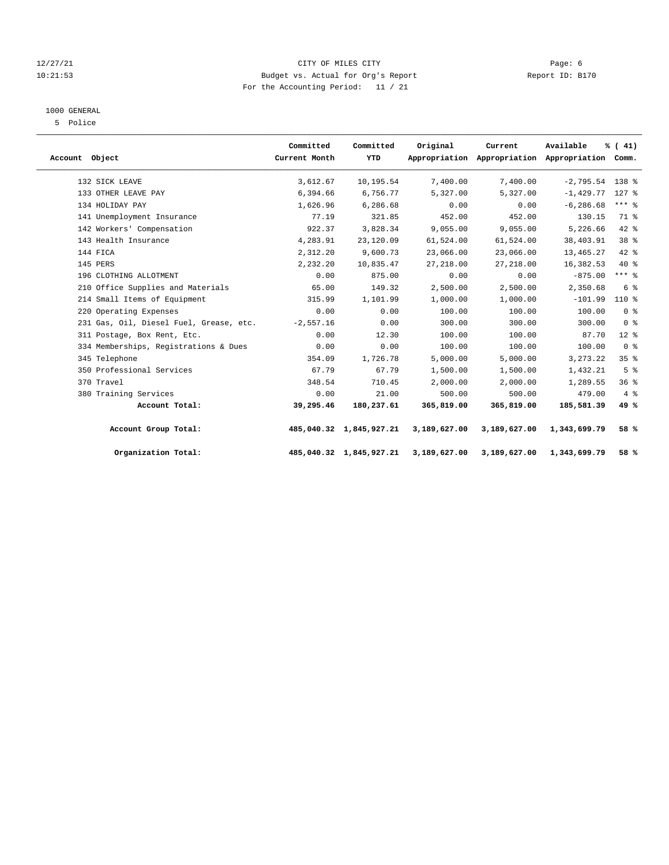# 12/27/21 Page: 6 CITY OF MILES CITY 10:21:53 Budget vs. Actual for Org's Report Report ID: B170 For the Accounting Period: 11 / 21

#### 1000 GENERAL

5 Police

| Account Object |                                         | Committed<br>Current Month | Committed<br>YTD        | Original     | Current<br>Appropriation Appropriation Appropriation Comm. | Available         | % (41)          |  |
|----------------|-----------------------------------------|----------------------------|-------------------------|--------------|------------------------------------------------------------|-------------------|-----------------|--|
|                | 132 SICK LEAVE                          | 3,612.67                   | 10,195.54               | 7,400.00     | 7,400.00                                                   | $-2,795.54$ 138 % |                 |  |
|                | 133 OTHER LEAVE PAY                     | 6,394.66                   | 6,756.77                | 5,327.00     | 5,327.00                                                   | $-1,429.77$       | $127$ %         |  |
|                | 134 HOLIDAY PAY                         | 1,626.96                   | 6,286.68                | 0.00         | 0.00                                                       | $-6, 286.68$      | $***$ $-$       |  |
|                | 141 Unemployment Insurance              | 77.19                      | 321.85                  | 452.00       | 452.00                                                     | 130.15            | 71.8            |  |
|                | 142 Workers' Compensation               | 922.37                     | 3,828.34                | 9,055.00     | 9,055.00                                                   | 5,226.66          | 42 %            |  |
|                | 143 Health Insurance                    | 4,283.91                   | 23,120.09               | 61,524.00    | 61,524.00                                                  | 38,403.91         | 38 <sup>8</sup> |  |
|                | 144 FICA                                | 2,312.20                   | 9,600.73                | 23,066.00    | 23,066.00                                                  | 13,465.27         | 42 %            |  |
|                | 145 PERS                                | 2,232.20                   | 10,835.47               | 27, 218.00   | 27, 218.00                                                 | 16,382.53         | $40*$           |  |
|                | 196 CLOTHING ALLOTMENT                  | 0.00                       | 875.00                  | 0.00         | 0.00                                                       | $-875.00$         | $***$ $%$       |  |
|                | 210 Office Supplies and Materials       | 65.00                      | 149.32                  | 2,500.00     | 2,500.00                                                   | 2,350.68          | 6 %             |  |
|                | 214 Small Items of Equipment            | 315.99                     | 1,101.99                | 1,000.00     | 1,000.00                                                   | $-101.99$         | 110 %           |  |
|                | 220 Operating Expenses                  | 0.00                       | 0.00                    | 100.00       | 100.00                                                     | 100.00            | 0 <sup>8</sup>  |  |
|                | 231 Gas, Oil, Diesel Fuel, Grease, etc. | $-2,557.16$                | 0.00                    | 300.00       | 300.00                                                     | 300.00            | 0 <sup>8</sup>  |  |
|                | 311 Postage, Box Rent, Etc.             | 0.00                       | 12.30                   | 100.00       | 100.00                                                     | 87.70             | $12*$           |  |
|                | 334 Memberships, Registrations & Dues   | 0.00                       | 0.00                    | 100.00       | 100.00                                                     | 100.00            | 0 <sup>8</sup>  |  |
|                | 345 Telephone                           | 354.09                     | 1,726.78                | 5,000.00     | 5,000.00                                                   | 3, 273. 22        | 35 <sup>8</sup> |  |
|                | 350 Professional Services               | 67.79                      | 67.79                   | 1,500.00     | 1,500.00                                                   | 1,432.21          | 5 <sup>8</sup>  |  |
|                | 370 Travel                              | 348.54                     | 710.45                  | 2,000.00     | 2,000.00                                                   | 1,289.55          | 36%             |  |
|                | 380 Training Services                   | 0.00                       | 21.00                   | 500.00       | 500.00                                                     | 479.00            | $4\degree$      |  |
|                | Account Total:                          | 39,295.46                  | 180,237.61              | 365,819.00   | 365,819.00                                                 | 185,581.39        | 49 %            |  |
|                | Account Group Total:                    |                            | 485,040.32 1,845,927.21 | 3,189,627.00 | 3,189,627.00                                               | 1,343,699.79      | 58 %            |  |
|                | Organization Total:                     |                            | 485,040.32 1,845,927.21 | 3,189,627.00 | 3,189,627.00                                               | 1,343,699.79      | 58 %            |  |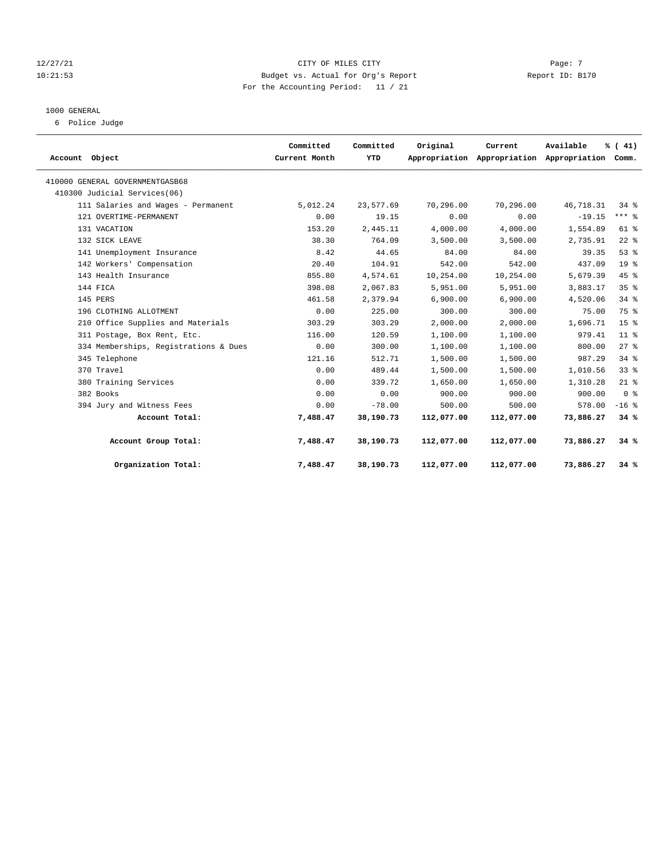# 12/27/21 Page: 7 Page: 7 Page: 7 Page: 7 Page: 7 Page: 7 Page: 7 Page: 7 Page: 7 Page: 7 Page: 7 Page: 7 Page: 7 Page: 7 Page: 7 Page: 7 Page: 7 Page: 7 Page: 7 Page: 7 Page: 7 Page: 7 Page: 7 Page: 7 Page: 7 Page: 7 Page: 10:21:53 Budget vs. Actual for Org's Report Report ID: B170 For the Accounting Period: 11 / 21

#### 1000 GENERAL

6 Police Judge

| Account Object                        | Committed<br>Current Month | Committed<br>YTD | Original   | Current<br>Appropriation Appropriation Appropriation Comm. | Available | % (41)          |  |
|---------------------------------------|----------------------------|------------------|------------|------------------------------------------------------------|-----------|-----------------|--|
| 410000 GENERAL GOVERNMENTGASB68       |                            |                  |            |                                                            |           |                 |  |
| 410300 Judicial Services(06)          |                            |                  |            |                                                            |           |                 |  |
| 111 Salaries and Wages - Permanent    | 5,012.24                   | 23,577.69        | 70,296.00  | 70,296.00                                                  | 46,718.31 | 34%             |  |
| 121 OVERTIME-PERMANENT                | 0.00                       | 19.15            | 0.00       | 0.00                                                       | $-19.15$  | $***$ $8$       |  |
| 131 VACATION                          | 153.20                     | 2,445.11         | 4,000.00   | 4,000.00                                                   | 1,554.89  | $61$ $%$        |  |
| 132 SICK LEAVE                        | 38.30                      | 764.09           | 3,500.00   | 3,500.00                                                   | 2,735.91  | $22$ $%$        |  |
| 141 Unemployment Insurance            | 8.42                       | 44.65            | 84.00      | 84.00                                                      | 39.35     | 53%             |  |
| 142 Workers' Compensation             | 20.40                      | 104.91           | 542.00     | 542.00                                                     | 437.09    | 19 <sup>°</sup> |  |
| 143 Health Insurance                  | 855.80                     | 4,574.61         | 10,254.00  | 10,254.00                                                  | 5,679.39  | 45%             |  |
| 144 FICA                              | 398.08                     | 2,067.83         | 5,951.00   | 5,951.00                                                   | 3,883.17  | 35 <sup>8</sup> |  |
| 145 PERS                              | 461.58                     | 2,379.94         | 6,900.00   | 6,900.00                                                   | 4,520.06  | 34%             |  |
| 196 CLOTHING ALLOTMENT                | 0.00                       | 225.00           | 300.00     | 300.00                                                     | 75.00     | 75 %            |  |
| 210 Office Supplies and Materials     | 303.29                     | 303.29           | 2,000.00   | 2,000.00                                                   | 1,696.71  | 15 <sup>8</sup> |  |
| 311 Postage, Box Rent, Etc.           | 116.00                     | 120.59           | 1,100.00   | 1,100.00                                                   | 979.41    | 11 <sup>8</sup> |  |
| 334 Memberships, Registrations & Dues | 0.00                       | 300.00           | 1,100.00   | 1,100.00                                                   | 800.00    | $27$ $%$        |  |
| 345 Telephone                         | 121.16                     | 512.71           | 1,500.00   | 1,500.00                                                   | 987.29    | 34%             |  |
| 370 Travel                            | 0.00                       | 489.44           | 1,500.00   | 1,500.00                                                   | 1,010.56  | 33%             |  |
| 380 Training Services                 | 0.00                       | 339.72           | 1,650.00   | 1,650.00                                                   | 1,310.28  | $21$ %          |  |
| 382 Books                             | 0.00                       | 0.00             | 900.00     | 900.00                                                     | 900.00    | 0 <sup>8</sup>  |  |
| 394 Jury and Witness Fees             | 0.00                       | $-78.00$         | 500.00     | 500.00                                                     | 578.00    | $-16$ %         |  |
| Account Total:                        | 7,488.47                   | 38,190.73        | 112,077.00 | 112,077.00                                                 | 73,886.27 | 34%             |  |
| Account Group Total:                  | 7,488.47                   | 38,190.73        | 112,077.00 | 112,077.00                                                 | 73,886.27 | 34%             |  |
| Organization Total:                   | 7,488.47                   | 38,190.73        | 112,077.00 | 112,077.00                                                 | 73,886.27 | 34%             |  |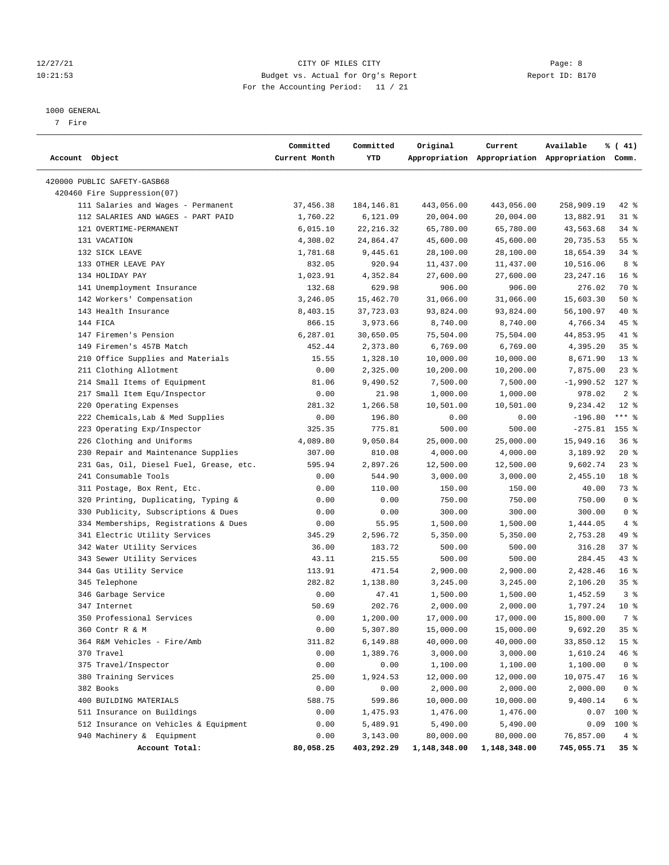# 12/27/21 Page: 8 Page: 8 10:21:53 Budget vs. Actual for Org's Report Report ID: B170 For the Accounting Period: 11 / 21

#### 1000 GENERAL

7 Fire

| Account Object                                           | Committed<br>Current Month | Committed<br>YTD | Original       | Current      | Available<br>Appropriation Appropriation Appropriation Comm. | % (41)          |
|----------------------------------------------------------|----------------------------|------------------|----------------|--------------|--------------------------------------------------------------|-----------------|
| 420000 PUBLIC SAFETY-GASB68                              |                            |                  |                |              |                                                              |                 |
| 420460 Fire Suppression(07)                              |                            |                  |                |              |                                                              |                 |
| 111 Salaries and Wages - Permanent                       | 37,456.38                  | 184,146.81       | 443,056.00     | 443,056.00   | 258,909.19                                                   | 42 %            |
| 112 SALARIES AND WAGES - PART PAID                       | 1,760.22                   | 6,121.09         | 20,004.00      | 20,004.00    | 13,882.91                                                    | $31$ %          |
| 121 OVERTIME-PERMANENT                                   | 6,015.10                   | 22, 216.32       | 65,780.00      | 65,780.00    | 43,563.68                                                    | 34%             |
| 131 VACATION                                             | 4,308.02                   | 24,864.47        | 45,600.00      | 45,600.00    | 20,735.53                                                    | 55 %            |
| 132 SICK LEAVE                                           | 1,781.68                   | 9,445.61         | 28,100.00      | 28,100.00    | 18,654.39                                                    | $34$ $%$        |
| 133 OTHER LEAVE PAY                                      | 832.05                     | 920.94           | 11,437.00      | 11,437.00    | 10,516.06                                                    | 8 %             |
| 134 HOLIDAY PAY                                          | 1,023.91                   | 4,352.84         | 27,600.00      | 27,600.00    | 23, 247. 16                                                  | 16 <sup>8</sup> |
| 141 Unemployment Insurance                               | 132.68                     | 629.98           | 906.00         | 906.00       | 276.02                                                       | 70 %            |
| 142 Workers' Compensation                                | 3,246.05                   | 15,462.70        | 31,066.00      | 31,066.00    | 15,603.30                                                    | 50%             |
| 143 Health Insurance                                     | 8,403.15                   | 37,723.03        | 93,824.00      | 93,824.00    | 56,100.97                                                    | 40 %            |
| 144 FICA                                                 | 866.15                     | 3,973.66         | 8,740.00       | 8,740.00     | 4,766.34                                                     | 45 %            |
| 147 Firemen's Pension                                    | 6,287.01                   | 30,650.05        | 75,504.00      | 75,504.00    | 44,853.95                                                    | 41 %            |
| 149 Firemen's 457B Match                                 | 452.44                     | 2,373.80         | 6,769.00       | 6,769.00     | 4,395.20                                                     | 35%             |
| 210 Office Supplies and Materials                        | 15.55                      | 1,328.10         | 10,000.00      | 10,000.00    | 8,671.90                                                     | $13*$           |
| 211 Clothing Allotment                                   | 0.00                       | 2,325.00         | 10,200.00      | 10,200.00    | 7,875.00                                                     | $23$ %          |
| 214 Small Items of Equipment                             | 81.06                      | 9,490.52         | 7,500.00       | 7,500.00     | -1,990.52                                                    | $127$ %         |
| 217 Small Item Equ/Inspector                             | 0.00                       | 21.98            |                |              | 978.02                                                       | 2 <sup>8</sup>  |
| 220 Operating Expenses                                   |                            |                  | 1,000.00       | 1,000.00     |                                                              | $12*$           |
| 222 Chemicals, Lab & Med Supplies                        | 281.32                     | 1,266.58         | 10,501.00      | 10,501.00    | 9,234.42<br>$-196.80$                                        | $***$ $-$       |
|                                                          | 0.00                       | 196.80           | 0.00<br>500.00 | 0.00         |                                                              |                 |
| 223 Operating Exp/Inspector<br>226 Clothing and Uniforms | 325.35                     | 775.81           |                | 500.00       | $-275.81$ 155 %                                              |                 |
|                                                          | 4,089.80                   | 9,050.84         | 25,000.00      | 25,000.00    | 15,949.16                                                    | $36$ $%$        |
| 230 Repair and Maintenance Supplies                      | 307.00                     | 810.08           | 4,000.00       | 4,000.00     | 3,189.92                                                     | $20*$           |
| 231 Gas, Oil, Diesel Fuel, Grease, etc.                  | 595.94                     | 2,897.26         | 12,500.00      | 12,500.00    | 9,602.74                                                     | $23$ $%$        |
| 241 Consumable Tools                                     | 0.00                       | 544.90           | 3,000.00       | 3,000.00     | 2,455.10                                                     | 18 <sup>8</sup> |
| 311 Postage, Box Rent, Etc.                              | 0.00                       | 110.00           | 150.00         | 150.00       | 40.00                                                        | 73 %            |
| 320 Printing, Duplicating, Typing &                      | 0.00                       | 0.00             | 750.00         | 750.00       | 750.00                                                       | 0 <sup>8</sup>  |
| 330 Publicity, Subscriptions & Dues                      | 0.00                       | 0.00             | 300.00         | 300.00       | 300.00                                                       | 0 <sup>8</sup>  |
| 334 Memberships, Registrations & Dues                    | 0.00                       | 55.95            | 1,500.00       | 1,500.00     | 1,444.05                                                     | 4%              |
| 341 Electric Utility Services                            | 345.29                     | 2,596.72         | 5,350.00       | 5,350.00     | 2,753.28                                                     | 49 %            |
| 342 Water Utility Services                               | 36.00                      | 183.72           | 500.00         | 500.00       | 316.28                                                       | 37%             |
| 343 Sewer Utility Services                               | 43.11                      | 215.55           | 500.00         | 500.00       | 284.45                                                       | 43 %            |
| 344 Gas Utility Service                                  | 113.91                     | 471.54           | 2,900.00       | 2,900.00     | 2,428.46                                                     | 16 <sup>8</sup> |
| 345 Telephone                                            | 282.82                     | 1,138.80         | 3,245.00       | 3,245.00     | 2,106.20                                                     | 35%             |
| 346 Garbage Service                                      | 0.00                       | 47.41            | 1,500.00       | 1,500.00     | 1,452.59                                                     | 3%              |
| 347 Internet                                             | 50.69                      | 202.76           | 2,000.00       | 2,000.00     | 1,797.24                                                     | $10*$           |
| 350 Professional Services                                | 0.00                       | 1,200.00         | 17,000.00      | 17,000.00    | 15,800.00                                                    | 7 <sup>°</sup>  |
| 360 Contr R & M                                          | 0.00                       | 5,307.80         | 15,000.00      | 15,000.00    | 9,692.20                                                     | 35%             |
| 364 R&M Vehicles - Fire/Amb                              | 311.82                     | 6,149.88         | 40,000.00      | 40,000.00    | 33,850.12                                                    | 15 <sup>°</sup> |
| 370 Travel                                               | 0.00                       | 1,389.76         | 3,000.00       | 3,000.00     | 1,610.24                                                     | 46 %            |
| 375 Travel/Inspector                                     | 0.00                       | 0.00             | 1,100.00       | 1,100.00     | 1,100.00                                                     | 0 <sup>8</sup>  |
| 380 Training Services                                    | 25.00                      | 1,924.53         | 12,000.00      | 12,000.00    | 10,075.47                                                    | 16 <sup>8</sup> |
| 382 Books                                                | 0.00                       | 0.00             | 2,000.00       | 2,000.00     | 2,000.00                                                     | 0 <sup>8</sup>  |
| 400 BUILDING MATERIALS                                   | 588.75                     | 599.86           | 10,000.00      | 10,000.00    | 9,400.14                                                     | 6 %             |
| 511 Insurance on Buildings                               | 0.00                       | 1,475.93         | 1,476.00       | 1,476.00     | 0.07                                                         | 100 %           |
| 512 Insurance on Vehicles & Equipment                    | 0.00                       | 5,489.91         | 5,490.00       | 5,490.00     | 0.09                                                         | 100 %           |
| 940 Machinery & Equipment                                | 0.00                       | 3,143.00         | 80,000.00      | 80,000.00    | 76,857.00                                                    | 4%              |
| Account Total:                                           | 80,058.25                  | 403,292.29       | 1,148,348.00   | 1,148,348.00 | 745,055.71                                                   | 35%             |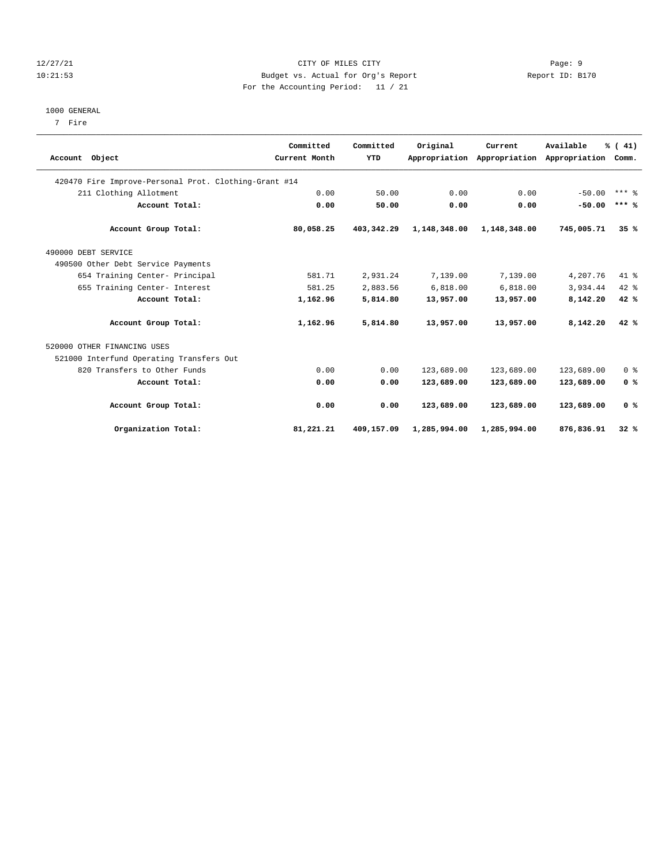# 12/27/21 Page: 9 10:21:53 Budget vs. Actual for Org's Report Report ID: B170 For the Accounting Period: 11 / 21

#### 1000 GENERAL

7 Fire

| Account Object                                        | Committed<br>Current Month | Committed<br>YTD | Original     | Current<br>Appropriation Appropriation | Available<br>Appropriation | % (41)<br>Comm.     |
|-------------------------------------------------------|----------------------------|------------------|--------------|----------------------------------------|----------------------------|---------------------|
| 420470 Fire Improve-Personal Prot. Clothing-Grant #14 |                            |                  |              |                                        |                            |                     |
| 211 Clothing Allotment                                | 0.00                       | 50.00            | 0.00         | 0.00                                   | $-50.00$                   | $***$ $\frac{6}{5}$ |
| Account Total:                                        | 0.00                       | 50.00            | 0.00         | 0.00                                   | $-50.00$                   | $***$ %             |
| Account Group Total:                                  | 80,058.25                  | 403, 342, 29     | 1,148,348.00 | 1,148,348.00                           | 745,005.71                 | 35%                 |
| 490000 DEBT SERVICE                                   |                            |                  |              |                                        |                            |                     |
| 490500 Other Debt Service Payments                    |                            |                  |              |                                        |                            |                     |
| 654 Training Center- Principal                        | 581.71                     | 2,931.24         | 7,139.00     | 7,139.00                               | 4,207.76                   | 41.8                |
| 655 Training Center- Interest                         | 581.25                     | 2,883.56         | 6,818.00     | 6,818.00                               | 3,934.44                   | $42*$               |
| Account Total:                                        | 1,162.96                   | 5,814.80         | 13,957.00    | 13,957.00                              | 8,142.20                   | 42%                 |
| Account Group Total:                                  | 1,162.96                   | 5,814.80         | 13,957.00    | 13,957.00                              | 8,142.20                   | 42%                 |
| 520000 OTHER FINANCING USES                           |                            |                  |              |                                        |                            |                     |
| 521000 Interfund Operating Transfers Out              |                            |                  |              |                                        |                            |                     |
| 820 Transfers to Other Funds                          | 0.00                       | 0.00             | 123,689.00   | 123,689.00                             | 123,689.00                 | 0 <sup>8</sup>      |
| Account Total:                                        | 0.00                       | 0.00             | 123,689.00   | 123,689.00                             | 123,689.00                 | 0 <sup>8</sup>      |
| Account Group Total:                                  | 0.00                       | 0.00             | 123,689.00   | 123,689.00                             | 123,689.00                 | 0 <sup>8</sup>      |
| Organization Total:                                   | 81,221.21                  | 409,157.09       | 1,285,994.00 | 1,285,994.00                           | 876,836.91                 | 32%                 |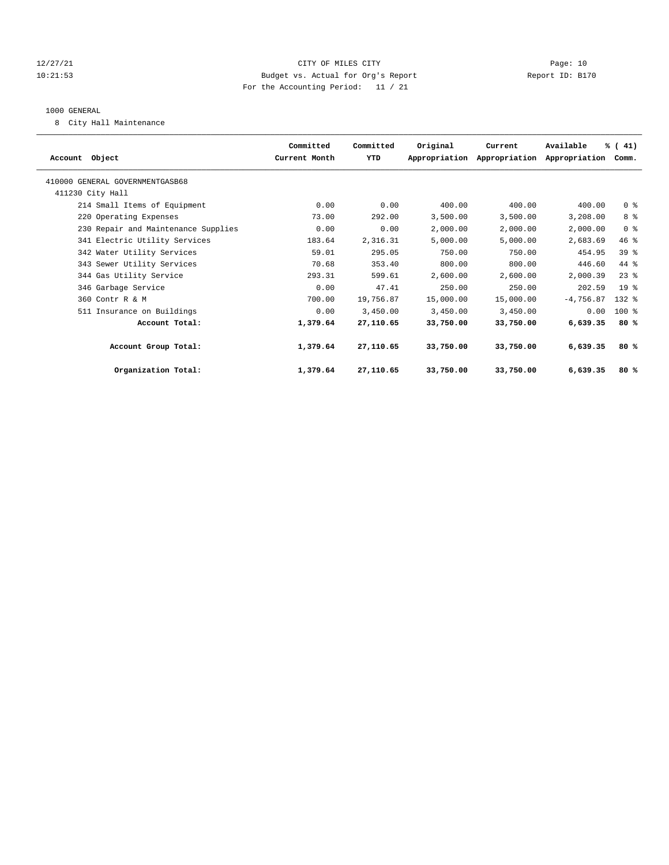# 12/27/21 CITY OF MILES CITY Page: 10 10:21:53 Budget vs. Actual for Org's Report Report ID: B170 For the Accounting Period: 11 / 21

#### 1000 GENERAL

8 City Hall Maintenance

| Account Object                      | Committed<br>Current Month | Committed<br>YTD | Original  | Current<br>Appropriation Appropriation | Available<br>Appropriation | % (41)<br>Comm. |  |
|-------------------------------------|----------------------------|------------------|-----------|----------------------------------------|----------------------------|-----------------|--|
| 410000 GENERAL GOVERNMENTGASB68     |                            |                  |           |                                        |                            |                 |  |
| 411230 City Hall                    |                            |                  |           |                                        |                            |                 |  |
| 214 Small Items of Equipment        | 0.00                       | 0.00             | 400.00    | 400.00                                 | 400.00                     | 0 <sup>8</sup>  |  |
| 220 Operating Expenses              | 73.00                      | 292.00           | 3,500.00  | 3,500.00                               | 3,208.00                   | 8%              |  |
| 230 Repair and Maintenance Supplies | 0.00                       | 0.00             | 2,000.00  | 2,000.00                               | 2,000.00                   | 0 <sup>8</sup>  |  |
| 341 Electric Utility Services       | 183.64                     | 2,316.31         | 5,000.00  | 5.000.00                               | 2,683.69                   | 46%             |  |
| 342 Water Utility Services          | 59.01                      | 295.05           | 750.00    | 750.00                                 | 454.95                     | 39 <sup>8</sup> |  |
| 343 Sewer Utility Services          | 70.68                      | 353.40           | 800.00    | 800.00                                 | 446.60                     | $44*$           |  |
| 344 Gas Utility Service             | 293.31                     | 599.61           | 2,600.00  | 2,600.00                               | 2,000.39                   | $23$ $%$        |  |
| 346 Garbage Service                 | 0.00                       | 47.41            | 250.00    | 250.00                                 | 202.59                     | 19 <sup>8</sup> |  |
| 360 Contr R & M                     | 700.00                     | 19,756.87        | 15,000.00 | 15,000.00                              | $-4,756.87$                | $132*$          |  |
| 511 Insurance on Buildings          | 0.00                       | 3,450.00         | 3,450.00  | 3,450.00                               | 0.00                       | $100*$          |  |
| Account Total:                      | 1,379.64                   | 27,110.65        | 33,750.00 | 33,750.00                              | 6,639.35                   | 80%             |  |
| Account Group Total:                | 1,379.64                   | 27,110.65        | 33,750.00 | 33,750.00                              | 6,639.35                   | 80%             |  |
| Organization Total:                 | 1,379.64                   | 27,110.65        | 33,750.00 | 33,750.00                              | 6,639.35                   | 80%             |  |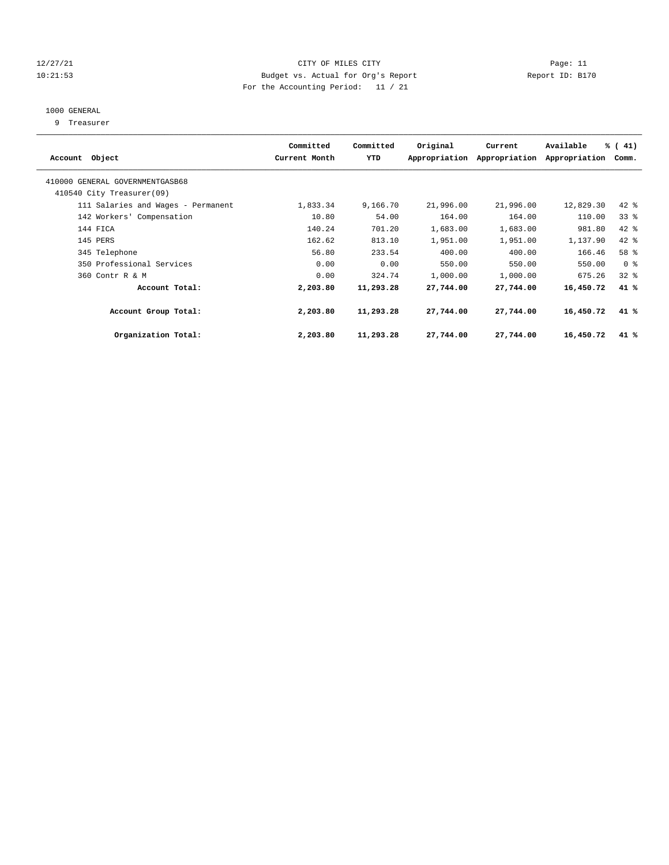# 12/27/21 CITY OF MILES CITY Page: 11 10:21:53 Budget vs. Actual for Org's Report Report ID: B170 For the Accounting Period: 11 / 21

# 1000 GENERAL

9 Treasurer

| Account Object                                               | Committed<br>Current Month | Committed<br>YTD | Original  | Current<br>Appropriation Appropriation | Available<br>Appropriation | % (41)<br>Comm. |  |
|--------------------------------------------------------------|----------------------------|------------------|-----------|----------------------------------------|----------------------------|-----------------|--|
| 410000 GENERAL GOVERNMENTGASB68<br>410540 City Treasurer(09) |                            |                  |           |                                        |                            |                 |  |
| 111 Salaries and Wages - Permanent                           | 1,833.34                   | 9,166.70         | 21,996.00 | 21,996.00                              | 12,829.30                  | $42$ %          |  |
| 142 Workers' Compensation                                    | 10.80                      | 54.00            | 164.00    | 164.00                                 | 110.00                     | 338             |  |
| 144 FICA                                                     | 140.24                     | 701.20           | 1,683.00  | 1,683.00                               | 981.80                     | 42 %            |  |
| 145 PERS                                                     | 162.62                     | 813.10           | 1,951.00  | 1,951.00                               | 1,137.90                   | 42 %            |  |
| 345 Telephone                                                | 56.80                      | 233.54           | 400.00    | 400.00                                 | 166.46                     | 58 %            |  |
| 350 Professional Services                                    | 0.00                       | 0.00             | 550.00    | 550.00                                 | 550.00                     | 0 <sup>8</sup>  |  |
| 360 Contr R & M                                              | 0.00                       | 324.74           | 1,000.00  | 1,000.00                               | 675.26                     | 32%             |  |
| Account Total:                                               | 2,203.80                   | 11,293.28        | 27,744.00 | 27,744.00                              | 16,450.72                  | 41%             |  |
| Account Group Total:                                         | 2,203.80                   | 11,293.28        | 27,744.00 | 27,744.00                              | 16,450.72                  | 41%             |  |
| Organization Total:                                          | 2,203.80                   | 11,293.28        | 27,744.00 | 27,744.00                              | 16,450.72                  | 41%             |  |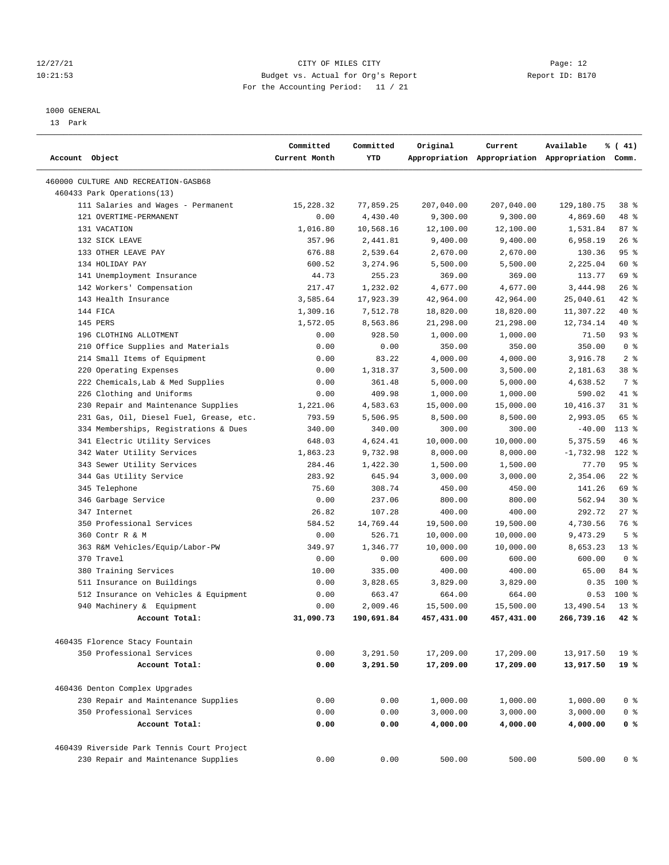# 12/27/21 CITY OF MILES CITY Page: 12 10:21:53 Budget vs. Actual for Org's Report Report ID: B170 For the Accounting Period: 11 / 21

————————————————————————————————————————————————————————————————————————————————————————————————————————————————————————————————————

#### 1000 GENERAL

13 Park

|                                            | Committed     | Committed  | Original   | Current    | Available                                       | % ( 41)         |
|--------------------------------------------|---------------|------------|------------|------------|-------------------------------------------------|-----------------|
| Account Object                             | Current Month | YTD        |            |            | Appropriation Appropriation Appropriation Comm. |                 |
| 460000 CULTURE AND RECREATION-GASB68       |               |            |            |            |                                                 |                 |
| 460433 Park Operations(13)                 |               |            |            |            |                                                 |                 |
| 111 Salaries and Wages - Permanent         | 15,228.32     | 77,859.25  | 207,040.00 | 207,040.00 | 129,180.75                                      | 38 %            |
| 121 OVERTIME-PERMANENT                     | 0.00          | 4,430.40   | 9,300.00   | 9,300.00   | 4,869.60                                        | 48 %            |
| 131 VACATION                               | 1,016.80      | 10,568.16  | 12,100.00  | 12,100.00  | 1,531.84                                        | 87%             |
| 132 SICK LEAVE                             | 357.96        | 2,441.81   | 9,400.00   | 9,400.00   | 6,958.19                                        | 26%             |
| 133 OTHER LEAVE PAY                        | 676.88        | 2,539.64   | 2,670.00   | 2,670.00   | 130.36                                          | 95%             |
| 134 HOLIDAY PAY                            | 600.52        | 3,274.96   | 5,500.00   | 5,500.00   | 2,225.04                                        | 60 %            |
| 141 Unemployment Insurance                 | 44.73         | 255.23     | 369.00     | 369.00     | 113.77                                          | 69 %            |
| 142 Workers' Compensation                  | 217.47        | 1,232.02   | 4,677.00   | 4,677.00   | 3,444.98                                        | 26%             |
| 143 Health Insurance                       | 3,585.64      | 17,923.39  | 42,964.00  | 42,964.00  | 25,040.61                                       | 42 %            |
| 144 FICA                                   | 1,309.16      | 7,512.78   | 18,820.00  | 18,820.00  | 11,307.22                                       | $40*$           |
| 145 PERS                                   | 1,572.05      | 8,563.86   | 21,298.00  | 21,298.00  | 12,734.14                                       | 40 %            |
| 196 CLOTHING ALLOTMENT                     | 0.00          | 928.50     | 1,000.00   | 1,000.00   | 71.50                                           | $93$ $%$        |
| 210 Office Supplies and Materials          | 0.00          | 0.00       | 350.00     | 350.00     | 350.00                                          | 0 <sup>8</sup>  |
| 214 Small Items of Equipment               | 0.00          | 83.22      | 4,000.00   | 4,000.00   | 3,916.78                                        | 2 <sup>8</sup>  |
| 220 Operating Expenses                     | 0.00          | 1,318.37   | 3,500.00   | 3,500.00   | 2,181.63                                        | 38 <sup>8</sup> |
| 222 Chemicals, Lab & Med Supplies          | 0.00          | 361.48     | 5,000.00   | 5,000.00   | 4,638.52                                        | 7 %             |
| 226 Clothing and Uniforms                  | 0.00          | 409.98     | 1,000.00   | 1,000.00   | 590.02                                          | 41 %            |
| 230 Repair and Maintenance Supplies        | 1,221.06      | 4,583.63   | 15,000.00  | 15,000.00  | 10,416.37                                       | $31$ %          |
| 231 Gas, Oil, Diesel Fuel, Grease, etc.    | 793.59        | 5,506.95   | 8,500.00   | 8,500.00   | 2,993.05                                        | 65 %            |
| 334 Memberships, Registrations & Dues      | 340.00        | 340.00     | 300.00     | 300.00     | $-40.00$                                        | $113*$          |
| 341 Electric Utility Services              | 648.03        | 4,624.41   | 10,000.00  | 10,000.00  | 5,375.59                                        | 46 %            |
| 342 Water Utility Services                 | 1,863.23      | 9,732.98   | 8,000.00   | 8,000.00   | $-1,732.98$                                     | $122$ %         |
| 343 Sewer Utility Services                 | 284.46        | 1,422.30   | 1,500.00   | 1,500.00   | 77.70                                           | 95%             |
| 344 Gas Utility Service                    | 283.92        | 645.94     | 3,000.00   | 3,000.00   | 2,354.06                                        | $22$ %          |
| 345 Telephone                              | 75.60         | 308.74     | 450.00     | 450.00     | 141.26                                          | 69 %            |
| 346 Garbage Service                        | 0.00          | 237.06     | 800.00     | 800.00     | 562.94                                          | $30*$           |
| 347 Internet                               | 26.82         | 107.28     | 400.00     | 400.00     | 292.72                                          | $27$ %          |
| 350 Professional Services                  | 584.52        | 14,769.44  | 19,500.00  | 19,500.00  | 4,730.56                                        | 76 %            |
| 360 Contr R & M                            | 0.00          | 526.71     | 10,000.00  | 10,000.00  | 9,473.29                                        | 5 <sup>8</sup>  |
| 363 R&M Vehicles/Equip/Labor-PW            | 349.97        | 1,346.77   | 10,000.00  | 10,000.00  | 8,653.23                                        | $13*$           |
| 370 Travel                                 | 0.00          | 0.00       | 600.00     | 600.00     | 600.00                                          | 0 <sup>8</sup>  |
| 380 Training Services                      | 10.00         | 335.00     | 400.00     | 400.00     | 65.00                                           | 84 %            |
| 511 Insurance on Buildings                 | 0.00          | 3,828.65   | 3,829.00   | 3,829.00   | 0.35                                            | 100 %           |
| 512 Insurance on Vehicles & Equipment      | 0.00          | 663.47     | 664.00     | 664.00     | 0.53                                            | 100 %           |
| 940 Machinery & Equipment                  | 0.00          | 2,009.46   | 15,500.00  | 15,500.00  | 13,490.54                                       | $13*$           |
| Account Total:                             | 31,090.73     | 190,691.84 | 457,431.00 | 457,431.00 | 266,739.16                                      | 42%             |
| 460435 Florence Stacy Fountain             |               |            |            |            |                                                 |                 |
| 350 Professional Services                  | 0.00          | 3,291.50   | 17,209.00  | 17,209.00  | 13,917.50                                       | 19 <sup>°</sup> |
| Account Total:                             | 0.00          | 3,291.50   | 17,209.00  | 17,209.00  | 13,917.50                                       | $19*$           |
|                                            |               |            |            |            |                                                 |                 |
| 460436 Denton Complex Upgrades             |               |            |            |            |                                                 |                 |
| 230 Repair and Maintenance Supplies        | 0.00          | 0.00       | 1,000.00   | 1,000.00   | 1,000.00                                        | 0 <sup>8</sup>  |
| 350 Professional Services                  | 0.00          | 0.00       | 3,000.00   | 3,000.00   | 3,000.00                                        | 0 <sup>8</sup>  |
| Account Total:                             | 0.00          | 0.00       | 4,000.00   | 4,000.00   | 4,000.00                                        | 0 <sup>8</sup>  |
| 460439 Riverside Park Tennis Court Project |               |            |            |            |                                                 |                 |
| 230 Repair and Maintenance Supplies        | 0.00          | 0.00       | 500.00     | 500.00     | 500.00                                          | 0 <sup>8</sup>  |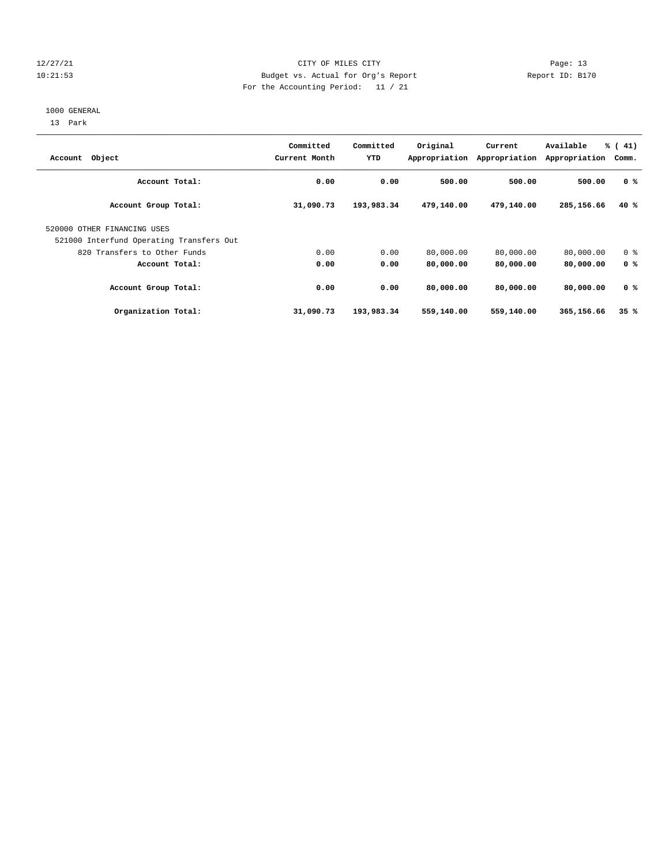# 12/27/21 CITY OF MILES CITY Page: 13 10:21:53 Budget vs. Actual for Org's Report Report ID: B170 For the Accounting Period: 11 / 21

#### 1000 GENERAL

13 Park

| Account Object                           | Committed<br>Current Month | Committed<br>YTD | Original   | Current<br>Appropriation Appropriation | Available<br>Appropriation | $\frac{1}{6}$ ( 41)<br>Comm. |
|------------------------------------------|----------------------------|------------------|------------|----------------------------------------|----------------------------|------------------------------|
| Account Total:                           | 0.00                       | 0.00             | 500.00     | 500.00                                 | 500.00                     | 0 <sup>8</sup>               |
| Account Group Total:                     | 31,090.73                  | 193,983.34       | 479,140.00 | 479,140.00                             | 285,156.66                 | 40 %                         |
| 520000 OTHER FINANCING USES              |                            |                  |            |                                        |                            |                              |
| 521000 Interfund Operating Transfers Out |                            |                  |            |                                        |                            |                              |
| 820 Transfers to Other Funds             | 0.00                       | 0.00             | 80,000.00  | 80,000.00                              | 80,000.00                  | 0 <sup>8</sup>               |
| Account Total:                           | 0.00                       | 0.00             | 80,000.00  | 80,000.00                              | 80,000.00                  | 0 <sup>8</sup>               |
| Account Group Total:                     | 0.00                       | 0.00             | 80,000,00  | 80,000,00                              | 80,000,00                  | 0 <sup>8</sup>               |
| Organization Total:                      | 31,090.73                  | 193,983.34       | 559,140.00 | 559,140.00                             | 365,156.66                 | 35%                          |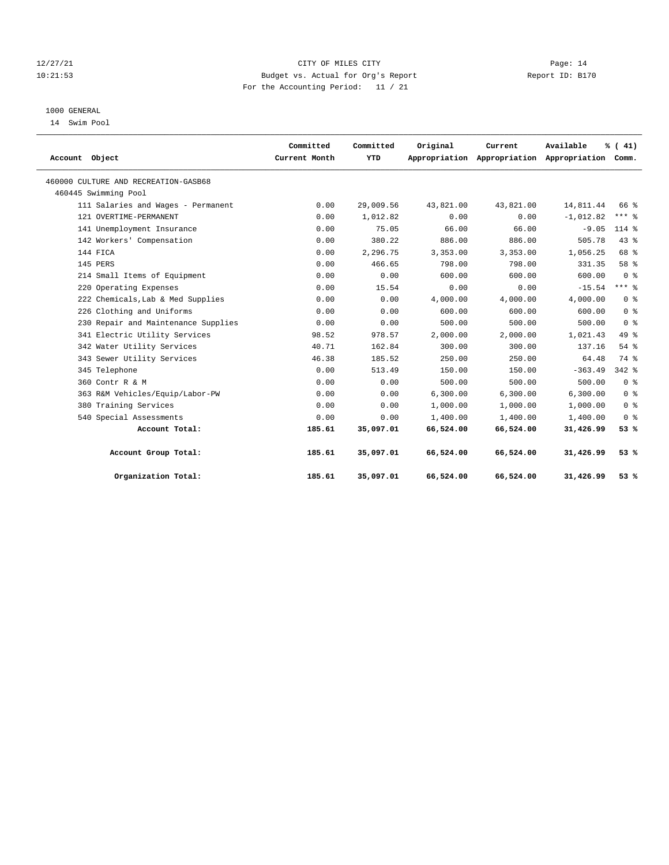# 12/27/21 CITY OF MILES CITY Page: 14 10:21:53 Budget vs. Actual for Org's Report Report ID: B170 For the Accounting Period: 11 / 21

# 1000 GENERAL

14 Swim Pool

|                                      | Committed     | Committed | Original  | Current                                         | Available   | % (41)         |
|--------------------------------------|---------------|-----------|-----------|-------------------------------------------------|-------------|----------------|
| Account Object                       | Current Month | YTD       |           | Appropriation Appropriation Appropriation Comm. |             |                |
| 460000 CULTURE AND RECREATION-GASB68 |               |           |           |                                                 |             |                |
| 460445 Swimming Pool                 |               |           |           |                                                 |             |                |
| 111 Salaries and Wages - Permanent   | 0.00          | 29,009.56 | 43,821.00 | 43,821.00                                       | 14,811.44   | 66 %           |
| 121 OVERTIME-PERMANENT               | 0.00          | 1,012.82  | 0.00      | 0.00                                            | $-1,012.82$ | $***$ 8        |
| 141 Unemployment Insurance           | 0.00          | 75.05     | 66.00     | 66.00                                           | $-9.05$     | $114*$         |
| 142 Workers' Compensation            | 0.00          | 380.22    | 886.00    | 886.00                                          | 505.78      | 43%            |
| 144 FICA                             | 0.00          | 2,296.75  | 3,353.00  | 3,353.00                                        | 1,056.25    | 68 %           |
| 145 PERS                             | 0.00          | 466.65    | 798.00    | 798.00                                          | 331.35      | 58 %           |
| 214 Small Items of Equipment         | 0.00          | 0.00      | 600.00    | 600.00                                          | 600.00      | 0 <sup>8</sup> |
| 220 Operating Expenses               | 0.00          | 15.54     | 0.00      | 0.00                                            | $-15.54$    | $***$ 2        |
| 222 Chemicals, Lab & Med Supplies    | 0.00          | 0.00      | 4,000.00  | 4,000.00                                        | 4,000.00    | 0 <sup>8</sup> |
| 226 Clothing and Uniforms            | 0.00          | 0.00      | 600.00    | 600.00                                          | 600.00      | 0 <sup>8</sup> |
| 230 Repair and Maintenance Supplies  | 0.00          | 0.00      | 500.00    | 500.00                                          | 500.00      | 0 <sup>8</sup> |
| 341 Electric Utility Services        | 98.52         | 978.57    | 2,000.00  | 2,000.00                                        | 1,021.43    | 49.8           |
| 342 Water Utility Services           | 40.71         | 162.84    | 300.00    | 300.00                                          | 137.16      | 54%            |
| 343 Sewer Utility Services           | 46.38         | 185.52    | 250.00    | 250.00                                          | 64.48       | 74 %           |
| 345 Telephone                        | 0.00          | 513.49    | 150.00    | 150.00                                          | $-363.49$   | $342$ $%$      |
| 360 Contr R & M                      | 0.00          | 0.00      | 500.00    | 500.00                                          | 500.00      | 0 <sup>8</sup> |
| 363 R&M Vehicles/Equip/Labor-PW      | 0.00          | 0.00      | 6.300.00  | 6.300.00                                        | 6.300.00    | 0 <sup>8</sup> |
| 380 Training Services                | 0.00          | 0.00      | 1,000.00  | 1,000.00                                        | 1,000.00    | 0 <sup>8</sup> |
| 540 Special Assessments              | 0.00          | 0.00      | 1,400.00  | 1,400.00                                        | 1,400.00    | 0 <sup>8</sup> |
| Account Total:                       | 185.61        | 35,097.01 | 66,524.00 | 66,524.00                                       | 31,426.99   | 53%            |
| Account Group Total:                 | 185.61        | 35,097.01 | 66,524.00 | 66,524.00                                       | 31,426.99   | 53%            |
| Organization Total:                  | 185.61        | 35,097.01 | 66,524.00 | 66,524.00                                       | 31,426.99   | 53%            |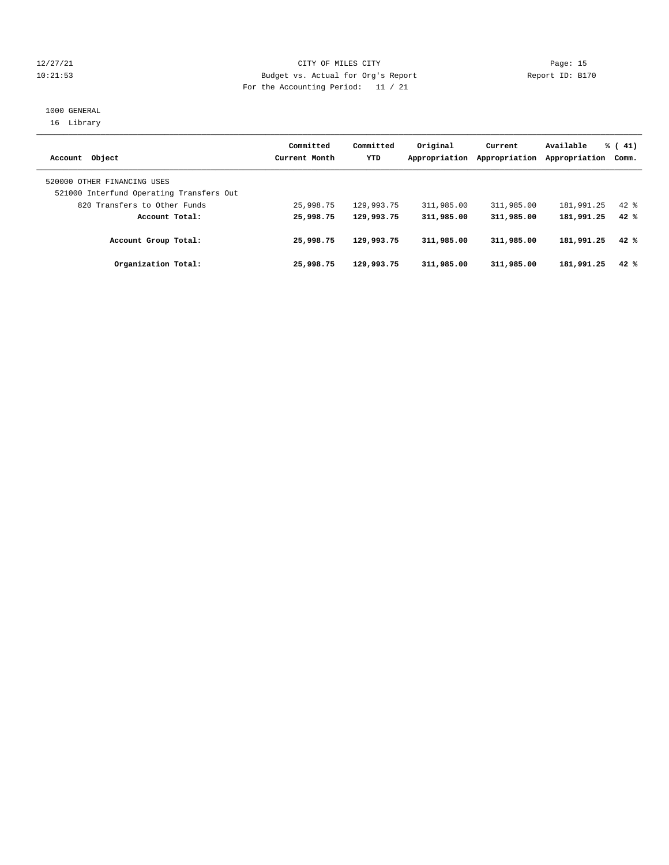# 12/27/21 CITY OF MILES CITY Page: 15 10:21:53 Budget vs. Actual for Org's Report Report ID: B170 For the Accounting Period: 11 / 21

# 1000 GENERAL 16 Library

| Account Object                                                          | Committed<br>Current Month | Committed<br><b>YTD</b> | Original<br>Appropriation | Current<br>Appropriation | Available<br>Appropriation | $\frac{1}{6}$ ( 41)<br>Comm. |
|-------------------------------------------------------------------------|----------------------------|-------------------------|---------------------------|--------------------------|----------------------------|------------------------------|
| 520000 OTHER FINANCING USES<br>521000 Interfund Operating Transfers Out |                            |                         |                           |                          |                            |                              |
| 820 Transfers to Other Funds                                            | 25,998.75                  | 129,993.75              | 311,985.00                | 311,985.00               | 181,991.25                 | $42*$                        |
| Account Total:                                                          | 25,998.75                  | 129,993.75              | 311,985.00                | 311,985.00               | 181,991.25                 | 42%                          |
| Account Group Total:                                                    | 25,998.75                  | 129,993.75              | 311,985.00                | 311,985.00               | 181,991.25                 | 42%                          |
| Organization Total:                                                     | 25,998.75                  | 129,993.75              | 311,985.00                | 311,985.00               | 181,991.25                 | 42%                          |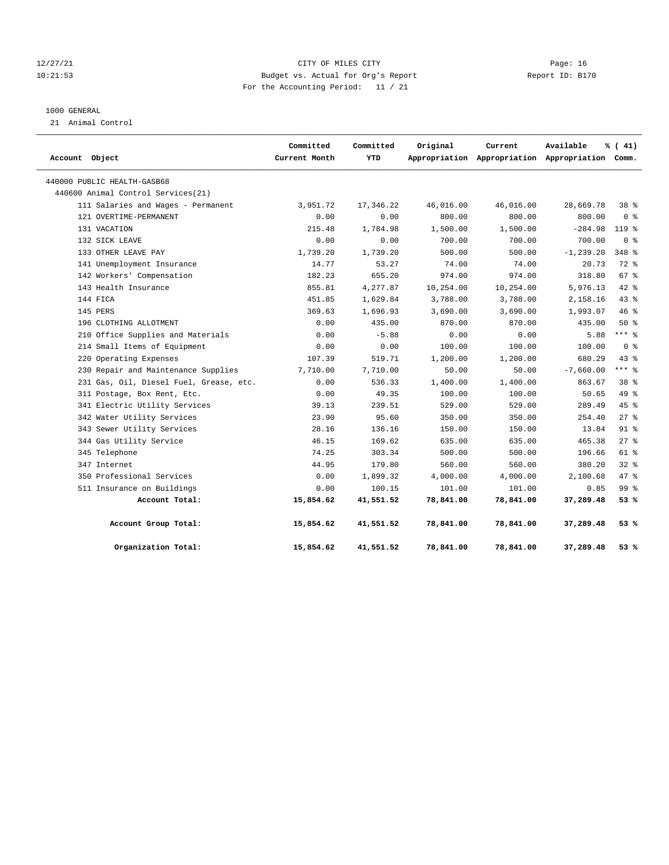# 12/27/21 CITY OF MILES CITY Page: 16 10:21:53 Budget vs. Actual for Org's Report Report ID: B170 For the Accounting Period: 11 / 21

# 1000 GENERAL

21 Animal Control

| Account Object                          | Committed<br>Current Month | Committed<br>YTD | Original  | Current   | Available<br>Appropriation Appropriation Appropriation Comm. | % (41)          |
|-----------------------------------------|----------------------------|------------------|-----------|-----------|--------------------------------------------------------------|-----------------|
| 440000 PUBLIC HEALTH-GASB68             |                            |                  |           |           |                                                              |                 |
| 440600 Animal Control Services (21)     |                            |                  |           |           |                                                              |                 |
| 111 Salaries and Wages - Permanent      | 3,951.72                   | 17,346.22        | 46,016.00 | 46,016.00 | 28,669.78                                                    | 38 %            |
| 121 OVERTIME-PERMANENT                  | 0.00                       | 0.00             | 800.00    | 800.00    | 800.00                                                       | 0 <sup>8</sup>  |
| 131 VACATION                            | 215.48                     | 1,784.98         | 1,500.00  | 1,500.00  | $-284.98$                                                    | 119 %           |
| 132 SICK LEAVE                          | 0.00                       | 0.00             | 700.00    | 700.00    | 700.00                                                       | 0 <sup>8</sup>  |
| 133 OTHER LEAVE PAY                     | 1,739.20                   | 1,739.20         | 500.00    | 500.00    | $-1, 239.20$                                                 | 348 %           |
| 141 Unemployment Insurance              | 14.77                      | 53.27            | 74.00     | 74.00     | 20.73                                                        | $72$ $%$        |
| 142 Workers' Compensation               | 182.23                     | 655.20           | 974.00    | 974.00    | 318.80                                                       | 67%             |
| 143 Health Insurance                    | 855.81                     | 4,277.87         | 10,254.00 | 10,254.00 | 5,976.13                                                     | $42*$           |
| 144 FICA                                | 451.85                     | 1,629.84         | 3,788.00  | 3,788.00  | 2,158.16                                                     | $43$ %          |
| 145 PERS                                | 369.63                     | 1,696.93         | 3,690.00  | 3,690.00  | 1,993.07                                                     | 46 %            |
| 196 CLOTHING ALLOTMENT                  | 0.00                       | 435.00           | 870.00    | 870.00    | 435.00                                                       | 50%             |
| 210 Office Supplies and Materials       | 0.00                       | $-5.88$          | 0.00      | 0.00      | 5.88                                                         | $***$ 8         |
| 214 Small Items of Equipment            | 0.00                       | 0.00             | 100.00    | 100.00    | 100.00                                                       | 0 <sup>8</sup>  |
| 220 Operating Expenses                  | 107.39                     | 519.71           | 1,200.00  | 1,200.00  | 680.29                                                       | 43.8            |
| 230 Repair and Maintenance Supplies     | 7,710.00                   | 7,710.00         | 50.00     | 50.00     | $-7,660.00$                                                  | *** 응           |
| 231 Gas, Oil, Diesel Fuel, Grease, etc. | 0.00                       | 536.33           | 1,400.00  | 1,400.00  | 863.67                                                       | 38 <sup>8</sup> |
| 311 Postage, Box Rent, Etc.             | 0.00                       | 49.35            | 100.00    | 100.00    | 50.65                                                        | 49 %            |
| 341 Electric Utility Services           | 39.13                      | 239.51           | 529.00    | 529.00    | 289.49                                                       | $45*$           |
| 342 Water Utility Services              | 23.90                      | 95.60            | 350.00    | 350.00    | 254.40                                                       | $27$ %          |
| 343 Sewer Utility Services              | 28.16                      | 136.16           | 150.00    | 150.00    | 13.84                                                        | $91$ %          |
| 344 Gas Utility Service                 | 46.15                      | 169.62           | 635.00    | 635.00    | 465.38                                                       | $27$ %          |
| 345 Telephone                           | 74.25                      | 303.34           | 500.00    | 500.00    | 196.66                                                       | 61 %            |
| 347 Internet                            | 44.95                      | 179.80           | 560.00    | 560.00    | 380.20                                                       | 328             |
| 350 Professional Services               | 0.00                       | 1,899.32         | 4,000.00  | 4,000.00  | 2,100.68                                                     | $47$ %          |
| 511 Insurance on Buildings              | 0.00                       | 100.15           | 101.00    | 101.00    | 0.85                                                         | 99 <sub>8</sub> |
| Account Total:                          | 15,854.62                  | 41,551.52        | 78,841.00 | 78,841.00 | 37,289.48                                                    | 53%             |
| Account Group Total:                    | 15,854.62                  | 41,551.52        | 78,841.00 | 78,841.00 | 37,289.48                                                    | 53%             |
| Organization Total:                     | 15,854.62                  | 41,551.52        | 78,841.00 | 78,841.00 | 37,289.48                                                    | 53%             |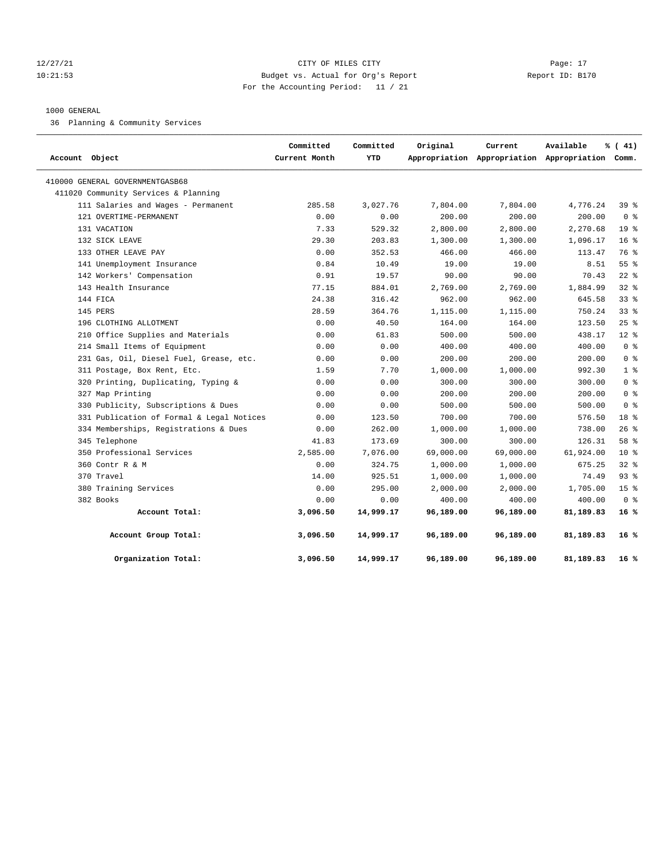# 12/27/21 CITY OF MILES CITY Page: 17 10:21:53 Budget vs. Actual for Org's Report Report ID: B170 For the Accounting Period: 11 / 21

# 1000 GENERAL

36 Planning & Community Services

| Account Object                            | Committed<br>Current Month | Committed<br>YTD | Original  | Current   | Available<br>Appropriation Appropriation Appropriation Comm. | % (41)          |
|-------------------------------------------|----------------------------|------------------|-----------|-----------|--------------------------------------------------------------|-----------------|
| 410000 GENERAL GOVERNMENTGASB68           |                            |                  |           |           |                                                              |                 |
| 411020 Community Services & Planning      |                            |                  |           |           |                                                              |                 |
| 111 Salaries and Wages - Permanent        | 285.58                     | 3,027.76         | 7,804.00  | 7,804.00  | 4,776.24                                                     | 39%             |
| 121 OVERTIME-PERMANENT                    | 0.00                       | 0.00             | 200.00    | 200.00    | 200.00                                                       | 0 <sup>8</sup>  |
| 131 VACATION                              | 7.33                       | 529.32           | 2,800.00  | 2,800.00  | 2,270.68                                                     | 19 <sup>°</sup> |
| 132 SICK LEAVE                            | 29.30                      | 203.83           | 1,300.00  | 1,300.00  | 1,096.17                                                     | 16 <sup>8</sup> |
| 133 OTHER LEAVE PAY                       | 0.00                       | 352.53           | 466.00    | 466.00    | 113.47                                                       | 76 %            |
| 141 Unemployment Insurance                | 0.84                       | 10.49            | 19.00     | 19.00     | 8.51                                                         | 55%             |
| 142 Workers' Compensation                 | 0.91                       | 19.57            | 90.00     | 90.00     | 70.43                                                        | $22$ %          |
| 143 Health Insurance                      | 77.15                      | 884.01           | 2,769.00  | 2,769.00  | 1,884.99                                                     | 328             |
| 144 FICA                                  | 24.38                      | 316.42           | 962.00    | 962.00    | 645.58                                                       | 33%             |
| 145 PERS                                  | 28.59                      | 364.76           | 1,115.00  | 1,115.00  | 750.24                                                       | 338             |
| 196 CLOTHING ALLOTMENT                    | 0.00                       | 40.50            | 164.00    | 164.00    | 123.50                                                       | 25%             |
| 210 Office Supplies and Materials         | 0.00                       | 61.83            | 500.00    | 500.00    | 438.17                                                       | $12*$           |
| 214 Small Items of Equipment              | 0.00                       | 0.00             | 400.00    | 400.00    | 400.00                                                       | 0 <sup>8</sup>  |
| 231 Gas, Oil, Diesel Fuel, Grease, etc.   | 0.00                       | 0.00             | 200.00    | 200.00    | 200.00                                                       | 0 <sup>8</sup>  |
| 311 Postage, Box Rent, Etc.               | 1.59                       | 7.70             | 1,000.00  | 1,000.00  | 992.30                                                       | 1 <sup>8</sup>  |
| 320 Printing, Duplicating, Typing &       | 0.00                       | 0.00             | 300.00    | 300.00    | 300.00                                                       | 0 <sup>8</sup>  |
| 327 Map Printing                          | 0.00                       | 0.00             | 200.00    | 200.00    | 200.00                                                       | 0 <sup>8</sup>  |
| 330 Publicity, Subscriptions & Dues       | 0.00                       | 0.00             | 500.00    | 500.00    | 500.00                                                       | 0 <sup>8</sup>  |
| 331 Publication of Formal & Legal Notices | 0.00                       | 123.50           | 700.00    | 700.00    | 576.50                                                       | $18*$           |
| 334 Memberships, Registrations & Dues     | 0.00                       | 262.00           | 1,000.00  | 1,000.00  | 738.00                                                       | 26%             |
| 345 Telephone                             | 41.83                      | 173.69           | 300.00    | 300.00    | 126.31                                                       | 58 %            |
| 350 Professional Services                 | 2,585.00                   | 7,076.00         | 69,000.00 | 69,000.00 | 61,924.00                                                    | $10*$           |
| 360 Contr R & M                           | 0.00                       | 324.75           | 1,000.00  | 1,000.00  | 675.25                                                       | 328             |
| 370 Travel                                | 14.00                      | 925.51           | 1,000.00  | 1,000.00  | 74.49                                                        | 93%             |
| 380 Training Services                     | 0.00                       | 295.00           | 2,000.00  | 2,000.00  | 1,705.00                                                     | 15 <sup>8</sup> |
| 382 Books                                 | 0.00                       | 0.00             | 400.00    | 400.00    | 400.00                                                       | 0 <sup>8</sup>  |
| Account Total:                            | 3,096.50                   | 14,999.17        | 96,189.00 | 96,189.00 | 81,189.83                                                    | 16%             |
| Account Group Total:                      | 3,096.50                   | 14,999.17        | 96,189.00 | 96,189.00 | 81,189.83                                                    | 16 %            |
| Organization Total:                       | 3,096.50                   | 14,999.17        | 96,189.00 | 96,189.00 | 81,189.83                                                    | $16*$           |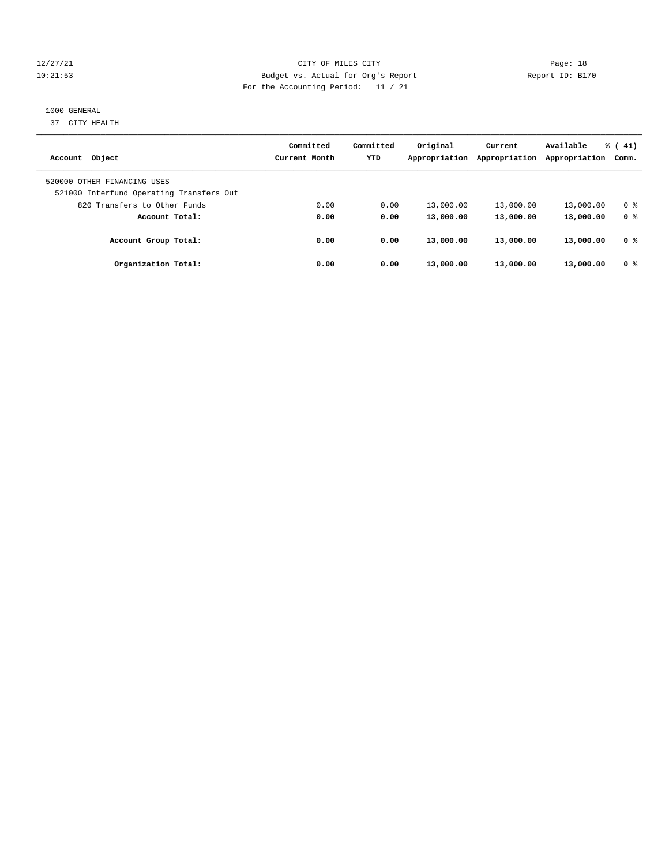# 12/27/21 CITY OF MILES CITY Page: 18 10:21:53 Budget vs. Actual for Org's Report Report ID: B170 For the Accounting Period: 11 / 21

# 1000 GENERAL

37 CITY HEALTH

| Account Object                                                          | Committed<br>Current Month | Committed<br><b>YTD</b> | Original<br>Appropriation | Current<br>Appropriation | Available<br>Appropriation | $\frac{1}{6}$ ( 41)<br>Comm. |
|-------------------------------------------------------------------------|----------------------------|-------------------------|---------------------------|--------------------------|----------------------------|------------------------------|
| 520000 OTHER FINANCING USES<br>521000 Interfund Operating Transfers Out |                            |                         |                           |                          |                            |                              |
| 820 Transfers to Other Funds                                            | 0.00                       | 0.00                    | 13,000.00                 | 13,000.00                | 13,000.00                  | 0 <sup>8</sup>               |
| Account Total:                                                          | 0.00                       | 0.00                    | 13,000.00                 | 13,000.00                | 13,000.00                  | 0 <sup>8</sup>               |
| Account Group Total:                                                    | 0.00                       | 0.00                    | 13,000.00                 | 13,000.00                | 13,000.00                  | 0 %                          |
| Organization Total:                                                     | 0.00                       | 0.00                    | 13,000.00                 | 13,000.00                | 13,000.00                  | 0 <sup>8</sup>               |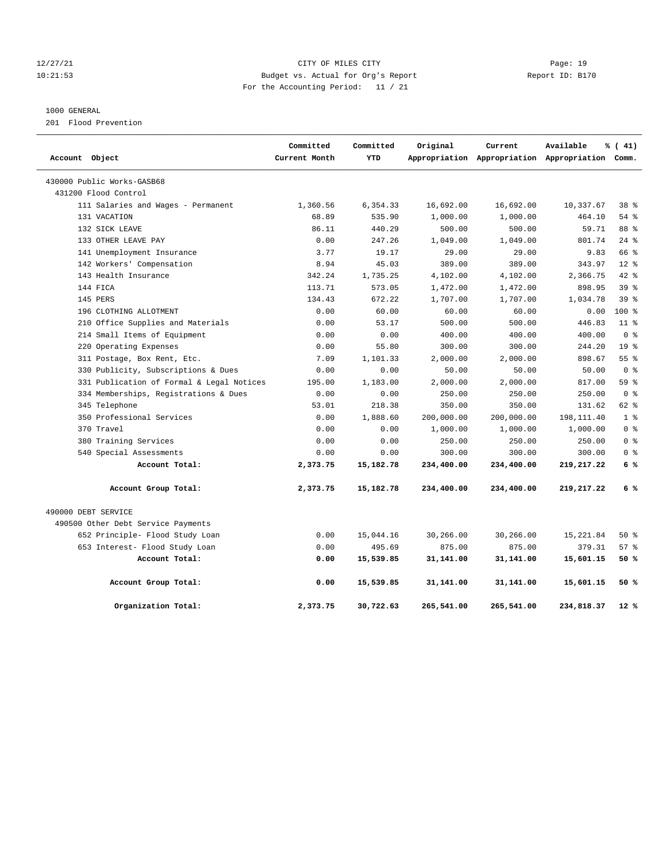# 12/27/21 CITY OF MILES CITY Page: 19 10:21:53 Budget vs. Actual for Org's Report Report ID: B170 For the Accounting Period: 11 / 21

# 1000 GENERAL

201 Flood Prevention

| Account Object                            | Committed<br>Current Month | Committed<br><b>YTD</b> | Original   | Current    | Available                                       | % (41)          |
|-------------------------------------------|----------------------------|-------------------------|------------|------------|-------------------------------------------------|-----------------|
|                                           |                            |                         |            |            | Appropriation Appropriation Appropriation Comm. |                 |
| 430000 Public Works-GASB68                |                            |                         |            |            |                                                 |                 |
| 431200 Flood Control                      |                            |                         |            |            |                                                 |                 |
| 111 Salaries and Wages - Permanent        | 1,360.56                   | 6,354.33                | 16,692.00  | 16,692.00  | 10,337.67                                       | 38 %            |
| 131 VACATION                              | 68.89                      | 535.90                  | 1,000.00   | 1,000.00   | 464.10                                          | 54%             |
| 132 SICK LEAVE                            | 86.11                      | 440.29                  | 500.00     | 500.00     | 59.71                                           | 88 %            |
| 133 OTHER LEAVE PAY                       | 0.00                       | 247.26                  | 1,049.00   | 1,049.00   | 801.74                                          | $24$ $%$        |
| 141 Unemployment Insurance                | 3.77                       | 19.17                   | 29.00      | 29.00      | 9.83                                            | 66 %            |
| 142 Workers' Compensation                 | 8.94                       | 45.03                   | 389.00     | 389.00     | 343.97                                          | $12*$           |
| 143 Health Insurance                      | 342.24                     | 1,735.25                | 4,102.00   | 4,102.00   | 2,366.75                                        | $42$ $%$        |
| 144 FICA                                  | 113.71                     | 573.05                  | 1,472.00   | 1,472.00   | 898.95                                          | 39 %            |
| 145 PERS                                  | 134.43                     | 672.22                  | 1,707.00   | 1,707.00   | 1,034.78                                        | 39 <sup>8</sup> |
| 196 CLOTHING ALLOTMENT                    | 0.00                       | 60.00                   | 60.00      | 60.00      | 0.00                                            | $100*$          |
| 210 Office Supplies and Materials         | 0.00                       | 53.17                   | 500.00     | 500.00     | 446.83                                          | 11 <sup>8</sup> |
| 214 Small Items of Equipment              | 0.00                       | 0.00                    | 400.00     | 400.00     | 400.00                                          | 0 <sup>8</sup>  |
| 220 Operating Expenses                    | 0.00                       | 55.80                   | 300.00     | 300.00     | 244.20                                          | 19 <sup>8</sup> |
| 311 Postage, Box Rent, Etc.               | 7.09                       | 1,101.33                | 2,000.00   | 2,000.00   | 898.67                                          | 55 <sup>8</sup> |
| 330 Publicity, Subscriptions & Dues       | 0.00                       | 0.00                    | 50.00      | 50.00      | 50.00                                           | 0 <sup>8</sup>  |
| 331 Publication of Formal & Legal Notices | 195.00                     | 1,183.00                | 2,000.00   | 2,000.00   | 817.00                                          | 59 %            |
| 334 Memberships, Registrations & Dues     | 0.00                       | 0.00                    | 250.00     | 250.00     | 250.00                                          | 0 <sup>8</sup>  |
| 345 Telephone                             | 53.01                      | 218.38                  | 350.00     | 350.00     | 131.62                                          | 62 %            |
| 350 Professional Services                 | 0.00                       | 1,888.60                | 200,000.00 | 200,000.00 | 198,111.40                                      | 1 <sup>8</sup>  |
| 370 Travel                                | 0.00                       | 0.00                    | 1,000.00   | 1,000.00   | 1,000.00                                        | 0 <sup>8</sup>  |
| 380 Training Services                     | 0.00                       | 0.00                    | 250.00     | 250.00     | 250.00                                          | 0 <sup>8</sup>  |
| 540 Special Assessments                   | 0.00                       | 0.00                    | 300.00     | 300.00     | 300.00                                          | 0 <sup>8</sup>  |
| Account Total:                            | 2,373.75                   | 15,182.78               | 234,400.00 | 234,400.00 | 219, 217.22                                     | 6%              |
| Account Group Total:                      | 2,373.75                   | 15,182.78               | 234,400.00 | 234,400.00 | 219,217.22                                      | 6 %             |
| 490000 DEBT SERVICE                       |                            |                         |            |            |                                                 |                 |
| 490500 Other Debt Service Payments        |                            |                         |            |            |                                                 |                 |
| 652 Principle- Flood Study Loan           | 0.00                       | 15,044.16               | 30,266.00  | 30,266.00  | 15,221.84                                       | $50*$           |
| 653 Interest- Flood Study Loan            | 0.00                       | 495.69                  | 875.00     | 875.00     | 379.31                                          | 57%             |
| Account Total:                            | 0.00                       | 15,539.85               | 31,141.00  | 31,141.00  | 15,601.15                                       | 50%             |
| Account Group Total:                      | 0.00                       | 15,539.85               | 31,141.00  | 31,141.00  | 15,601.15                                       | 50%             |
| Organization Total:                       | 2,373.75                   | 30,722.63               | 265,541.00 | 265,541.00 | 234,818.37                                      | 12 %            |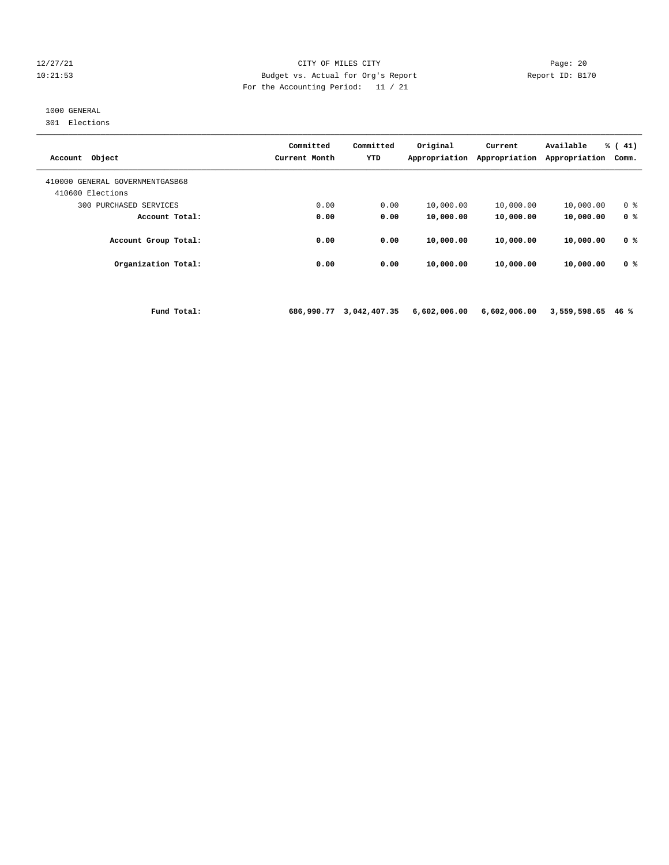# 12/27/21 CITY OF MILES CITY Page: 20 10:21:53 Budget vs. Actual for Org's Report Report ID: B170 For the Accounting Period: 11 / 21

# 1000 GENERAL

301 Elections

| Account Object                                      | Committed<br>Current Month | Committed<br><b>YTD</b> | Original<br>Appropriation | Current<br>Appropriation | Available<br>Appropriation | % (41)<br>Comm. |
|-----------------------------------------------------|----------------------------|-------------------------|---------------------------|--------------------------|----------------------------|-----------------|
| 410000 GENERAL GOVERNMENTGASB68<br>410600 Elections |                            |                         |                           |                          |                            |                 |
| 300<br>PURCHASED SERVICES                           | 0.00                       | 0.00                    | 10,000.00                 | 10,000.00                | 10,000.00                  | 0 <sup>8</sup>  |
| Account Total:                                      | 0.00                       | 0.00                    | 10,000.00                 | 10,000.00                | 10,000.00                  | 0 <sup>8</sup>  |
| Account Group Total:                                | 0.00                       | 0.00                    | 10,000.00                 | 10,000.00                | 10,000.00                  | 0 %             |
| Organization Total:                                 | 0.00                       | 0.00                    | 10,000.00                 | 10,000.00                | 10,000.00                  | 0 <sup>8</sup>  |
|                                                     |                            |                         |                           |                          |                            |                 |

 **Fund Total: 686,990.77 3,042,407.35 6,602,006.00 6,602,006.00 3,559,598.65 46 %**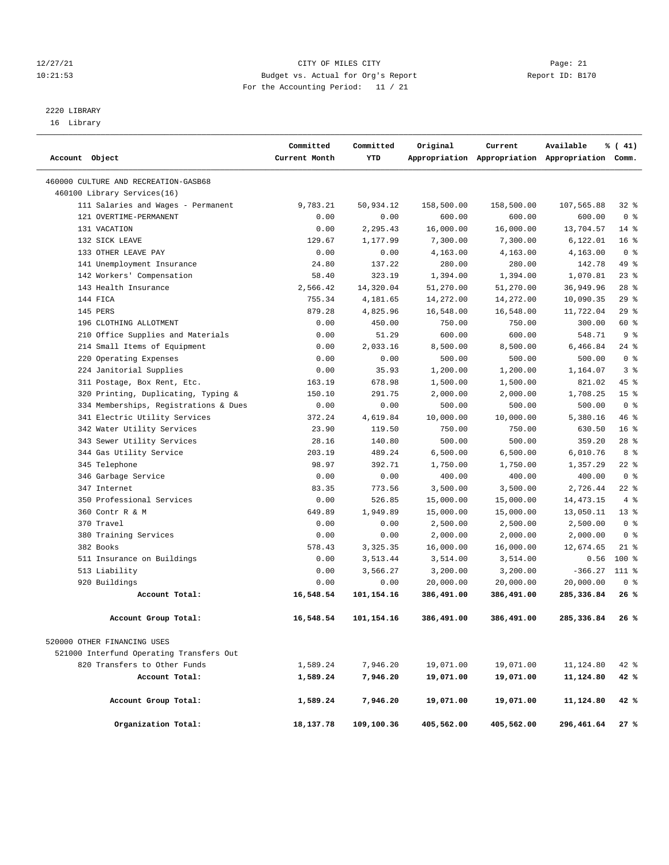# 12/27/21 CITY OF MILES CITY Page: 21 10:21:53 Budget vs. Actual for Org's Report Report ID: B170 For the Accounting Period: 11 / 21

————————————————————————————————————————————————————————————————————————————————————————————————————————————————————————————————————

# 2220 LIBRARY

16 Library

|                |                                          | Committed     | Committed  | Original   | Current    | Available                                       | % (41)          |  |
|----------------|------------------------------------------|---------------|------------|------------|------------|-------------------------------------------------|-----------------|--|
| Account Object |                                          | Current Month | YTD        |            |            | Appropriation Appropriation Appropriation Comm. |                 |  |
|                | 460000 CULTURE AND RECREATION-GASB68     |               |            |            |            |                                                 |                 |  |
|                | 460100 Library Services(16)              |               |            |            |            |                                                 |                 |  |
|                | 111 Salaries and Wages - Permanent       | 9,783.21      | 50,934.12  | 158,500.00 | 158,500.00 | 107,565.88                                      | 32%             |  |
|                | 121 OVERTIME-PERMANENT                   | 0.00          | 0.00       | 600.00     | 600.00     | 600.00                                          | 0 <sup>8</sup>  |  |
|                | 131 VACATION                             | 0.00          | 2,295.43   | 16,000.00  | 16,000.00  | 13,704.57                                       | $14*$           |  |
|                | 132 SICK LEAVE                           | 129.67        | 1,177.99   | 7,300.00   | 7,300.00   | 6,122.01                                        | 16 <sup>°</sup> |  |
|                | 133 OTHER LEAVE PAY                      | 0.00          | 0.00       | 4,163.00   | 4,163.00   | 4,163.00                                        | 0 <sup>8</sup>  |  |
|                | 141 Unemployment Insurance               | 24.80         | 137.22     | 280.00     | 280.00     | 142.78                                          | 49 %            |  |
|                | 142 Workers' Compensation                | 58.40         | 323.19     | 1,394.00   | 1,394.00   | 1,070.81                                        | 23%             |  |
|                | 143 Health Insurance                     | 2,566.42      | 14,320.04  | 51,270.00  | 51,270.00  | 36,949.96                                       | $28$ %          |  |
|                | 144 FICA                                 | 755.34        | 4,181.65   | 14,272.00  | 14,272.00  | 10,090.35                                       | 29%             |  |
|                | 145 PERS                                 | 879.28        | 4,825.96   | 16,548.00  | 16,548.00  | 11,722.04                                       | 29%             |  |
|                | 196 CLOTHING ALLOTMENT                   | 0.00          | 450.00     | 750.00     | 750.00     | 300.00                                          | 60 %            |  |
|                | 210 Office Supplies and Materials        | 0.00          | 51.29      | 600.00     | 600.00     | 548.71                                          | 9 <sup>8</sup>  |  |
|                | 214 Small Items of Equipment             | 0.00          | 2,033.16   | 8,500.00   | 8,500.00   | 6,466.84                                        | $24$ %          |  |
|                | 220 Operating Expenses                   | 0.00          | 0.00       | 500.00     | 500.00     | 500.00                                          | 0 <sup>8</sup>  |  |
|                | 224 Janitorial Supplies                  | 0.00          | 35.93      | 1,200.00   | 1,200.00   | 1,164.07                                        | 3 <sup>8</sup>  |  |
|                | 311 Postage, Box Rent, Etc.              | 163.19        | 678.98     | 1,500.00   | 1,500.00   | 821.02                                          | 45 %            |  |
|                | 320 Printing, Duplicating, Typing &      | 150.10        | 291.75     | 2,000.00   | 2,000.00   | 1,708.25                                        | 15 <sup>°</sup> |  |
|                | 334 Memberships, Registrations & Dues    | 0.00          | 0.00       | 500.00     | 500.00     | 500.00                                          | 0 <sup>8</sup>  |  |
|                | 341 Electric Utility Services            | 372.24        | 4,619.84   | 10,000.00  | 10,000.00  | 5,380.16                                        | 46%             |  |
|                | 342 Water Utility Services               | 23.90         | 119.50     | 750.00     | 750.00     | 630.50                                          | 16 <sup>°</sup> |  |
|                | 343 Sewer Utility Services               | 28.16         | 140.80     | 500.00     | 500.00     | 359.20                                          | $28$ %          |  |
|                | 344 Gas Utility Service                  | 203.19        | 489.24     | 6,500.00   | 6,500.00   | 6,010.76                                        | 8 %             |  |
|                | 345 Telephone                            | 98.97         | 392.71     | 1,750.00   | 1,750.00   | 1,357.29                                        | $22$ %          |  |
|                | 346 Garbage Service                      | 0.00          | 0.00       | 400.00     | 400.00     | 400.00                                          | 0 <sup>8</sup>  |  |
|                | 347 Internet                             | 83.35         | 773.56     | 3,500.00   | 3,500.00   | 2,726.44                                        | $22$ %          |  |
|                | 350 Professional Services                | 0.00          | 526.85     | 15,000.00  | 15,000.00  | 14, 473. 15                                     | 4%              |  |
|                | 360 Contr R & M                          | 649.89        | 1,949.89   | 15,000.00  | 15,000.00  | 13,050.11                                       | $13*$           |  |
|                | 370 Travel                               | 0.00          | 0.00       | 2,500.00   | 2,500.00   | 2,500.00                                        | 0 <sup>8</sup>  |  |
|                | 380 Training Services                    | 0.00          | 0.00       | 2,000.00   | 2,000.00   | 2,000.00                                        | 0 <sup>8</sup>  |  |
|                | 382 Books                                | 578.43        | 3,325.35   | 16,000.00  | 16,000.00  | 12,674.65                                       | $21$ %          |  |
|                | 511 Insurance on Buildings               | 0.00          | 3,513.44   | 3,514.00   | 3,514.00   | 0.56                                            | 100 %           |  |
|                | 513 Liability                            | 0.00          | 3,566.27   | 3,200.00   | 3,200.00   | $-366.27$ 111 %                                 |                 |  |
|                | 920 Buildings                            | 0.00          | 0.00       | 20,000.00  | 20,000.00  | 20,000.00                                       | 0 <sup>8</sup>  |  |
|                | Account Total:                           | 16,548.54     | 101,154.16 | 386,491.00 | 386,491.00 | 285,336.84                                      | 26 %            |  |
|                | Account Group Total:                     | 16,548.54     | 101,154.16 | 386,491.00 | 386,491.00 | 285,336.84                                      | 26 %            |  |
|                | 520000 OTHER FINANCING USES              |               |            |            |            |                                                 |                 |  |
|                | 521000 Interfund Operating Transfers Out |               |            |            |            |                                                 |                 |  |
|                | 820 Transfers to Other Funds             | 1,589.24      | 7,946.20   | 19,071.00  | 19,071.00  | 11,124.80                                       | 42 %            |  |
|                | Account Total:                           | 1,589.24      | 7,946.20   | 19,071.00  | 19,071.00  | 11,124.80                                       | 42 %            |  |
|                | Account Group Total:                     | 1,589.24      | 7,946.20   | 19,071.00  | 19,071.00  | 11,124.80                                       | 42 %            |  |
|                | Organization Total:                      | 18,137.78     | 109,100.36 | 405,562.00 | 405,562.00 | 296,461.64                                      | 27%             |  |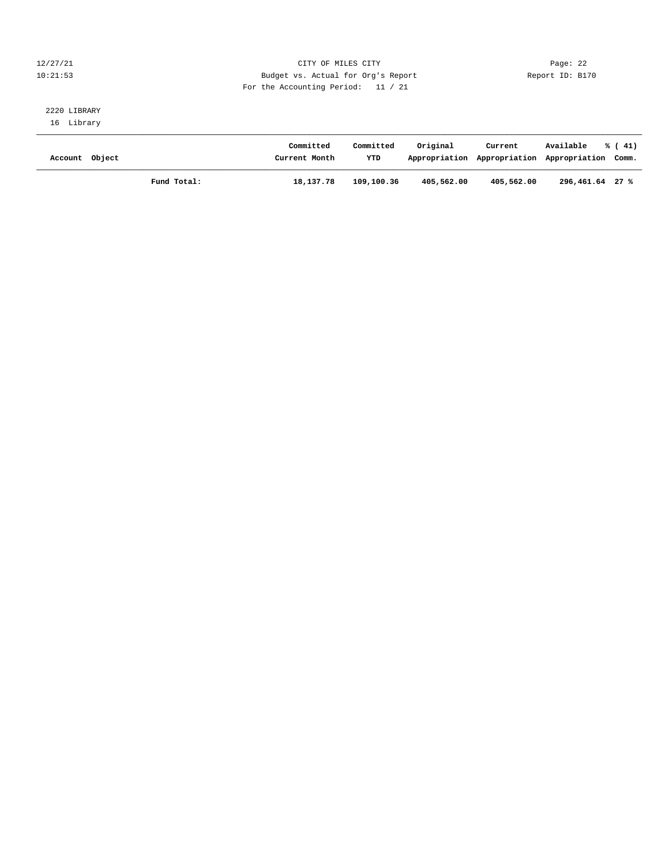# 12/27/21 CITY OF MILES CITY Page: 22 10:21:53 Budget vs. Actual for Org's Report Report ID: B170 For the Accounting Period: 11 / 21

# 2220 LIBRARY 16 Library

| Account Object |             | Committed<br>Current Month | Committed<br>YTD | Original   | Current<br>Appropriation Appropriation Appropriation Comm. | Available       | $\frac{1}{6}$ ( 41) |
|----------------|-------------|----------------------------|------------------|------------|------------------------------------------------------------|-----------------|---------------------|
|                | Fund Total: | 18,137.78                  | 109,100.36       | 405,562.00 | 405,562.00                                                 | 296,461.64 27 % |                     |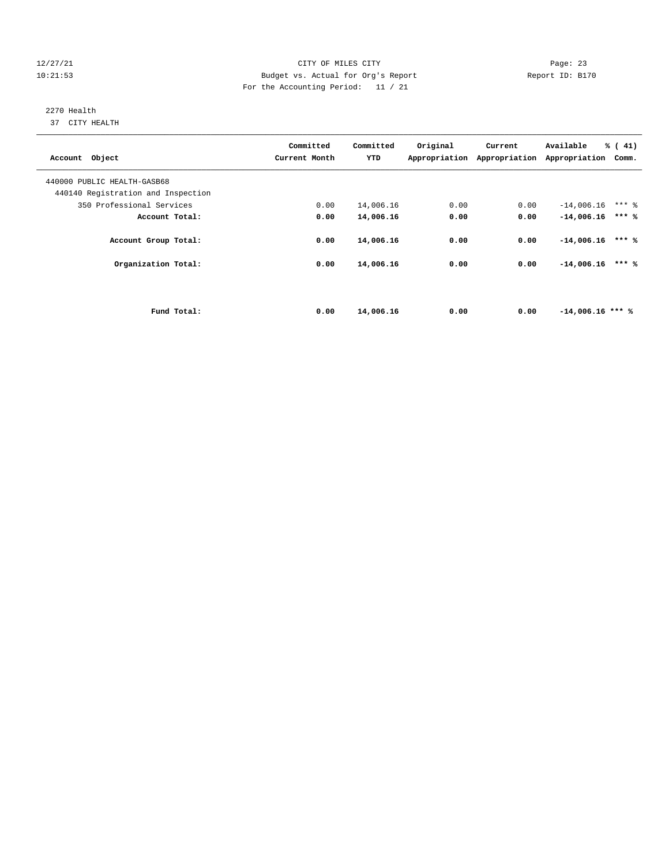# 12/27/21 CITY OF MILES CITY Page: 23 10:21:53 Budget vs. Actual for Org's Report Report ID: B170 For the Accounting Period: 11 / 21

# 2270 Health

37 CITY HEALTH

| Account Object                     | Committed<br>Current Month | Committed<br>YTD | Original | Current<br>Appropriation Appropriation Appropriation | Available          | $\frac{1}{6}$ ( 41)<br>Comm. |  |
|------------------------------------|----------------------------|------------------|----------|------------------------------------------------------|--------------------|------------------------------|--|
| 440000 PUBLIC HEALTH-GASB68        |                            |                  |          |                                                      |                    |                              |  |
| 440140 Registration and Inspection |                            |                  |          |                                                      |                    |                              |  |
| 350 Professional Services          | 0.00                       | 14,006.16        | 0.00     | 0.00                                                 | $-14,006.16$       | $***$ 2                      |  |
| Account Total:                     | 0.00                       | 14,006.16        | 0.00     | 0.00                                                 | $-14,006.16$       | $***$ %                      |  |
| Account Group Total:               | 0.00                       | 14,006.16        | 0.00     | 0.00                                                 | $-14,006.16$       | $***$ %                      |  |
| Organization Total:                | 0.00                       | 14,006.16        | 0.00     | 0.00                                                 | $-14,006.16$       | $***$ %                      |  |
|                                    |                            |                  |          |                                                      |                    |                              |  |
| Fund Total:                        | 0.00                       | 14,006.16        | 0.00     | 0.00                                                 | $-14,006.16$ *** % |                              |  |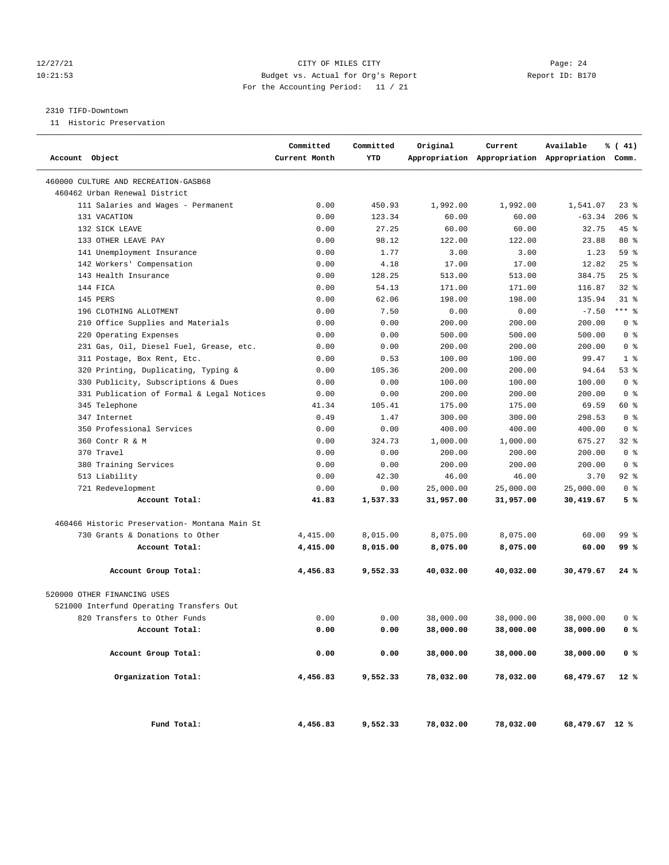# 12/27/21 CITY OF MILES CITY Page: 24 10:21:53 Budget vs. Actual for Org's Report Report ID: B170 For the Accounting Period: 11 / 21

#### 2310 TIFD-Downtown

11 Historic Preservation

| Account Object                                | Committed<br>Current Month | Committed<br>YTD | Original  | Current   | Available<br>Appropriation Appropriation Appropriation Comm. | % (41)         |
|-----------------------------------------------|----------------------------|------------------|-----------|-----------|--------------------------------------------------------------|----------------|
| 460000 CULTURE AND RECREATION-GASB68          |                            |                  |           |           |                                                              |                |
| 460462 Urban Renewal District                 |                            |                  |           |           |                                                              |                |
| 111 Salaries and Wages - Permanent            | 0.00                       | 450.93           | 1,992.00  | 1,992.00  | 1,541.07                                                     | 238            |
| 131 VACATION                                  | 0.00                       | 123.34           | 60.00     | 60.00     | $-63.34$                                                     | $206$ %        |
| 132 SICK LEAVE                                | 0.00                       | 27.25            | 60.00     | 60.00     | 32.75                                                        | $45$ %         |
| 133 OTHER LEAVE PAY                           | 0.00                       | 98.12            | 122.00    | 122.00    | 23.88                                                        | $80*$          |
| 141 Unemployment Insurance                    | 0.00                       | 1.77             | 3.00      | 3.00      | 1.23                                                         | 59 %           |
| 142 Workers' Compensation                     | 0.00                       | 4.18             | 17.00     | 17.00     | 12.82                                                        | 25%            |
| 143 Health Insurance                          | 0.00                       | 128.25           | 513.00    | 513.00    | 384.75                                                       | $25$ %         |
| 144 FICA                                      | 0.00                       | 54.13            | 171.00    | 171.00    | 116.87                                                       | $32$ $%$       |
| 145 PERS                                      | 0.00                       | 62.06            | 198.00    | 198.00    | 135.94                                                       | $31$ %         |
| 196 CLOTHING ALLOTMENT                        | 0.00                       | 7.50             | 0.00      | 0.00      | $-7.50$                                                      | $***$ 8        |
| 210 Office Supplies and Materials             | 0.00                       | 0.00             | 200.00    | 200.00    | 200.00                                                       | 0 <sup>8</sup> |
| 220 Operating Expenses                        | 0.00                       | 0.00             | 500.00    | 500.00    | 500.00                                                       | 0 <sup>8</sup> |
| 231 Gas, Oil, Diesel Fuel, Grease, etc.       | 0.00                       | 0.00             | 200.00    | 200.00    | 200.00                                                       | 0 <sup>8</sup> |
| 311 Postage, Box Rent, Etc.                   | 0.00                       | 0.53             | 100.00    | 100.00    | 99.47                                                        | 1 <sup>8</sup> |
| 320 Printing, Duplicating, Typing &           | 0.00                       | 105.36           | 200.00    | 200.00    | 94.64                                                        | 53%            |
| 330 Publicity, Subscriptions & Dues           | 0.00                       | 0.00             | 100.00    | 100.00    | 100.00                                                       | 0 <sup>8</sup> |
| 331 Publication of Formal & Legal Notices     | 0.00                       | 0.00             | 200.00    | 200.00    | 200.00                                                       | 0 <sup>8</sup> |
| 345 Telephone                                 | 41.34                      | 105.41           | 175.00    | 175.00    | 69.59                                                        | 60 %           |
| 347 Internet                                  | 0.49                       | 1.47             | 300.00    | 300.00    | 298.53                                                       | 0 <sup>8</sup> |
| 350 Professional Services                     | 0.00                       | 0.00             | 400.00    | 400.00    | 400.00                                                       | 0 <sup>8</sup> |
| 360 Contr R & M                               | 0.00                       | 324.73           | 1,000.00  | 1,000.00  | 675.27                                                       | $32*$          |
| 370 Travel                                    | 0.00                       | 0.00             | 200.00    | 200.00    | 200.00                                                       | 0 <sup>8</sup> |
| 380 Training Services                         | 0.00                       | 0.00             | 200.00    | 200.00    | 200.00                                                       | 0 <sup>8</sup> |
| 513 Liability                                 | 0.00                       | 42.30            | 46.00     | 46.00     | 3.70                                                         | $92$ $%$       |
| 721 Redevelopment                             | 0.00                       | 0.00             | 25,000.00 | 25,000.00 | 25,000.00                                                    | 0 <sup>8</sup> |
| Account Total:                                | 41.83                      | 1,537.33         | 31,957.00 | 31,957.00 | 30,419.67                                                    | 5%             |
| 460466 Historic Preservation- Montana Main St |                            |                  |           |           |                                                              |                |
| 730 Grants & Donations to Other               | 4,415.00                   | 8,015.00         | 8,075.00  | 8,075.00  | 60.00                                                        | 99 %           |
| Account Total:                                | 4,415.00                   | 8,015.00         | 8,075.00  | 8,075.00  | 60.00                                                        | 99 %           |
| Account Group Total:                          | 4,456.83                   | 9,552.33         | 40,032.00 | 40,032.00 | 30,479.67                                                    | 24 %           |
| 520000 OTHER FINANCING USES                   |                            |                  |           |           |                                                              |                |
| 521000 Interfund Operating Transfers Out      |                            |                  |           |           |                                                              |                |
| 820 Transfers to Other Funds                  | 0.00                       | 0.00             | 38,000.00 | 38,000.00 | 38,000.00                                                    | 0 %            |
| Account Total:                                | 0.00                       | 0.00             | 38,000.00 | 38,000.00 | 38,000.00                                                    | 0 <sup>8</sup> |
| Account Group Total:                          | 0.00                       | 0.00             | 38,000.00 | 38,000.00 | 38,000.00                                                    | 0 <sup>8</sup> |
| Organization Total:                           | 4,456.83                   | 9,552.33         | 78,032.00 | 78,032.00 | 68,479.67                                                    | 12 %           |
| Fund Total:                                   | 4,456.83                   | 9,552.33         | 78,032.00 | 78,032.00 | 68,479.67 12 %                                               |                |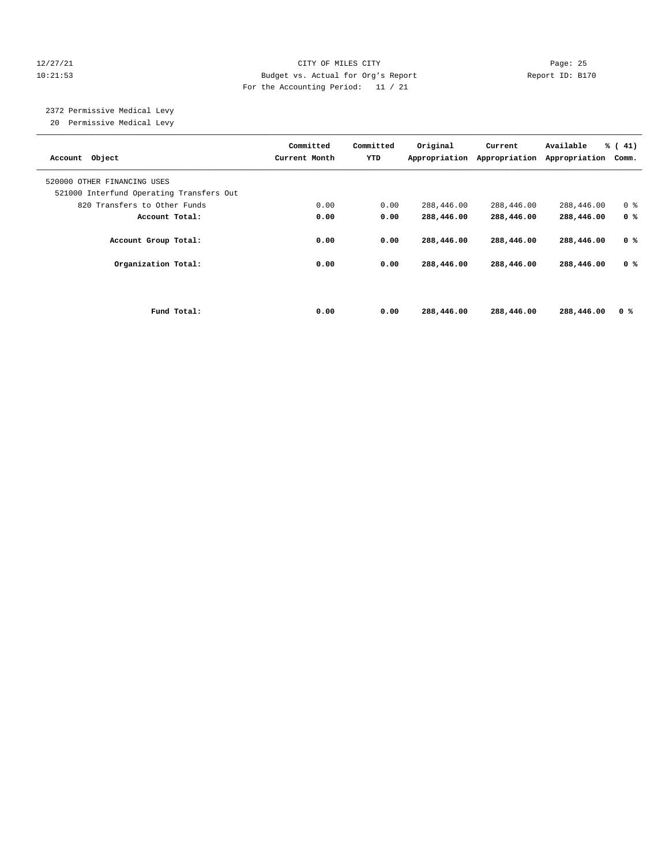# 12/27/21 CITY OF MILES CITY Page: 25 10:21:53 Budget vs. Actual for Org's Report Report ID: B170 For the Accounting Period: 11 / 21

 2372 Permissive Medical Levy 20 Permissive Medical Levy

| Account Object                                                          |             | Committed<br>Current Month | Committed<br>YTD | Original<br>Appropriation | Current<br>Appropriation | Available<br>Appropriation | $\frac{1}{6}$ ( 41)<br>Comm. |
|-------------------------------------------------------------------------|-------------|----------------------------|------------------|---------------------------|--------------------------|----------------------------|------------------------------|
| 520000 OTHER FINANCING USES<br>521000 Interfund Operating Transfers Out |             |                            |                  |                           |                          |                            |                              |
| 820 Transfers to Other Funds                                            |             | 0.00                       | 0.00             | 288,446.00                | 288,446.00               | 288,446.00                 | 0 <sup>8</sup>               |
| Account Total:                                                          |             | 0.00                       | 0.00             | 288,446.00                | 288,446.00               | 288,446.00                 | 0 <sup>8</sup>               |
| Account Group Total:                                                    |             | 0.00                       | 0.00             | 288,446.00                | 288,446.00               | 288,446.00                 | 0 <sup>8</sup>               |
| Organization Total:                                                     |             | 0.00                       | 0.00             | 288,446.00                | 288,446.00               | 288,446.00                 | 0 %                          |
|                                                                         |             |                            |                  |                           |                          |                            |                              |
|                                                                         | Fund Total: | 0.00                       | 0.00             | 288,446.00                | 288,446.00               | 288,446.00                 | 0 %                          |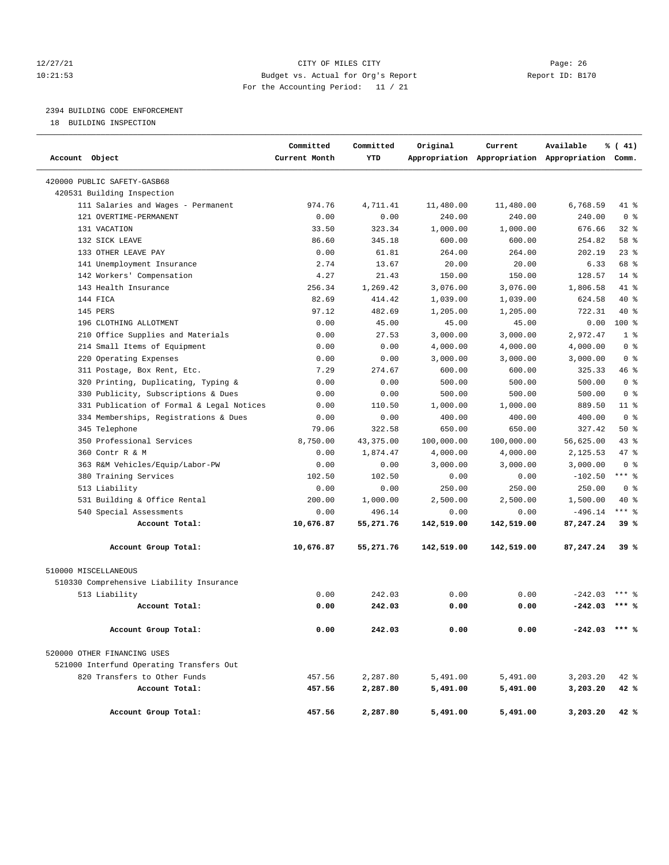# 12/27/21 CITY OF MILES CITY Page: 26 10:21:53 Budget vs. Actual for Org's Report Report ID: B170 For the Accounting Period: 11 / 21

# 2394 BUILDING CODE ENFORCEMENT

18 BUILDING INSPECTION

| Account Object                            | Committed<br>Current Month | Committed<br>YTD | Original   | Current    | Available<br>Appropriation Appropriation Appropriation Comm. | % (41)         |
|-------------------------------------------|----------------------------|------------------|------------|------------|--------------------------------------------------------------|----------------|
| 420000 PUBLIC SAFETY-GASB68               |                            |                  |            |            |                                                              |                |
| 420531 Building Inspection                |                            |                  |            |            |                                                              |                |
| 111 Salaries and Wages - Permanent        | 974.76                     | 4,711.41         | 11,480.00  | 11,480.00  | 6,768.59                                                     | 41 %           |
| 121 OVERTIME-PERMANENT                    | 0.00                       | 0.00             | 240.00     | 240.00     | 240.00                                                       | 0 <sup>8</sup> |
| 131 VACATION                              | 33.50                      | 323.34           | 1,000.00   | 1,000.00   | 676.66                                                       | 32%            |
| 132 SICK LEAVE                            | 86.60                      | 345.18           | 600.00     | 600.00     | 254.82                                                       | 58 %           |
| 133 OTHER LEAVE PAY                       | 0.00                       | 61.81            | 264.00     | 264.00     | 202.19                                                       | $23$ $%$       |
| 141 Unemployment Insurance                | 2.74                       | 13.67            | 20.00      | 20.00      | 6.33                                                         | 68 %           |
| 142 Workers' Compensation                 | 4.27                       | 21.43            | 150.00     | 150.00     | 128.57                                                       | $14*$          |
| 143 Health Insurance                      | 256.34                     | 1,269.42         | 3,076.00   | 3,076.00   | 1,806.58                                                     | 41 %           |
| 144 FICA                                  | 82.69                      | 414.42           | 1,039.00   | 1,039.00   | 624.58                                                       | $40*$          |
| 145 PERS                                  | 97.12                      | 482.69           | 1,205.00   | 1,205.00   | 722.31                                                       | $40*$          |
| 196 CLOTHING ALLOTMENT                    | 0.00                       | 45.00            | 45.00      | 45.00      | 0.00                                                         | $100*$         |
| 210 Office Supplies and Materials         | 0.00                       | 27.53            | 3,000.00   | 3,000.00   | 2,972.47                                                     | 1 <sup>8</sup> |
| 214 Small Items of Equipment              | 0.00                       | 0.00             | 4,000.00   | 4,000.00   | 4,000.00                                                     | 0 <sup>8</sup> |
| 220 Operating Expenses                    | 0.00                       | 0.00             | 3,000.00   | 3,000.00   | 3,000.00                                                     | 0 <sup>8</sup> |
| 311 Postage, Box Rent, Etc.               | 7.29                       | 274.67           | 600.00     | 600.00     | 325.33                                                       | 46 %           |
| 320 Printing, Duplicating, Typing &       | 0.00                       | 0.00             | 500.00     | 500.00     | 500.00                                                       | 0 <sup>8</sup> |
| 330 Publicity, Subscriptions & Dues       | 0.00                       | 0.00             | 500.00     | 500.00     | 500.00                                                       | 0 <sup>8</sup> |
| 331 Publication of Formal & Legal Notices | 0.00                       | 110.50           | 1,000.00   | 1,000.00   | 889.50                                                       | $11$ %         |
| 334 Memberships, Registrations & Dues     | 0.00                       | 0.00             | 400.00     | 400.00     | 400.00                                                       | 0 <sup>8</sup> |
| 345 Telephone                             | 79.06                      | 322.58           | 650.00     | 650.00     | 327.42                                                       | $50*$          |
| 350 Professional Services                 | 8,750.00                   | 43, 375.00       | 100,000.00 | 100,000.00 | 56,625.00                                                    | 43%            |
| 360 Contr R & M                           | 0.00                       | 1,874.47         | 4,000.00   | 4,000.00   | 2,125.53                                                     | 47.8           |
| 363 R&M Vehicles/Equip/Labor-PW           | 0.00                       | 0.00             | 3,000.00   | 3,000.00   | 3,000.00                                                     | 0 <sup>8</sup> |
| 380 Training Services                     | 102.50                     | 102.50           | 0.00       | 0.00       | $-102.50$                                                    | $***$ 8        |
| 513 Liability                             | 0.00                       | 0.00             | 250.00     | 250.00     | 250.00                                                       | 0 <sup>8</sup> |
| 531 Building & Office Rental              | 200.00                     | 1,000.00         | 2,500.00   | 2,500.00   | 1,500.00                                                     | $40*$          |
| 540 Special Assessments                   | 0.00                       | 496.14           | 0.00       | 0.00       | $-496.14$                                                    | $***$ 8        |
| Account Total:                            | 10,676.87                  | 55,271.76        | 142,519.00 | 142,519.00 | 87,247.24                                                    | 39%            |
| Account Group Total:                      | 10,676.87                  | 55,271.76        | 142,519.00 | 142,519.00 | 87,247.24                                                    | 39%            |
| 510000 MISCELLANEOUS                      |                            |                  |            |            |                                                              |                |
| 510330 Comprehensive Liability Insurance  |                            |                  |            |            |                                                              |                |
| 513 Liability                             | 0.00                       | 242.03           | 0.00       | 0.00       | $-242.03$                                                    | $***$ %        |
| Account Total:                            | 0.00                       | 242.03           | 0.00       | 0.00       | $-242.03$                                                    | $***$ &        |
| Account Group Total:                      | 0.00                       | 242.03           | 0.00       | 0.00       | $-242.03$ *** %                                              |                |
| 520000 OTHER FINANCING USES               |                            |                  |            |            |                                                              |                |
| 521000 Interfund Operating Transfers Out  |                            |                  |            |            |                                                              |                |
| 820 Transfers to Other Funds              | 457.56                     | 2,287.80         | 5,491.00   | 5,491.00   | 3,203.20                                                     | 42 %           |
| Account Total:                            | 457.56                     | 2,287.80         | 5,491.00   | 5,491.00   | 3,203.20                                                     | 42 %           |
| Account Group Total:                      | 457.56                     | 2,287.80         | 5,491.00   | 5,491.00   | 3,203.20                                                     | 42 %           |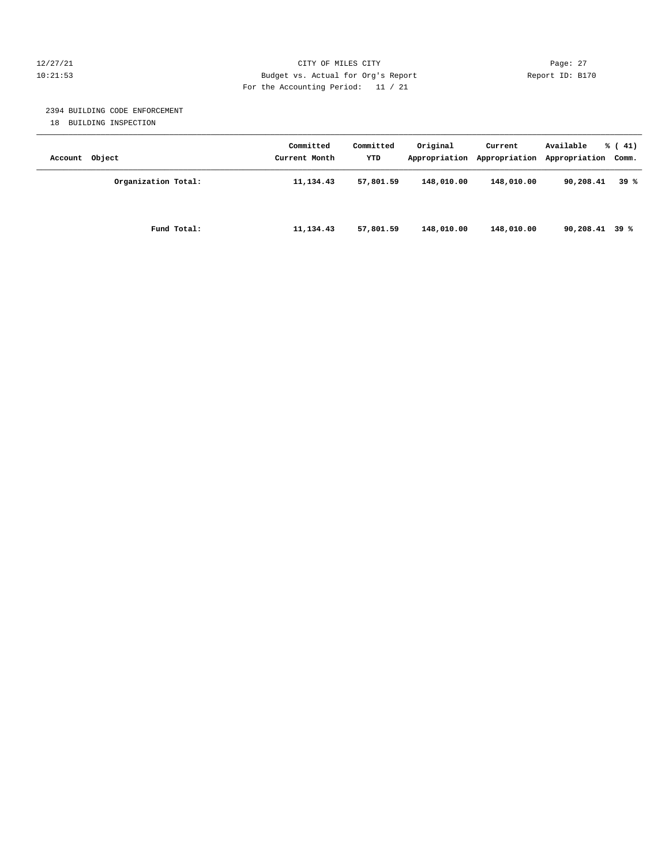# 12/27/21 CITY OF MILES CITY Page: 27 10:21:53 Budget vs. Actual for Org's Report Report ID: B170 For the Accounting Period: 11 / 21

# 2394 BUILDING CODE ENFORCEMENT

18 BUILDING INSPECTION

| Account Object |                     | Committed<br>Current Month | Committed<br>YTD | Original<br>Appropriation | Current<br>Appropriation | Available<br>Appropriation Comm. | $\frac{1}{6}$ ( 41) |
|----------------|---------------------|----------------------------|------------------|---------------------------|--------------------------|----------------------------------|---------------------|
|                | Organization Total: | 11, 134.43                 | 57,801.59        | 148,010.00                | 148,010.00               | 90,208.41                        | 39%                 |
|                | Fund Total:         | 11, 134.43                 | 57,801.59        | 148,010.00                | 148,010.00               | $90,208.41$ 39 %                 |                     |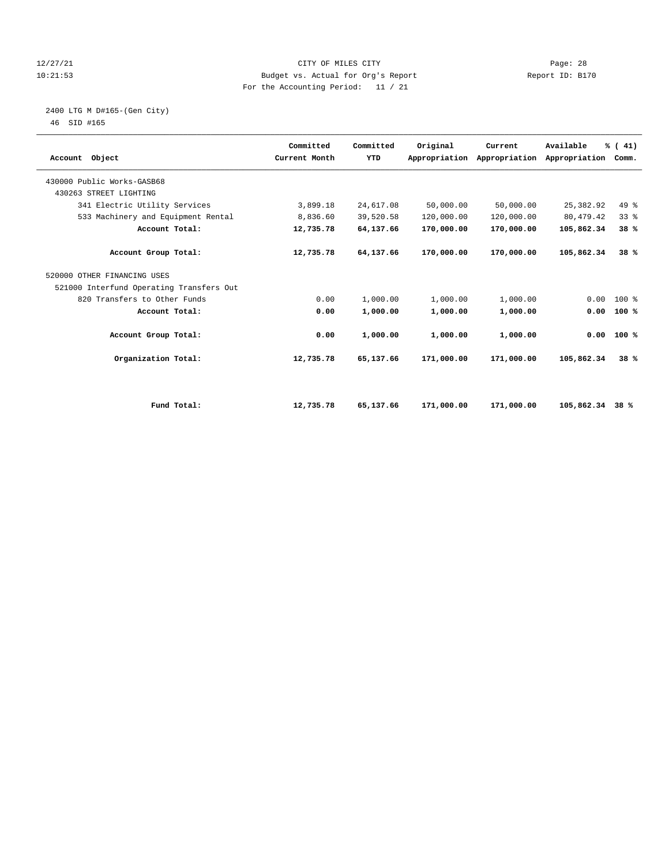# 12/27/21 CITY OF MILES CITY Page: 28 10:21:53 Budget vs. Actual for Org's Report Report ID: B170 For the Accounting Period: 11 / 21

# 2400 LTG M D#165-(Gen City)

| Account Object                           | Committed<br>Current Month | Committed<br>YTD | Original   | Current<br>Appropriation Appropriation | Available<br>Appropriation | % (41)<br>Comm. |  |
|------------------------------------------|----------------------------|------------------|------------|----------------------------------------|----------------------------|-----------------|--|
| 430000 Public Works-GASB68               |                            |                  |            |                                        |                            |                 |  |
| 430263 STREET LIGHTING                   |                            |                  |            |                                        |                            |                 |  |
| 341 Electric Utility Services            | 3,899.18                   | 24,617.08        | 50,000.00  | 50,000.00                              | 25,382.92                  | 49.8            |  |
| 533 Machinery and Equipment Rental       | 8,836.60                   | 39,520.58        | 120,000.00 | 120,000.00                             | 80, 479. 42                | 33%             |  |
| Account Total:                           | 12,735.78                  | 64,137.66        | 170,000.00 | 170,000.00                             | 105,862.34                 | 38%             |  |
| Account Group Total:                     | 12,735.78                  | 64,137.66        | 170,000.00 | 170,000.00                             | 105,862.34                 | 38%             |  |
| 520000 OTHER FINANCING USES              |                            |                  |            |                                        |                            |                 |  |
| 521000 Interfund Operating Transfers Out |                            |                  |            |                                        |                            |                 |  |
| 820 Transfers to Other Funds             | 0.00                       | 1,000.00         | 1,000.00   | 1,000.00                               | 0.00                       | 100 %           |  |
| Account Total:                           | 0.00                       | 1,000.00         | 1,000.00   | 1,000.00                               | 0.00                       | 100%            |  |
| Account Group Total:                     | 0.00                       | 1,000.00         | 1,000.00   | 1,000.00                               |                            | $0.00$ 100 %    |  |
| Organization Total:                      | 12,735.78                  | 65,137.66        | 171,000.00 | 171,000.00                             | 105,862.34                 | 38%             |  |
|                                          |                            |                  |            |                                        |                            |                 |  |
| Fund Total:                              | 12,735.78                  | 65,137.66        | 171,000.00 | 171,000.00                             | 105,862.34                 | 38 %            |  |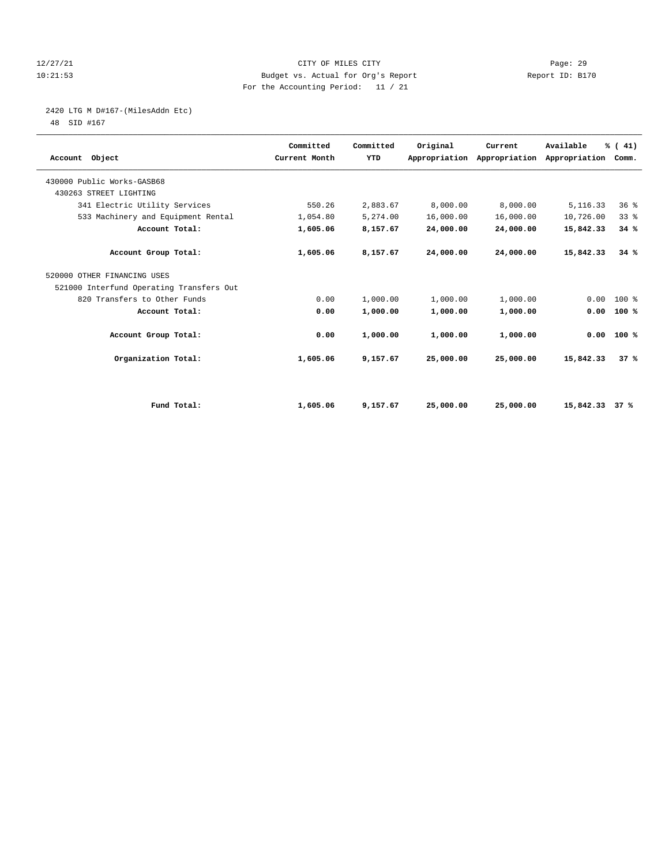# 12/27/21 CITY OF MILES CITY Page: 29 10:21:53 Budget vs. Actual for Org's Report Report ID: B170 For the Accounting Period: 11 / 21

# 2420 LTG M D#167-(MilesAddn Etc)

| Account Object                           | Committed<br>Current Month | Committed<br>YTD | Original  | Current<br>Appropriation Appropriation | Available<br>Appropriation | % (41)<br>Comm. |  |
|------------------------------------------|----------------------------|------------------|-----------|----------------------------------------|----------------------------|-----------------|--|
| 430000 Public Works-GASB68               |                            |                  |           |                                        |                            |                 |  |
| 430263 STREET LIGHTING                   |                            |                  |           |                                        |                            |                 |  |
| 341 Electric Utility Services            | 550.26                     | 2,883.67         | 8,000.00  | 8,000.00                               | 5, 116.33                  | 36%             |  |
| 533 Machinery and Equipment Rental       | 1,054.80                   | 5,274.00         | 16,000.00 | 16,000.00                              | 10,726.00                  | 33%             |  |
| Account Total:                           | 1,605.06                   | 8,157.67         | 24,000.00 | 24,000.00                              | 15,842.33                  | 34%             |  |
| Account Group Total:                     | 1,605.06                   | 8,157.67         | 24,000.00 | 24,000.00                              | 15,842.33                  | 34%             |  |
| 520000 OTHER FINANCING USES              |                            |                  |           |                                        |                            |                 |  |
| 521000 Interfund Operating Transfers Out |                            |                  |           |                                        |                            |                 |  |
| 820 Transfers to Other Funds             | 0.00                       | 1,000.00         | 1,000.00  | 1,000.00                               | 0.00                       | 100 %           |  |
| Account Total:                           | 0.00                       | 1,000.00         | 1,000.00  | 1,000.00                               | 0.00                       | 100%            |  |
| Account Group Total:                     | 0.00                       | 1,000.00         | 1,000.00  | 1,000.00                               |                            | $0.00$ 100 %    |  |
| Organization Total:                      | 1,605.06                   | 9,157.67         | 25,000.00 | 25,000.00                              | 15,842.33                  | 37%             |  |
|                                          |                            |                  |           |                                        |                            |                 |  |
| Fund Total:                              | 1,605.06                   | 9,157.67         | 25,000.00 | 25,000.00                              | 15,842.33                  | 37%             |  |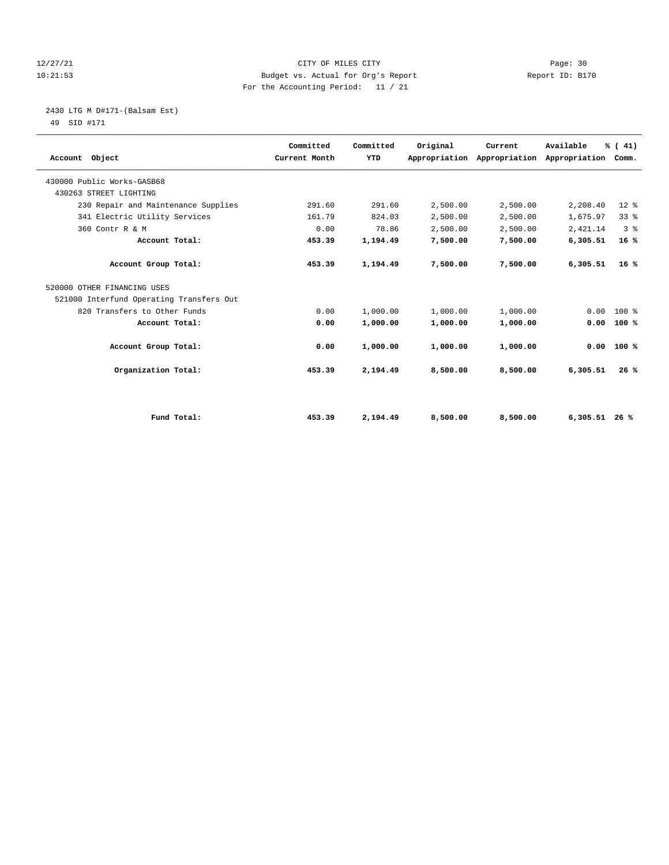# 12/27/21 CITY OF MILES CITY Page: 30 10:21:53 Budget vs. Actual for Org's Report Report ID: B170 For the Accounting Period: 11 / 21

2430 LTG M D#171-(Balsam Est)

| Account Object                           | Committed<br>Current Month | Committed<br>YTD | Original | Current<br>Appropriation Appropriation | Available<br>Appropriation Comm. | % (41)         |  |
|------------------------------------------|----------------------------|------------------|----------|----------------------------------------|----------------------------------|----------------|--|
| 430000 Public Works-GASB68               |                            |                  |          |                                        |                                  |                |  |
| 430263 STREET LIGHTING                   |                            |                  |          |                                        |                                  |                |  |
| 230 Repair and Maintenance Supplies      | 291.60                     | 291.60           | 2,500.00 | 2,500.00                               | 2,208.40                         | $12*$          |  |
| 341 Electric Utility Services            | 161.79                     | 824.03           | 2,500.00 | 2,500.00                               | 1,675.97                         | 338            |  |
| 360 Contr R & M                          | 0.00                       | 78.86            | 2,500.00 | 2,500.00                               | 2,421.14                         | 3 <sup>8</sup> |  |
| Account Total:                           | 453.39                     | 1,194.49         | 7,500.00 | 7,500.00                               | 6,305.51                         | 16%            |  |
| Account Group Total:                     | 453.39                     | 1,194.49         | 7,500.00 | 7,500.00                               | 6,305.51                         | 16%            |  |
| 520000 OTHER FINANCING USES              |                            |                  |          |                                        |                                  |                |  |
| 521000 Interfund Operating Transfers Out |                            |                  |          |                                        |                                  |                |  |
| 820 Transfers to Other Funds             | 0.00                       | 1,000.00         | 1,000.00 | 1,000.00                               | 0.00                             | $100*$         |  |
| Account Total:                           | 0.00                       | 1,000.00         | 1,000.00 | 1,000.00                               | 0.00                             | 100%           |  |
| Account Group Total:                     | 0.00                       | 1,000.00         | 1,000.00 | 1,000.00                               | 0.00                             | 100%           |  |
| Organization Total:                      | 453.39                     | 2,194.49         | 8,500.00 | 8,500.00                               | 6,305.51                         | 26%            |  |
|                                          |                            |                  |          |                                        |                                  |                |  |
| Fund Total:                              | 453.39                     | 2,194.49         | 8,500.00 | 8,500.00                               | $6,305.51$ 26 %                  |                |  |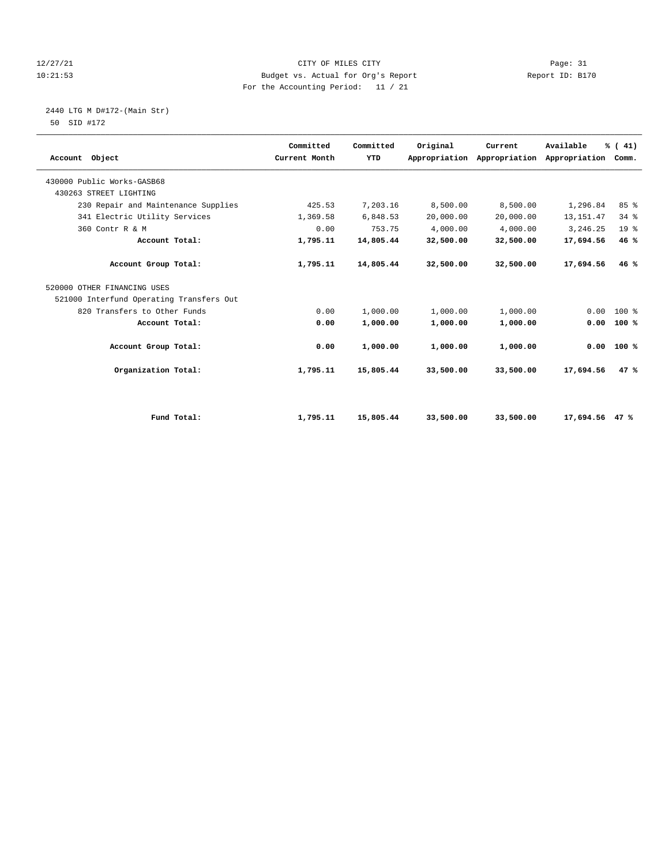# 12/27/21 CITY OF MILES CITY Page: 31 10:21:53 Budget vs. Actual for Org's Report Report ID: B170 For the Accounting Period: 11 / 21

### 2440 LTG M D#172-(Main Str) 50 SID #172

| Account Object                           | Committed<br>Current Month | Committed<br>YTD | Original  | Current<br>Appropriation Appropriation | Available<br>Appropriation Comm. | % (41)          |  |
|------------------------------------------|----------------------------|------------------|-----------|----------------------------------------|----------------------------------|-----------------|--|
| 430000 Public Works-GASB68               |                            |                  |           |                                        |                                  |                 |  |
| 430263 STREET LIGHTING                   |                            |                  |           |                                        |                                  |                 |  |
| 230 Repair and Maintenance Supplies      | 425.53                     | 7,203.16         | 8,500.00  | 8,500.00                               | 1,296.84                         | 85%             |  |
| 341 Electric Utility Services            | 1,369.58                   | 6,848.53         | 20,000.00 | 20,000.00                              | 13, 151.47                       | 34%             |  |
| 360 Contr R & M                          | 0.00                       | 753.75           | 4,000.00  | 4,000.00                               | 3,246.25                         | 19 <sup>°</sup> |  |
| Account Total:                           | 1,795.11                   | 14,805.44        | 32,500.00 | 32,500.00                              | 17,694.56                        | 46%             |  |
| Account Group Total:                     | 1,795.11                   | 14,805.44        | 32,500.00 | 32,500.00                              | 17,694.56                        | 46%             |  |
| 520000 OTHER FINANCING USES              |                            |                  |           |                                        |                                  |                 |  |
| 521000 Interfund Operating Transfers Out |                            |                  |           |                                        |                                  |                 |  |
| 820 Transfers to Other Funds             | 0.00                       | 1,000.00         | 1,000.00  | 1,000.00                               | 0.00                             | $100*$          |  |
| Account Total:                           | 0.00                       | 1,000.00         | 1,000.00  | 1,000.00                               | 0.00                             | 100%            |  |
| Account Group Total:                     | 0.00                       | 1,000.00         | 1,000.00  | 1,000.00                               | 0.00                             | 100%            |  |
| Organization Total:                      | 1,795.11                   | 15,805.44        | 33,500.00 | 33,500.00                              | 17,694.56                        | 47%             |  |
|                                          |                            |                  |           |                                        |                                  |                 |  |
| Fund Total:                              | 1,795.11                   | 15,805.44        | 33,500.00 | 33,500.00                              | 17,694.56 47 %                   |                 |  |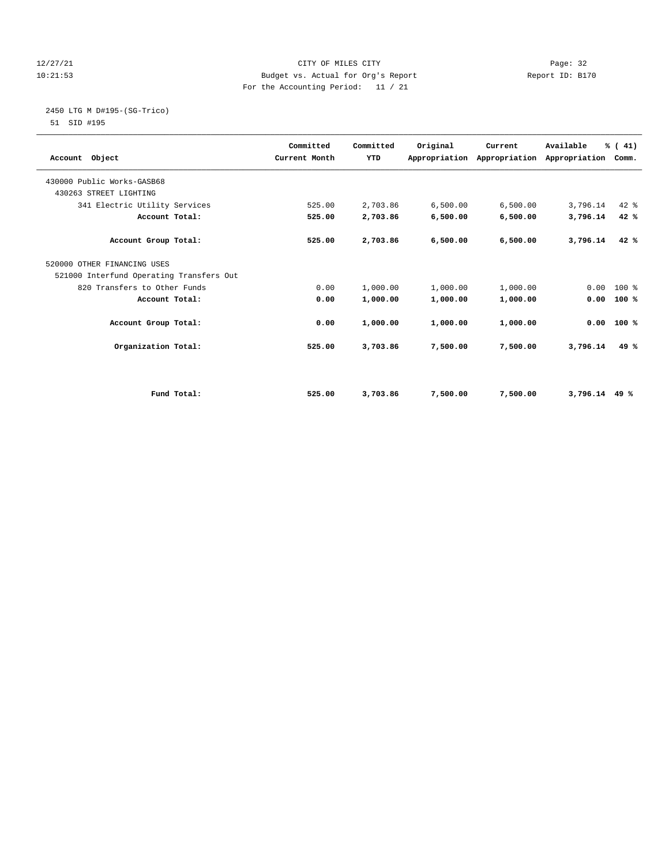# 12/27/21 CITY OF MILES CITY Page: 32 10:21:53 Budget vs. Actual for Org's Report Report ID: B170 For the Accounting Period: 11 / 21

# 2450 LTG M D#195-(SG-Trico)

| Account Object                           | Committed<br>Current Month | Committed<br><b>YTD</b> | Original | Current  | Available<br>Appropriation Appropriation Appropriation Comm. | % (41) |  |
|------------------------------------------|----------------------------|-------------------------|----------|----------|--------------------------------------------------------------|--------|--|
| 430000 Public Works-GASB68               |                            |                         |          |          |                                                              |        |  |
| 430263 STREET LIGHTING                   |                            |                         |          |          |                                                              |        |  |
| 341 Electric Utility Services            | 525.00                     | 2,703.86                | 6,500.00 | 6,500.00 | 3,796.14                                                     | 42 %   |  |
| Account Total:                           | 525.00                     | 2,703.86                | 6,500.00 | 6,500.00 | 3,796.14                                                     | 42%    |  |
| Account Group Total:                     | 525.00                     | 2,703.86                | 6,500.00 | 6,500.00 | 3,796.14                                                     | 42%    |  |
| 520000 OTHER FINANCING USES              |                            |                         |          |          |                                                              |        |  |
| 521000 Interfund Operating Transfers Out |                            |                         |          |          |                                                              |        |  |
| 820 Transfers to Other Funds             | 0.00                       | 1,000.00                | 1,000.00 | 1,000.00 | 0.00                                                         | $100*$ |  |
| Account Total:                           | 0.00                       | 1,000.00                | 1,000.00 | 1,000.00 | 0.00                                                         | 100%   |  |
| Account Group Total:                     | 0.00                       | 1,000.00                | 1,000.00 | 1,000.00 | 0.00                                                         | 100%   |  |
| Organization Total:                      | 525.00                     | 3,703.86                | 7,500.00 | 7,500.00 | 3,796.14                                                     | 49 $%$ |  |
|                                          |                            |                         |          |          |                                                              |        |  |
| Fund Total:                              | 525.00                     | 3,703.86                | 7,500.00 | 7,500.00 | $3,796.14$ 49 %                                              |        |  |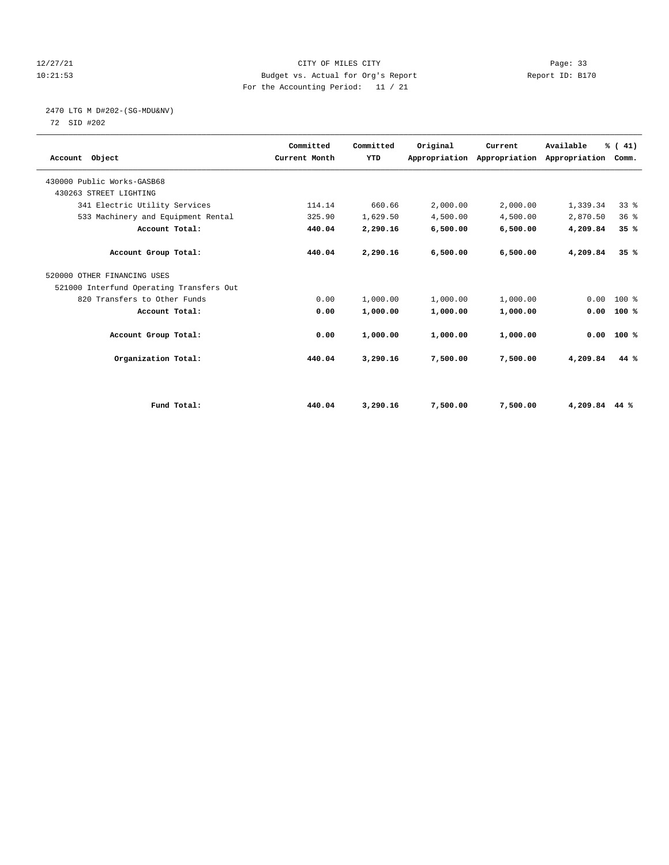# 12/27/21 CITY OF MILES CITY Page: 33 10:21:53 Budget vs. Actual for Org's Report Report ID: B170 For the Accounting Period: 11 / 21

# 2470 LTG M D#202-(SG-MDU&NV)

| Account Object                           | Committed<br>Current Month | Committed<br><b>YTD</b> | Original | Current<br>Appropriation Appropriation Appropriation | Available     | % (41)<br>Comm. |  |
|------------------------------------------|----------------------------|-------------------------|----------|------------------------------------------------------|---------------|-----------------|--|
| 430000 Public Works-GASB68               |                            |                         |          |                                                      |               |                 |  |
| 430263 STREET LIGHTING                   |                            |                         |          |                                                      |               |                 |  |
| 341 Electric Utility Services            | 114.14                     | 660.66                  | 2,000.00 | 2,000.00                                             | 1,339.34      | 338             |  |
| 533 Machinery and Equipment Rental       | 325.90                     | 1,629.50                | 4,500.00 | 4,500.00                                             | 2,870.50      | 36%             |  |
| Account Total:                           | 440.04                     | 2,290.16                | 6,500.00 | 6,500.00                                             | 4,209.84      | 35%             |  |
| Account Group Total:                     | 440.04                     | 2,290.16                | 6,500.00 | 6,500.00                                             | 4,209.84      | 35%             |  |
| 520000 OTHER FINANCING USES              |                            |                         |          |                                                      |               |                 |  |
| 521000 Interfund Operating Transfers Out |                            |                         |          |                                                      |               |                 |  |
| 820 Transfers to Other Funds             | 0.00                       | 1,000.00                | 1,000.00 | 1,000.00                                             | 0.00          | $100*$          |  |
| Account Total:                           | 0.00                       | 1,000.00                | 1,000.00 | 1,000.00                                             | 0.00          | 100%            |  |
| Account Group Total:                     | 0.00                       | 1,000.00                | 1,000.00 | 1,000.00                                             | 0.00          | 100%            |  |
| Organization Total:                      | 440.04                     | 3,290.16                | 7,500.00 | 7,500.00                                             | 4,209.84      | 44 %            |  |
|                                          |                            |                         |          |                                                      |               |                 |  |
| Fund Total:                              | 440.04                     | 3,290.16                | 7,500.00 | 7,500.00                                             | 4,209.84 44 % |                 |  |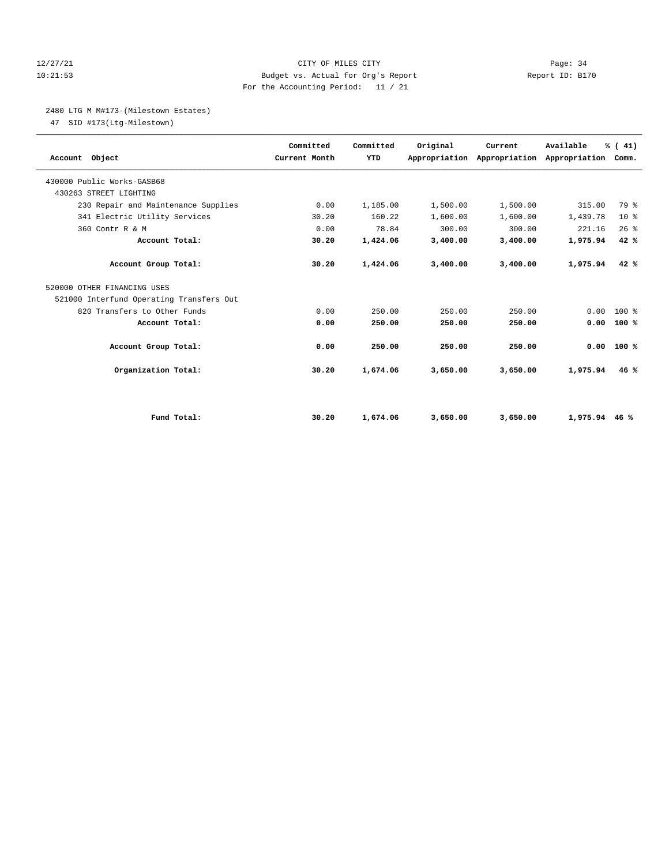# 12/27/21 CITY OF MILES CITY Page: 34 10:21:53 Budget vs. Actual for Org's Report Report ID: B170 For the Accounting Period: 11 / 21

# 2480 LTG M M#173-(Milestown Estates)

47 SID #173(Ltg-Milestown)

| Account Object                           | Committed<br>Current Month | Committed<br>YTD | Original | Current<br>Appropriation Appropriation Appropriation Comm. | Available | % (41)       |  |
|------------------------------------------|----------------------------|------------------|----------|------------------------------------------------------------|-----------|--------------|--|
| 430000 Public Works-GASB68               |                            |                  |          |                                                            |           |              |  |
| 430263 STREET LIGHTING                   |                            |                  |          |                                                            |           |              |  |
| 230 Repair and Maintenance Supplies      | 0.00                       | 1,185.00         | 1,500.00 | 1,500.00                                                   | 315.00    | 79 %         |  |
| 341 Electric Utility Services            | 30.20                      | 160.22           | 1,600.00 | 1,600.00                                                   | 1,439.78  | $10*$        |  |
| 360 Contr R & M                          | 0.00                       | 78.84            | 300.00   | 300.00                                                     | 221.16    | 26%          |  |
| Account Total:                           | 30.20                      | 1,424.06         | 3,400.00 | 3,400.00                                                   | 1,975.94  | 42%          |  |
| Account Group Total:                     | 30.20                      | 1,424.06         | 3,400.00 | 3,400.00                                                   | 1,975.94  | 42%          |  |
| 520000 OTHER FINANCING USES              |                            |                  |          |                                                            |           |              |  |
| 521000 Interfund Operating Transfers Out |                            |                  |          |                                                            |           |              |  |
| 820 Transfers to Other Funds             | 0.00                       | 250.00           | 250.00   | 250.00                                                     | 0.00      | $100*$       |  |
| Account Total:                           | 0.00                       | 250.00           | 250.00   | 250.00                                                     | 0.00      | 100%         |  |
| Account Group Total:                     | 0.00                       | 250.00           | 250.00   | 250.00                                                     |           | $0.00$ 100 % |  |
| Organization Total:                      | 30.20                      | 1,674.06         | 3,650.00 | 3,650.00                                                   | 1,975.94  | 46%          |  |
|                                          |                            |                  |          |                                                            |           |              |  |
| Fund Total:                              | 30.20                      | 1,674.06         | 3,650.00 | 3,650.00                                                   | 1,975.94  | 46%          |  |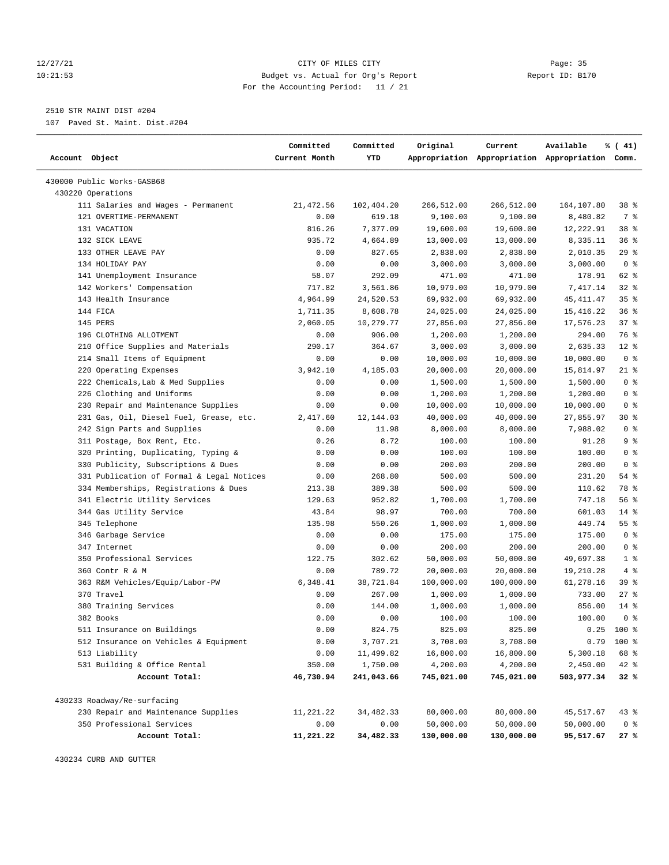# 12/27/21 CITY OF MILES CITY Page: 35 10:21:53 Budget vs. Actual for Org's Report Report ID: B170 For the Accounting Period: 11 / 21

————————————————————————————————————————————————————————————————————————————————————————————————————————————————————————————————————

# 2510 STR MAINT DIST #204

107 Paved St. Maint. Dist.#204

|                                           | Committed     | Committed  | Original   | Current    | Available                                       | % (41)          |
|-------------------------------------------|---------------|------------|------------|------------|-------------------------------------------------|-----------------|
| Account Object                            | Current Month | YTD        |            |            | Appropriation Appropriation Appropriation Comm. |                 |
| 430000 Public Works-GASB68                |               |            |            |            |                                                 |                 |
| 430220 Operations                         |               |            |            |            |                                                 |                 |
| 111 Salaries and Wages - Permanent        | 21, 472.56    | 102,404.20 | 266,512.00 | 266,512.00 | 164,107.80                                      | 38 <sup>8</sup> |
| 121 OVERTIME-PERMANENT                    | 0.00          | 619.18     | 9,100.00   | 9,100.00   | 8,480.82                                        | 7 %             |
| 131 VACATION                              | 816.26        | 7,377.09   | 19,600.00  | 19,600.00  | 12,222.91                                       | 38 %            |
| 132 SICK LEAVE                            | 935.72        | 4,664.89   | 13,000.00  | 13,000.00  | 8,335.11                                        | 36%             |
| 133 OTHER LEAVE PAY                       | 0.00          | 827.65     | 2,838.00   | 2,838.00   | 2,010.35                                        | 29%             |
| 134 HOLIDAY PAY                           | 0.00          | 0.00       | 3,000.00   | 3,000.00   | 3,000.00                                        | 0 <sup>8</sup>  |
| 141 Unemployment Insurance                | 58.07         | 292.09     | 471.00     | 471.00     | 178.91                                          | 62 %            |
| 142 Workers' Compensation                 | 717.82        | 3,561.86   | 10,979.00  | 10,979.00  | 7,417.14                                        | 32%             |
| 143 Health Insurance                      | 4,964.99      | 24,520.53  | 69,932.00  | 69,932.00  | 45, 411.47                                      | 35%             |
| 144 FICA                                  | 1,711.35      | 8,608.78   | 24,025.00  | 24,025.00  | 15,416.22                                       | 36%             |
| 145 PERS                                  | 2,060.05      | 10,279.77  | 27,856.00  | 27,856.00  | 17,576.23                                       | 37%             |
| 196 CLOTHING ALLOTMENT                    | 0.00          | 906.00     | 1,200.00   | 1,200.00   | 294.00                                          | 76 %            |
| 210 Office Supplies and Materials         | 290.17        | 364.67     | 3,000.00   | 3,000.00   | 2,635.33                                        | $12$ %          |
| 214 Small Items of Equipment              | 0.00          | 0.00       | 10,000.00  | 10,000.00  | 10,000.00                                       | 0 <sup>8</sup>  |
| 220 Operating Expenses                    | 3,942.10      | 4,185.03   | 20,000.00  | 20,000.00  | 15,814.97                                       | $21$ %          |
| 222 Chemicals, Lab & Med Supplies         | 0.00          | 0.00       | 1,500.00   | 1,500.00   | 1,500.00                                        | 0 <sup>8</sup>  |
| 226 Clothing and Uniforms                 | 0.00          | 0.00       | 1,200.00   | 1,200.00   | 1,200.00                                        | 0 <sup>8</sup>  |
| 230 Repair and Maintenance Supplies       | 0.00          | 0.00       | 10,000.00  | 10,000.00  | 10,000.00                                       | 0 <sup>8</sup>  |
| 231 Gas, Oil, Diesel Fuel, Grease, etc.   | 2,417.60      | 12, 144.03 | 40,000.00  | 40,000.00  | 27,855.97                                       | $30*$           |
| 242 Sign Parts and Supplies               | 0.00          | 11.98      | 8,000.00   | 8,000.00   | 7,988.02                                        | 0 <sup>8</sup>  |
| 311 Postage, Box Rent, Etc.               | 0.26          | 8.72       | 100.00     | 100.00     | 91.28                                           | 9%              |
| 320 Printing, Duplicating, Typing &       | 0.00          | 0.00       | 100.00     | 100.00     | 100.00                                          | 0 <sup>8</sup>  |
| 330 Publicity, Subscriptions & Dues       | 0.00          | 0.00       | 200.00     | 200.00     | 200.00                                          | 0 <sup>8</sup>  |
| 331 Publication of Formal & Legal Notices | 0.00          | 268.80     | 500.00     | 500.00     | 231.20                                          | $54$ %          |
| 334 Memberships, Registrations & Dues     | 213.38        | 389.38     | 500.00     | 500.00     | 110.62                                          | 78 %            |
| 341 Electric Utility Services             | 129.63        | 952.82     | 1,700.00   | 1,700.00   | 747.18                                          | 56%             |
| 344 Gas Utility Service                   | 43.84         | 98.97      | 700.00     | 700.00     | 601.03                                          | $14$ %          |
| 345 Telephone                             | 135.98        | 550.26     | 1,000.00   | 1,000.00   | 449.74                                          | 55%             |
| 346 Garbage Service                       | 0.00          | 0.00       | 175.00     | 175.00     | 175.00                                          | 0 <sup>8</sup>  |
| 347 Internet                              | 0.00          | 0.00       | 200.00     | 200.00     | 200.00                                          | 0 <sup>8</sup>  |
| 350 Professional Services                 | 122.75        | 302.62     | 50,000.00  | 50,000.00  | 49,697.38                                       | 1 <sup>8</sup>  |
| 360 Contr R & M                           | 0.00          | 789.72     | 20,000.00  | 20,000.00  | 19,210.28                                       | 4%              |
| 363 R&M Vehicles/Equip/Labor-PW           | 6,348.41      | 38,721.84  | 100,000.00 | 100,000.00 | 61,278.16                                       | 39 %            |
| 370 Travel                                | 0.00          | 267.00     | 1,000.00   | 1,000.00   | 733.00                                          | $27$ %          |
| 380 Training Services                     | 0.00          | 144.00     | 1,000.00   | 1,000.00   | 856.00                                          | $14*$           |
| 382 Books                                 | 0.00          | 0.00       | 100.00     | 100.00     | 100.00                                          | 0 <sup>8</sup>  |
| 511 Insurance on Buildings                | 0.00          | 824.75     | 825.00     | 825.00     |                                                 | $0.25$ 100 %    |
| 512 Insurance on Vehicles & Equipment     | 0.00          | 3,707.21   | 3,708.00   | 3,708.00   |                                                 | $0.79$ 100 %    |
| 513 Liability                             | 0.00          | 11,499.82  | 16,800.00  | 16,800.00  | 5,300.18                                        | 68 %            |
| 531 Building & Office Rental              | 350.00        | 1,750.00   | 4,200.00   | 4,200.00   | 2,450.00                                        | 42 %            |
| Account Total:                            | 46,730.94     | 241,043.66 | 745,021.00 | 745,021.00 | 503,977.34                                      | 32%             |
| 430233 Roadway/Re-surfacing               |               |            |            |            |                                                 |                 |
| 230 Repair and Maintenance Supplies       | 11,221.22     | 34,482.33  | 80,000.00  | 80,000.00  | 45,517.67                                       | 43 %            |
| 350 Professional Services                 | 0.00          | 0.00       | 50,000.00  | 50,000.00  | 50,000.00                                       | 0 <sup>8</sup>  |
| Account Total:                            | 11,221.22     | 34,482.33  | 130,000.00 | 130,000.00 | 95,517.67                                       | 27 %            |

430234 CURB AND GUTTER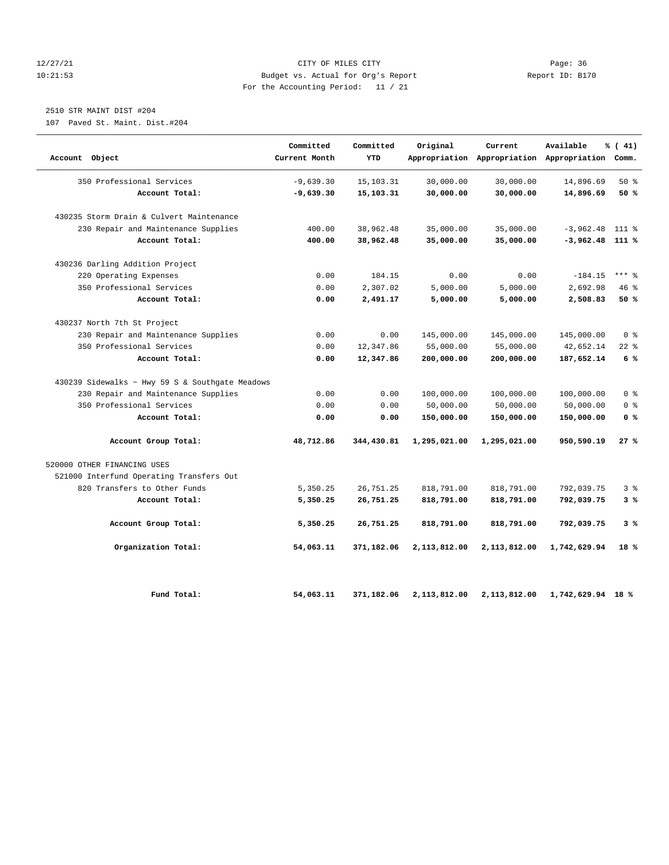# 12/27/21 CITY OF MILES CITY Page: 36 10:21:53 Budget vs. Actual for Org's Report Report ID: B170 For the Accounting Period: 11 / 21

# 2510 STR MAINT DIST #204

107 Paved St. Maint. Dist.#204

| Account Object                                  | Committed<br>Current Month | Committed<br>YTD | Original     | Current<br>Appropriation Appropriation Appropriation Comm. | Available         | % (41)         |
|-------------------------------------------------|----------------------------|------------------|--------------|------------------------------------------------------------|-------------------|----------------|
| 350 Professional Services                       | $-9,639.30$                | 15, 103. 31      | 30,000.00    | 30,000.00                                                  | 14,896.69         | $50*$          |
| Account Total:                                  | $-9,639.30$                | 15,103.31        | 30,000.00    | 30,000.00                                                  | 14,896.69         | 50 %           |
| 430235 Storm Drain & Culvert Maintenance        |                            |                  |              |                                                            |                   |                |
| 230 Repair and Maintenance Supplies             | 400.00                     | 38,962.48        | 35,000.00    | 35,000.00                                                  | $-3,962.48$       | $111*$         |
| Account Total:                                  | 400.00                     | 38,962.48        | 35,000.00    | 35,000.00                                                  | $-3,962.48$ 111 % |                |
| 430236 Darling Addition Project                 |                            |                  |              |                                                            |                   |                |
| 220 Operating Expenses                          | 0.00                       | 184.15           | 0.00         | 0.00                                                       | $-184.15$         | $***$ 8        |
| 350 Professional Services                       | 0.00                       | 2,307.02         | 5,000.00     | 5,000.00                                                   | 2,692.98          | 46%            |
| Account Total:                                  | 0.00                       | 2,491.17         | 5,000.00     | 5,000.00                                                   | 2,508.83          | 50%            |
| 430237 North 7th St Project                     |                            |                  |              |                                                            |                   |                |
| 230 Repair and Maintenance Supplies             | 0.00                       | 0.00             | 145,000.00   | 145,000.00                                                 | 145,000.00        | 0 <sup>8</sup> |
| 350 Professional Services                       | 0.00                       | 12,347.86        | 55,000.00    | 55,000.00                                                  | 42,652.14         | $22$ %         |
| Account Total:                                  | 0.00                       | 12,347.86        | 200,000.00   | 200,000.00                                                 | 187,652.14        | 6%             |
| 430239 Sidewalks ~ Hwy 59 S & Southgate Meadows |                            |                  |              |                                                            |                   |                |
| 230 Repair and Maintenance Supplies             | 0.00                       | 0.00             | 100,000.00   | 100,000.00                                                 | 100,000.00        | 0 <sup>8</sup> |
| 350 Professional Services                       | 0.00                       | 0.00             | 50,000.00    | 50,000.00                                                  | 50,000.00         | 0 <sup>8</sup> |
| Account Total:                                  | 0.00                       | 0.00             | 150,000.00   | 150,000.00                                                 | 150,000.00        | 0 <sup>8</sup> |
| Account Group Total:                            | 48,712.86                  | 344,430.81       | 1,295,021.00 | 1,295,021.00                                               | 950,590.19        | 27%            |
| 520000 OTHER FINANCING USES                     |                            |                  |              |                                                            |                   |                |
| 521000 Interfund Operating Transfers Out        |                            |                  |              |                                                            |                   |                |
| 820 Transfers to Other Funds                    | 5,350.25                   | 26,751.25        | 818,791.00   | 818,791.00                                                 | 792,039.75        | 3%             |
| Account Total:                                  | 5,350.25                   | 26,751.25        | 818,791.00   | 818,791.00                                                 | 792,039.75        | 3%             |
| Account Group Total:                            | 5,350.25                   | 26,751.25        | 818,791.00   | 818,791.00                                                 | 792,039.75        | 3%             |
| Organization Total:                             | 54,063.11                  | 371,182.06       | 2,113,812.00 | 2,113,812.00                                               | 1,742,629.94      | 18%            |
| Fund Total:                                     | 54,063.11                  | 371,182.06       | 2,113,812.00 | 2,113,812.00                                               | 1,742,629.94 18 % |                |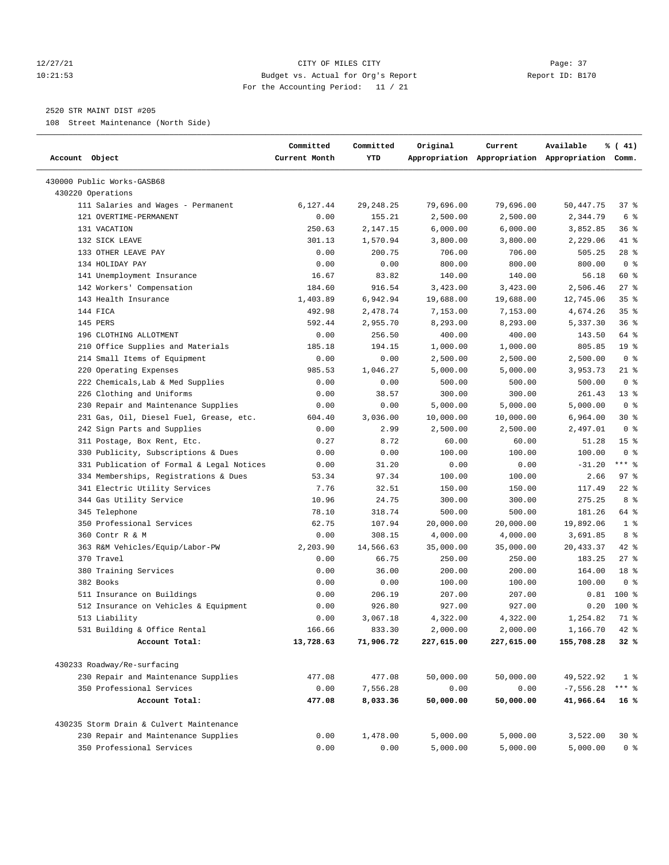# 12/27/21 CITY OF MILES CITY Page: 37 10:21:53 Budget vs. Actual for Org's Report Report ID: B170 For the Accounting Period: 11 / 21

————————————————————————————————————————————————————————————————————————————————————————————————————————————————————————————————————

# 2520 STR MAINT DIST #205

108 Street Maintenance (North Side)

|                                           | Committed     | Committed   | Original   | Current                                         | Available     | % (41)          |  |
|-------------------------------------------|---------------|-------------|------------|-------------------------------------------------|---------------|-----------------|--|
| Account Object                            | Current Month | YTD         |            | Appropriation Appropriation Appropriation Comm. |               |                 |  |
| 430000 Public Works-GASB68                |               |             |            |                                                 |               |                 |  |
| 430220 Operations                         |               |             |            |                                                 |               |                 |  |
| 111 Salaries and Wages - Permanent        | 6,127.44      | 29, 248. 25 | 79,696.00  | 79,696.00                                       | 50,447.75     | 37%             |  |
| 121 OVERTIME-PERMANENT                    | 0.00          | 155.21      | 2,500.00   | 2,500.00                                        | 2,344.79      | 6 %             |  |
| 131 VACATION                              | 250.63        | 2,147.15    | 6,000.00   | 6,000.00                                        | 3,852.85      | 36 %            |  |
| 132 SICK LEAVE                            | 301.13        | 1,570.94    | 3,800.00   | 3,800.00                                        | 2,229.06      | 41 %            |  |
| 133 OTHER LEAVE PAY                       | 0.00          | 200.75      | 706.00     | 706.00                                          | 505.25        | 28 %            |  |
| 134 HOLIDAY PAY                           | 0.00          | 0.00        | 800.00     | 800.00                                          | 800.00        | 0 <sup>8</sup>  |  |
| 141 Unemployment Insurance                | 16.67         | 83.82       | 140.00     | 140.00                                          | 56.18         | 60 %            |  |
| 142 Workers' Compensation                 | 184.60        | 916.54      | 3,423.00   | 3,423.00                                        | 2,506.46      | $27$ %          |  |
| 143 Health Insurance                      | 1,403.89      | 6,942.94    | 19,688.00  | 19,688.00                                       | 12,745.06     | 35 <sup>8</sup> |  |
| 144 FICA                                  | 492.98        | 2,478.74    | 7,153.00   | 7,153.00                                        | 4,674.26      | 35 <sup>8</sup> |  |
| 145 PERS                                  | 592.44        | 2,955.70    | 8,293.00   | 8,293.00                                        | 5,337.30      | 36%             |  |
| 196 CLOTHING ALLOTMENT                    | 0.00          | 256.50      | 400.00     | 400.00                                          | 143.50        | 64 %            |  |
| 210 Office Supplies and Materials         | 185.18        | 194.15      | 1,000.00   | 1,000.00                                        | 805.85        | 19 <sup>°</sup> |  |
| 214 Small Items of Equipment              | 0.00          | 0.00        | 2,500.00   | 2,500.00                                        | 2,500.00      | 0 <sup>8</sup>  |  |
| 220 Operating Expenses                    | 985.53        | 1,046.27    | 5,000.00   | 5,000.00                                        | 3,953.73      | 21 %            |  |
| 222 Chemicals, Lab & Med Supplies         | 0.00          | 0.00        | 500.00     | 500.00                                          | 500.00        | 0 <sup>8</sup>  |  |
| 226 Clothing and Uniforms                 | 0.00          | 38.57       | 300.00     | 300.00                                          | 261.43        | $13*$           |  |
| 230 Repair and Maintenance Supplies       | 0.00          | 0.00        | 5,000.00   | 5,000.00                                        | 5,000.00      | 0 <sup>8</sup>  |  |
| 231 Gas, Oil, Diesel Fuel, Grease, etc.   | 604.40        | 3,036.00    | 10,000.00  | 10,000.00                                       | 6,964.00      | $30*$           |  |
| 242 Sign Parts and Supplies               | 0.00          | 2.99        | 2,500.00   | 2,500.00                                        | 2,497.01      | 0 <sup>8</sup>  |  |
| 311 Postage, Box Rent, Etc.               | 0.27          | 8.72        | 60.00      | 60.00                                           | 51.28         | 15 <sup>8</sup> |  |
| 330 Publicity, Subscriptions & Dues       | 0.00          | 0.00        | 100.00     | 100.00                                          | 100.00        | 0 <sup>8</sup>  |  |
| 331 Publication of Formal & Legal Notices | 0.00          | 31.20       | 0.00       | 0.00                                            | $-31.20$      | $***$ $-$       |  |
| 334 Memberships, Registrations & Dues     | 53.34         | 97.34       | 100.00     | 100.00                                          | 2.66          | 97%             |  |
| 341 Electric Utility Services             | 7.76          | 32.51       | 150.00     | 150.00                                          | 117.49        | $22$ %          |  |
| 344 Gas Utility Service                   | 10.96         | 24.75       | 300.00     | 300.00                                          | 275.25        | 8 %             |  |
| 345 Telephone                             | 78.10         | 318.74      | 500.00     | 500.00                                          | 181.26        | 64 %            |  |
| 350 Professional Services                 | 62.75         | 107.94      | 20,000.00  | 20,000.00                                       | 19,892.06     | 1 <sup>8</sup>  |  |
| 360 Contr R & M                           | 0.00          | 308.15      | 4,000.00   | 4,000.00                                        | 3,691.85      | 8 %             |  |
| 363 R&M Vehicles/Equip/Labor-PW           | 2,203.90      | 14,566.63   | 35,000.00  | 35,000.00                                       | 20,433.37     | 42 %            |  |
| 370 Travel                                | 0.00          | 66.75       | 250.00     | 250.00                                          | 183.25        | $27$ %          |  |
| 380 Training Services                     | 0.00          | 36.00       | 200.00     | 200.00                                          | 164.00        | 18 <sup>8</sup> |  |
| 382 Books                                 | 0.00          | 0.00        | 100.00     | 100.00                                          | 100.00        | 0 <sup>8</sup>  |  |
| 511 Insurance on Buildings                | 0.00          | 206.19      | 207.00     | 207.00                                          | 0.81          | 100 %           |  |
| 512 Insurance on Vehicles & Equipment     | 0.00          | 926.80      | 927.00     | 927.00                                          | 0.20          | $100$ %         |  |
| 513 Liability                             | 0.00          | 3,067.18    | 4,322.00   | 4,322.00                                        | 1,254.82      | 71 %            |  |
| 531 Building & Office Rental              | 166.66        | 833.30      | 2,000.00   | 2,000.00                                        | 1,166.70 42 % |                 |  |
| Account Total:                            | 13,728.63     | 71,906.72   | 227,615.00 | 227,615.00                                      | 155,708.28    | 32%             |  |
|                                           |               |             |            |                                                 |               |                 |  |
| 430233 Roadway/Re-surfacing               |               |             |            |                                                 |               |                 |  |
| 230 Repair and Maintenance Supplies       | 477.08        | 477.08      | 50,000.00  | 50,000.00                                       | 49,522.92     | 1 <sup>8</sup>  |  |
| 350 Professional Services                 | 0.00          | 7,556.28    | 0.00       | 0.00                                            | $-7,556.28$   | *** 응           |  |
| Account Total:                            | 477.08        | 8,033.36    | 50,000.00  | 50,000.00                                       | 41,966.64     | 16 %            |  |
| 430235 Storm Drain & Culvert Maintenance  |               |             |            |                                                 |               |                 |  |
| 230 Repair and Maintenance Supplies       | 0.00          | 1,478.00    | 5,000.00   | 5,000.00                                        | 3,522.00      | $30*$           |  |
| 350 Professional Services                 | 0.00          | 0.00        | 5,000.00   | 5,000.00                                        | 5,000.00      | 0 <sup>8</sup>  |  |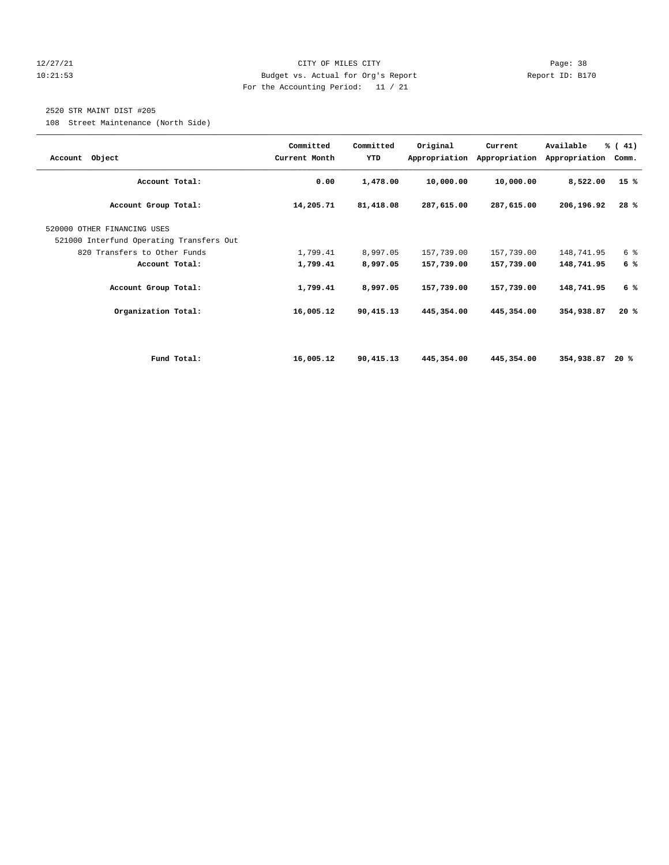# 12/27/21 CITY OF MILES CITY Page: 38 10:21:53 Budget vs. Actual for Org's Report Report ID: B170 For the Accounting Period: 11 / 21

# 2520 STR MAINT DIST #205

108 Street Maintenance (North Side)

| Account Object                           | Committed<br>Current Month | Committed<br>YTD | Original     | Current<br>Appropriation Appropriation | Available<br>Appropriation | % (41)<br>Comm. |
|------------------------------------------|----------------------------|------------------|--------------|----------------------------------------|----------------------------|-----------------|
| Account Total:                           | 0.00                       | 1,478.00         | 10,000.00    | 10,000.00                              | 8,522.00                   | 15%             |
| Account Group Total:                     | 14,205.71                  | 81,418.08        | 287,615.00   | 287,615.00                             | 206,196.92                 | 28%             |
| 520000 OTHER FINANCING USES              |                            |                  |              |                                        |                            |                 |
| 521000 Interfund Operating Transfers Out |                            |                  |              |                                        |                            |                 |
| 820 Transfers to Other Funds             | 1,799.41                   | 8,997.05         | 157,739.00   | 157,739.00                             | 148,741.95                 | 6 %             |
| Account Total:                           | 1,799.41                   | 8,997.05         | 157,739.00   | 157,739.00                             | 148,741.95                 | 6%              |
| Account Group Total:                     | 1,799.41                   | 8,997.05         | 157,739.00   | 157,739.00                             | 148,741.95                 | 6 %             |
| Organization Total:                      | 16,005.12                  | 90,415.13        | 445, 354, 00 | 445,354.00                             | 354,938.87                 | 20%             |
|                                          |                            |                  |              |                                        |                            |                 |
| Fund Total:                              | 16,005.12                  | 90,415.13        | 445,354.00   | 445,354.00                             | 354,938.87                 | 20 %            |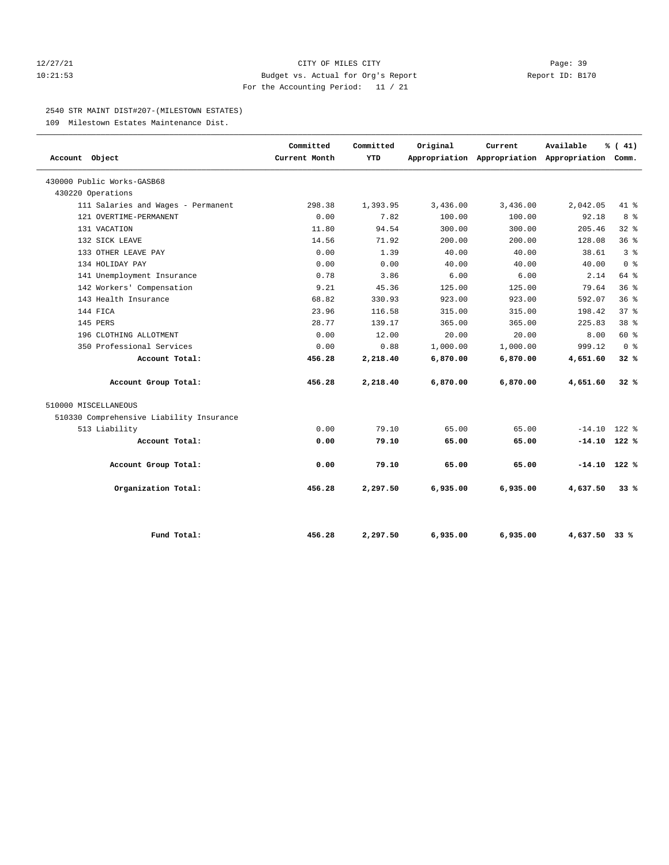# 12/27/21 CITY OF MILES CITY Page: 39 10:21:53 Budget vs. Actual for Org's Report Report ID: B170 For the Accounting Period: 11 / 21

#### 2540 STR MAINT DIST#207-(MILESTOWN ESTATES)

109 Milestown Estates Maintenance Dist.

| Account Object                           | Committed<br>Current Month | Committed<br><b>YTD</b> | Original | Current<br>Appropriation Appropriation Appropriation Comm. | Available      | % (41)          |
|------------------------------------------|----------------------------|-------------------------|----------|------------------------------------------------------------|----------------|-----------------|
| 430000 Public Works-GASB68               |                            |                         |          |                                                            |                |                 |
| 430220 Operations                        |                            |                         |          |                                                            |                |                 |
| 111 Salaries and Wages - Permanent       | 298.38                     | 1,393.95                | 3,436.00 | 3,436.00                                                   | 2,042.05       | $41*$           |
| 121 OVERTIME-PERMANENT                   | 0.00                       | 7.82                    | 100.00   | 100.00                                                     | 92.18          | 8 %             |
| 131 VACATION                             | 11.80                      | 94.54                   | 300.00   | 300.00                                                     | 205.46         | 328             |
| 132 SICK LEAVE                           | 14.56                      | 71.92                   | 200.00   | 200.00                                                     | 128.08         | 36%             |
| 133 OTHER LEAVE PAY                      | 0.00                       | 1.39                    | 40.00    | 40.00                                                      | 38.61          | 3 <sup>8</sup>  |
| 134 HOLIDAY PAY                          | 0.00                       | 0.00                    | 40.00    | 40.00                                                      | 40.00          | 0 <sup>8</sup>  |
| 141 Unemployment Insurance               | 0.78                       | 3.86                    | 6.00     | 6.00                                                       | 2.14           | 64 %            |
| 142 Workers' Compensation                | 9.21                       | 45.36                   | 125.00   | 125.00                                                     | 79.64          | 36%             |
| 143 Health Insurance                     | 68.82                      | 330.93                  | 923.00   | 923.00                                                     | 592.07         | 36%             |
| 144 FICA                                 | 23.96                      | 116.58                  | 315.00   | 315.00                                                     | 198.42         | 378             |
| 145 PERS                                 | 28.77                      | 139.17                  | 365.00   | 365.00                                                     | 225.83         | 38 <sup>8</sup> |
| 196 CLOTHING ALLOTMENT                   | 0.00                       | 12.00                   | 20.00    | 20.00                                                      | 8.00           | 60 %            |
| 350 Professional Services                | 0.00                       | 0.88                    | 1,000.00 | 1,000.00                                                   | 999.12         | 0 <sup>8</sup>  |
| Account Total:                           | 456.28                     | 2,218.40                | 6,870.00 | 6,870.00                                                   | 4,651.60       | 32%             |
| Account Group Total:                     | 456.28                     | 2,218.40                | 6,870.00 | 6,870.00                                                   | 4,651.60       | 32%             |
| 510000 MISCELLANEOUS                     |                            |                         |          |                                                            |                |                 |
| 510330 Comprehensive Liability Insurance |                            |                         |          |                                                            |                |                 |
| 513 Liability                            | 0.00                       | 79.10                   | 65.00    | 65.00                                                      | $-14.10$       | $122$ %         |
| Account Total:                           | 0.00                       | 79.10                   | 65.00    | 65.00                                                      | $-14.10$ 122 % |                 |
| Account Group Total:                     | 0.00                       | 79.10                   | 65.00    | 65.00                                                      | $-14.10$ 122 % |                 |
| Organization Total:                      | 456.28                     | 2,297.50                | 6,935.00 | 6,935.00                                                   | 4,637.50       | 33%             |
| Fund Total:                              | 456.28                     | 2,297.50                | 6,935.00 | 6,935.00                                                   | 4,637.50 33 %  |                 |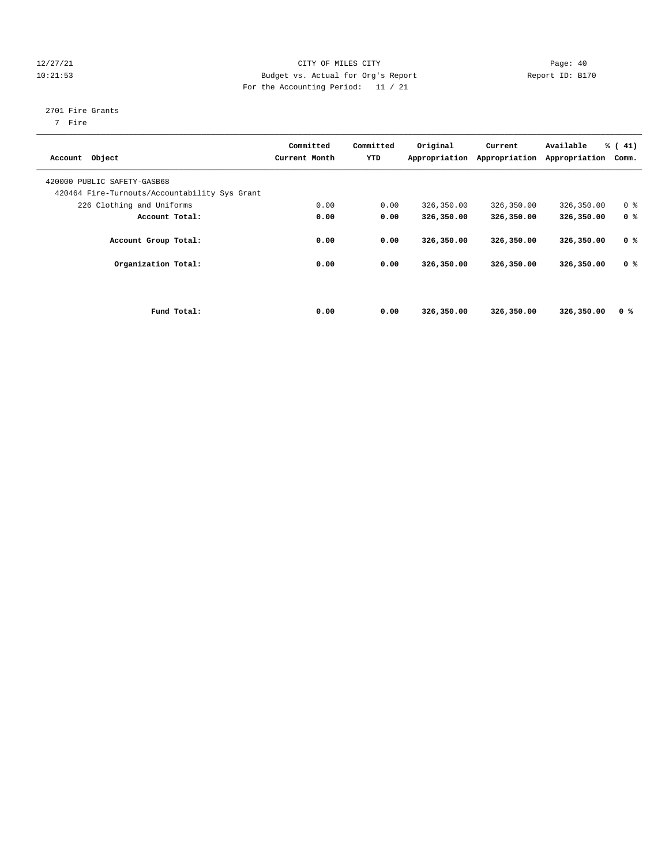# 12/27/21 CITY OF MILES CITY Page: 40 10:21:53 Budget vs. Actual for Org's Report Report ID: B170 For the Accounting Period: 11 / 21

# 2701 Fire Grants

7 Fire

| Account Object                                                               | Committed<br>Current Month | Committed<br>YTD | Original<br>Appropriation | Current<br>Appropriation | Available<br>Appropriation | $\frac{1}{6}$ ( 41)<br>Comm. |
|------------------------------------------------------------------------------|----------------------------|------------------|---------------------------|--------------------------|----------------------------|------------------------------|
| 420000 PUBLIC SAFETY-GASB68<br>420464 Fire-Turnouts/Accountability Sys Grant |                            |                  |                           |                          |                            |                              |
| 226 Clothing and Uniforms                                                    | 0.00                       | 0.00             | 326,350.00                | 326,350.00               | 326,350.00                 | 0 <sup>8</sup>               |
| Account Total:                                                               | 0.00                       | 0.00             | 326,350.00                | 326,350.00               | 326,350.00                 | 0 <sup>8</sup>               |
| Account Group Total:                                                         | 0.00                       | 0.00             | 326,350.00                | 326,350.00               | 326,350.00                 | 0 <sup>8</sup>               |
| Organization Total:                                                          | 0.00                       | 0.00             | 326,350.00                | 326,350.00               | 326,350.00                 | 0 <sup>8</sup>               |
|                                                                              |                            |                  |                           |                          |                            |                              |
| Fund Total:                                                                  | 0.00                       | 0.00             | 326,350.00                | 326,350.00               | 326,350.00                 | 0 <sup>8</sup>               |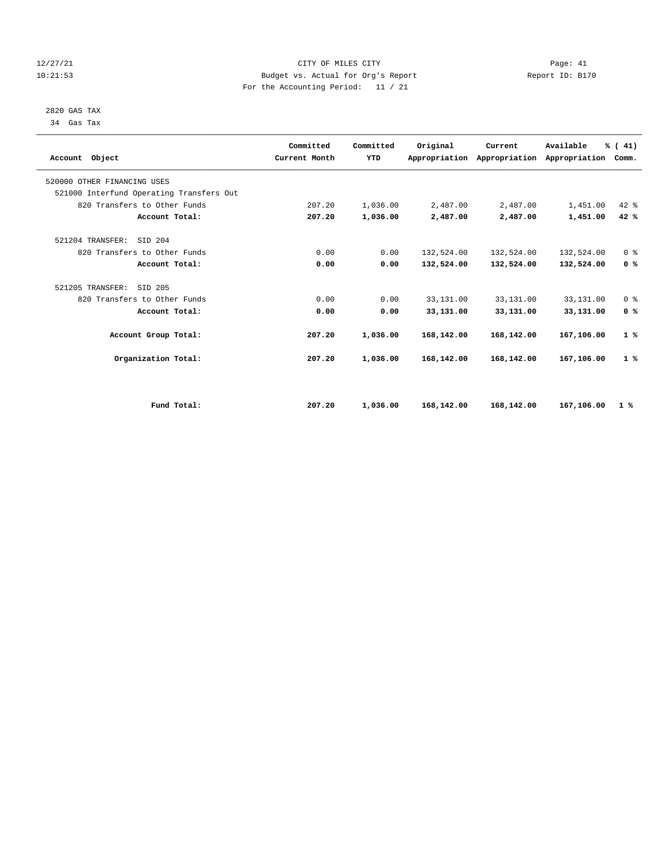# 12/27/21 CITY OF MILES CITY Page: 41 10:21:53 Budget vs. Actual for Org's Report Report ID: B170 For the Accounting Period: 11 / 21

 2820 GAS TAX 34 Gas Tax

| Account Object                           | Committed<br>Current Month | Committed<br><b>YTD</b> | Original   | Current<br>Appropriation Appropriation | Available<br>Appropriation | % (41)<br>Comm. |
|------------------------------------------|----------------------------|-------------------------|------------|----------------------------------------|----------------------------|-----------------|
| 520000 OTHER FINANCING USES              |                            |                         |            |                                        |                            |                 |
| 521000 Interfund Operating Transfers Out |                            |                         |            |                                        |                            |                 |
| 820 Transfers to Other Funds             | 207.20                     | 1,036.00                | 2,487.00   | 2,487.00                               | 1,451.00                   | 42 %            |
| Account Total:                           | 207.20                     | 1,036.00                | 2,487.00   | 2,487.00                               | 1,451.00                   | 42 %            |
| 521204 TRANSFER:<br>STD 204              |                            |                         |            |                                        |                            |                 |
| 820 Transfers to Other Funds             | 0.00                       | 0.00                    | 132,524.00 | 132,524.00                             | 132,524.00                 | 0 <sup>8</sup>  |
| Account Total:                           | 0.00                       | 0.00                    | 132,524.00 | 132,524.00                             | 132,524.00                 | 0 <sup>8</sup>  |
| 521205 TRANSFER:<br>SID 205              |                            |                         |            |                                        |                            |                 |
| 820 Transfers to Other Funds             | 0.00                       | 0.00                    | 33,131.00  | 33,131.00                              | 33,131.00                  | 0 <sup>8</sup>  |
| Account Total:                           | 0.00                       | 0.00                    | 33,131.00  | 33,131.00                              | 33,131.00                  | 0 <sup>8</sup>  |
| Account Group Total:                     | 207.20                     | 1,036.00                | 168,142.00 | 168,142.00                             | 167,106.00                 | 1%              |
| Organization Total:                      | 207.20                     | 1,036.00                | 168,142.00 | 168,142.00                             | 167,106.00                 | 1%              |
|                                          |                            |                         |            |                                        |                            |                 |
| Fund Total:                              | 207.20                     | 1,036.00                | 168,142.00 | 168,142.00                             | 167,106.00                 | 1%              |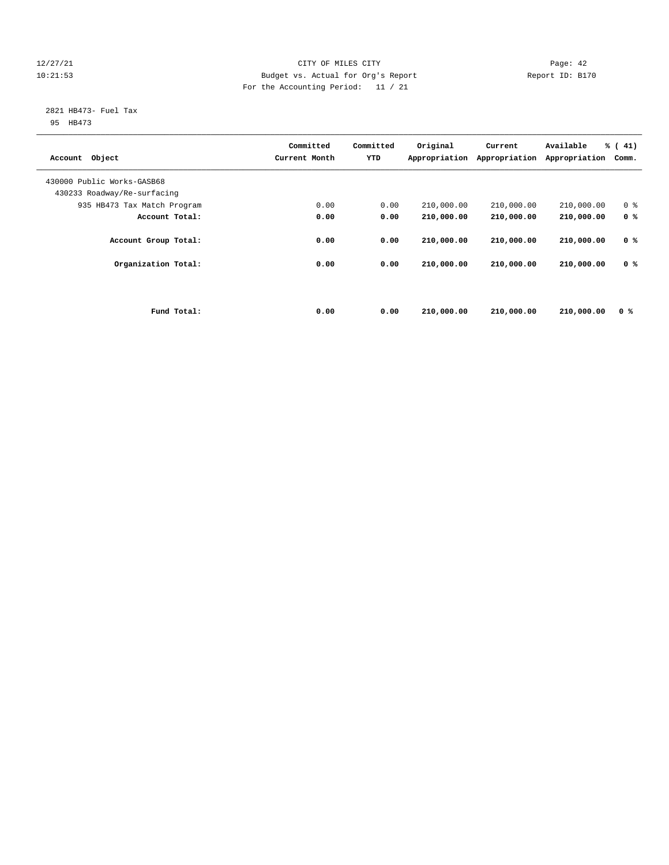# 12/27/21 CITY OF MILES CITY Page: 42 10:21:53 Budget vs. Actual for Org's Report Report ID: B170 For the Accounting Period: 11 / 21

# 2821 HB473- Fuel Tax

95 HB473

| Object<br>Account           |             | Committed<br>Current Month | Committed<br>YTD | Original<br>Appropriation | Current<br>Appropriation | Available<br>Appropriation | % (41)<br>Comm. |
|-----------------------------|-------------|----------------------------|------------------|---------------------------|--------------------------|----------------------------|-----------------|
| 430000 Public Works-GASB68  |             |                            |                  |                           |                          |                            |                 |
| 430233 Roadway/Re-surfacing |             |                            |                  |                           |                          |                            |                 |
| 935 HB473 Tax Match Program |             | 0.00                       | 0.00             | 210,000.00                | 210,000.00               | 210,000.00                 | 0 <sup>8</sup>  |
| Account Total:              |             | 0.00                       | 0.00             | 210,000.00                | 210,000.00               | 210,000.00                 | 0 <sup>8</sup>  |
| Account Group Total:        |             | 0.00                       | 0.00             | 210,000.00                | 210,000.00               | 210,000.00                 | 0 <sup>8</sup>  |
| Organization Total:         |             | 0.00                       | 0.00             | 210,000.00                | 210,000.00               | 210,000.00                 | 0 <sup>8</sup>  |
|                             | Fund Total: | 0.00                       | 0.00             | 210,000.00                | 210,000.00               | 210,000.00                 | 0 %             |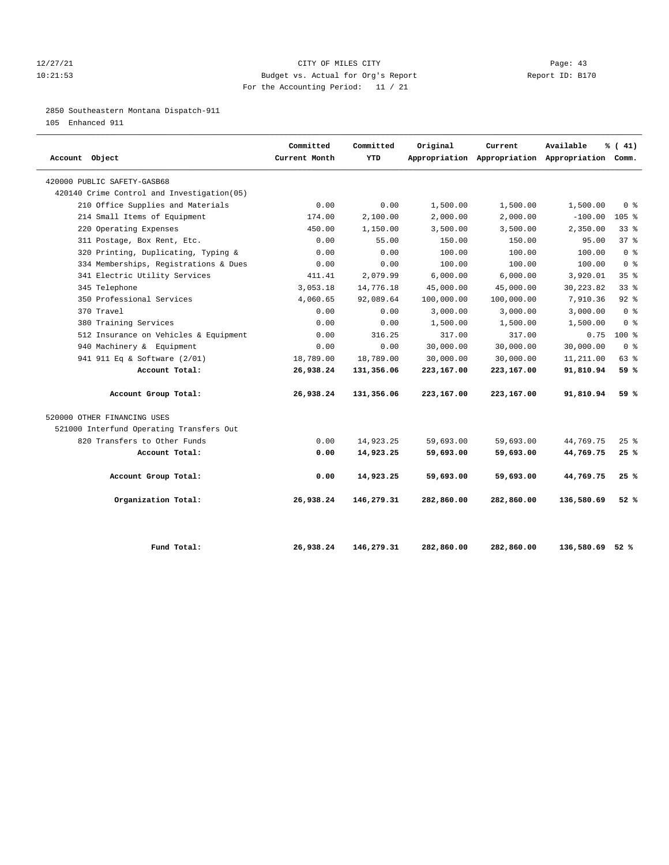# 12/27/21 CITY OF MILES CITY Page: 43 10:21:53 Budget vs. Actual for Org's Report Report ID: B170 For the Accounting Period: 11 / 21

#### 2850 Southeastern Montana Dispatch-911

105 Enhanced 911

| Account Object                             | Committed<br>Current Month | Committed<br><b>YTD</b> | Original   | Current    | Available<br>Appropriation Appropriation Appropriation Comm. | % (41)          |
|--------------------------------------------|----------------------------|-------------------------|------------|------------|--------------------------------------------------------------|-----------------|
| 420000 PUBLIC SAFETY-GASB68                |                            |                         |            |            |                                                              |                 |
| 420140 Crime Control and Investigation(05) |                            |                         |            |            |                                                              |                 |
| 210 Office Supplies and Materials          | 0.00                       | 0.00                    | 1,500.00   | 1,500.00   | 1,500.00                                                     | 0 %             |
| 214 Small Items of Equipment               | 174.00                     | 2,100.00                | 2,000.00   | 2,000.00   | $-100.00$                                                    | $105$ %         |
| 220 Operating Expenses                     | 450.00                     | 1,150.00                | 3,500.00   | 3,500.00   | 2,350.00                                                     | 338             |
| 311 Postage, Box Rent, Etc.                | 0.00                       | 55.00                   | 150.00     | 150.00     | 95.00                                                        | 378             |
| 320 Printing, Duplicating, Typing &        | 0.00                       | 0.00                    | 100.00     | 100.00     | 100.00                                                       | 0 <sup>8</sup>  |
| 334 Memberships, Registrations & Dues      | 0.00                       | 0.00                    | 100.00     | 100.00     | 100.00                                                       | 0 <sup>8</sup>  |
| 341 Electric Utility Services              | 411.41                     | 2,079.99                | 6,000.00   | 6,000.00   | 3,920.01                                                     | 35 <sup>8</sup> |
| 345 Telephone                              | 3,053.18                   | 14,776.18               | 45,000.00  | 45,000.00  | 30, 223.82                                                   | 338             |
| 350 Professional Services                  | 4,060.65                   | 92,089.64               | 100,000.00 | 100,000.00 | 7,910.36                                                     | $92$ $%$        |
| 370 Travel                                 | 0.00                       | 0.00                    | 3,000.00   | 3,000.00   | 3,000.00                                                     | 0 <sup>8</sup>  |
| 380 Training Services                      | 0.00                       | 0.00                    | 1,500.00   | 1,500.00   | 1,500.00                                                     | 0 <sup>8</sup>  |
| 512 Insurance on Vehicles & Equipment      | 0.00                       | 316.25                  | 317.00     | 317.00     | 0.75                                                         | $100*$          |
| 940 Machinery & Equipment                  | 0.00                       | 0.00                    | 30,000.00  | 30,000.00  | 30,000.00                                                    | 0 <sup>8</sup>  |
| 941 911 Eq & Software (2/01)               | 18,789.00                  | 18,789.00               | 30,000.00  | 30,000.00  | 11,211.00                                                    | 63%             |
| Account Total:                             | 26,938.24                  | 131,356.06              | 223,167.00 | 223,167.00 | 91,810.94                                                    | 59 %            |
| Account Group Total:                       | 26,938.24                  | 131,356.06              | 223,167.00 | 223,167.00 | 91,810.94                                                    | 59 %            |
| 520000 OTHER FINANCING USES                |                            |                         |            |            |                                                              |                 |
| 521000 Interfund Operating Transfers Out   |                            |                         |            |            |                                                              |                 |
| 820 Transfers to Other Funds               | 0.00                       | 14,923.25               | 59,693.00  | 59,693.00  | 44,769.75                                                    | 25%             |
| Account Total:                             | 0.00                       | 14,923.25               | 59,693.00  | 59,693.00  | 44,769.75                                                    | 25%             |
| Account Group Total:                       | 0.00                       | 14,923.25               | 59,693.00  | 59,693.00  | 44,769.75                                                    | 25%             |
| Organization Total:                        | 26,938.24                  | 146,279.31              | 282,860.00 | 282,860.00 | 136,580.69                                                   | 52%             |
| Fund Total:                                | 26,938.24                  | 146,279.31              | 282,860.00 | 282,860.00 | 136,580.69                                                   | 52%             |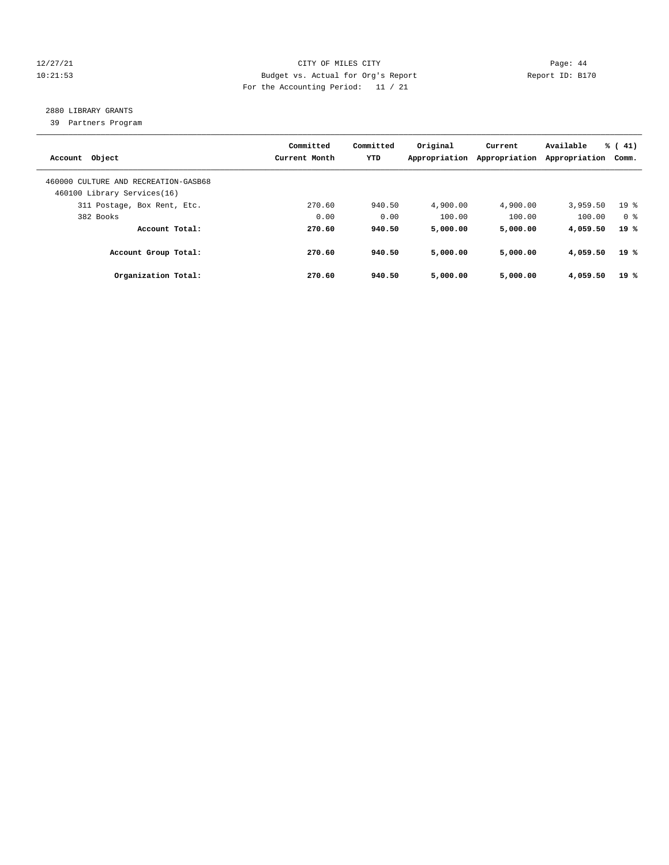# 12/27/21 CITY OF MILES CITY Page: 44 10:21:53 Budget vs. Actual for Org's Report Report ID: B170 For the Accounting Period: 11 / 21

# 2880 LIBRARY GRANTS

39 Partners Program

| Account Object                                                      | Committed<br>Current Month | Committed<br>YTD | Original<br>Appropriation | Current<br>Appropriation | Available<br>Appropriation | % (41)<br>Comm. |
|---------------------------------------------------------------------|----------------------------|------------------|---------------------------|--------------------------|----------------------------|-----------------|
| 460000 CULTURE AND RECREATION-GASB68<br>460100 Library Services(16) |                            |                  |                           |                          |                            |                 |
| 311 Postage, Box Rent, Etc.                                         | 270.60                     | 940.50           | 4,900.00                  | 4,900.00                 | 3,959.50                   | 19 <sup>°</sup> |
| 382 Books                                                           | 0.00                       | 0.00             | 100.00                    | 100.00                   | 100.00                     | 0 %             |
| Account Total:                                                      | 270.60                     | 940.50           | 5,000.00                  | 5,000.00                 | 4,059.50                   | 19 %            |
| Account Group Total:                                                | 270.60                     | 940.50           | 5,000.00                  | 5,000.00                 | 4,059.50                   | 19 %            |
| Organization Total:                                                 | 270.60                     | 940.50           | 5,000.00                  | 5,000.00                 | 4,059.50                   | 19%             |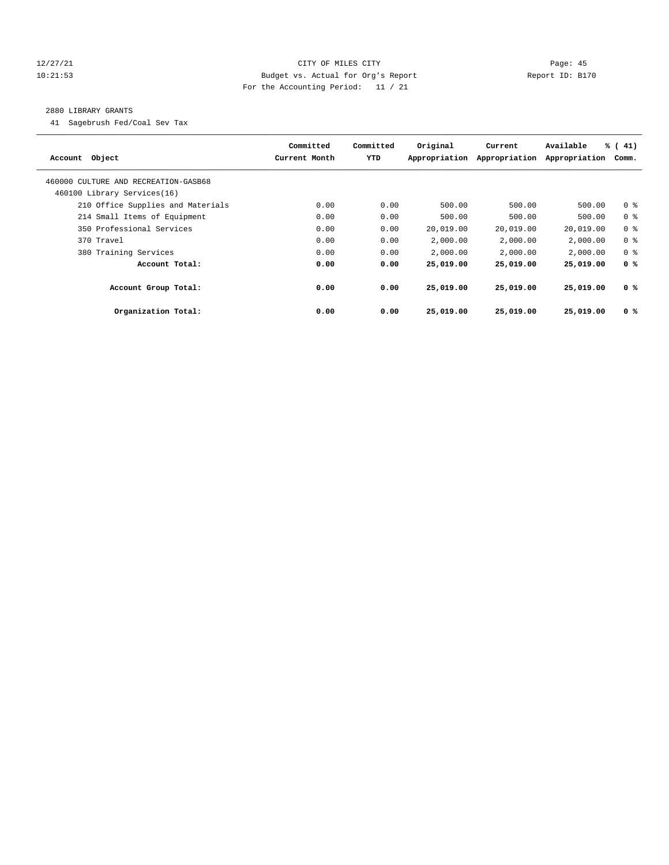# 12/27/21 CITY OF MILES CITY Page: 45 10:21:53 Budget vs. Actual for Org's Report Report ID: B170 For the Accounting Period: 11 / 21

# 2880 LIBRARY GRANTS

41 Sagebrush Fed/Coal Sev Tax

| Account Object                       | Committed<br>Current Month | Committed<br>YTD | Original<br>Appropriation | Current<br>Appropriation | Available<br>Appropriation | $\frac{1}{6}$ ( 41)<br>Comm. |
|--------------------------------------|----------------------------|------------------|---------------------------|--------------------------|----------------------------|------------------------------|
| 460000 CULTURE AND RECREATION-GASB68 |                            |                  |                           |                          |                            |                              |
| 460100 Library Services(16)          |                            |                  |                           |                          |                            |                              |
| 210 Office Supplies and Materials    | 0.00                       | 0.00             | 500.00                    | 500.00                   | 500.00                     | 0 <sup>8</sup>               |
| 214 Small Items of Equipment         | 0.00                       | 0.00             | 500.00                    | 500.00                   | 500.00                     | 0 <sup>8</sup>               |
| 350 Professional Services            | 0.00                       | 0.00             | 20,019.00                 | 20,019.00                | 20,019.00                  | 0 <sup>8</sup>               |
| 370 Travel                           | 0.00                       | 0.00             | 2,000.00                  | 2,000.00                 | 2,000.00                   | 0 <sup>8</sup>               |
| 380 Training Services                | 0.00                       | 0.00             | 2,000.00                  | 2,000.00                 | 2,000.00                   | 0 <sup>8</sup>               |
| Account Total:                       | 0.00                       | 0.00             | 25,019.00                 | 25,019.00                | 25,019.00                  | 0 <sup>8</sup>               |
| Account Group Total:                 | 0.00                       | 0.00             | 25,019.00                 | 25,019.00                | 25,019.00                  | 0 <sup>8</sup>               |
| Organization Total:                  | 0.00                       | 0.00             | 25,019.00                 | 25,019.00                | 25,019.00                  | 0 <sup>8</sup>               |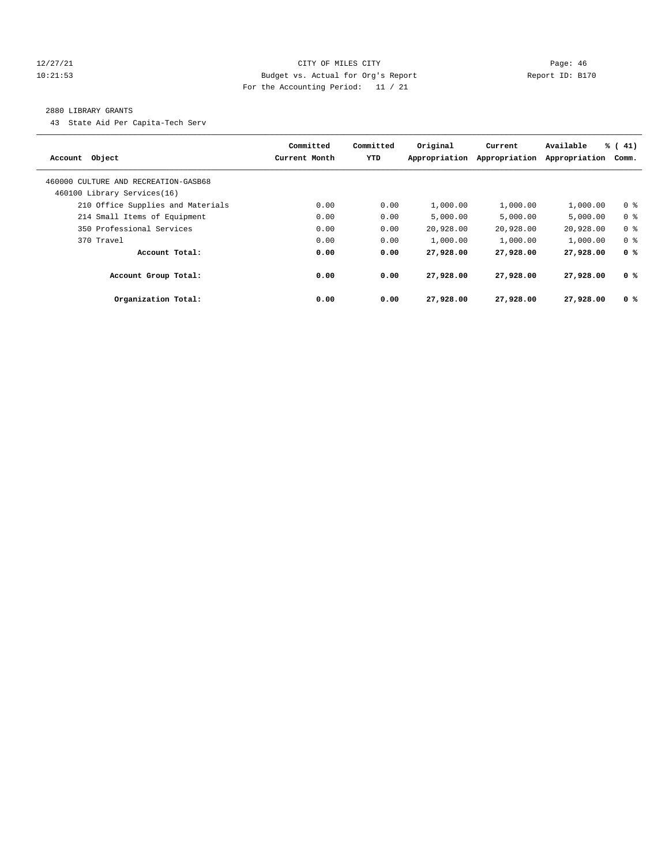# 12/27/21 CITY OF MILES CITY Page: 46 10:21:53 Budget vs. Actual for Org's Report Report ID: B170 For the Accounting Period: 11 / 21

#### 2880 LIBRARY GRANTS

43 State Aid Per Capita-Tech Serv

| Account Object                       | Committed<br>Current Month | Committed<br><b>YTD</b> | Original<br>Appropriation | Current<br>Appropriation | Available<br>Appropriation | $\frac{1}{6}$ ( 41)<br>Comm. |
|--------------------------------------|----------------------------|-------------------------|---------------------------|--------------------------|----------------------------|------------------------------|
| 460000 CULTURE AND RECREATION-GASB68 |                            |                         |                           |                          |                            |                              |
| 460100 Library Services(16)          |                            |                         |                           |                          |                            |                              |
| 210 Office Supplies and Materials    | 0.00                       | 0.00                    | 1,000.00                  | 1,000.00                 | 1,000.00                   | 0 <sup>8</sup>               |
| 214 Small Items of Equipment         | 0.00                       | 0.00                    | 5.000.00                  | 5.000.00                 | 5.000.00                   | 0 <sup>8</sup>               |
| 350 Professional Services            | 0.00                       | 0.00                    | 20,928.00                 | 20,928.00                | 20,928.00                  | 0 <sup>8</sup>               |
| 370 Travel                           | 0.00                       | 0.00                    | 1,000.00                  | 1,000.00                 | 1,000.00                   | 0 <sup>8</sup>               |
| Account Total:                       | 0.00                       | 0.00                    | 27,928.00                 | 27,928.00                | 27,928.00                  | 0 <sup>8</sup>               |
| Account Group Total:                 | 0.00                       | 0.00                    | 27,928.00                 | 27,928,00                | 27,928.00                  | 0 <sup>8</sup>               |
| Organization Total:                  | 0.00                       | 0.00                    | 27,928.00                 | 27,928.00                | 27,928.00                  | 0 <sup>8</sup>               |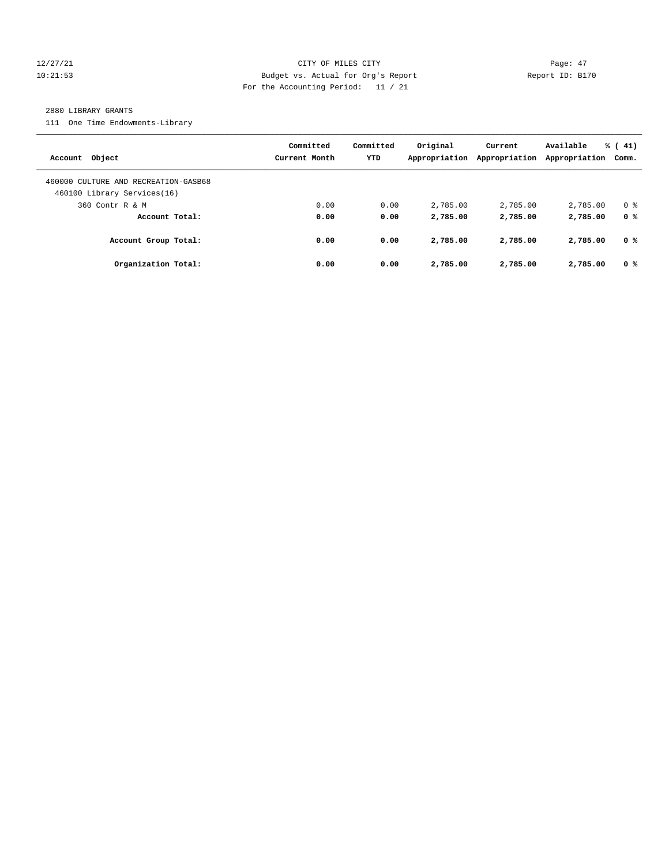# 12/27/21 CITY OF MILES CITY Page: 47 10:21:53 Budget vs. Actual for Org's Report Report ID: B170 For the Accounting Period: 11 / 21

#### 2880 LIBRARY GRANTS

111 One Time Endowments-Library

| Account Object                                                      | Committed<br>Current Month | Committed<br><b>YTD</b> | Original<br>Appropriation | Current<br>Appropriation | Available<br>Appropriation | $\frac{1}{6}$ ( 41)<br>Comm. |
|---------------------------------------------------------------------|----------------------------|-------------------------|---------------------------|--------------------------|----------------------------|------------------------------|
| 460000 CULTURE AND RECREATION-GASB68<br>460100 Library Services(16) |                            |                         |                           |                          |                            |                              |
| 360 Contr R & M                                                     | 0.00                       | 0.00                    | 2,785.00                  | 2,785.00                 | 2,785.00                   | 0 <sup>8</sup>               |
| Account Total:                                                      | 0.00                       | 0.00                    | 2,785.00                  | 2,785.00                 | 2,785.00                   | 0 <sup>8</sup>               |
| Account Group Total:                                                | 0.00                       | 0.00                    | 2,785.00                  | 2,785.00                 | 2,785.00                   | 0 %                          |
| Organization Total:                                                 | 0.00                       | 0.00                    | 2,785.00                  | 2,785.00                 | 2,785.00                   | 0 <sup>8</sup>               |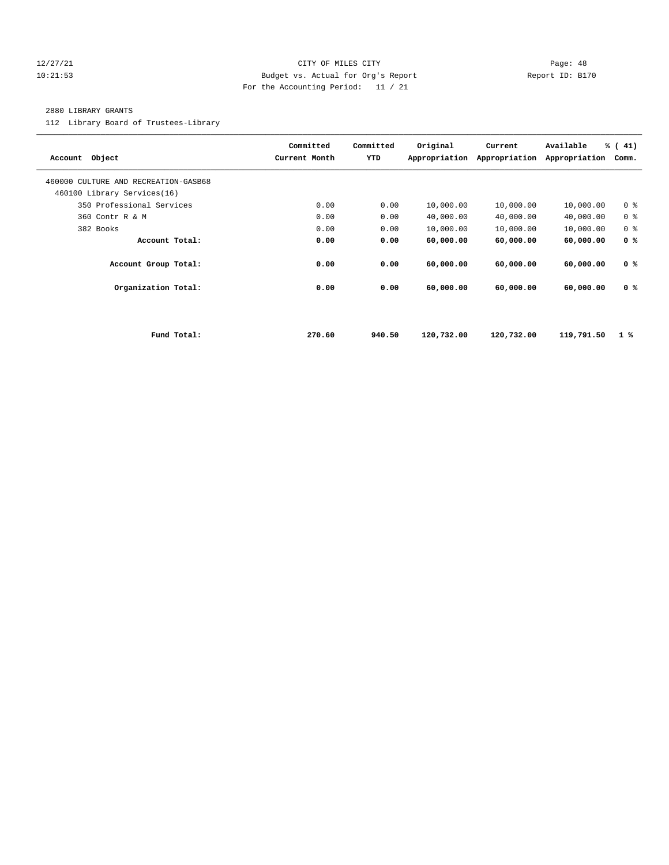# 12/27/21 CITY OF MILES CITY Page: 48 10:21:53 Budget vs. Actual for Org's Report Report ID: B170 For the Accounting Period: 11 / 21

#### 2880 LIBRARY GRANTS

112 Library Board of Trustees-Library

| Account Object                       |             | Committed<br>Current Month | Committed<br>YTD | Original<br>Appropriation | Current<br>Appropriation | Available<br>Appropriation | % (41)<br>Comm. |
|--------------------------------------|-------------|----------------------------|------------------|---------------------------|--------------------------|----------------------------|-----------------|
| 460000 CULTURE AND RECREATION-GASB68 |             |                            |                  |                           |                          |                            |                 |
| 460100 Library Services(16)          |             |                            |                  |                           |                          |                            |                 |
| 350 Professional Services            |             | 0.00                       | 0.00             | 10,000.00                 | 10,000.00                | 10,000.00                  | 0 <sup>8</sup>  |
| 360 Contr R & M                      |             | 0.00                       | 0.00             | 40,000.00                 | 40,000.00                | 40,000.00                  | 0 <sup>8</sup>  |
| 382 Books                            |             | 0.00                       | 0.00             | 10,000.00                 | 10,000.00                | 10,000.00                  | 0 <sup>8</sup>  |
| Account Total:                       |             | 0.00                       | 0.00             | 60,000.00                 | 60,000.00                | 60,000.00                  | 0 <sup>8</sup>  |
| Account Group Total:                 |             | 0.00                       | 0.00             | 60,000.00                 | 60,000.00                | 60,000.00                  | 0 <sup>8</sup>  |
| Organization Total:                  |             | 0.00                       | 0.00             | 60,000.00                 | 60,000.00                | 60,000.00                  | 0 <sup>8</sup>  |
|                                      |             |                            |                  |                           |                          |                            |                 |
|                                      | Fund Total: | 270.60                     | 940.50           | 120,732.00                | 120,732.00               | 119,791.50                 | $1 \times$      |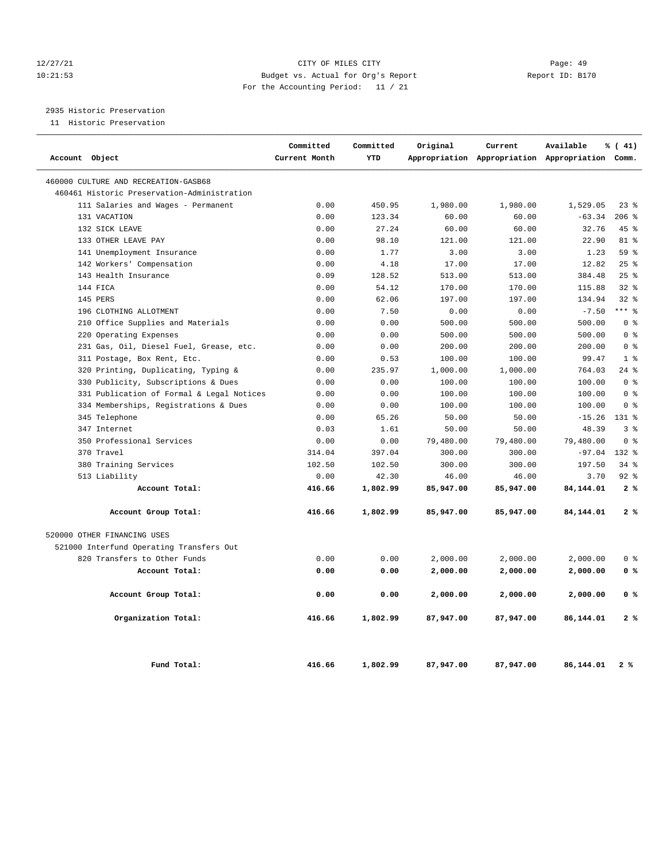# 12/27/21 CITY OF MILES CITY Page: 49 10:21:53 Budget vs. Actual for Org's Report Report ID: B170 For the Accounting Period: 11 / 21

2935 Historic Preservation

11 Historic Preservation

|                                      |                                             | Committed     | Committed  | Original  | Current                                         | Available      | % (41)         |
|--------------------------------------|---------------------------------------------|---------------|------------|-----------|-------------------------------------------------|----------------|----------------|
| Account Object                       |                                             | Current Month | <b>YTD</b> |           | Appropriation Appropriation Appropriation Comm. |                |                |
| 460000 CULTURE AND RECREATION-GASB68 |                                             |               |            |           |                                                 |                |                |
|                                      | 460461 Historic Preservation-Administration |               |            |           |                                                 |                |                |
|                                      | 111 Salaries and Wages - Permanent          | 0.00          | 450.95     | 1,980.00  | 1,980.00                                        | 1,529.05       | $23$ %         |
| 131 VACATION                         |                                             | 0.00          | 123.34     | 60.00     | 60.00                                           | $-63.34$       | 206%           |
| 132 SICK LEAVE                       |                                             | 0.00          | 27.24      | 60.00     | 60.00                                           | 32.76          | 45%            |
| 133 OTHER LEAVE PAY                  |                                             | 0.00          | 98.10      | 121.00    | 121.00                                          | 22.90          | 81 %           |
| 141 Unemployment Insurance           |                                             | 0.00          | 1.77       | 3.00      | 3.00                                            | 1.23           | 59 %           |
| 142 Workers' Compensation            |                                             | 0.00          | 4.18       | 17.00     | 17.00                                           | 12.82          | 25%            |
| 143 Health Insurance                 |                                             | 0.09          | 128.52     | 513.00    | 513.00                                          | 384.48         | 25%            |
| 144 FICA                             |                                             | 0.00          | 54.12      | 170.00    | 170.00                                          | 115.88         | $32*$          |
| 145 PERS                             |                                             | 0.00          | 62.06      | 197.00    | 197.00                                          | 134.94         | $32*$          |
| 196 CLOTHING ALLOTMENT               |                                             | 0.00          | 7.50       | 0.00      | 0.00                                            | $-7.50$        | $***$ 8        |
|                                      | 210 Office Supplies and Materials           | 0.00          | 0.00       | 500.00    | 500.00                                          | 500.00         | 0 <sup>8</sup> |
| 220 Operating Expenses               |                                             | 0.00          | 0.00       | 500.00    | 500.00                                          | 500.00         | 0 <sup>8</sup> |
|                                      | 231 Gas, Oil, Diesel Fuel, Grease, etc.     | 0.00          | 0.00       | 200.00    | 200.00                                          | 200.00         | 0 <sup>8</sup> |
| 311 Postage, Box Rent, Etc.          |                                             | 0.00          | 0.53       | 100.00    | 100.00                                          | 99.47          | 1 <sup>8</sup> |
|                                      | 320 Printing, Duplicating, Typing &         | 0.00          | 235.97     | 1,000.00  | 1,000.00                                        | 764.03         | $24$ %         |
|                                      | 330 Publicity, Subscriptions & Dues         | 0.00          | 0.00       | 100.00    | 100.00                                          | 100.00         | 0 <sup>8</sup> |
|                                      | 331 Publication of Formal & Legal Notices   | 0.00          | 0.00       | 100.00    | 100.00                                          | 100.00         | 0 <sup>8</sup> |
|                                      | 334 Memberships, Registrations & Dues       | 0.00          | 0.00       | 100.00    | 100.00                                          | 100.00         | 0 <sup>8</sup> |
| 345 Telephone                        |                                             | 0.00          | 65.26      | 50.00     | 50.00                                           | $-15.26$ 131 % |                |
| 347 Internet                         |                                             | 0.03          | 1.61       | 50.00     | 50.00                                           | 48.39          | 3 <sup>8</sup> |
| 350 Professional Services            |                                             | 0.00          | 0.00       | 79,480.00 | 79,480.00                                       | 79,480.00      | 0 <sup>8</sup> |
| 370 Travel                           |                                             | 314.04        | 397.04     | 300.00    | 300.00                                          | $-97.04$       | $132*$         |
| 380 Training Services                |                                             | 102.50        | 102.50     | 300.00    | 300.00                                          | 197.50         | 34%            |
| 513 Liability                        |                                             | 0.00          | 42.30      | 46.00     | 46.00                                           | 3.70           | $92$ $%$       |
|                                      | Account Total:                              | 416.66        | 1,802.99   | 85,947.00 | 85,947.00                                       | 84,144.01      | 2%             |
|                                      | Account Group Total:                        | 416.66        | 1,802.99   | 85,947.00 | 85,947.00                                       | 84,144.01      | 2%             |
| 520000 OTHER FINANCING USES          |                                             |               |            |           |                                                 |                |                |
|                                      | 521000 Interfund Operating Transfers Out    |               |            |           |                                                 |                |                |
| 820 Transfers to Other Funds         |                                             | 0.00          | 0.00       | 2,000.00  | 2,000.00                                        | 2,000.00       | 0 <sup>8</sup> |
|                                      | Account Total:                              | 0.00          | 0.00       | 2,000.00  | 2,000.00                                        | 2,000.00       | 0 <sup>8</sup> |
|                                      | Account Group Total:                        | 0.00          | 0.00       | 2,000.00  | 2,000.00                                        | 2,000.00       | 0 %            |
|                                      | Organization Total:                         | 416.66        | 1,802.99   | 87,947.00 | 87,947.00                                       | 86,144.01      | 2%             |
|                                      | Fund Total:                                 | 416.66        | 1,802.99   | 87,947.00 | 87,947.00                                       | 86,144.01      | 2%             |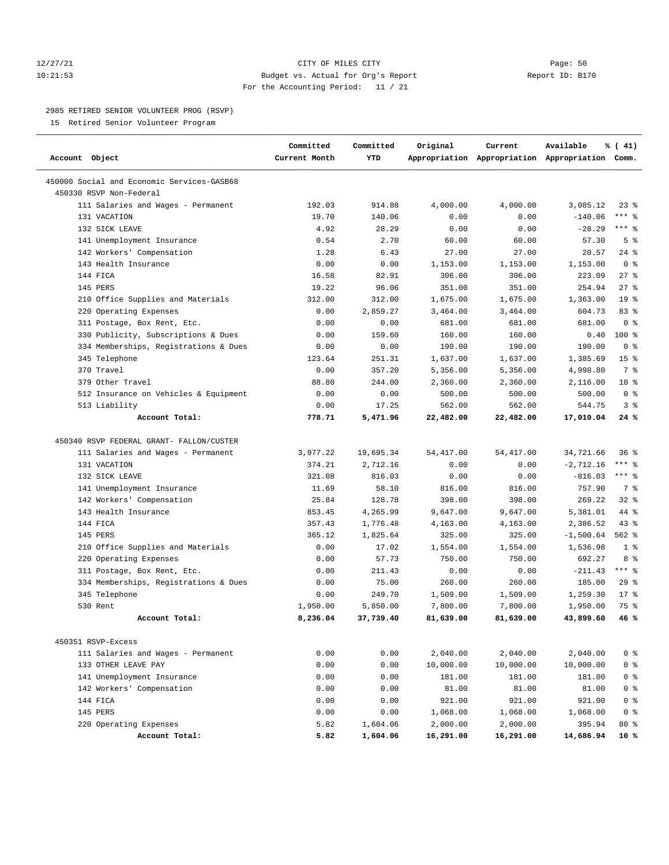# 12/27/21 CITY OF MILES CITY Page: 50 10:21:53 Budget vs. Actual for Org's Report Report ID: B170 For the Accounting Period: 11 / 21

#### 2985 RETIRED SENIOR VOLUNTEER PROG (RSVP)

15 Retired Senior Volunteer Program

| Account Object                                                        | Committed<br>Current Month | Committed<br>YTD | Original   | Current    | Available<br>Appropriation Appropriation Appropriation Comm. | % (41)          |
|-----------------------------------------------------------------------|----------------------------|------------------|------------|------------|--------------------------------------------------------------|-----------------|
| 450000 Social and Economic Services-GASB68<br>450330 RSVP Non-Federal |                            |                  |            |            |                                                              |                 |
| 111 Salaries and Wages - Permanent                                    | 192.03                     | 914.88           | 4,000.00   | 4,000.00   | 3,085.12                                                     | 238             |
| 131 VACATION                                                          | 19.70                      | 140.06           | 0.00       | 0.00       | $-140.06$                                                    | $***$ $%$       |
| 132 SICK LEAVE                                                        | 4.92                       | 28.29            | 0.00       | 0.00       | $-28.29$                                                     | $***$ $%$       |
| 141 Unemployment Insurance                                            | 0.54                       | 2.70             | 60.00      | 60.00      | 57.30                                                        | 5 <sup>8</sup>  |
| 142 Workers' Compensation                                             | 1.28                       | 6.43             | 27.00      | 27.00      | 20.57                                                        | 24%             |
| 143 Health Insurance                                                  | 0.00                       | 0.00             | 1,153.00   | 1,153.00   | 1,153.00                                                     | 0 <sup>8</sup>  |
| 144 FICA                                                              | 16.58                      | 82.91            | 306.00     | 306.00     | 223.09                                                       | 27%             |
| 145 PERS                                                              | 19.22                      | 96.06            | 351.00     | 351.00     | 254.94                                                       | 27%             |
| 210 Office Supplies and Materials                                     | 312.00                     | 312.00           | 1,675.00   | 1,675.00   | 1,363.00                                                     | 19 <sup>°</sup> |
| 220 Operating Expenses                                                | 0.00                       | 2,859.27         | 3,464.00   | 3,464.00   | 604.73                                                       | 83 %            |
| 311 Postage, Box Rent, Etc.                                           | 0.00                       | 0.00             | 681.00     | 681.00     | 681.00                                                       | 0 <sup>8</sup>  |
| 330 Publicity, Subscriptions & Dues                                   | 0.00                       | 159.60           | 160.00     | 160.00     | 0.40                                                         | 100 %           |
| 334 Memberships, Registrations & Dues                                 | 0.00                       | 0.00             | 190.00     | 190.00     | 190.00                                                       | 0 <sup>8</sup>  |
| 345 Telephone                                                         | 123.64                     | 251.31           | 1,637.00   | 1,637.00   | 1,385.69                                                     | 15 <sup>8</sup> |
| 370 Travel                                                            | 0.00                       | 357.20           | 5,356.00   | 5,356.00   | 4,998.80                                                     | 7 %             |
| 379 Other Travel                                                      | 88.80                      | 244.00           | 2,360.00   | 2,360.00   | 2,116.00                                                     | $10*$           |
| 512 Insurance on Vehicles & Equipment                                 | 0.00                       | 0.00             | 500.00     | 500.00     | 500.00                                                       | 0 <sup>8</sup>  |
| 513 Liability                                                         | 0.00                       | 17.25            | 562.00     | 562.00     | 544.75                                                       | 3%              |
| Account Total:                                                        | 778.71                     | 5,471.96         | 22,482.00  | 22,482.00  | 17,010.04                                                    | 24 %            |
| 450340 RSVP FEDERAL GRANT- FALLON/CUSTER                              |                            |                  |            |            |                                                              |                 |
| 111 Salaries and Wages - Permanent                                    | 3,977.22                   | 19,695.34        | 54, 417.00 | 54, 417.00 | 34,721.66                                                    | 36%             |
| 131 VACATION                                                          | 374.21                     | 2,712.16         | 0.00       | 0.00       | $-2,712.16$                                                  | $***$ $_{8}$    |
| 132 SICK LEAVE                                                        | 321.08                     | 816.03           | 0.00       | 0.00       | $-816.03$                                                    | $***$ $8$       |
| 141 Unemployment Insurance                                            | 11.69                      | 58.10            | 816.00     | 816.00     | 757.90                                                       | 7 <sup>8</sup>  |
| 142 Workers' Compensation                                             | 25.84                      | 128.78           | 398.00     | 398.00     | 269.22                                                       | $32$ $%$        |
| 143 Health Insurance                                                  | 853.45                     | 4,265.99         | 9,647.00   | 9,647.00   | 5,381.01                                                     | 44 %            |
| 144 FICA                                                              | 357.43                     | 1,776.48         | 4,163.00   | 4,163.00   | 2,386.52                                                     | $43$ %          |
| 145 PERS                                                              | 365.12                     | 1,825.64         | 325.00     | 325.00     | $-1,500.64$                                                  | $562$ $%$       |
| 210 Office Supplies and Materials                                     | 0.00                       | 17.02            | 1,554.00   | 1,554.00   | 1,536.98                                                     | 1 <sup>8</sup>  |
| 220 Operating Expenses                                                | 0.00                       | 57.73            | 750.00     | 750.00     | 692.27                                                       | 8 %             |
| 311 Postage, Box Rent, Etc.                                           | 0.00                       | 211.43           | 0.00       | 0.00       | $-211.43$                                                    | $***$ $%$       |
| 334 Memberships, Registrations & Dues                                 | 0.00                       | 75.00            | 260.00     | 260.00     | 185.00                                                       | 29%             |
| 345 Telephone                                                         | 0.00                       | 249.70           | 1,509.00   | 1,509.00   | 1,259.30                                                     | $17*$           |
| 530 Rent                                                              | 1,950.00                   | 5,850.00         | 7,800.00   | 7,800.00   | 1,950.00                                                     | 75 %            |
| Account Total:                                                        | 8,236.04                   | 37,739.40        | 81,639.00  | 81,639.00  | 43,899.60                                                    | 46%             |
|                                                                       |                            |                  |            |            |                                                              |                 |
| 450351 RSVP-Excess                                                    |                            |                  |            |            |                                                              |                 |
| 111 Salaries and Wages - Permanent                                    | 0.00                       | 0.00             | 2,040.00   | 2,040.00   | 2,040.00                                                     | 0 <sup>8</sup>  |
| 133 OTHER LEAVE PAY                                                   | 0.00                       | 0.00             | 10,000.00  | 10,000.00  | 10,000.00                                                    | 0 <sup>8</sup>  |
| 141 Unemployment Insurance                                            | 0.00                       | 0.00             | 181.00     | 181.00     | 181.00                                                       | 0 <sup>8</sup>  |
| 142 Workers' Compensation                                             | 0.00                       | 0.00             | 81.00      | 81.00      | 81.00                                                        | 0 <sup>8</sup>  |
| 144 FICA                                                              | 0.00                       | 0.00             | 921.00     | 921.00     | 921.00                                                       | 0 <sup>8</sup>  |
| 145 PERS                                                              | 0.00                       | 0.00             | 1,068.00   | 1,068.00   | 1,068.00                                                     | 0 <sup>8</sup>  |
| 220 Operating Expenses                                                | 5.82                       | 1,604.06         | 2,000.00   | 2,000.00   | 395.94                                                       | $80*$           |
| Account Total:                                                        | 5.82                       | 1,604.06         | 16,291.00  | 16,291.00  | 14,686.94                                                    | 10 %            |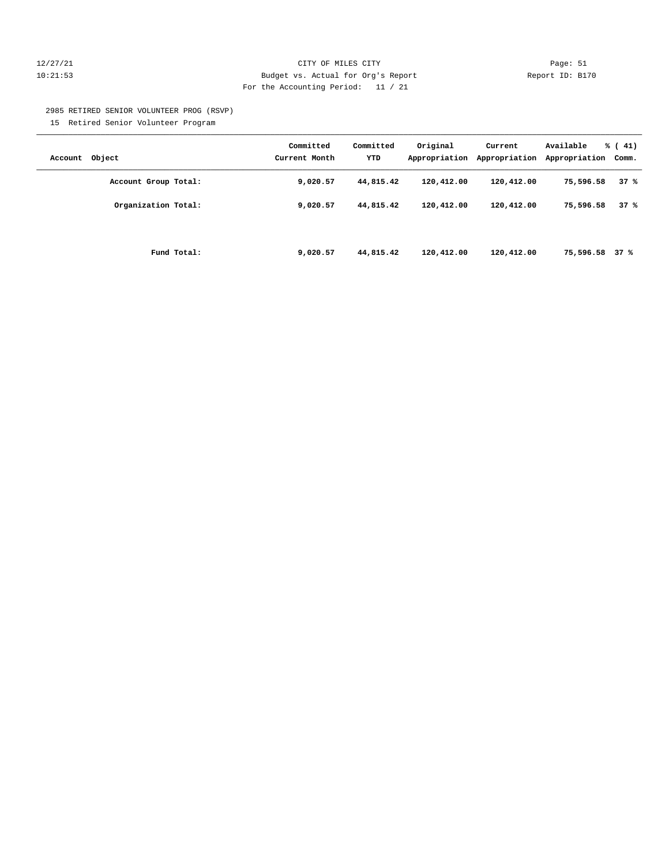# 12/27/21 CITY OF MILES CITY Page: 51 10:21:53 Budget vs. Actual for Org's Report Report ID: B170 For the Accounting Period: 11 / 21

2985 RETIRED SENIOR VOLUNTEER PROG (RSVP)

15 Retired Senior Volunteer Program

| Account Object       | Committed<br>Current Month | Committed<br>YTD | Original<br>Appropriation | Current<br>Appropriation | Available<br>Appropriation | % (41)<br>Comm. |
|----------------------|----------------------------|------------------|---------------------------|--------------------------|----------------------------|-----------------|
| Account Group Total: | 9,020.57                   | 44,815.42        | 120,412.00                | 120,412.00               | 75,596.58                  | 37%             |
| Organization Total:  | 9,020.57                   | 44,815.42        | 120,412.00                | 120,412.00               | 75,596.58                  | 37%             |
| Fund Total:          | 9,020.57                   | 44,815.42        | 120,412.00                | 120,412.00               | 75,596.58 37 %             |                 |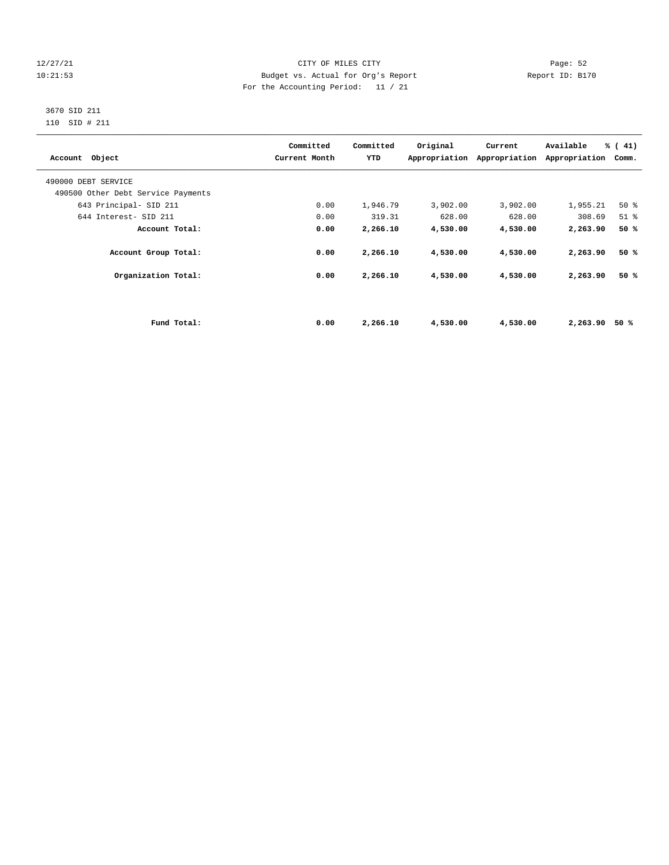# 12/27/21 CITY OF MILES CITY Page: 52 10:21:53 Budget vs. Actual for Org's Report Report ID: B170 For the Accounting Period: 11 / 21

# 3670 SID 211 110 SID # 211

| Account Object                     |             | Committed<br>Current Month | Committed<br>YTD | Original | Current<br>Appropriation Appropriation | Available<br>Appropriation | % (41)<br>Comm. |
|------------------------------------|-------------|----------------------------|------------------|----------|----------------------------------------|----------------------------|-----------------|
| 490000 DEBT SERVICE                |             |                            |                  |          |                                        |                            |                 |
| 490500 Other Debt Service Payments |             |                            |                  |          |                                        |                            |                 |
| 643 Principal- SID 211             |             | 0.00                       | 1,946.79         | 3,902.00 | 3,902.00                               | 1,955.21                   | 50%             |
| 644 Interest- SID 211              |             | 0.00                       | 319.31           | 628.00   | 628.00                                 | 308.69                     | $51$ $%$        |
| Account Total:                     |             | 0.00                       | 2,266.10         | 4,530.00 | 4,530.00                               | 2,263.90                   | 50%             |
| Account Group Total:               |             | 0.00                       | 2,266.10         | 4,530.00 | 4,530.00                               | 2,263.90                   | 50%             |
| Organization Total:                |             | 0.00                       | 2,266.10         | 4,530.00 | 4,530.00                               | 2,263.90                   | 50%             |
|                                    |             |                            |                  |          |                                        |                            |                 |
|                                    | Fund Total: | 0.00                       | 2,266.10         | 4,530.00 | 4,530.00                               | 2,263.90                   | 50 %            |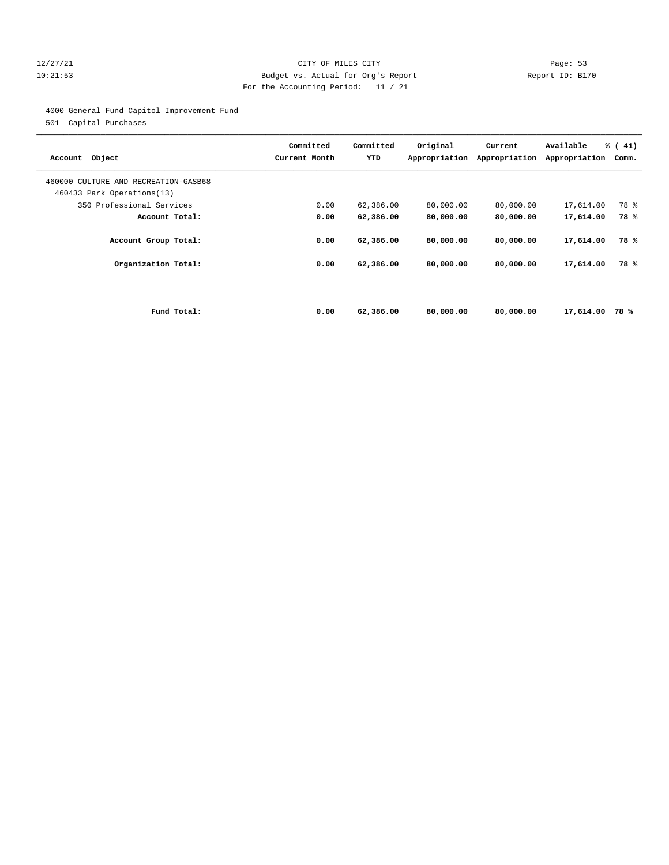# 12/27/21 CITY OF MILES CITY Page: 53 10:21:53 Budget vs. Actual for Org's Report Report ID: B170 For the Accounting Period: 11 / 21

4000 General Fund Capitol Improvement Fund

501 Capital Purchases

| Account Object                                                     |             | Committed<br>Current Month | Committed<br>YTD | Original<br>Appropriation | Current<br>Appropriation | Available<br>Appropriation | $\frac{1}{6}$ ( 41)<br>Comm. |
|--------------------------------------------------------------------|-------------|----------------------------|------------------|---------------------------|--------------------------|----------------------------|------------------------------|
| 460000 CULTURE AND RECREATION-GASB68<br>460433 Park Operations(13) |             |                            |                  |                           |                          |                            |                              |
| 350 Professional Services                                          |             | 0.00                       | 62,386.00        | 80,000.00                 | 80,000.00                | 17,614.00                  | 78 %                         |
| Account Total:                                                     |             | 0.00                       | 62,386.00        | 80,000.00                 | 80,000.00                | 17,614.00                  | 78%                          |
| Account Group Total:                                               |             | 0.00                       | 62,386.00        | 80,000.00                 | 80,000.00                | 17,614.00                  | 78 %                         |
| Organization Total:                                                |             | 0.00                       | 62,386.00        | 80,000.00                 | 80,000.00                | 17,614.00                  | 78%                          |
|                                                                    |             |                            |                  |                           |                          |                            |                              |
|                                                                    | Fund Total: | 0.00                       | 62,386.00        | 80,000,00                 | 80,000,00                | 17,614.00                  | 78%                          |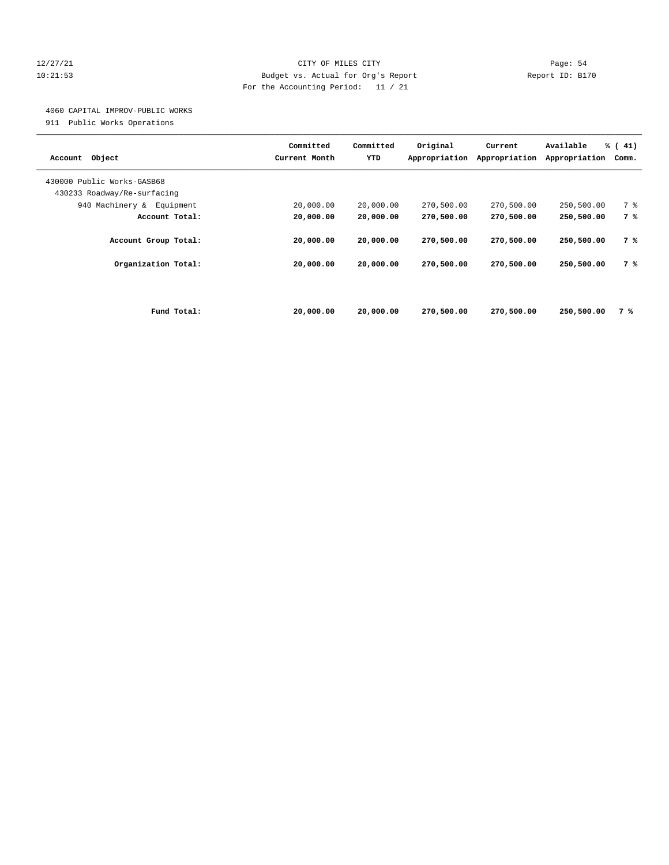# 12/27/21 CITY OF MILES CITY Page: 54 10:21:53 Budget vs. Actual for Org's Report Report ID: B170 For the Accounting Period: 11 / 21

# 4060 CAPITAL IMPROV-PUBLIC WORKS

911 Public Works Operations

|                             | Committed     | Committed | Original      | Current       | Available     | $\frac{1}{6}$ ( 41) |
|-----------------------------|---------------|-----------|---------------|---------------|---------------|---------------------|
| Object<br>Account           | Current Month | YTD       | Appropriation | Appropriation | Appropriation | Comm.               |
| 430000 Public Works-GASB68  |               |           |               |               |               |                     |
| 430233 Roadway/Re-surfacing |               |           |               |               |               |                     |
| 940 Machinery & Equipment   | 20,000.00     | 20,000.00 | 270,500.00    | 270,500.00    | 250,500.00    | 7 %                 |
| Account Total:              | 20,000.00     | 20,000.00 | 270,500.00    | 270,500.00    | 250,500.00    | 7 %                 |
|                             |               |           |               |               |               |                     |
| Account Group Total:        | 20,000.00     | 20,000.00 | 270,500.00    | 270,500.00    | 250,500.00    | 7 %                 |
| Organization Total:         | 20,000.00     | 20,000.00 | 270,500.00    | 270,500.00    | 250,500.00    | 7 %                 |
|                             |               |           |               |               |               |                     |
|                             |               |           |               |               |               |                     |
|                             |               |           |               |               |               |                     |
| Fund Total:                 | 20,000.00     | 20,000.00 | 270,500.00    | 270,500.00    | 250,500.00    | 7 %                 |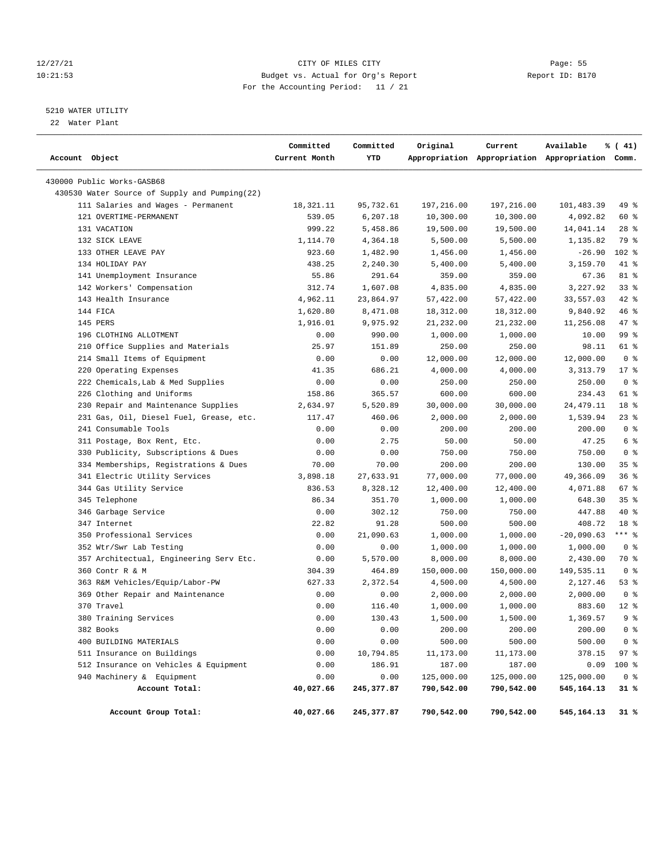# 12/27/21 CITY OF MILES CITY Page: 55 10:21:53 Budget vs. Actual for Org's Report Report ID: B170 For the Accounting Period: 11 / 21

# 5210 WATER UTILITY

22 Water Plant

| Account Object                                | Committed<br>Current Month | Committed<br>YTD | Original   | Current    | Available<br>Appropriation Appropriation Appropriation Comm. | % (41)          |
|-----------------------------------------------|----------------------------|------------------|------------|------------|--------------------------------------------------------------|-----------------|
| 430000 Public Works-GASB68                    |                            |                  |            |            |                                                              |                 |
| 430530 Water Source of Supply and Pumping(22) |                            |                  |            |            |                                                              |                 |
| 111 Salaries and Wages - Permanent            | 18,321.11                  | 95,732.61        | 197,216.00 | 197,216.00 | 101,483.39                                                   | 49 %            |
| 121 OVERTIME-PERMANENT                        | 539.05                     | 6,207.18         | 10,300.00  | 10,300.00  | 4,092.82                                                     | 60 %            |
| 131 VACATION                                  | 999.22                     | 5,458.86         | 19,500.00  | 19,500.00  | 14,041.14                                                    | $28$ %          |
| 132 SICK LEAVE                                | 1,114.70                   | 4,364.18         | 5,500.00   | 5,500.00   | 1,135.82                                                     | 79 %            |
| 133 OTHER LEAVE PAY                           | 923.60                     | 1,482.90         | 1,456.00   | 1,456.00   | $-26.90$                                                     | $102$ %         |
| 134 HOLIDAY PAY                               | 438.25                     | 2,240.30         | 5,400.00   | 5,400.00   | 3,159.70                                                     | 41 %            |
| 141 Unemployment Insurance                    | 55.86                      | 291.64           | 359.00     | 359.00     | 67.36                                                        | 81 %            |
| 142 Workers' Compensation                     | 312.74                     | 1,607.08         | 4,835.00   | 4,835.00   | 3,227.92                                                     | 33%             |
| 143 Health Insurance                          | 4,962.11                   | 23,864.97        | 57,422.00  | 57,422.00  | 33,557.03                                                    | 42 %            |
| 144 FICA                                      | 1,620.80                   | 8,471.08         | 18,312.00  | 18,312.00  | 9,840.92                                                     | 46 %            |
| 145 PERS                                      | 1,916.01                   | 9,975.92         | 21,232.00  | 21,232.00  | 11,256.08                                                    | 47 %            |
| 196 CLOTHING ALLOTMENT                        | 0.00                       | 990.00           | 1,000.00   | 1,000.00   | 10.00                                                        | 99 %            |
| 210 Office Supplies and Materials             | 25.97                      | 151.89           | 250.00     | 250.00     | 98.11                                                        | 61 %            |
| 214 Small Items of Equipment                  | 0.00                       | 0.00             | 12,000.00  | 12,000.00  | 12,000.00                                                    | 0 <sup>8</sup>  |
| 220 Operating Expenses                        | 41.35                      | 686.21           | 4,000.00   | 4,000.00   | 3, 313.79                                                    | $17*$           |
| 222 Chemicals, Lab & Med Supplies             | 0.00                       | 0.00             | 250.00     | 250.00     | 250.00                                                       | 0 <sup>8</sup>  |
| 226 Clothing and Uniforms                     | 158.86                     | 365.57           | 600.00     | 600.00     | 234.43                                                       | 61 %            |
| 230 Repair and Maintenance Supplies           | 2,634.97                   | 5,520.89         | 30,000.00  | 30,000.00  | 24, 479.11                                                   | 18 %            |
| 231 Gas, Oil, Diesel Fuel, Grease, etc.       | 117.47                     | 460.06           | 2,000.00   | 2,000.00   | 1,539.94                                                     | $23$ %          |
| 241 Consumable Tools                          | 0.00                       | 0.00             | 200.00     | 200.00     | 200.00                                                       | 0 <sup>8</sup>  |
| 311 Postage, Box Rent, Etc.                   | 0.00                       | 2.75             | 50.00      | 50.00      | 47.25                                                        | 6 %             |
| 330 Publicity, Subscriptions & Dues           | 0.00                       | 0.00             | 750.00     | 750.00     | 750.00                                                       | 0 <sup>8</sup>  |
| 334 Memberships, Registrations & Dues         | 70.00                      | 70.00            | 200.00     | 200.00     | 130.00                                                       | 35%             |
| 341 Electric Utility Services                 | 3,898.18                   | 27,633.91        | 77,000.00  | 77,000.00  | 49,366.09                                                    | 36%             |
| 344 Gas Utility Service                       | 836.53                     | 8,328.12         | 12,400.00  | 12,400.00  | 4,071.88                                                     | 67 %            |
| 345 Telephone                                 | 86.34                      | 351.70           | 1,000.00   | 1,000.00   | 648.30                                                       | 35 <sup>8</sup> |
| 346 Garbage Service                           | 0.00                       | 302.12           | 750.00     | 750.00     | 447.88                                                       | 40 %            |
| 347 Internet                                  | 22.82                      | 91.28            | 500.00     | 500.00     | 408.72                                                       | 18 %            |
| 350 Professional Services                     | 0.00                       | 21,090.63        | 1,000.00   | 1,000.00   | $-20,090.63$                                                 | $***$ $-$       |
| 352 Wtr/Swr Lab Testing                       | 0.00                       | 0.00             | 1,000.00   | 1,000.00   | 1,000.00                                                     | 0 <sup>8</sup>  |
| 357 Architectual, Engineering Serv Etc.       | 0.00                       | 5,570.00         | 8,000.00   | 8,000.00   | 2,430.00                                                     | 70 %            |
| 360 Contr R & M                               | 304.39                     | 464.89           | 150,000.00 | 150,000.00 | 149,535.11                                                   | 0 <sup>8</sup>  |
| 363 R&M Vehicles/Equip/Labor-PW               | 627.33                     | 2,372.54         | 4,500.00   | 4,500.00   | 2,127.46                                                     | 53%             |
| 369 Other Repair and Maintenance              | 0.00                       | 0.00             | 2,000.00   | 2,000.00   | 2,000.00                                                     | 0 <sup>8</sup>  |
| 370 Travel                                    | 0.00                       | 116.40           | 1,000.00   | 1,000.00   | 883.60                                                       | $12*$           |
| 380 Training Services                         | 0.00                       | 130.43           | 1,500.00   | 1,500.00   | 1,369.57                                                     | 9 <sup>8</sup>  |
| 382 Books                                     | 0.00                       | 0.00             | 200.00     | 200.00     | 200.00                                                       | 0 <sup>8</sup>  |
| 400 BUILDING MATERIALS                        | 0.00                       | 0.00             | 500.00     | 500.00     | 500.00                                                       | 0 <sup>8</sup>  |
| 511 Insurance on Buildings                    | 0.00                       | 10,794.85        | 11,173.00  | 11,173.00  | 378.15                                                       | 97%             |
| 512 Insurance on Vehicles & Equipment         | 0.00                       | 186.91           | 187.00     | 187.00     | 0.09                                                         | 100 %           |
| 940 Machinery & Equipment                     | 0.00                       | 0.00             | 125,000.00 | 125,000.00 | 125,000.00                                                   | 0 <sup>8</sup>  |
| Account Total:                                | 40,027.66                  | 245,377.87       | 790,542.00 | 790,542.00 | 545,164.13                                                   | 31 %            |
| Account Group Total:                          | 40,027.66                  | 245,377.87       | 790,542.00 | 790,542.00 | 545,164.13                                                   | 31 %            |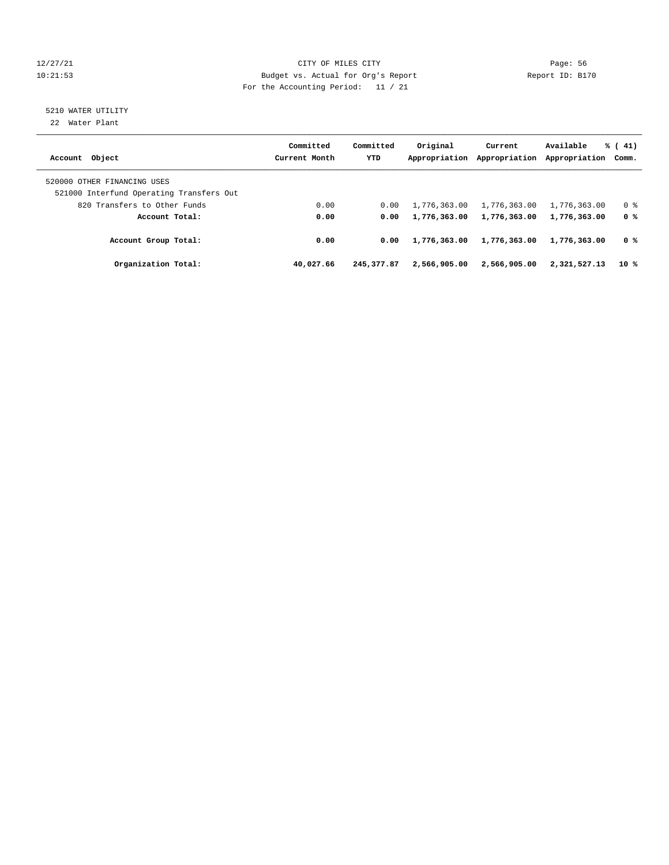# 12/27/21 CITY OF MILES CITY Page: 56 10:21:53 Budget vs. Actual for Org's Report Report ID: B170 For the Accounting Period: 11 / 21

# 5210 WATER UTILITY

22 Water Plant

| Account Object                                                          | Committed<br>Current Month | Committed<br><b>YTD</b> | Original<br>Appropriation | Current<br>Appropriation | Available<br>Appropriation Comm. | $\frac{1}{6}$ ( 41) |
|-------------------------------------------------------------------------|----------------------------|-------------------------|---------------------------|--------------------------|----------------------------------|---------------------|
| 520000 OTHER FINANCING USES<br>521000 Interfund Operating Transfers Out |                            |                         |                           |                          |                                  |                     |
| 820 Transfers to Other Funds                                            | 0.00                       | 0.00                    | 1,776,363.00              | 1,776,363.00             | 1,776,363.00                     | 0 %                 |
| Account Total:                                                          | 0.00                       | 0.00                    | 1,776,363.00              | 1,776,363.00             | 1,776,363.00                     | 0 %                 |
| Account Group Total:                                                    | 0.00                       | 0.00                    | 1,776,363.00              | 1,776,363.00             | 1,776,363.00                     | 0 %                 |
| Organization Total:                                                     | 40,027.66                  | 245, 377.87             | 2,566,905.00              | 2,566,905.00             | 2,321,527.13                     | 10 %                |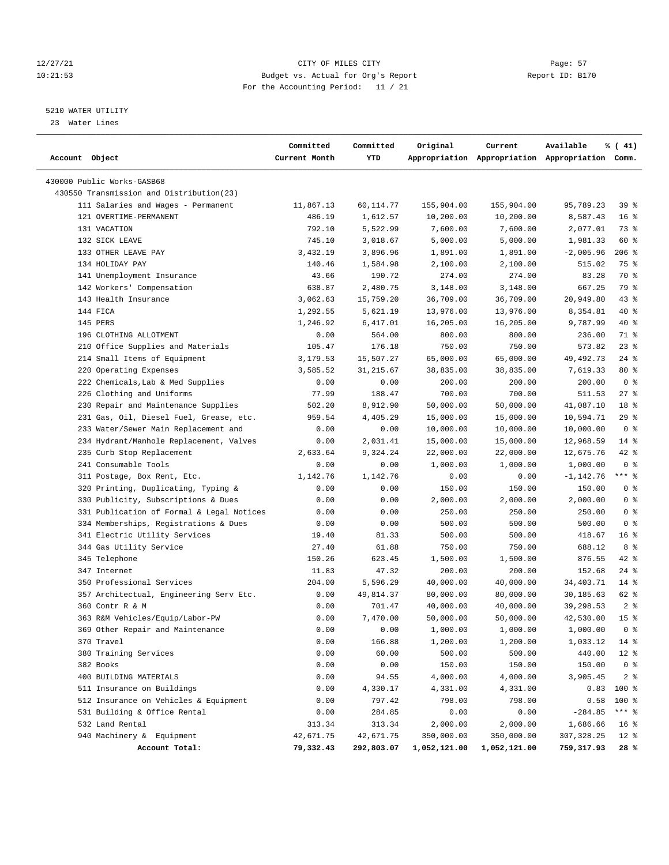# 12/27/21 CITY OF MILES CITY Page: 57 10:21:53 Budget vs. Actual for Org's Report Report ID: B170 For the Accounting Period: 11 / 21

————————————————————————————————————————————————————————————————————————————————————————————————————————————————————————————————————

# 5210 WATER UTILITY

23 Water Lines

|                                           | Committed     | Committed  | Original     | Current      | Available                                       | % (41)          |
|-------------------------------------------|---------------|------------|--------------|--------------|-------------------------------------------------|-----------------|
| Account Object                            | Current Month | YTD        |              |              | Appropriation Appropriation Appropriation Comm. |                 |
| 430000 Public Works-GASB68                |               |            |              |              |                                                 |                 |
| 430550 Transmission and Distribution(23)  |               |            |              |              |                                                 |                 |
| 111 Salaries and Wages - Permanent        | 11,867.13     | 60,114.77  | 155,904.00   | 155,904.00   | 95,789.23                                       | 39 %            |
| 121 OVERTIME-PERMANENT                    | 486.19        | 1,612.57   | 10,200.00    | 10,200.00    | 8,587.43                                        | 16 <sup>°</sup> |
| 131 VACATION                              | 792.10        | 5,522.99   | 7,600.00     | 7,600.00     | 2,077.01                                        | 73 %            |
| 132 SICK LEAVE                            | 745.10        | 3,018.67   | 5,000.00     | 5,000.00     | 1,981.33                                        | 60 %            |
| 133 OTHER LEAVE PAY                       | 3,432.19      | 3,896.96   | 1,891.00     | 1,891.00     | $-2,005.96$                                     | $206$ %         |
| 134 HOLIDAY PAY                           | 140.46        | 1,584.98   | 2,100.00     | 2,100.00     | 515.02                                          | 75 %            |
| 141 Unemployment Insurance                | 43.66         | 190.72     | 274.00       | 274.00       | 83.28                                           | 70 %            |
| 142 Workers' Compensation                 | 638.87        | 2,480.75   | 3,148.00     | 3,148.00     | 667.25                                          | 79 %            |
| 143 Health Insurance                      | 3,062.63      | 15,759.20  | 36,709.00    | 36,709.00    | 20,949.80                                       | $43$ %          |
| 144 FICA                                  | 1,292.55      | 5,621.19   | 13,976.00    | 13,976.00    | 8,354.81                                        | $40*$           |
| 145 PERS                                  | 1,246.92      | 6,417.01   | 16,205.00    | 16,205.00    | 9,787.99                                        | 40 %            |
| 196 CLOTHING ALLOTMENT                    | 0.00          | 564.00     | 800.00       | 800.00       | 236.00                                          | 71 %            |
| 210 Office Supplies and Materials         | 105.47        | 176.18     | 750.00       | 750.00       | 573.82                                          | $23$ %          |
| 214 Small Items of Equipment              | 3,179.53      | 15,507.27  | 65,000.00    | 65,000.00    | 49, 492. 73                                     | $24$ %          |
| 220 Operating Expenses                    | 3,585.52      | 31, 215.67 | 38,835.00    | 38,835.00    | 7,619.33                                        | $80*$           |
| 222 Chemicals, Lab & Med Supplies         | 0.00          | 0.00       | 200.00       | 200.00       | 200.00                                          | 0 <sup>8</sup>  |
| 226 Clothing and Uniforms                 | 77.99         | 188.47     | 700.00       | 700.00       | 511.53                                          | $27$ %          |
| 230 Repair and Maintenance Supplies       | 502.20        | 8,912.90   | 50,000.00    | 50,000.00    | 41,087.10                                       | 18 %            |
| 231 Gas, Oil, Diesel Fuel, Grease, etc.   | 959.54        | 4,405.29   | 15,000.00    | 15,000.00    | 10,594.71                                       | 29%             |
| 233 Water/Sewer Main Replacement and      | 0.00          | 0.00       | 10,000.00    | 10,000.00    | 10,000.00                                       | 0 <sup>8</sup>  |
| 234 Hydrant/Manhole Replacement, Valves   | 0.00          | 2,031.41   | 15,000.00    | 15,000.00    | 12,968.59                                       | $14*$           |
| 235 Curb Stop Replacement                 | 2,633.64      | 9,324.24   | 22,000.00    | 22,000.00    | 12,675.76                                       | $42$ %          |
| 241 Consumable Tools                      | 0.00          | 0.00       | 1,000.00     | 1,000.00     | 1,000.00                                        | 0 <sup>8</sup>  |
| 311 Postage, Box Rent, Etc.               | 1,142.76      | 1,142.76   | 0.00         | 0.00         | $-1,142.76$                                     | $***$ $-$       |
| 320 Printing, Duplicating, Typing &       | 0.00          | 0.00       | 150.00       | 150.00       | 150.00                                          | 0 <sup>8</sup>  |
| 330 Publicity, Subscriptions & Dues       | 0.00          | 0.00       | 2,000.00     | 2,000.00     | 2,000.00                                        | 0 <sup>8</sup>  |
| 331 Publication of Formal & Legal Notices | 0.00          | 0.00       | 250.00       | 250.00       | 250.00                                          | 0 <sup>8</sup>  |
| 334 Memberships, Registrations & Dues     | 0.00          | 0.00       | 500.00       | 500.00       | 500.00                                          | 0 <sup>8</sup>  |
| 341 Electric Utility Services             | 19.40         | 81.33      | 500.00       | 500.00       | 418.67                                          | 16%             |
| 344 Gas Utility Service                   | 27.40         | 61.88      | 750.00       | 750.00       | 688.12                                          | 8 %             |
| 345 Telephone                             | 150.26        | 623.45     | 1,500.00     | 1,500.00     | 876.55                                          | $42$ %          |
| 347 Internet                              | 11.83         | 47.32      | 200.00       | 200.00       | 152.68                                          | $24$ %          |
| 350 Professional Services                 | 204.00        | 5,596.29   | 40,000.00    | 40,000.00    | 34,403.71                                       | $14*$           |
| 357 Architectual, Engineering Serv Etc.   | 0.00          | 49,814.37  | 80,000.00    | 80,000.00    | 30,185.63                                       | 62 %            |
| 360 Contr R & M                           | 0.00          | 701.47     | 40,000.00    | 40,000.00    | 39,298.53                                       | 2 <sup>8</sup>  |
| 363 R&M Vehicles/Equip/Labor-PW           | 0.00          | 7,470.00   | 50,000.00    | 50,000.00    | 42,530.00                                       | 15 <sup>8</sup> |
| 369 Other Repair and Maintenance          | 0.00          | 0.00       | 1,000.00     | 1,000.00     | 1,000.00                                        | 0 <sup>8</sup>  |
| 370 Travel                                | 0.00          | 166.88     | 1,200.00     | 1,200.00     | 1,033.12                                        | 14 %            |
| 380 Training Services                     | 0.00          | 60.00      | 500.00       | 500.00       | 440.00                                          | $12*$           |
| 382 Books                                 | 0.00          | 0.00       | 150.00       | 150.00       | 150.00                                          | 0 <sup>8</sup>  |
| 400 BUILDING MATERIALS                    | 0.00          | 94.55      | 4,000.00     | 4,000.00     | 3,905.45                                        | 2 <sub>8</sub>  |
| 511 Insurance on Buildings                | 0.00          | 4,330.17   | 4,331.00     | 4,331.00     | 0.83                                            | 100 %           |
| 512 Insurance on Vehicles & Equipment     | 0.00          | 797.42     | 798.00       | 798.00       | 0.58                                            | $100$ %         |
| 531 Building & Office Rental              | 0.00          | 284.85     | 0.00         | 0.00         | $-284.85$                                       | $***$ $_{8}$    |
| 532 Land Rental                           | 313.34        | 313.34     | 2,000.00     | 2,000.00     | 1,686.66                                        | $16*$           |
| 940 Machinery & Equipment                 | 42,671.75     | 42,671.75  | 350,000.00   | 350,000.00   | 307, 328.25                                     | $12*$           |
| Account Total:                            | 79,332.43     | 292,803.07 | 1,052,121.00 | 1,052,121.00 | 759,317.93                                      | 28 %            |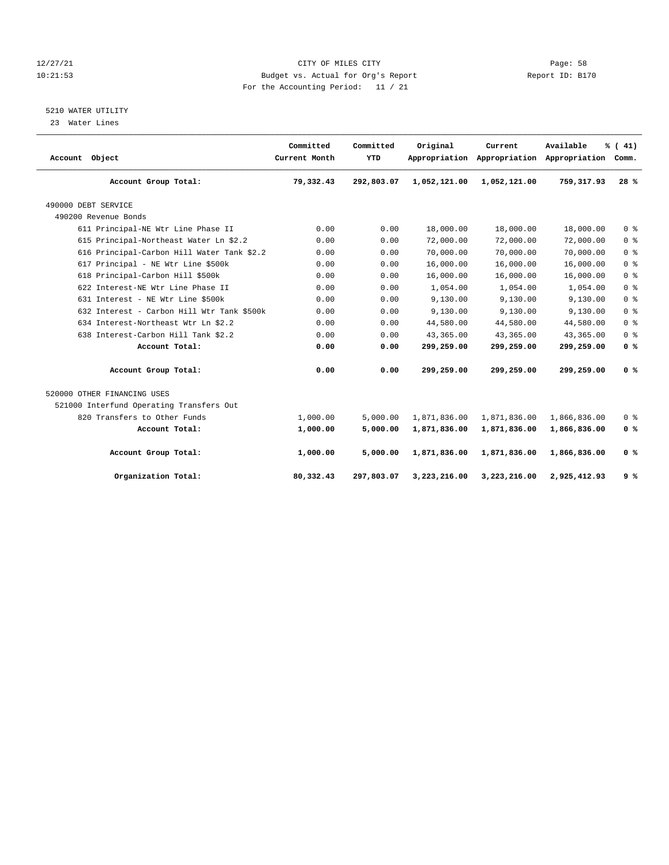# 12/27/21 CITY OF MILES CITY Page: 58 10:21:53 Budget vs. Actual for Org's Report Report ID: B170 For the Accounting Period: 11 / 21

# 5210 WATER UTILITY

23 Water Lines

| Account Object                             | Committed<br>Current Month | Committed<br>YTD | Original     | Current      | Available<br>Appropriation Appropriation Appropriation | % (41)<br>Comm. |
|--------------------------------------------|----------------------------|------------------|--------------|--------------|--------------------------------------------------------|-----------------|
| Account Group Total:                       | 79,332.43                  | 292,803.07       | 1,052,121.00 | 1,052,121.00 | 759, 317, 93                                           | 28%             |
| 490000 DEBT SERVICE                        |                            |                  |              |              |                                                        |                 |
| 490200 Revenue Bonds                       |                            |                  |              |              |                                                        |                 |
| 611 Principal-NE Wtr Line Phase II         | 0.00                       | 0.00             | 18,000.00    | 18,000.00    | 18,000.00                                              | 0 <sup>8</sup>  |
| 615 Principal-Northeast Water Ln \$2.2     | 0.00                       | 0.00             | 72,000.00    | 72,000.00    | 72,000.00                                              | 0 <sup>8</sup>  |
| 616 Principal-Carbon Hill Water Tank \$2.2 | 0.00                       | 0.00             | 70,000.00    | 70,000.00    | 70,000.00                                              | 0 <sup>8</sup>  |
| 617 Principal - NE Wtr Line \$500k         | 0.00                       | 0.00             | 16,000.00    | 16,000.00    | 16,000.00                                              | 0 <sup>8</sup>  |
| 618 Principal-Carbon Hill \$500k           | 0.00                       | 0.00             | 16,000.00    | 16,000.00    | 16,000.00                                              | 0 <sup>8</sup>  |
| 622 Interest-NE Wtr Line Phase II          | 0.00                       | 0.00             | 1,054.00     | 1,054.00     | 1,054.00                                               | 0 <sup>8</sup>  |
| 631 Interest - NE Wtr Line \$500k          | 0.00                       | 0.00             | 9,130.00     | 9,130.00     | 9.130.00                                               | 0 <sup>8</sup>  |
| 632 Interest - Carbon Hill Wtr Tank \$500k | 0.00                       | 0.00             | 9,130.00     | 9,130.00     | 9,130.00                                               | 0 <sup>8</sup>  |
| 634 Interest-Northeast Wtr Ln \$2.2        | 0.00                       | 0.00             | 44,580.00    | 44,580.00    | 44,580.00                                              | 0 <sup>8</sup>  |
| 638 Interest-Carbon Hill Tank \$2.2        | 0.00                       | 0.00             | 43,365.00    | 43,365.00    | 43,365.00                                              | 0 <sup>8</sup>  |
| Account Total:                             | 0.00                       | 0.00             | 299,259.00   | 299,259.00   | 299,259.00                                             | 0 <sup>8</sup>  |
| Account Group Total:                       | 0.00                       | 0.00             | 299,259.00   | 299,259.00   | 299,259.00                                             | 0 <sup>8</sup>  |
| 520000 OTHER FINANCING USES                |                            |                  |              |              |                                                        |                 |
| 521000 Interfund Operating Transfers Out   |                            |                  |              |              |                                                        |                 |
| 820 Transfers to Other Funds               | 1,000.00                   | 5,000.00         | 1,871,836.00 | 1,871,836.00 | 1,866,836.00                                           | 0 <sup>8</sup>  |
| Account Total:                             | 1,000.00                   | 5,000.00         | 1,871,836.00 | 1,871,836.00 | 1,866,836.00                                           | 0 <sup>8</sup>  |
| Account Group Total:                       | 1,000.00                   | 5,000.00         | 1,871,836.00 | 1,871,836.00 | 1,866,836.00                                           | 0 <sup>8</sup>  |
| Organization Total:                        | 80,332.43                  | 297,803.07       | 3,223,216.00 | 3,223,216.00 | 2,925,412.93                                           | 9%              |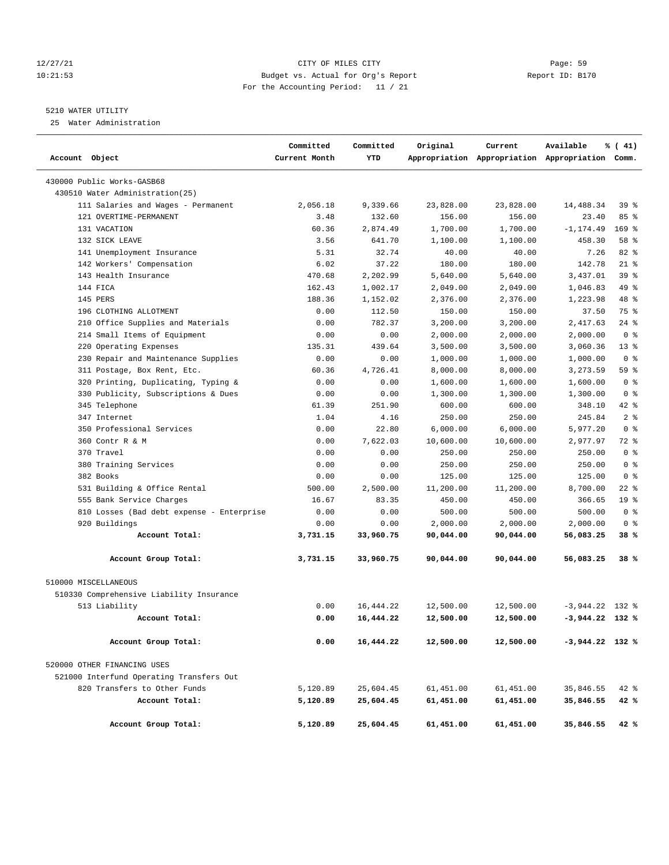# 12/27/21 CITY OF MILES CITY Page: 59 10:21:53 Budget vs. Actual for Org's Report Report ID: B170 For the Accounting Period: 11 / 21

# 5210 WATER UTILITY

25 Water Administration

| Account Object                            | Committed<br>Current Month | Committed<br>YTD | Original  | Current   | Available<br>Appropriation Appropriation Appropriation Comm. | % (41)          |
|-------------------------------------------|----------------------------|------------------|-----------|-----------|--------------------------------------------------------------|-----------------|
| 430000 Public Works-GASB68                |                            |                  |           |           |                                                              |                 |
| 430510 Water Administration (25)          |                            |                  |           |           |                                                              |                 |
| 111 Salaries and Wages - Permanent        | 2,056.18                   | 9,339.66         | 23,828.00 | 23,828.00 | 14,488.34                                                    | 39 %            |
| 121 OVERTIME-PERMANENT                    | 3.48                       | 132.60           | 156.00    | 156.00    | 23.40                                                        | 85%             |
| 131 VACATION                              | 60.36                      | 2,874.49         | 1,700.00  | 1,700.00  | $-1, 174.49$                                                 | $169$ %         |
| 132 SICK LEAVE                            | 3.56                       | 641.70           | 1,100.00  | 1,100.00  | 458.30                                                       | 58 %            |
| 141 Unemployment Insurance                | 5.31                       | 32.74            | 40.00     | 40.00     | 7.26                                                         | 82 %            |
| 142 Workers' Compensation                 | 6.02                       | 37.22            | 180.00    | 180.00    | 142.78                                                       | $21*$           |
| 143 Health Insurance                      | 470.68                     | 2,202.99         | 5,640.00  | 5,640.00  | 3,437.01                                                     | 39 %            |
| 144 FICA                                  | 162.43                     | 1,002.17         | 2,049.00  | 2,049.00  | 1,046.83                                                     | 49 %            |
| 145 PERS                                  | 188.36                     | 1,152.02         | 2,376.00  | 2,376.00  | 1,223.98                                                     | 48 %            |
| 196 CLOTHING ALLOTMENT                    | 0.00                       | 112.50           | 150.00    | 150.00    | 37.50                                                        | 75 %            |
| 210 Office Supplies and Materials         | 0.00                       | 782.37           | 3,200.00  | 3,200.00  | 2,417.63                                                     | $24$ %          |
| 214 Small Items of Equipment              | 0.00                       | 0.00             | 2,000.00  | 2,000.00  | 2,000.00                                                     | 0 <sup>8</sup>  |
| 220 Operating Expenses                    | 135.31                     | 439.64           | 3,500.00  | 3,500.00  | 3,060.36                                                     | $13*$           |
| 230 Repair and Maintenance Supplies       | 0.00                       | 0.00             | 1,000.00  | 1,000.00  | 1,000.00                                                     | 0 <sup>8</sup>  |
| 311 Postage, Box Rent, Etc.               | 60.36                      | 4,726.41         | 8,000.00  | 8,000.00  | 3,273.59                                                     | 59 %            |
| 320 Printing, Duplicating, Typing &       | 0.00                       | 0.00             | 1,600.00  | 1,600.00  | 1,600.00                                                     | 0 <sup>8</sup>  |
| 330 Publicity, Subscriptions & Dues       | 0.00                       | 0.00             | 1,300.00  | 1,300.00  | 1,300.00                                                     | 0 <sup>8</sup>  |
| 345 Telephone                             | 61.39                      | 251.90           | 600.00    | 600.00    | 348.10                                                       | $42$ %          |
| 347 Internet                              | 1.04                       | 4.16             | 250.00    | 250.00    | 245.84                                                       | 2 <sup>8</sup>  |
| 350 Professional Services                 | 0.00                       | 22.80            | 6,000.00  | 6,000.00  | 5,977.20                                                     | 0 <sup>8</sup>  |
| 360 Contr R & M                           | 0.00                       | 7,622.03         | 10,600.00 | 10,600.00 | 2,977.97                                                     | 72 %            |
| 370 Travel                                | 0.00                       | 0.00             | 250.00    | 250.00    | 250.00                                                       | 0 <sup>8</sup>  |
| 380 Training Services                     | 0.00                       | 0.00             | 250.00    | 250.00    | 250.00                                                       | 0 <sup>8</sup>  |
| 382 Books                                 | 0.00                       | 0.00             | 125.00    | 125.00    | 125.00                                                       | 0 <sup>8</sup>  |
| 531 Building & Office Rental              | 500.00                     | 2,500.00         | 11,200.00 | 11,200.00 | 8,700.00                                                     | $22$ %          |
| 555 Bank Service Charges                  | 16.67                      | 83.35            | 450.00    | 450.00    | 366.65                                                       | 19 <sup>8</sup> |
| 810 Losses (Bad debt expense - Enterprise | 0.00                       | 0.00             | 500.00    | 500.00    | 500.00                                                       | 0 <sup>8</sup>  |
| 920 Buildings                             | 0.00                       | 0.00             | 2,000.00  | 2,000.00  | 2,000.00                                                     | 0 <sup>8</sup>  |
| Account Total:                            | 3,731.15                   | 33,960.75        | 90,044.00 | 90,044.00 | 56,083.25                                                    | 38 %            |
| Account Group Total:                      | 3,731.15                   | 33,960.75        | 90,044.00 | 90,044.00 | 56,083.25                                                    | 38%             |
| 510000 MISCELLANEOUS                      |                            |                  |           |           |                                                              |                 |
| 510330 Comprehensive Liability Insurance  |                            |                  |           |           |                                                              |                 |
| 513 Liability                             | 0.00                       | 16, 444.22       | 12,500.00 | 12,500.00 | $-3,944.22$                                                  | 132 %           |
| Account Total:                            | 0.00                       | 16,444.22        | 12,500.00 | 12,500.00 | $-3,944.22$ 132 %                                            |                 |
| Account Group Total:                      | 0.00                       | 16,444.22        | 12,500.00 | 12,500.00 | $-3,944.22$ 132 %                                            |                 |
| 520000 OTHER FINANCING USES               |                            |                  |           |           |                                                              |                 |
| 521000 Interfund Operating Transfers Out  |                            |                  |           |           |                                                              |                 |
| 820 Transfers to Other Funds              | 5,120.89                   | 25,604.45        | 61,451.00 | 61,451.00 | 35,846.55                                                    | $42$ %          |
| Account Total:                            | 5,120.89                   | 25,604.45        | 61,451.00 | 61,451.00 | 35,846.55                                                    | 42 %            |
| Account Group Total:                      | 5,120.89                   | 25,604.45        | 61,451.00 | 61,451.00 | 35,846.55                                                    | 42 %            |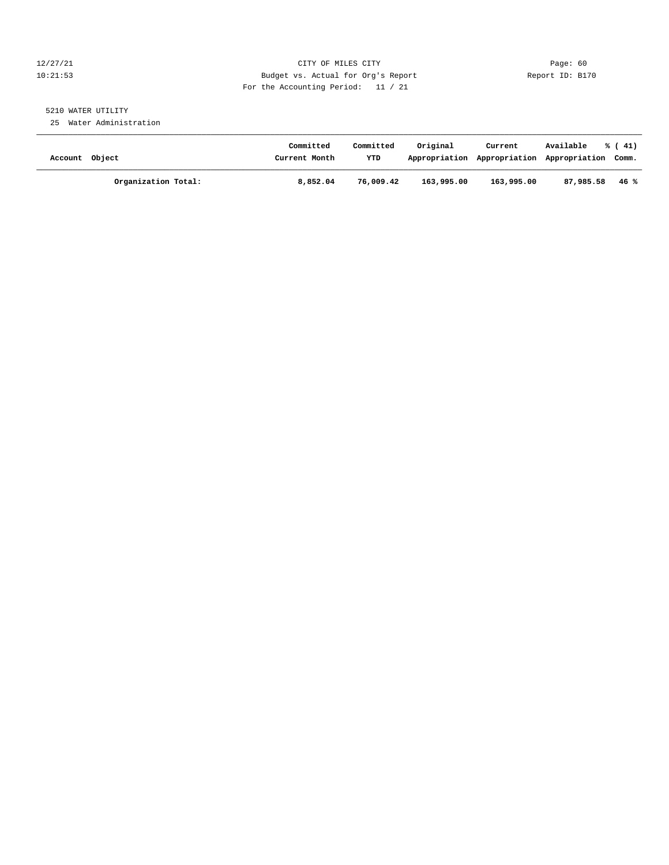# 12/27/21 CITY OF MILES CITY Page: 60 10:21:53 Budget vs. Actual for Org's Report Report ID: B170 For the Accounting Period: 11 / 21

# 5210 WATER UTILITY

25 Water Administration

| Account Object |                     | Committed<br>Current Month | Committed<br>YTD | Original   | Current<br>Appropriation Appropriation Appropriation Comm. | Available | $\frac{1}{6}$ ( 41) |
|----------------|---------------------|----------------------------|------------------|------------|------------------------------------------------------------|-----------|---------------------|
|                | Organization Total: | 8,852.04                   | 76,009.42        | 163,995.00 | 163,995.00                                                 | 87,985.58 | 46 %                |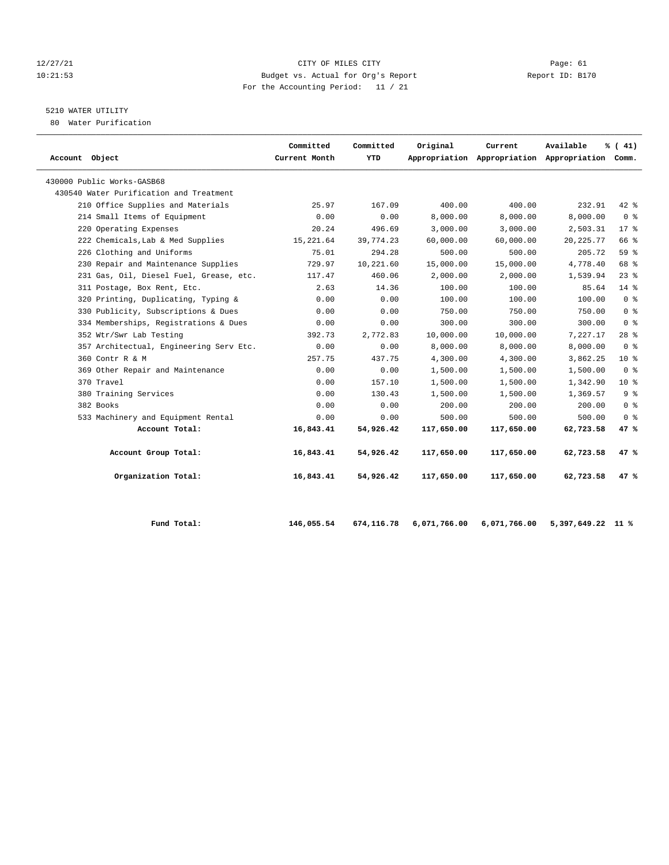# $\begin{tabular}{lllllllll} 12/27/21 & & \textbf{Page: 61} \\ 10:21:53 & & \textbf{Page: 61} \\ \end{tabular}$ 10:21:53 Budget vs. Actual for Org's Report Report ID: B170 For the Accounting Period: 11 / 21

# 5210 WATER UTILITY

80 Water Purification

| Account Object                          | Committed<br>Current Month | Committed<br>YTD | Original   | Current    | Available<br>Appropriation Appropriation Appropriation Comm. | % (41)                             |
|-----------------------------------------|----------------------------|------------------|------------|------------|--------------------------------------------------------------|------------------------------------|
| 430000 Public Works-GASB68              |                            |                  |            |            |                                                              |                                    |
| 430540 Water Purification and Treatment |                            |                  |            |            |                                                              |                                    |
| 210 Office Supplies and Materials       | 25.97                      | 167.09           | 400.00     | 400.00     | 232.91                                                       | $42*$                              |
| 214 Small Items of Equipment            | 0.00                       | 0.00             | 8,000.00   | 8,000.00   | 8,000.00                                                     | 0 <sup>8</sup>                     |
| 220 Operating Expenses                  | 20.24                      | 496.69           | 3,000.00   | 3,000.00   | 2,503.31                                                     | $17*$                              |
| 222 Chemicals, Lab & Med Supplies       | 15,221.64                  | 39,774.23        | 60,000.00  | 60,000.00  | 20, 225. 77                                                  | 66 %                               |
| 226 Clothing and Uniforms               | 75.01                      | 294.28           | 500.00     | 500.00     | 205.72                                                       | 59 %                               |
| 230 Repair and Maintenance Supplies     | 729.97                     | 10,221.60        | 15,000.00  | 15,000.00  | 4,778.40                                                     | 68 %                               |
| 231 Gas, Oil, Diesel Fuel, Grease, etc. | 117.47                     | 460.06           | 2,000.00   | 2,000.00   | 1,539.94                                                     | 23%                                |
| 311 Postage, Box Rent, Etc.             | 2.63                       | 14.36            | 100.00     | 100.00     | 85.64                                                        | $14*$                              |
| 320 Printing, Duplicating, Typing &     | 0.00                       | 0.00             | 100.00     | 100.00     | 100.00                                                       | 0 <sup>8</sup>                     |
| 330 Publicity, Subscriptions & Dues     | 0.00                       | 0.00             | 750.00     | 750.00     | 750.00                                                       | 0 <sup>8</sup>                     |
| 334 Memberships, Registrations & Dues   | 0.00                       | 0.00             | 300.00     | 300.00     | 300.00                                                       | $0 \text{ }$ $\text{ }$ $\text{ }$ |
| 352 Wtr/Swr Lab Testing                 | 392.73                     | 2,772.83         | 10,000.00  | 10,000.00  | 7,227.17                                                     | $28$ $%$                           |
| 357 Architectual, Engineering Serv Etc. | 0.00                       | 0.00             | 8,000.00   | 8,000.00   | 8,000.00                                                     | 0 <sup>8</sup>                     |
| 360 Contr R & M                         | 257.75                     | 437.75           | 4,300.00   | 4,300.00   | 3,862.25                                                     | $10*$                              |
| 369 Other Repair and Maintenance        | 0.00                       | 0.00             | 1,500.00   | 1,500.00   | 1,500.00                                                     | 0 <sup>8</sup>                     |
| 370 Travel                              | 0.00                       | 157.10           | 1,500.00   | 1,500.00   | 1,342.90                                                     | $10*$                              |
| 380 Training Services                   | 0.00                       | 130.43           | 1,500.00   | 1,500.00   | 1,369.57                                                     | 9 <sup>8</sup>                     |
| 382 Books                               | 0.00                       | 0.00             | 200.00     | 200.00     | 200.00                                                       | 0 <sup>8</sup>                     |
| 533 Machinery and Equipment Rental      | 0.00                       | 0.00             | 500.00     | 500.00     | 500.00                                                       | 0 <sup>8</sup>                     |
| Account Total:                          | 16,843.41                  | 54,926.42        | 117,650.00 | 117,650.00 | 62,723.58                                                    | 47%                                |
| Account Group Total:                    | 16,843.41                  | 54,926.42        | 117,650.00 | 117,650.00 | 62,723.58                                                    | 47%                                |
| Organization Total:                     | 16,843.41                  | 54,926.42        | 117,650.00 | 117,650.00 | 62,723.58                                                    | 47%                                |

| Fund Total: |  |
|-------------|--|
|             |  |

 **Fund Total: 146,055.54 674,116.78 6,071,766.00 6,071,766.00 5,397,649.22 11 %**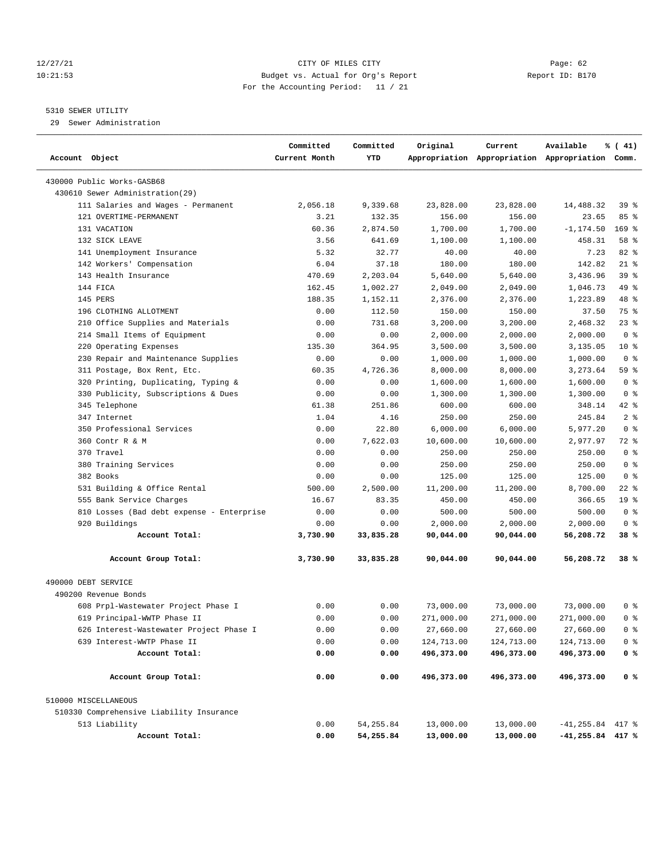# 12/27/21 CITY OF MILES CITY Page: 62 10:21:53 Budget vs. Actual for Org's Report Report ID: B170 For the Accounting Period: 11 / 21

# 5310 SEWER UTILITY

29 Sewer Administration

| Account Object                            | Committed<br>Current Month | Committed<br>YTD | Original   | Current    | Available<br>Appropriation Appropriation Appropriation Comm. | % (41)          |
|-------------------------------------------|----------------------------|------------------|------------|------------|--------------------------------------------------------------|-----------------|
| 430000 Public Works-GASB68                |                            |                  |            |            |                                                              |                 |
| 430610 Sewer Administration (29)          |                            |                  |            |            |                                                              |                 |
| 111 Salaries and Wages - Permanent        | 2,056.18                   | 9,339.68         | 23,828.00  | 23,828.00  | 14,488.32                                                    | 39 %            |
| 121 OVERTIME-PERMANENT                    | 3.21                       | 132.35           | 156.00     | 156.00     | 23.65                                                        | 85%             |
| 131 VACATION                              | 60.36                      | 2,874.50         | 1,700.00   | 1,700.00   | $-1, 174.50$                                                 | $169$ %         |
| 132 SICK LEAVE                            | 3.56                       | 641.69           | 1,100.00   | 1,100.00   | 458.31                                                       | 58 %            |
| 141 Unemployment Insurance                | 5.32                       | 32.77            | 40.00      | 40.00      | 7.23                                                         | 82 %            |
| 142 Workers' Compensation                 | 6.04                       | 37.18            | 180.00     | 180.00     | 142.82                                                       | $21$ %          |
| 143 Health Insurance                      | 470.69                     | 2,203.04         | 5,640.00   | 5,640.00   | 3,436.96                                                     | 39 %            |
| 144 FICA                                  | 162.45                     | 1,002.27         | 2,049.00   | 2,049.00   | 1,046.73                                                     | 49 %            |
| 145 PERS                                  | 188.35                     | 1,152.11         | 2,376.00   | 2,376.00   | 1,223.89                                                     | 48 %            |
| 196 CLOTHING ALLOTMENT                    | 0.00                       | 112.50           | 150.00     | 150.00     | 37.50                                                        | 75 %            |
| 210 Office Supplies and Materials         | 0.00                       | 731.68           | 3,200.00   | 3,200.00   | 2,468.32                                                     | 23 %            |
| 214 Small Items of Equipment              | 0.00                       | 0.00             | 2,000.00   | 2,000.00   | 2,000.00                                                     | 0 <sup>8</sup>  |
| 220 Operating Expenses                    | 135.30                     | 364.95           | 3,500.00   | 3,500.00   | 3,135.05                                                     | $10*$           |
| 230 Repair and Maintenance Supplies       | 0.00                       | 0.00             | 1,000.00   | 1,000.00   | 1,000.00                                                     | 0 <sup>8</sup>  |
| 311 Postage, Box Rent, Etc.               | 60.35                      | 4,726.36         | 8,000.00   | 8,000.00   | 3,273.64                                                     | 59 %            |
| 320 Printing, Duplicating, Typing &       | 0.00                       | 0.00             | 1,600.00   | 1,600.00   | 1,600.00                                                     | 0 <sup>8</sup>  |
| 330 Publicity, Subscriptions & Dues       | 0.00                       | 0.00             | 1,300.00   | 1,300.00   | 1,300.00                                                     | 0 <sup>8</sup>  |
| 345 Telephone                             | 61.38                      | 251.86           | 600.00     | 600.00     | 348.14                                                       | $42$ %          |
| 347 Internet                              | 1.04                       | 4.16             | 250.00     | 250.00     | 245.84                                                       | 2 <sup>8</sup>  |
| 350 Professional Services                 | 0.00                       | 22.80            | 6,000.00   | 6,000.00   | 5,977.20                                                     | 0 <sup>8</sup>  |
| 360 Contr R & M                           | 0.00                       | 7,622.03         | 10,600.00  | 10,600.00  | 2,977.97                                                     | 72 %            |
| 370 Travel                                | 0.00                       | 0.00             | 250.00     | 250.00     | 250.00                                                       | 0 <sup>8</sup>  |
| 380 Training Services                     | 0.00                       | 0.00             | 250.00     | 250.00     | 250.00                                                       | 0 <sup>8</sup>  |
| 382 Books                                 | 0.00                       | 0.00             | 125.00     | 125.00     | 125.00                                                       | 0 <sup>8</sup>  |
| 531 Building & Office Rental              | 500.00                     | 2,500.00         | 11,200.00  | 11,200.00  | 8,700.00                                                     | $22$ %          |
| 555 Bank Service Charges                  | 16.67                      | 83.35            | 450.00     | 450.00     | 366.65                                                       | 19 <sup>°</sup> |
| 810 Losses (Bad debt expense - Enterprise | 0.00                       | 0.00             | 500.00     | 500.00     | 500.00                                                       | 0 <sup>8</sup>  |
| 920 Buildings                             | 0.00                       | 0.00             | 2,000.00   | 2,000.00   | 2,000.00                                                     | 0 <sup>8</sup>  |
| Account Total:                            | 3,730.90                   | 33,835.28        | 90,044.00  | 90,044.00  | 56,208.72                                                    | 38 %            |
| Account Group Total:                      | 3,730.90                   | 33,835.28        | 90,044.00  | 90,044.00  | 56,208.72                                                    | $38*$           |
| 490000 DEBT SERVICE                       |                            |                  |            |            |                                                              |                 |
| 490200 Revenue Bonds                      |                            |                  |            |            |                                                              |                 |
| 608 Prpl-Wastewater Project Phase I       | 0.00                       | 0.00             | 73,000.00  | 73,000.00  | 73,000.00                                                    | 0 %             |
| 619 Principal-WWTP Phase II               | 0.00                       | 0.00             | 271,000.00 | 271,000.00 | 271,000.00                                                   | 0 <sup>8</sup>  |
| 626 Interest-Wastewater Project Phase I   | 0.00                       | 0.00             | 27,660.00  | 27,660.00  | 27,660.00                                                    | 0 <sup>8</sup>  |
| 639 Interest-WWTP Phase II                | 0.00                       | 0.00             | 124,713.00 | 124,713.00 | 124,713.00                                                   | 0 <sup>8</sup>  |
| Account Total:                            | 0.00                       | 0.00             | 496,373.00 | 496,373.00 | 496,373.00                                                   | 0 %             |
| Account Group Total:                      | 0.00                       | 0.00             | 496,373.00 | 496,373.00 | 496,373.00                                                   | 0 <sup>8</sup>  |
| 510000 MISCELLANEOUS                      |                            |                  |            |            |                                                              |                 |
| 510330 Comprehensive Liability Insurance  |                            |                  |            |            |                                                              |                 |
| 513 Liability                             | 0.00                       | 54, 255.84       | 13,000.00  | 13,000.00  | $-41, 255.84$ 417 %                                          |                 |
| Account Total:                            | 0.00                       | 54,255.84        | 13,000.00  | 13,000.00  | $-41, 255.84$ 417 %                                          |                 |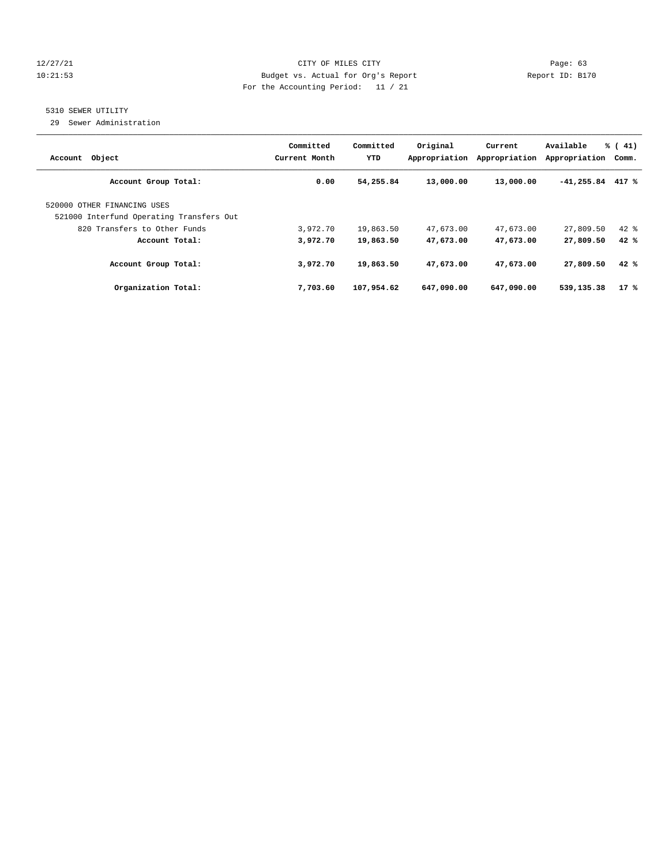# 12/27/21 CITY OF MILES CITY Page: 63 10:21:53 Budget vs. Actual for Org's Report Report ID: B170 For the Accounting Period: 11 / 21

# 5310 SEWER UTILITY

29 Sewer Administration

| Object<br>Account                                                       | Committed<br>Current Month | Committed<br>YTD | Original<br>Appropriation | Current<br>Appropriation | Available<br>Appropriation | % (41)<br>Comm. |
|-------------------------------------------------------------------------|----------------------------|------------------|---------------------------|--------------------------|----------------------------|-----------------|
| Account Group Total:                                                    | 0.00                       | 54,255.84        | 13,000.00                 | 13,000.00                | $-41,255.84$               | 417 %           |
| 520000 OTHER FINANCING USES<br>521000 Interfund Operating Transfers Out |                            |                  |                           |                          |                            |                 |
| 820 Transfers to Other Funds                                            | 3,972.70                   | 19,863.50        | 47,673.00                 | 47,673.00                | 27,809.50                  | $42$ $%$        |
| Account Total:                                                          | 3,972.70                   | 19,863.50        | 47,673.00                 | 47,673.00                | 27,809.50                  | 42%             |
| Account Group Total:                                                    | 3,972.70                   | 19,863.50        | 47,673.00                 | 47,673.00                | 27,809.50                  | 42%             |
| Organization Total:                                                     | 7,703.60                   | 107,954.62       | 647,090.00                | 647,090.00               | 539,135.38                 | $17*$           |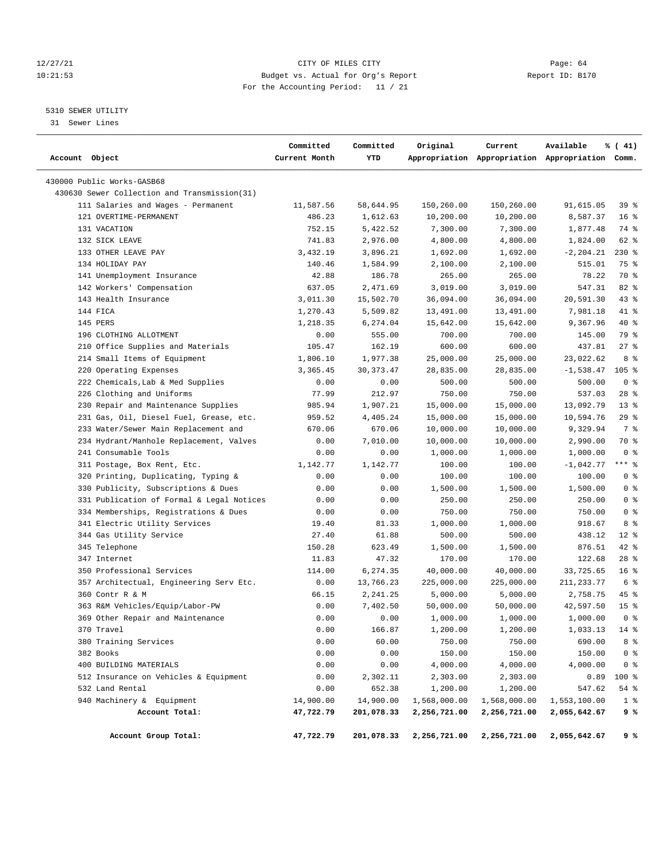# 12/27/21 CITY OF MILES CITY Page: 64 10:21:53 Budget vs. Actual for Org's Report Report ID: B170 For the Accounting Period: 11 / 21

————————————————————————————————————————————————————————————————————————————————————————————————————————————————————————————————————

# 5310 SEWER UTILITY

31 Sewer Lines

|                                              | Committed     | Committed   | Original     | Current      | Available                                       | % (41)          |
|----------------------------------------------|---------------|-------------|--------------|--------------|-------------------------------------------------|-----------------|
| Account Object                               | Current Month | YTD         |              |              | Appropriation Appropriation Appropriation Comm. |                 |
| 430000 Public Works-GASB68                   |               |             |              |              |                                                 |                 |
| 430630 Sewer Collection and Transmission(31) |               |             |              |              |                                                 |                 |
| 111 Salaries and Wages - Permanent           | 11,587.56     | 58,644.95   | 150,260.00   | 150,260.00   | 91,615.05                                       | 398             |
| 121 OVERTIME-PERMANENT                       | 486.23        | 1,612.63    | 10,200.00    | 10,200.00    | 8,587.37                                        | 16 <sup>8</sup> |
| 131 VACATION                                 | 752.15        | 5,422.52    | 7,300.00     | 7,300.00     | 1,877.48                                        | 74 %            |
| 132 SICK LEAVE                               | 741.83        | 2,976.00    | 4,800.00     | 4,800.00     | 1,824.00                                        | 62 %            |
| 133 OTHER LEAVE PAY                          | 3,432.19      | 3,896.21    | 1,692.00     | 1,692.00     | $-2, 204.21$                                    | $230*$          |
| 134 HOLIDAY PAY                              | 140.46        | 1,584.99    | 2,100.00     | 2,100.00     | 515.01                                          | 75 %            |
| 141 Unemployment Insurance                   | 42.88         | 186.78      | 265.00       | 265.00       | 78.22                                           | 70 %            |
| 142 Workers' Compensation                    | 637.05        | 2,471.69    | 3,019.00     | 3,019.00     | 547.31                                          | 82 %            |
| 143 Health Insurance                         | 3,011.30      | 15,502.70   | 36,094.00    | 36,094.00    | 20,591.30                                       | 43 %            |
| 144 FICA                                     | 1,270.43      | 5,509.82    | 13,491.00    | 13,491.00    | 7,981.18                                        | 41 %            |
| 145 PERS                                     | 1,218.35      | 6,274.04    | 15,642.00    | 15,642.00    | 9,367.96                                        | 40 %            |
| 196 CLOTHING ALLOTMENT                       | 0.00          | 555.00      | 700.00       | 700.00       | 145.00                                          | 79 %            |
| 210 Office Supplies and Materials            | 105.47        | 162.19      | 600.00       | 600.00       | 437.81                                          | $27$ %          |
| 214 Small Items of Equipment                 | 1,806.10      | 1,977.38    | 25,000.00    | 25,000.00    | 23,022.62                                       | 8 %             |
| 220 Operating Expenses                       | 3,365.45      | 30, 373. 47 | 28,835.00    | 28,835.00    | $-1,538.47$                                     | $105$ %         |
| 222 Chemicals, Lab & Med Supplies            | 0.00          | 0.00        | 500.00       | 500.00       | 500.00                                          | 0 <sup>8</sup>  |
| 226 Clothing and Uniforms                    | 77.99         | 212.97      | 750.00       | 750.00       | 537.03                                          | 28 %            |
| 230 Repair and Maintenance Supplies          | 985.94        | 1,907.21    | 15,000.00    | 15,000.00    | 13,092.79                                       | $13*$           |
| 231 Gas, Oil, Diesel Fuel, Grease, etc.      | 959.52        | 4,405.24    | 15,000.00    | 15,000.00    | 10,594.76                                       | 29%             |
| 233 Water/Sewer Main Replacement and         | 670.06        | 670.06      | 10,000.00    | 10,000.00    | 9,329.94                                        | 7 %             |
| 234 Hydrant/Manhole Replacement, Valves      | 0.00          | 7,010.00    | 10,000.00    | 10,000.00    | 2,990.00                                        | 70 %            |
| 241 Consumable Tools                         | 0.00          | 0.00        | 1,000.00     | 1,000.00     | 1,000.00                                        | 0 <sup>8</sup>  |
| 311 Postage, Box Rent, Etc.                  | 1,142.77      | 1,142.77    | 100.00       | 100.00       | $-1,042.77$                                     | $***$ $-$       |
| 320 Printing, Duplicating, Typing &          | 0.00          | 0.00        | 100.00       | 100.00       | 100.00                                          | 0 <sup>8</sup>  |
| 330 Publicity, Subscriptions & Dues          | 0.00          | 0.00        | 1,500.00     | 1,500.00     | 1,500.00                                        | 0 <sup>8</sup>  |
| 331 Publication of Formal & Legal Notices    | 0.00          | 0.00        | 250.00       | 250.00       | 250.00                                          | 0 <sup>8</sup>  |
| 334 Memberships, Registrations & Dues        | 0.00          | 0.00        | 750.00       | 750.00       | 750.00                                          | 0 <sup>8</sup>  |
| 341 Electric Utility Services                | 19.40         | 81.33       | 1,000.00     | 1,000.00     | 918.67                                          | 8 %             |
| 344 Gas Utility Service                      | 27.40         | 61.88       | 500.00       | 500.00       | 438.12                                          | $12$ %          |
| 345 Telephone                                | 150.28        | 623.49      | 1,500.00     | 1,500.00     | 876.51                                          | $42$ %          |
| 347 Internet                                 | 11.83         | 47.32       | 170.00       | 170.00       | 122.68                                          | $28$ %          |
| 350 Professional Services                    | 114.00        | 6,274.35    | 40,000.00    | 40,000.00    | 33,725.65                                       | 16 <sup>8</sup> |
| 357 Architectual, Engineering Serv Etc.      | 0.00          | 13,766.23   | 225,000.00   | 225,000.00   | 211, 233.77                                     | 6 %             |
| 360 Contr R & M                              | 66.15         | 2, 241.25   | 5,000.00     | 5,000.00     | 2,758.75                                        | 45 %            |
| 363 R&M Vehicles/Equip/Labor-PW              | 0.00          | 7,402.50    | 50,000.00    | 50,000.00    | 42,597.50                                       | 15 <sup>8</sup> |
| 369 Other Repair and Maintenance             | 0.00          | 0.00        | 1,000.00     | 1,000.00     | 1,000.00                                        | 0 <sup>8</sup>  |
| 370 Travel                                   | 0.00          | 166.87      | 1,200.00     | 1,200.00     | 1,033.13                                        | $14$ %          |
| 380 Training Services                        | 0.00          | 60.00       | 750.00       | 750.00       | 690.00                                          | 8 %             |
| 382 Books                                    | 0.00          | 0.00        | 150.00       | 150.00       | 150.00                                          | 0 <sup>8</sup>  |
| 400 BUILDING MATERIALS                       | 0.00          | 0.00        | 4,000.00     | 4,000.00     | 4,000.00                                        | 0 <sub>8</sub>  |
| 512 Insurance on Vehicles & Equipment        | 0.00          | 2,302.11    | 2,303.00     | 2,303.00     | 0.89                                            | 100 %           |
| 532 Land Rental                              | 0.00          | 652.38      | 1,200.00     | 1,200.00     | 547.62                                          | 54 %            |
| 940 Machinery & Equipment                    | 14,900.00     | 14,900.00   | 1,568,000.00 | 1,568,000.00 | 1,553,100.00                                    | 1 <sup>8</sup>  |
| Account Total:                               | 47,722.79     | 201,078.33  | 2,256,721.00 | 2,256,721.00 | 2,055,642.67                                    | ९ १             |
|                                              |               |             |              |              |                                                 |                 |
| Account Group Total:                         | 47,722.79     | 201,078.33  | 2,256,721.00 | 2,256,721.00 | 2,055,642.67                                    | 9 %             |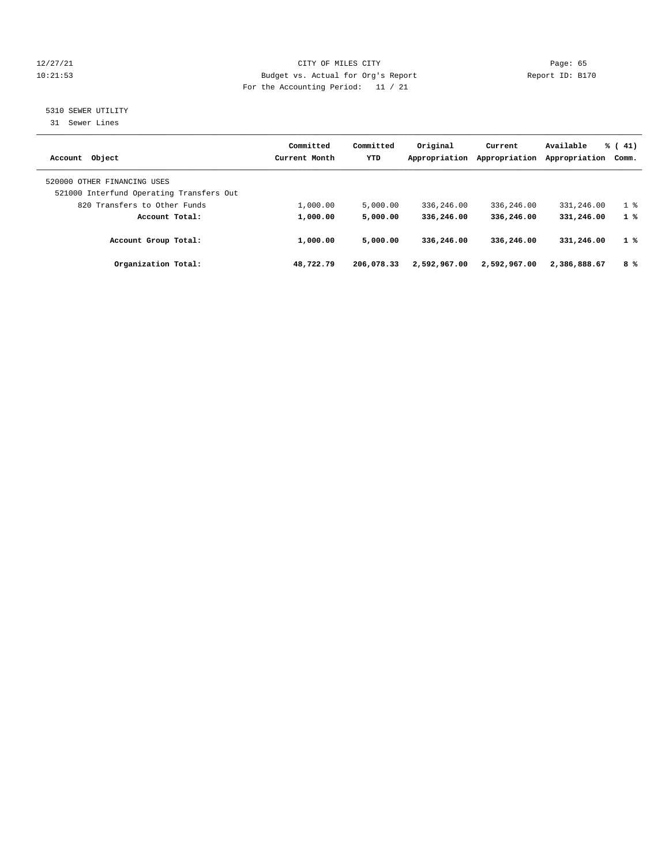# 12/27/21 CITY OF MILES CITY Page: 65 10:21:53 Budget vs. Actual for Org's Report Report ID: B170 For the Accounting Period: 11 / 21

# 5310 SEWER UTILITY

31 Sewer Lines

| Account Object                                                          | Committed<br>Current Month | Committed<br>YTD | Original<br>Appropriation | Current<br>Appropriation | Available<br>Appropriation | $\frac{1}{6}$ ( 41)<br>Comm. |
|-------------------------------------------------------------------------|----------------------------|------------------|---------------------------|--------------------------|----------------------------|------------------------------|
| 520000 OTHER FINANCING USES<br>521000 Interfund Operating Transfers Out |                            |                  |                           |                          |                            |                              |
| 820 Transfers to Other Funds                                            | 1,000.00                   | 5,000.00         | 336,246.00                | 336,246.00               | 331,246.00                 | 1 <sup>8</sup>               |
| Account Total:                                                          | 1,000.00                   | 5,000.00         | 336,246.00                | 336,246.00               | 331,246.00                 | 1%                           |
| Account Group Total:                                                    | 1,000.00                   | 5,000.00         | 336,246.00                | 336,246.00               | 331,246.00                 | 1%                           |
| Organization Total:                                                     | 48,722.79                  | 206,078.33       | 2,592,967.00              | 2,592,967.00             | 2,386,888.67               | 8 %                          |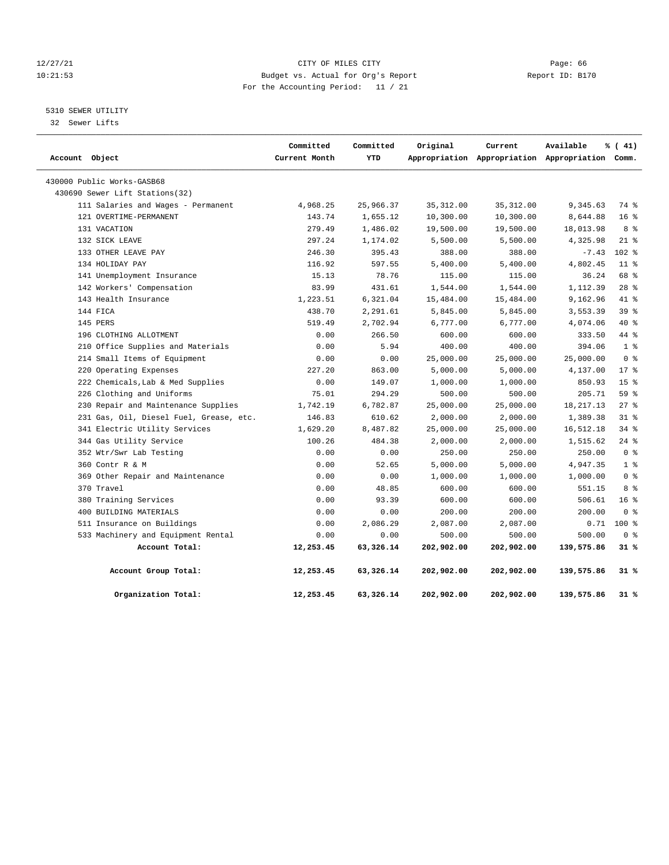# 12/27/21 CITY OF MILES CITY Page: 66 10:21:53 Budget vs. Actual for Org's Report Report ID: B170 For the Accounting Period: 11 / 21

# 5310 SEWER UTILITY

32 Sewer Lifts

| Account Object |                                         | Committed<br>Current Month | Committed<br>YTD | Original   | Current<br>Appropriation Appropriation Appropriation Comm. | Available   | % (41)                  |  |
|----------------|-----------------------------------------|----------------------------|------------------|------------|------------------------------------------------------------|-------------|-------------------------|--|
|                | 430000 Public Works-GASB68              |                            |                  |            |                                                            |             |                         |  |
|                | 430690 Sewer Lift Stations(32)          |                            |                  |            |                                                            |             |                         |  |
|                | 111 Salaries and Wages - Permanent      | 4,968.25                   | 25,966.37        | 35, 312.00 | 35, 312.00                                                 | 9,345.63    | 74 %                    |  |
|                | 121 OVERTIME-PERMANENT                  | 143.74                     | 1,655.12         | 10,300.00  | 10,300.00                                                  | 8,644.88    | 16 <sup>8</sup>         |  |
|                | 131 VACATION                            | 279.49                     | 1,486.02         | 19,500.00  | 19,500.00                                                  | 18,013.98   | 8 %                     |  |
|                | 132 SICK LEAVE                          | 297.24                     | 1,174.02         | 5,500.00   | 5,500.00                                                   | 4,325.98    | $21$ %                  |  |
|                | 133 OTHER LEAVE PAY                     | 246.30                     | 395.43           | 388.00     | 388.00                                                     | $-7.43$     | $102$ %                 |  |
|                | 134 HOLIDAY PAY                         | 116.92                     | 597.55           | 5,400.00   | 5,400.00                                                   | 4,802.45    | 11 <sup>8</sup>         |  |
|                | 141 Unemployment Insurance              | 15.13                      | 78.76            | 115.00     | 115.00                                                     | 36.24       | 68 %                    |  |
|                | 142 Workers' Compensation               | 83.99                      | 431.61           | 1,544.00   | 1,544.00                                                   | 1,112.39    | $28$ %                  |  |
|                | 143 Health Insurance                    | 1,223.51                   | 6,321.04         | 15,484.00  | 15,484.00                                                  | 9,162.96    | 41.8                    |  |
|                | 144 FICA                                | 438.70                     | 2,291.61         | 5,845.00   | 5,845.00                                                   | 3,553.39    | 39%                     |  |
|                | 145 PERS                                | 519.49                     | 2,702.94         | 6,777.00   | 6,777.00                                                   | 4,074.06    | 40 %                    |  |
|                | 196 CLOTHING ALLOTMENT                  | 0.00                       | 266.50           | 600.00     | 600.00                                                     | 333.50      | 44 %                    |  |
|                | 210 Office Supplies and Materials       | 0.00                       | 5.94             | 400.00     | 400.00                                                     | 394.06      | 1 <sup>8</sup>          |  |
|                | 214 Small Items of Equipment            | 0.00                       | 0.00             | 25,000.00  | 25,000.00                                                  | 25,000.00   | 0 <sup>8</sup>          |  |
|                | 220 Operating Expenses                  | 227.20                     | 863.00           | 5,000.00   | 5,000.00                                                   | 4,137.00    | $17*$                   |  |
|                | 222 Chemicals, Lab & Med Supplies       | 0.00                       | 149.07           | 1,000.00   | 1,000.00                                                   | 850.93      | 15 <sup>8</sup>         |  |
|                | 226 Clothing and Uniforms               | 75.01                      | 294.29           | 500.00     | 500.00                                                     | 205.71      | 59 %                    |  |
|                | 230 Repair and Maintenance Supplies     | 1,742.19                   | 6,782.87         | 25,000.00  | 25,000.00                                                  | 18, 217. 13 | $27$ %                  |  |
|                | 231 Gas, Oil, Diesel Fuel, Grease, etc. | 146.83                     | 610.62           | 2,000.00   | 2,000.00                                                   | 1,389.38    | $31*$                   |  |
|                | 341 Electric Utility Services           | 1,629.20                   | 8,487.82         | 25,000.00  | 25,000.00                                                  | 16,512.18   | 34%                     |  |
|                | 344 Gas Utility Service                 | 100.26                     | 484.38           | 2,000.00   | 2,000.00                                                   | 1,515.62    | $24$ %                  |  |
|                | 352 Wtr/Swr Lab Testing                 | 0.00                       | 0.00             | 250.00     | 250.00                                                     | 250.00      | 0 <sup>8</sup>          |  |
|                | 360 Contr R & M                         | 0.00                       | 52.65            | 5,000.00   | 5,000.00                                                   | 4,947.35    | 1 <sup>8</sup>          |  |
|                | 369 Other Repair and Maintenance        | 0.00                       | 0.00             | 1,000.00   | 1,000.00                                                   | 1,000.00    | 0 <sup>8</sup>          |  |
|                | 370 Travel                              | 0.00                       | 48.85            | 600.00     | 600.00                                                     | 551.15      | 8 %                     |  |
|                | 380 Training Services                   | 0.00                       | 93.39            | 600.00     | 600.00                                                     | 506.61      | 16 <sup>°</sup>         |  |
|                | 400 BUILDING MATERIALS                  | 0.00                       | 0.00             | 200.00     | 200.00                                                     | 200.00      | $0 \text{ }$ $\text{ }$ |  |
|                | 511 Insurance on Buildings              | 0.00                       | 2,086.29         | 2,087.00   | 2,087.00                                                   | 0.71        | 100 %                   |  |
|                | 533 Machinery and Equipment Rental      | 0.00                       | 0.00             | 500.00     | 500.00                                                     | 500.00      | 0 <sup>8</sup>          |  |
|                | Account Total:                          | 12,253.45                  | 63,326.14        | 202,902.00 | 202,902.00                                                 | 139,575.86  | $31*$                   |  |
|                | Account Group Total:                    | 12,253.45                  | 63,326.14        | 202,902.00 | 202,902.00                                                 | 139,575.86  | 31 %                    |  |
|                | Organization Total:                     | 12,253.45                  | 63,326.14        | 202,902.00 | 202,902.00                                                 | 139,575.86  | 31 %                    |  |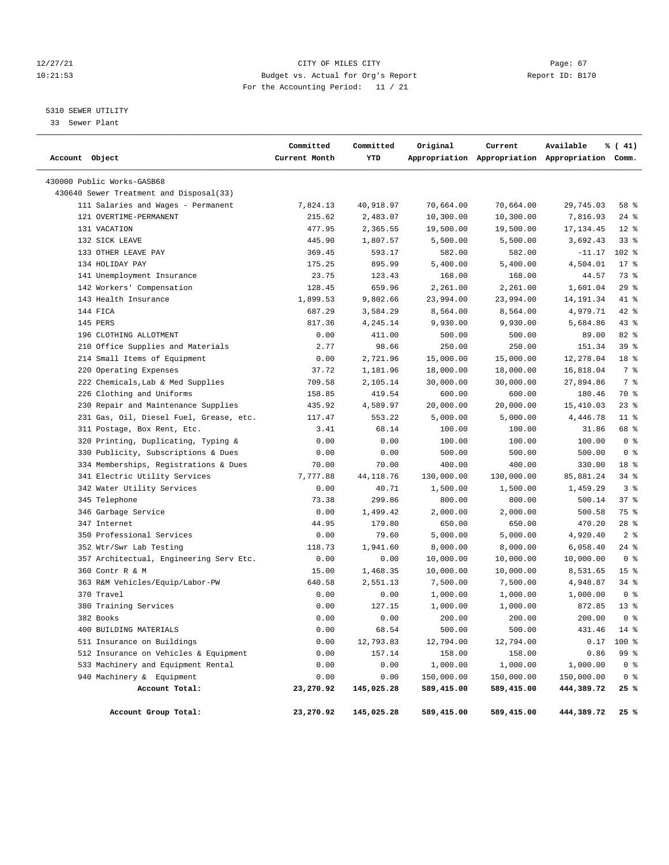# 12/27/21 CITY OF MILES CITY Page: 67 10:21:53 Budget vs. Actual for Org's Report Report ID: B170 For the Accounting Period: 11 / 21

# 5310 SEWER UTILITY

33 Sewer Plant

| Account Object                          | Committed<br>Current Month | Committed<br>YTD | Original   | Current    | Available<br>Appropriation Appropriation Appropriation Comm. | % (41)          |
|-----------------------------------------|----------------------------|------------------|------------|------------|--------------------------------------------------------------|-----------------|
| 430000 Public Works-GASB68              |                            |                  |            |            |                                                              |                 |
| 430640 Sewer Treatment and Disposal(33) |                            |                  |            |            |                                                              |                 |
| 111 Salaries and Wages - Permanent      | 7,824.13                   | 40,918.97        | 70,664.00  | 70,664.00  | 29,745.03                                                    | 58 %            |
| 121 OVERTIME-PERMANENT                  | 215.62                     | 2,483.07         | 10,300.00  | 10,300.00  | 7,816.93                                                     | $24$ %          |
| 131 VACATION                            | 477.95                     | 2,365.55         | 19,500.00  | 19,500.00  | 17, 134.45                                                   | $12*$           |
| 132 SICK LEAVE                          | 445.90                     | 1,807.57         | 5,500.00   | 5,500.00   | 3,692.43                                                     | $33$ $%$        |
| 133 OTHER LEAVE PAY                     | 369.45                     | 593.17           | 582.00     | 582.00     | $-11.17$                                                     | $102$ %         |
| 134 HOLIDAY PAY                         | 175.25                     | 895.99           | 5,400.00   | 5,400.00   | 4,504.01                                                     | $17*$           |
| 141 Unemployment Insurance              | 23.75                      | 123.43           | 168.00     | 168.00     | 44.57                                                        | 73 %            |
| 142 Workers' Compensation               | 128.45                     | 659.96           | 2,261.00   | 2,261.00   | 1,601.04                                                     | 29%             |
| 143 Health Insurance                    | 1,899.53                   | 9,802.66         | 23,994.00  | 23,994.00  | 14, 191.34                                                   | 41 %            |
| 144 FICA                                | 687.29                     | 3,584.29         | 8,564.00   | 8,564.00   | 4,979.71                                                     | 42 %            |
| 145 PERS                                | 817.36                     | 4,245.14         | 9,930.00   | 9,930.00   | 5,684.86                                                     | $43$ %          |
| 196 CLOTHING ALLOTMENT                  | 0.00                       | 411.00           | 500.00     | 500.00     | 89.00                                                        | 82 %            |
| 210 Office Supplies and Materials       | 2.77                       | 98.66            | 250.00     | 250.00     | 151.34                                                       | 39 %            |
| 214 Small Items of Equipment            | 0.00                       | 2,721.96         | 15,000.00  | 15,000.00  | 12,278.04                                                    | 18 %            |
| 220 Operating Expenses                  | 37.72                      | 1,181.96         | 18,000.00  | 18,000.00  | 16,818.04                                                    | 7 %             |
| 222 Chemicals, Lab & Med Supplies       | 709.58                     | 2,105.14         | 30,000.00  | 30,000.00  | 27,894.86                                                    | 7 %             |
| 226 Clothing and Uniforms               | 158.85                     | 419.54           | 600.00     | 600.00     | 180.46                                                       | 70 %            |
| 230 Repair and Maintenance Supplies     | 435.92                     | 4,589.97         | 20,000.00  | 20,000.00  | 15,410.03                                                    | $23$ $%$        |
| 231 Gas, Oil, Diesel Fuel, Grease, etc. | 117.47                     | 553.22           | 5,000.00   | 5,000.00   | 4,446.78                                                     | $11$ %          |
| 311 Postage, Box Rent, Etc.             | 3.41                       | 68.14            | 100.00     | 100.00     | 31.86                                                        | 68 %            |
| 320 Printing, Duplicating, Typing &     | 0.00                       | 0.00             | 100.00     | 100.00     | 100.00                                                       | 0 <sup>8</sup>  |
| 330 Publicity, Subscriptions & Dues     | 0.00                       | 0.00             | 500.00     | 500.00     | 500.00                                                       | 0 <sup>8</sup>  |
| 334 Memberships, Registrations & Dues   | 70.00                      | 70.00            | 400.00     | 400.00     | 330.00                                                       | 18 %            |
| 341 Electric Utility Services           | 7,777.88                   | 44, 118.76       | 130,000.00 | 130,000.00 | 85,881.24                                                    | $34$ $%$        |
| 342 Water Utility Services              | 0.00                       | 40.71            | 1,500.00   | 1,500.00   | 1,459.29                                                     | 3%              |
| 345 Telephone                           | 73.38                      | 299.86           | 800.00     | 800.00     | 500.14                                                       | 37%             |
| 346 Garbage Service                     | 0.00                       | 1,499.42         | 2,000.00   | 2,000.00   | 500.58                                                       | 75 %            |
| 347 Internet                            | 44.95                      | 179.80           | 650.00     | 650.00     | 470.20                                                       | $28$ %          |
| 350 Professional Services               | 0.00                       | 79.60            | 5,000.00   | 5,000.00   | 4,920.40                                                     | 2 <sup>8</sup>  |
| 352 Wtr/Swr Lab Testing                 | 118.73                     | 1,941.60         | 8,000.00   | 8,000.00   | 6,058.40                                                     | $24$ %          |
| 357 Architectual, Engineering Serv Etc. | 0.00                       | 0.00             | 10,000.00  | 10,000.00  | 10,000.00                                                    | 0 <sup>8</sup>  |
| 360 Contr R & M                         | 15.00                      | 1,468.35         | 10,000.00  | 10,000.00  | 8,531.65                                                     | 15 <sup>8</sup> |
| 363 R&M Vehicles/Equip/Labor-PW         | 640.58                     | 2,551.13         | 7,500.00   | 7,500.00   | 4,948.87                                                     | $34$ $%$        |
| 370 Travel                              | 0.00                       | 0.00             | 1,000.00   | 1,000.00   | 1,000.00                                                     | 0 <sup>8</sup>  |
| 380 Training Services                   | 0.00                       | 127.15           | 1,000.00   | 1,000.00   | 872.85                                                       | $13*$           |
| 382 Books                               | 0.00                       | 0.00             | 200.00     | 200.00     | 200.00                                                       | 0 <sup>8</sup>  |
| 400 BUILDING MATERIALS                  | 0.00                       | 68.54            | 500.00     | 500.00     | 431.46                                                       | 14 %            |
| 511 Insurance on Buildings              | 0.00                       | 12,793.83        | 12,794.00  | 12,794.00  | 0.17                                                         | 100 %           |
| 512 Insurance on Vehicles & Equipment   | 0.00                       | 157.14           | 158.00     | 158.00     | 0.86                                                         | 99 %            |
| 533 Machinery and Equipment Rental      | 0.00                       | 0.00             | 1,000.00   | 1,000.00   | 1,000.00                                                     | 0 <sup>8</sup>  |
| 940 Machinery & Equipment               | 0.00                       | 0.00             | 150,000.00 | 150,000.00 | 150,000.00                                                   | 0 <sup>8</sup>  |
| Account Total:                          | 23,270.92                  | 145,025.28       | 589,415.00 | 589,415.00 | 444,389.72                                                   | 25 %            |
| Account Group Total:                    | 23,270.92                  | 145,025.28       | 589,415.00 | 589,415.00 | 444,389.72                                                   | 25%             |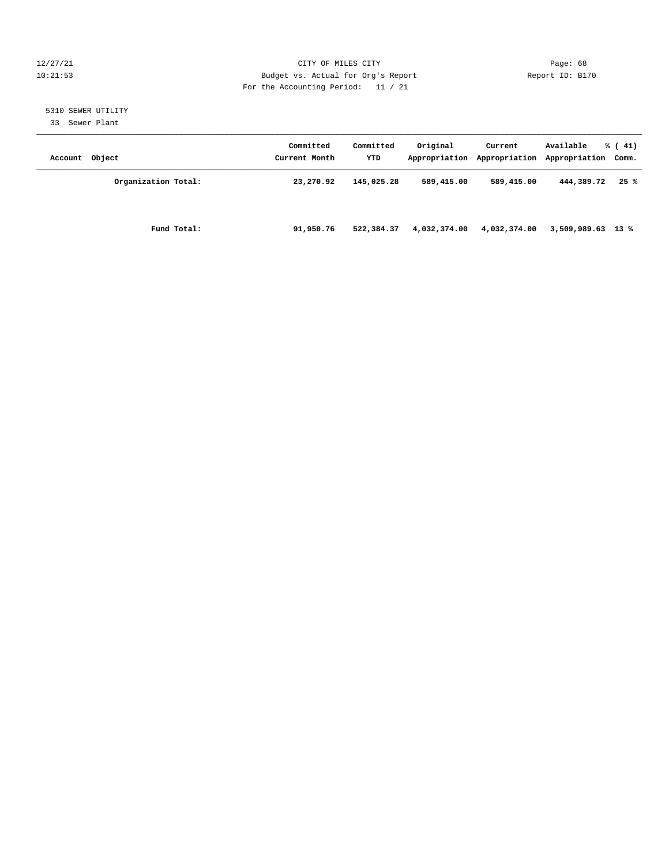# 12/27/21 CITY OF MILES CITY Page: 68 10:21:53 Budget vs. Actual for Org's Report Report ID: B170 For the Accounting Period: 11 / 21

# 5310 SEWER UTILITY

33 Sewer Plant

| Account Object      | Committed<br>Current Month | Committed<br>YTD | Original     | Current      | Available<br>Appropriation Appropriation Appropriation Comm. | $\frac{1}{6}$ ( 41) |
|---------------------|----------------------------|------------------|--------------|--------------|--------------------------------------------------------------|---------------------|
| Organization Total: | 23,270.92                  | 145,025.28       | 589,415.00   | 589,415.00   | 444,389.72                                                   | 25%                 |
| Fund Total:         | 91,950.76                  | 522,384.37       | 4,032,374.00 | 4,032,374.00 | 3,509,989.63 13 %                                            |                     |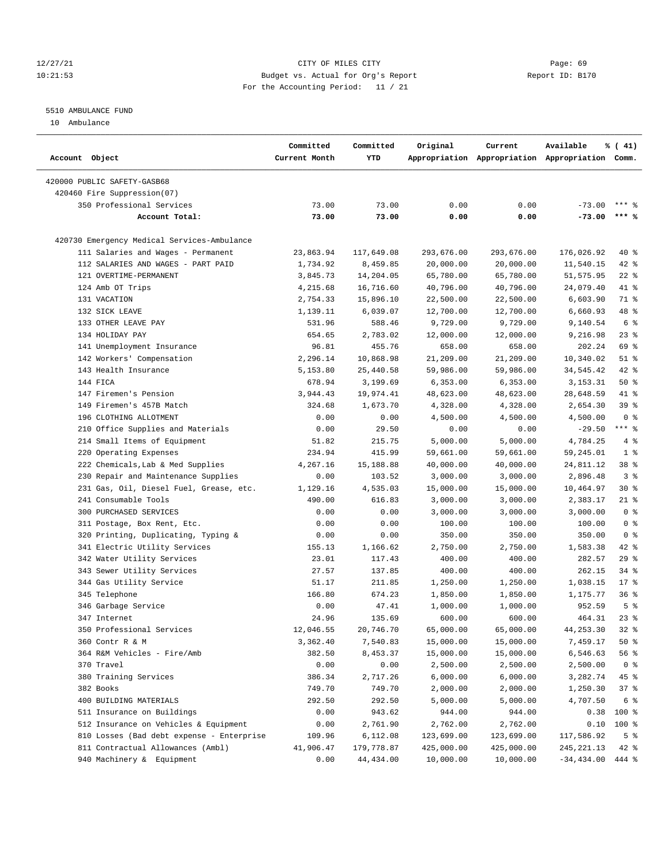# 12/27/21 CITY OF MILES CITY Page: 69 10:21:53 Budget vs. Actual for Org's Report Report ID: B170 For the Accounting Period: 11 / 21

————————————————————————————————————————————————————————————————————————————————————————————————————————————————————————————————————

# 5510 AMBULANCE FUND

10 Ambulance

|                |                                                | Committed<br>Committed |                  | Original              | Current    | Available                                       | % (41)                 |
|----------------|------------------------------------------------|------------------------|------------------|-----------------------|------------|-------------------------------------------------|------------------------|
| Account Object |                                                | Current Month          | YTD              |                       |            | Appropriation Appropriation Appropriation Comm. |                        |
|                | 420000 PUBLIC SAFETY-GASB68                    |                        |                  |                       |            |                                                 |                        |
|                | 420460 Fire Suppression(07)                    |                        |                  |                       |            |                                                 |                        |
|                | 350 Professional Services                      | 73.00                  | 73.00            | 0.00                  | 0.00       | $-73.00$                                        | $***$ $%$              |
|                | Account Total:                                 | 73.00                  | 73.00            | 0.00                  | 0.00       | $-73.00$                                        | $***$ %                |
|                | 420730 Emergency Medical Services-Ambulance    |                        |                  |                       |            |                                                 |                        |
|                | 111 Salaries and Wages - Permanent             | 23,863.94              | 117,649.08       | 293,676.00            | 293,676.00 | 176,026.92                                      | $40*$                  |
|                | 112 SALARIES AND WAGES - PART PAID             | 1,734.92               | 8,459.85         | 20,000.00             | 20,000.00  | 11,540.15                                       | $42$ %                 |
|                | 121 OVERTIME-PERMANENT                         | 3,845.73               | 14,204.05        | 65,780.00             | 65,780.00  | 51,575.95                                       | $22$ %                 |
|                | 124 Amb OT Trips                               | 4,215.68               | 16,716.60        | 40,796.00             | 40,796.00  | 24,079.40                                       | 41 %                   |
|                | 131 VACATION                                   | 2,754.33               | 15,896.10        | 22,500.00             | 22,500.00  | 6,603.90                                        | 71 %                   |
|                | 132 SICK LEAVE                                 | 1,139.11               | 6,039.07         | 12,700.00             | 12,700.00  | 6,660.93                                        | 48 %                   |
|                | 133 OTHER LEAVE PAY                            | 531.96                 | 588.46           | 9,729.00              | 9,729.00   | 9,140.54                                        | $6\degree$             |
|                | 134 HOLIDAY PAY                                | 654.65                 | 2,783.02         | 12,000.00             | 12,000.00  | 9,216.98                                        | $23$ $%$               |
|                | 141 Unemployment Insurance                     | 96.81                  | 455.76           | 658.00                | 658.00     | 202.24                                          | 69 %                   |
|                | 142 Workers' Compensation                      | 2,296.14               | 10,868.98        | 21,209.00             | 21,209.00  | 10,340.02                                       | $51$ %                 |
|                | 143 Health Insurance                           | 5,153.80               | 25,440.58        | 59,986.00             | 59,986.00  | 34,545.42                                       | $42$ %                 |
|                | 144 FICA                                       | 678.94                 | 3,199.69         | 6,353.00              | 6,353.00   | 3,153.31                                        | 50%                    |
|                | 147 Firemen's Pension                          | 3,944.43               | 19,974.41        | 48,623.00             | 48,623.00  | 28,648.59                                       | 41 %                   |
|                | 149 Firemen's 457B Match                       | 324.68                 | 1,673.70         | 4,328.00              | 4,328.00   | 2,654.30                                        | 39 %                   |
|                | 196 CLOTHING ALLOTMENT                         | 0.00                   | 0.00             | 4,500.00              | 4,500.00   | 4,500.00                                        | 0 <sup>8</sup>         |
|                | 210 Office Supplies and Materials              | 0.00                   | 29.50            | 0.00                  | 0.00       | $-29.50$                                        | $***$ $_{8}$           |
|                | 214 Small Items of Equipment                   | 51.82                  | 215.75           | 5,000.00              | 5,000.00   | 4,784.25                                        | 4%                     |
|                | 220 Operating Expenses                         | 234.94                 | 415.99           | 59,661.00             | 59,661.00  | 59,245.01                                       | 1 <sup>8</sup>         |
|                | 222 Chemicals, Lab & Med Supplies              | 4,267.16               | 15,188.88        | 40,000.00             | 40,000.00  | 24,811.12                                       | 38 %                   |
|                | 230 Repair and Maintenance Supplies            | 0.00                   | 103.52           | 3,000.00              | 3,000.00   | 2,896.48                                        | 3%                     |
|                | 231 Gas, Oil, Diesel Fuel, Grease, etc.        | 1,129.16               | 4,535.03         | 15,000.00             | 15,000.00  | 10,464.97                                       | $30*$                  |
|                | 241 Consumable Tools                           | 490.00                 | 616.83           | 3,000.00              | 3,000.00   | 2,383.17                                        | $21$ %                 |
|                | 300 PURCHASED SERVICES                         | 0.00                   | 0.00             | 3,000.00              | 3,000.00   | 3,000.00                                        | 0 <sup>8</sup>         |
|                | 311 Postage, Box Rent, Etc.                    | 0.00                   | 0.00             | 100.00                | 100.00     | 100.00                                          | 0 <sup>8</sup>         |
|                | 320 Printing, Duplicating, Typing &            | 0.00                   | 0.00             | 350.00                | 350.00     | 350.00                                          | 0 <sup>8</sup>         |
|                | 341 Electric Utility Services                  | 155.13                 | 1,166.62         | 2,750.00              | 2,750.00   | 1,583.38                                        | $42$ %                 |
|                | 342 Water Utility Services                     | 23.01                  | 117.43           | 400.00                | 400.00     | 282.57                                          | 29%                    |
|                | 343 Sewer Utility Services                     | 27.57                  | 137.85           | 400.00                | 400.00     | 262.15                                          | $34$ $%$               |
|                | 344 Gas Utility Service                        | 51.17                  | 211.85           | 1,250.00              | 1,250.00   | 1,038.15                                        | $17*$                  |
|                | 345 Telephone                                  | 166.80                 | 674.23           | 1,850.00              | 1,850.00   | 1,175.77                                        | 36%                    |
|                | 346 Garbage Service                            | 0.00                   | 47.41            | 1,000.00              | 1,000.00   | 952.59                                          | 5 <sup>8</sup>         |
|                | 347 Internet                                   | 24.96                  | 135.69           | 600.00                | 600.00     | 464.31                                          | $23$ $%$               |
|                | 350 Professional Services                      | 12,046.55              | 20,746.70        | 65,000.00             | 65,000.00  | 44, 253.30                                      | $32*$                  |
|                |                                                |                        |                  |                       | 15,000.00  |                                                 |                        |
|                | 360 Contr R & M<br>364 R&M Vehicles - Fire/Amb | 3,362.40<br>382.50     | 7,540.83         | 15,000.00             |            | 7,459.17<br>6,546.63                            | $50*$                  |
|                | 370 Travel                                     | 0.00                   | 8,453.37<br>0.00 | 15,000.00<br>2,500.00 | 15,000.00  | 2,500.00                                        | 56 %<br>0 <sup>8</sup> |
|                |                                                |                        | 2,717.26         |                       | 2,500.00   |                                                 |                        |
|                | 380 Training Services                          | 386.34                 |                  | 6,000.00              | 6,000.00   | 3,282.74                                        | 45 %                   |
|                | 382 Books                                      | 749.70                 | 749.70           | 2,000.00              | 2,000.00   | 1,250.30                                        | 37%                    |
|                | 400 BUILDING MATERIALS                         | 292.50                 | 292.50           | 5,000.00              | 5,000.00   | 4,707.50                                        | 6 %                    |
|                | 511 Insurance on Buildings                     | 0.00                   | 943.62           | 944.00                | 944.00     | 0.38                                            | $100*$                 |
|                | 512 Insurance on Vehicles & Equipment          | 0.00                   | 2,761.90         | 2,762.00              | 2,762.00   |                                                 | $0.10$ 100 %           |
|                | 810 Losses (Bad debt expense - Enterprise      | 109.96                 | 6,112.08         | 123,699.00            | 123,699.00 | 117,586.92                                      | 5 <sup>8</sup>         |
|                | 811 Contractual Allowances (Ambl)              | 41,906.47              | 179,778.87       | 425,000.00            | 425,000.00 | 245, 221.13                                     | $42$ %                 |
|                | 940 Machinery & Equipment                      | 0.00                   | 44, 434.00       | 10,000.00             | 10,000.00  | $-34,434.00$ 444 %                              |                        |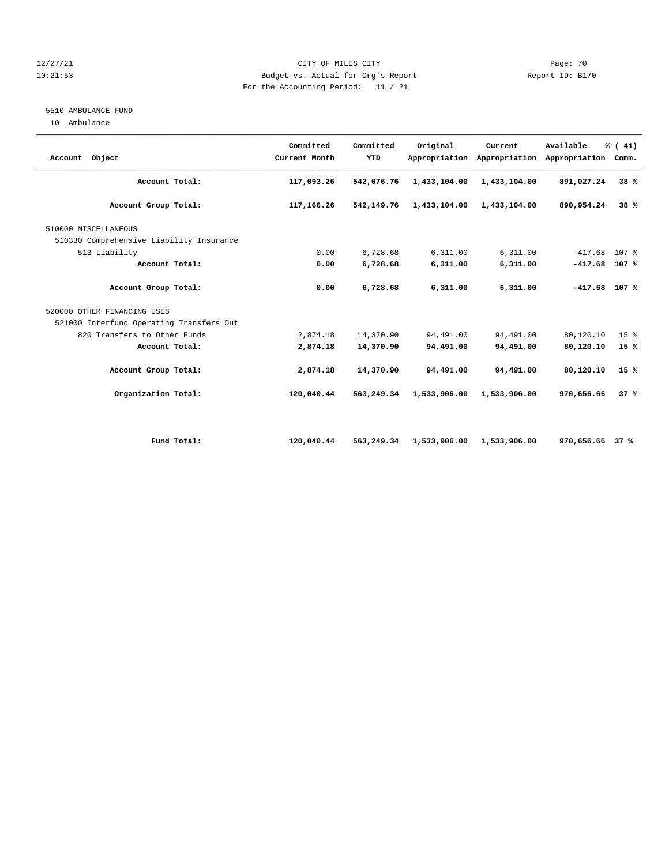# 12/27/21 CITY OF MILES CITY Page: 70 10:21:53 Budget vs. Actual for Org's Report Report ID: B170 For the Accounting Period: 11 / 21

# 5510 AMBULANCE FUND

10 Ambulance

| Account Object                           | Committed<br>Current Month | Committed<br>YTD | Original     | Current<br>Appropriation Appropriation | Available<br>Appropriation | % (41)<br>Comm.  |
|------------------------------------------|----------------------------|------------------|--------------|----------------------------------------|----------------------------|------------------|
| Account Total:                           | 117,093.26                 | 542,076.76       | 1,433,104.00 | 1,433,104.00                           | 891,027.24                 | 38%              |
| Account Group Total:                     | 117,166.26                 | 542,149.76       | 1,433,104.00 | 1,433,104.00                           | 890,954.24                 | 38%              |
| 510000 MISCELLANEOUS                     |                            |                  |              |                                        |                            |                  |
| 510330 Comprehensive Liability Insurance |                            |                  |              |                                        |                            |                  |
| 513 Liability                            | 0.00                       | 6,728.68         | 6,311.00     | 6,311.00                               | $-417.68$                  | 107 <sub>8</sub> |
| Account Total:                           | 0.00                       | 6,728.68         | 6,311.00     | 6,311.00                               | $-417.68$                  | 107 %            |
| Account Group Total:                     | 0.00                       | 6,728.68         | 6,311.00     | 6,311.00                               | $-417.68$ 107 %            |                  |
| 520000 OTHER FINANCING USES              |                            |                  |              |                                        |                            |                  |
| 521000 Interfund Operating Transfers Out |                            |                  |              |                                        |                            |                  |
| 820 Transfers to Other Funds             | 2,874.18                   | 14,370.90        | 94,491.00    | 94,491.00                              | 80,120.10                  | 15 <sup>°</sup>  |
| Account Total:                           | 2,874.18                   | 14,370.90        | 94,491.00    | 94,491.00                              | 80,120.10                  | 15 %             |
| Account Group Total:                     | 2,874.18                   | 14,370.90        | 94,491.00    | 94,491.00                              | 80,120.10                  | 15%              |
| Organization Total:                      | 120,040.44                 | 563,249.34       | 1,533,906.00 | 1,533,906.00                           | 970,656.66                 | 37%              |
|                                          |                            |                  |              |                                        |                            |                  |
| Fund Total:                              | 120,040.44                 | 563,249.34       | 1,533,906.00 | 1,533,906.00                           | 970,656.66 37 %            |                  |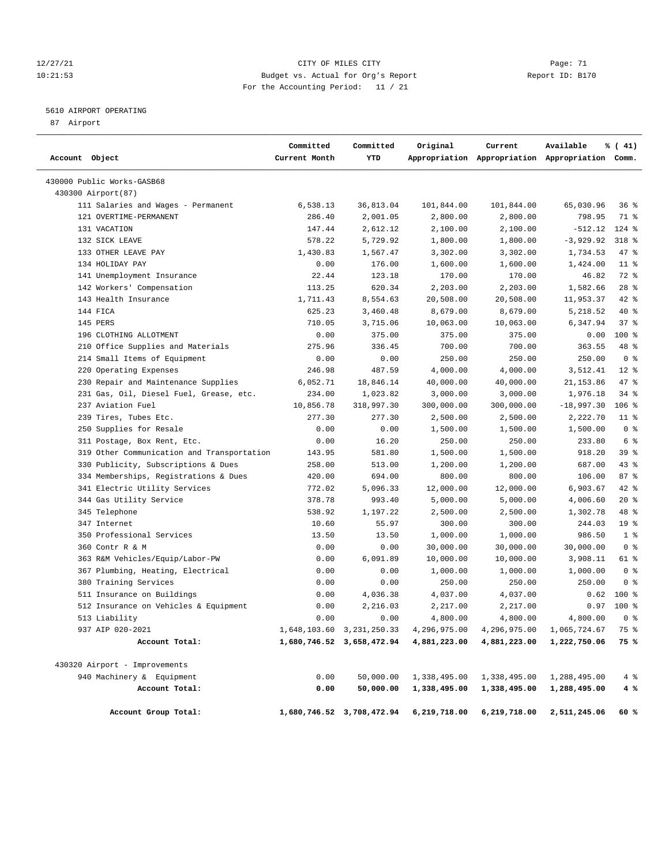# 12/27/21 CITY OF MILES CITY Page: 71 10:21:53 Budget vs. Actual for Org's Report Report ID: B170 For the Accounting Period: 11 / 21

# 5610 AIRPORT OPERATING

87 Airport

| Account Object |                                            | Committed<br>Current Month | Committed<br>YTD          | Original     | Current<br>Appropriation Appropriation Appropriation Comm. | Available    | % (41)          |
|----------------|--------------------------------------------|----------------------------|---------------------------|--------------|------------------------------------------------------------|--------------|-----------------|
|                | 430000 Public Works-GASB68                 |                            |                           |              |                                                            |              |                 |
|                | 430300 Airport(87)                         |                            |                           |              |                                                            |              |                 |
|                | 111 Salaries and Wages - Permanent         | 6,538.13                   | 36,813.04                 | 101,844.00   | 101,844.00                                                 | 65,030.96    | $36$ $%$        |
|                | 121 OVERTIME-PERMANENT                     | 286.40                     | 2,001.05                  | 2,800.00     | 2,800.00                                                   | 798.95       | 71 %            |
|                | 131 VACATION                               | 147.44                     | 2,612.12                  | 2,100.00     | 2,100.00                                                   | $-512.12$    | 124 %           |
|                | 132 SICK LEAVE                             | 578.22                     | 5,729.92                  | 1,800.00     | 1,800.00                                                   | $-3,929.92$  | 318 %           |
|                | 133 OTHER LEAVE PAY                        | 1,430.83                   | 1,567.47                  | 3,302.00     | 3,302.00                                                   | 1,734.53     | $47$ %          |
|                | 134 HOLIDAY PAY                            | 0.00                       | 176.00                    | 1,600.00     | 1,600.00                                                   | 1,424.00     | $11$ %          |
|                | 141 Unemployment Insurance                 | 22.44                      | 123.18                    | 170.00       | 170.00                                                     | 46.82        | 72 %            |
|                | 142 Workers' Compensation                  | 113.25                     | 620.34                    | 2,203.00     | 2,203.00                                                   | 1,582.66     | $28$ %          |
|                | 143 Health Insurance                       | 1,711.43                   | 8,554.63                  | 20,508.00    | 20,508.00                                                  | 11,953.37    | 42 %            |
|                | 144 FICA                                   | 625.23                     | 3,460.48                  | 8,679.00     | 8,679.00                                                   | 5,218.52     | 40 %            |
|                | 145 PERS                                   | 710.05                     | 3,715.06                  | 10,063.00    | 10,063.00                                                  | 6,347.94     | 37%             |
|                | 196 CLOTHING ALLOTMENT                     | 0.00                       | 375.00                    | 375.00       | 375.00                                                     | 0.00         | $100$ %         |
|                | 210 Office Supplies and Materials          | 275.96                     | 336.45                    | 700.00       | 700.00                                                     | 363.55       | 48 %            |
|                | 214 Small Items of Equipment               | 0.00                       | 0.00                      | 250.00       | 250.00                                                     | 250.00       | 0 <sup>8</sup>  |
|                | 220 Operating Expenses                     | 246.98                     | 487.59                    | 4,000.00     | 4,000.00                                                   | 3,512.41     | $12*$           |
|                | 230 Repair and Maintenance Supplies        | 6,052.71                   | 18,846.14                 | 40,000.00    | 40,000.00                                                  | 21,153.86    | 47 %            |
|                | 231 Gas, Oil, Diesel Fuel, Grease, etc.    | 234.00                     | 1,023.82                  | 3,000.00     | 3,000.00                                                   | 1,976.18     | $34$ $%$        |
|                | 237 Aviation Fuel                          | 10,856.78                  | 318,997.30                | 300,000.00   | 300,000.00                                                 | $-18,997.30$ | $106$ %         |
|                | 239 Tires, Tubes Etc.                      | 277.30                     | 277.30                    | 2,500.00     | 2,500.00                                                   | 2,222.70     | $11$ %          |
|                | 250 Supplies for Resale                    | 0.00                       | 0.00                      | 1,500.00     | 1,500.00                                                   | 1,500.00     | 0 <sup>8</sup>  |
|                | 311 Postage, Box Rent, Etc.                | 0.00                       | 16.20                     | 250.00       | 250.00                                                     | 233.80       | 6 %             |
|                | 319 Other Communication and Transportation | 143.95                     | 581.80                    | 1,500.00     | 1,500.00                                                   | 918.20       | 39 %            |
|                | 330 Publicity, Subscriptions & Dues        | 258.00                     | 513.00                    | 1,200.00     | 1,200.00                                                   | 687.00       | 43 %            |
|                | 334 Memberships, Registrations & Dues      | 420.00                     | 694.00                    | 800.00       | 800.00                                                     | 106.00       | 87%             |
|                | 341 Electric Utility Services              | 772.02                     | 5,096.33                  | 12,000.00    | 12,000.00                                                  | 6,903.67     | $42$ %          |
|                | 344 Gas Utility Service                    | 378.78                     | 993.40                    | 5,000.00     | 5,000.00                                                   | 4,006.60     | $20*$           |
|                | 345 Telephone                              | 538.92                     | 1,197.22                  | 2,500.00     | 2,500.00                                                   | 1,302.78     | 48 %            |
|                | 347 Internet                               | 10.60                      | 55.97                     | 300.00       | 300.00                                                     | 244.03       | 19 <sup>°</sup> |
|                | 350 Professional Services                  | 13.50                      | 13.50                     | 1,000.00     | 1,000.00                                                   | 986.50       | 1 <sup>8</sup>  |
|                | 360 Contr R & M                            | 0.00                       | 0.00                      | 30,000.00    | 30,000.00                                                  | 30,000.00    | 0 <sup>8</sup>  |
|                | 363 R&M Vehicles/Equip/Labor-PW            | 0.00                       | 6,091.89                  | 10,000.00    | 10,000.00                                                  | 3,908.11     | 61 %            |
|                | 367 Plumbing, Heating, Electrical          | 0.00                       | 0.00                      | 1,000.00     | 1,000.00                                                   | 1,000.00     | 0 <sup>8</sup>  |
|                | 380 Training Services                      | 0.00                       | 0.00                      | 250.00       | 250.00                                                     | 250.00       | 0 <sup>8</sup>  |
|                | 511 Insurance on Buildings                 | 0.00                       | 4,036.38                  | 4,037.00     | 4,037.00                                                   | 0.62         | $100*$          |
|                | 512 Insurance on Vehicles & Equipment      | 0.00                       | 2,216.03                  | 2,217.00     | 2,217.00                                                   | 0.97         | 100 %           |
|                | 513 Liability                              | 0.00                       | 0.00                      | 4,800.00     | 4,800.00                                                   | 4,800.00     | 0 <sup>8</sup>  |
|                | 937 AIP 020-2021                           |                            | 1,648,103.60 3,231,250.33 | 4,296,975.00 | 4,296,975.00                                               | 1,065,724.67 | 75 %            |
|                | Account Total:                             |                            | 1,680,746.52 3,658,472.94 | 4,881,223.00 | 4,881,223.00                                               | 1,222,750.06 | 75 %            |
|                | 430320 Airport - Improvements              |                            |                           |              |                                                            |              |                 |
|                | 940 Machinery & Equipment                  | 0.00                       | 50,000.00                 | 1,338,495.00 | 1,338,495.00                                               | 1,288,495.00 | 4%              |
|                | Account Total:                             | 0.00                       | 50,000.00                 | 1,338,495.00 | 1,338,495.00                                               | 1,288,495.00 | 4 %             |
|                | Account Group Total:                       |                            | 1,680,746.52 3,708,472.94 | 6,219,718.00 | 6,219,718.00                                               | 2,511,245.06 | 60%             |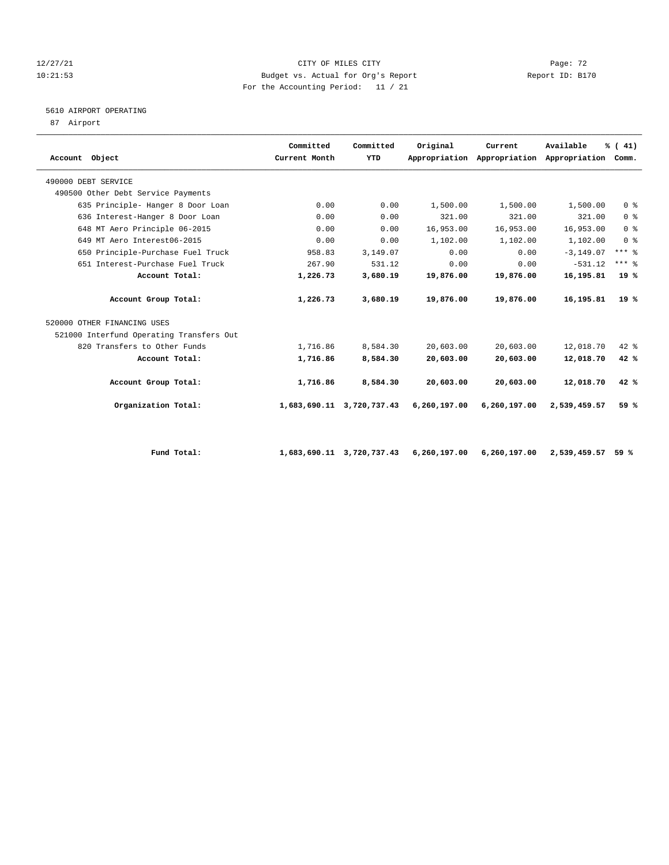# ${\tt ClTY OF MILES CITY} \begin{tabular}{l} {\tt ClTY OF MILES CITY} \end{tabular} \begin{tabular}{l} {\tt ClTY OF MILES CITY} \end{tabular} \begin{tabular}{l} {\tt Page: 72} \end{tabular} \end{tabular}$ 10:21:53 Budget vs. Actual for Org's Report Report ID: B170 For the Accounting Period: 11 / 21

# 5610 AIRPORT OPERATING

87 Airport

| Account Object                           | Committed<br>Current Month | Committed<br>YTD | Original     | Current<br>Appropriation Appropriation Appropriation | Available    | % (41)<br>Comm. |  |
|------------------------------------------|----------------------------|------------------|--------------|------------------------------------------------------|--------------|-----------------|--|
| 490000 DEBT SERVICE                      |                            |                  |              |                                                      |              |                 |  |
| 490500 Other Debt Service Payments       |                            |                  |              |                                                      |              |                 |  |
| 635 Principle- Hanger 8 Door Loan        | 0.00                       | 0.00             | 1,500.00     | 1,500.00                                             | 1,500.00     | 0 <sup>8</sup>  |  |
| 636 Interest-Hanger 8 Door Loan          | 0.00                       | 0.00             | 321.00       | 321.00                                               | 321.00       | 0 <sup>8</sup>  |  |
| 648 MT Aero Principle 06-2015            | 0.00                       | 0.00             | 16,953.00    | 16,953.00                                            | 16,953.00    | 0 <sup>8</sup>  |  |
| 649 MT Aero Interest06-2015              | 0.00                       | 0.00             | 1,102.00     | 1,102.00                                             | 1,102.00     | 0 <sup>8</sup>  |  |
| 650 Principle-Purchase Fuel Truck        | 958.83                     | 3,149.07         | 0.00         | 0.00                                                 | $-3, 149.07$ | $***$ $%$       |  |
| 651 Interest-Purchase Fuel Truck         | 267.90                     | 531.12           | 0.00         | 0.00                                                 | $-531.12$    | $***$ $%$       |  |
| Account Total:                           | 1,226.73                   | 3,680.19         | 19,876.00    | 19,876.00                                            | 16,195.81    | 19%             |  |
| Account Group Total:                     | 1,226.73                   | 3,680.19         | 19,876.00    | 19,876.00                                            | 16,195.81    | $19*$           |  |
| 520000 OTHER FINANCING USES              |                            |                  |              |                                                      |              |                 |  |
| 521000 Interfund Operating Transfers Out |                            |                  |              |                                                      |              |                 |  |
| 820 Transfers to Other Funds             | 1,716.86                   | 8,584.30         | 20,603.00    | 20,603.00                                            | 12,018.70    | $42*$           |  |
| Account Total:                           | 1,716.86                   | 8,584.30         | 20,603.00    | 20,603.00                                            | 12,018.70    | 42%             |  |
| Account Group Total:                     | 1,716.86                   | 8,584.30         | 20,603.00    | 20,603.00                                            | 12,018.70    | 42%             |  |
| Organization Total:                      | 1,683,690.11               | 3,720,737.43     | 6,260,197.00 | 6,260,197.00                                         | 2,539,459.57 | 59%             |  |
|                                          |                            |                  |              |                                                      |              |                 |  |

 **Fund Total: 1,683,690.11 3,720,737.43 6,260,197.00 6,260,197.00 2,539,459.57 59 %**